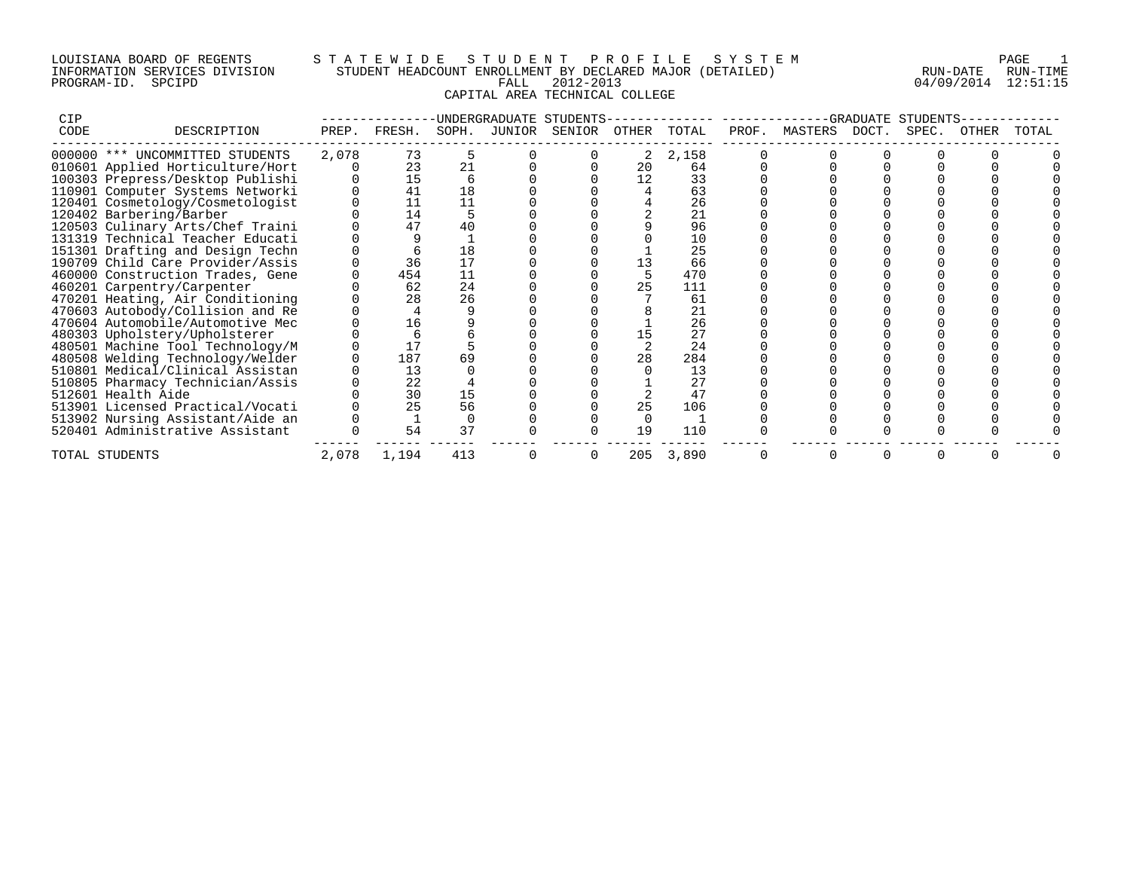## LOUISIANA BOARD OF REGENTS S T A T E W I D E S T U D E N T P R O F I L E S Y S T E M PAGE 1 INFORMATION SERVICES DIVISION STUDENT HEADCOUNT ENROLLMENT BY DECLARED MAJOR (DETAILED) RUN-DATE RUN-TIME PROGRAM-ID. SPCIPD FALL 2012-2013 04/09/2014 12:51:15 CAPITAL AREA TECHNICAL COLLEGE

| <b>CIP</b> |                                  |       |        |       | UNDERGRADUATE | STUDENTS |       |       |       |         | GRADUATE | STUDENTS |       |       |
|------------|----------------------------------|-------|--------|-------|---------------|----------|-------|-------|-------|---------|----------|----------|-------|-------|
| CODE       | DESCRIPTION                      | PREP. | FRESH. | SOPH. | JUNIOR        | SENIOR   | OTHER | TOTAL | PROF. | MASTERS | DOCT.    | SPEC.    | OTHER | TOTAL |
|            | 000000 *** UNCOMMITTED STUDENTS  | 2,078 | 73     |       |               |          | 2     | 2,158 |       |         |          |          |       |       |
|            | 010601 Applied Horticulture/Hort |       | 23     | 21    |               |          | 20    | 64    |       |         |          |          |       |       |
|            | 100303 Prepress/Desktop Publishi |       | 15     |       |               |          | 12    | 33    |       |         |          |          |       |       |
|            | 110901 Computer Systems Networki |       | 41     | 18    |               |          |       | 63    |       |         |          |          |       |       |
|            | 120401 Cosmetology/Cosmetologist |       |        | 11    |               |          |       | 26    |       |         |          |          |       |       |
|            | 120402 Barbering/Barber          |       | 14     |       |               |          |       | 21    |       |         |          |          |       |       |
|            | 120503 Culinary Arts/Chef Traini |       | 47     | 40    |               |          |       | 96    |       |         |          |          |       |       |
|            | 131319 Technical Teacher Educati |       |        |       |               |          |       | 10    |       |         |          |          |       |       |
|            | 151301 Drafting and Design Techn |       |        | 18    |               |          |       | 25    |       |         |          |          |       |       |
|            | 190709 Child Care Provider/Assis |       | 36     | 17    |               |          |       | 66    |       |         |          |          |       |       |
|            | 460000 Construction Trades, Gene |       | 454    | 11    |               |          |       | 470   |       |         |          |          |       |       |
|            | 460201 Carpentry/Carpenter       |       | 62     | 24    |               |          | 25    | 111   |       |         |          |          |       |       |
|            | 470201 Heating, Air Conditioning |       | 28     | 26    |               |          |       | 61    |       |         |          |          |       |       |
|            | 470603 Autobody/Collision and Re |       |        |       |               |          |       | 21    |       |         |          |          |       |       |
|            | 470604 Automobile/Automotive Mec |       | 16     |       |               |          |       | 26    |       |         |          |          |       |       |
|            | 480303 Upholstery/Upholsterer    |       |        |       |               |          |       | 27    |       |         |          |          |       |       |
|            | 480501 Machine Tool Technology/M |       |        |       |               |          |       | 24    |       |         |          |          |       |       |
|            | 480508 Welding Technology/Welder |       | 187    | 69    |               |          | 28    | 284   |       |         |          |          |       |       |
|            | 510801 Medical/Clinical Assistan |       | 13     |       |               |          |       | 13    |       |         |          |          |       |       |
|            | 510805 Pharmacy Technician/Assis |       | 22     |       |               |          |       | 27    |       |         |          |          |       |       |
|            | 512601 Health Aide               |       | 30     | 15    |               |          |       | 47    |       |         |          |          |       |       |
|            | 513901 Licensed Practical/Vocati |       | 25     | 56    |               |          | 25    | 106   |       |         |          |          |       |       |
|            | 513902 Nursing Assistant/Aide an |       |        |       |               |          |       |       |       |         |          |          |       |       |
|            | 520401 Administrative Assistant  |       | 54     | 37    |               |          | 19    | 110   |       |         |          |          |       |       |
|            | TOTAL STUDENTS                   | 2,078 | 1,194  | 413   |               |          | 205   | 3,890 |       |         |          |          |       |       |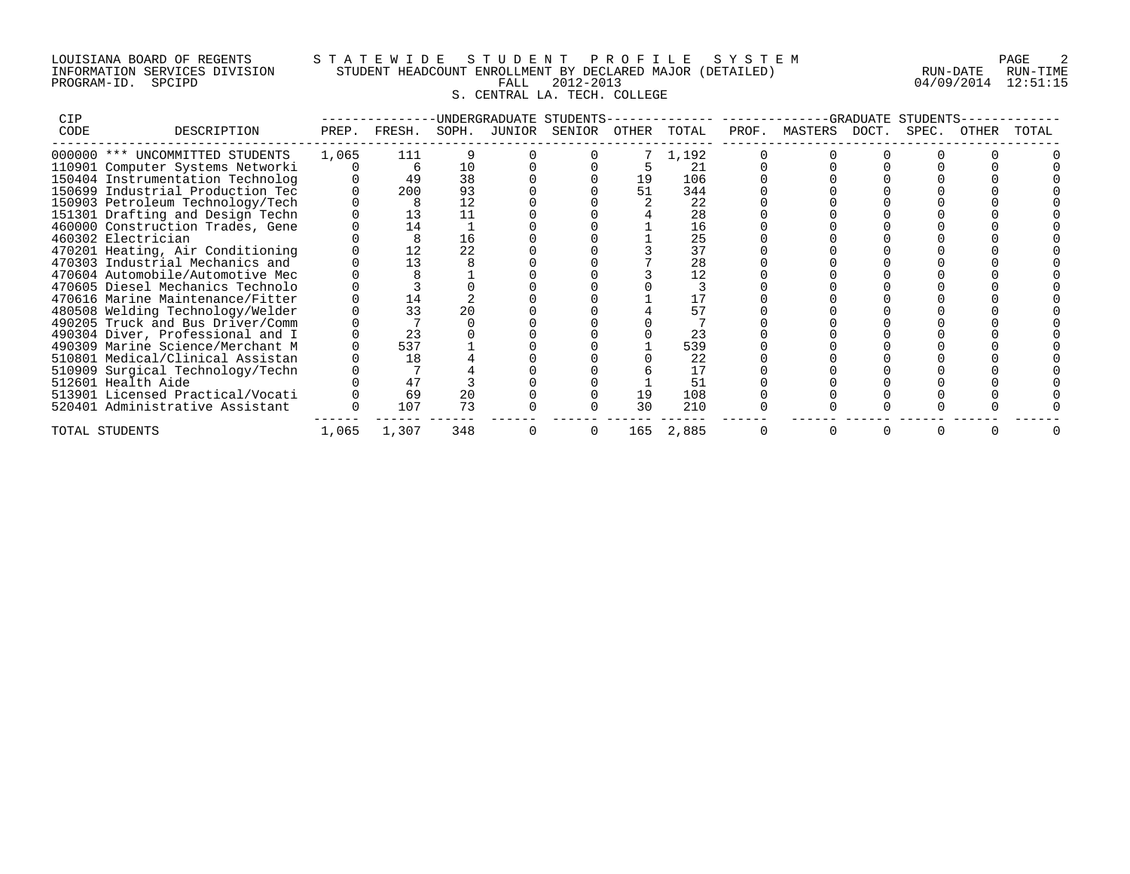## LOUISIANA BOARD OF REGENTS S T A T E W I D E S T U D E N T P R O F I L E S Y S T E M PAGE 2 INFORMATION SERVICES DIVISION STUDENT HEADCOUNT ENROLLMENT BY DECLARED MAJOR (DETAILED) RUN-DATE RUN-TIME PROGRAM-ID. SPCIPD FALL 2012-2013 04/09/2014 12:51:15 S. CENTRAL LA. TECH. COLLEGE

| <b>CIP</b> |                                  |       |        |       |        | UNDERGRADUATE STUDENTS- |       |           |       |               | GRADUATE | STUDENTS |       |       |
|------------|----------------------------------|-------|--------|-------|--------|-------------------------|-------|-----------|-------|---------------|----------|----------|-------|-------|
| CODE       | DESCRIPTION                      | PREP. | FRESH. | SOPH. | JUNIOR | SENIOR                  | OTHER | TOTAL     | PROF. | MASTERS DOCT. |          | SPEC.    | OTHER | TOTAL |
|            | 000000 *** UNCOMMITTED STUDENTS  | 1,065 | 111    |       |        |                         |       | 1,192     |       |               |          |          |       |       |
|            | 110901 Computer Systems Networki |       | 6      | 10    |        |                         |       | 21        |       |               |          |          |       |       |
|            | 150404 Instrumentation Technolog |       | 49     | 38    |        |                         | 19    | 106       |       |               |          |          |       |       |
|            | 150699 Industrial Production Tec |       | 200    | 93    |        |                         | 51    | 344       |       |               |          |          |       |       |
|            | 150903 Petroleum Technology/Tech |       | 8      | 12    |        |                         |       | 22        |       |               |          |          |       |       |
|            | 151301 Drafting and Design Techn |       | 13     |       |        |                         |       | 28        |       |               |          |          |       |       |
|            | 460000 Construction Trades, Gene |       | 14     |       |        |                         |       | 16        |       |               |          |          |       |       |
|            | 460302 Electrician               |       |        | 16    |        |                         |       | 25        |       |               |          |          |       |       |
|            | 470201 Heating, Air Conditioning |       |        | 22    |        |                         |       | 37        |       |               |          |          |       |       |
|            | 470303 Industrial Mechanics and  |       | 13     |       |        |                         |       | 28        |       |               |          |          |       |       |
|            | 470604 Automobile/Automotive Mec |       |        |       |        |                         |       | 12        |       |               |          |          |       |       |
|            | 470605 Diesel Mechanics Technolo |       |        |       |        |                         |       |           |       |               |          |          |       |       |
|            | 470616 Marine Maintenance/Fitter |       |        |       |        |                         |       |           |       |               |          |          |       |       |
|            | 480508 Welding Technology/Welder |       | 33     | 20    |        |                         |       |           |       |               |          |          |       |       |
|            | 490205 Truck and Bus Driver/Comm |       |        |       |        |                         |       |           |       |               |          |          |       |       |
|            | 490304 Diver, Professional and I |       | 23     |       |        |                         |       | 23        |       |               |          |          |       |       |
|            | 490309 Marine Science/Merchant M |       | 537    |       |        |                         |       | 539       |       |               |          |          |       |       |
|            | 510801 Medical/Clinical Assistan |       | 18     |       |        |                         |       | 22        |       |               |          |          |       |       |
|            | 510909 Surgical Technology/Techn |       |        |       |        |                         |       | 17        |       |               |          |          |       |       |
|            | 512601 Health Aide               |       | 47     |       |        |                         |       | 51        |       |               |          |          |       |       |
|            | 513901 Licensed Practical/Vocati |       | 69     | 20    |        |                         | 19    | 108       |       |               |          |          |       |       |
|            | 520401 Administrative Assistant  |       | 107    | 73    |        |                         | 30    | 210       |       |               |          |          |       |       |
|            | TOTAL STUDENTS                   | 1,065 | 1,307  | 348   |        |                         |       | 165 2,885 |       |               |          |          |       |       |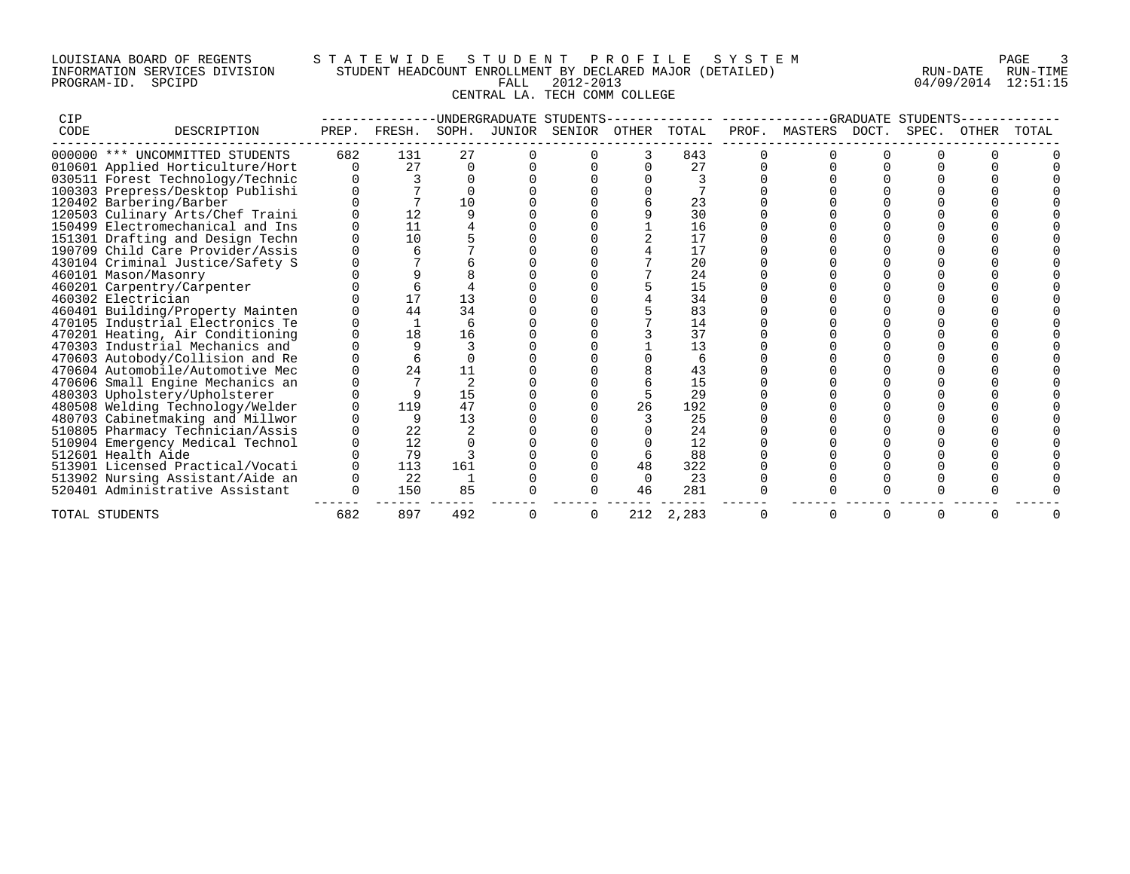## LOUISIANA BOARD OF REGENTS S T A T E W I D E S T U D E N T P R O F I L E S Y S T E M PAGE 3 INFORMATION SERVICES DIVISION STUDENT HEADCOUNT ENROLLMENT BY DECLARED MAJOR (DETAILED) RUN-DATE RUN-TIME PROGRAM-ID. SPCIPD FALL 2012-2013 04/09/2014 12:51:15 CENTRAL LA. TECH COMM COLLEGE

| <b>CIP</b> |                                  |       |        |               | UNDERGRADUATE STUDENTS |        |       |       |       |         | GRADUATE | STUDENT! |       |       |
|------------|----------------------------------|-------|--------|---------------|------------------------|--------|-------|-------|-------|---------|----------|----------|-------|-------|
| CODE       | DESCRIPTION                      | PREP. | FRESH. | SOPH.         | JUNIOR                 | SENIOR | OTHER | TOTAL | PROF. | MASTERS | DOCT.    | SPEC.    | OTHER | TOTAL |
|            | 000000 *** UNCOMMITTED STUDENTS  | 682   | 131    | 27            |                        |        | 3     | 843   |       |         |          |          |       |       |
|            | 010601 Applied Horticulture/Hort |       | 27     | $\Omega$      |                        |        |       | 27    |       |         |          |          |       |       |
|            | 030511 Forest Technology/Technic |       |        |               |                        |        |       |       |       |         |          |          |       |       |
|            | 100303 Prepress/Desktop Publishi |       |        |               |                        |        |       |       |       |         |          |          |       |       |
|            | 120402 Barbering/Barber          |       |        | 10            |                        |        |       | 23    |       |         |          |          |       |       |
|            | 120503 Culinary Arts/Chef Traini |       |        |               |                        |        |       | 30    |       |         |          |          |       |       |
|            | 150499 Electromechanical and Ins |       | 11     |               |                        |        |       | 16    |       |         |          |          |       |       |
|            | 151301 Drafting and Design Techn |       | 10     |               |                        |        |       | 17    |       |         |          |          |       |       |
|            | 190709 Child Care Provider/Assis |       |        |               |                        |        |       | 17    |       |         |          |          |       |       |
|            | 430104 Criminal Justice/Safety S |       |        |               |                        |        |       | 20    |       |         |          |          |       |       |
|            | 460101 Mason/Masonry             |       |        |               |                        |        |       | 24    |       |         |          |          |       |       |
|            | 460201 Carpentry/Carpenter       |       |        |               |                        |        |       | 15    |       |         |          |          |       |       |
|            | 460302 Electrician               |       |        | 13            |                        |        |       | 34    |       |         |          |          |       |       |
|            | 460401 Building/Property Mainten |       | 44     | 34            |                        |        |       | 83    |       |         |          |          |       |       |
|            | 470105 Industrial Electronics Te |       |        |               |                        |        |       | 14    |       |         |          |          |       |       |
|            | 470201 Heating, Air Conditioning |       | 18     | 16            |                        |        |       | 37    |       |         |          |          |       |       |
|            | 470303 Industrial Mechanics and  |       |        |               |                        |        |       | 13    |       |         |          |          |       |       |
|            | 470603 Autobody/Collision and Re |       |        |               |                        |        |       |       |       |         |          |          |       |       |
|            | 470604 Automobile/Automotive Mec |       | 24     | 11            |                        |        |       | 43    |       |         |          |          |       |       |
|            | 470606 Small Engine Mechanics an |       |        | $\mathcal{D}$ |                        |        |       | 15    |       |         |          |          |       |       |
|            | 480303 Upholstery/Upholsterer    |       | q      | 15            |                        |        |       | 29    |       |         |          |          |       |       |
|            | 480508 Welding Technology/Welder |       | 119    | 47            |                        |        | 26    | 192   |       |         |          |          |       |       |
|            | 480703 Cabinetmaking and Millwor |       | 9      | 13            |                        |        |       | 25    |       |         |          |          |       |       |
|            | 510805 Pharmacy Technician/Assis |       | 22     |               |                        |        |       | 24    |       |         |          |          |       |       |
|            | 510904 Emergency Medical Technol |       | 12     |               |                        |        |       | 12    |       |         |          |          |       |       |
|            | 512601 Health Aide               |       | 79     |               |                        |        |       | 88    |       |         |          |          |       |       |
|            | 513901 Licensed Practical/Vocati |       | 113    | 161           |                        |        | 48    | 322   |       |         |          |          |       |       |
|            | 513902 Nursing Assistant/Aide an |       | 22     |               |                        |        | 0     | 23    |       |         |          |          |       |       |
|            | 520401 Administrative Assistant  |       | 150    | 85            |                        |        | 46    | 281   |       |         |          |          |       |       |
|            | TOTAL STUDENTS                   | 682   | 897    | 492           |                        | O      | 212   | 2,283 |       |         |          |          |       |       |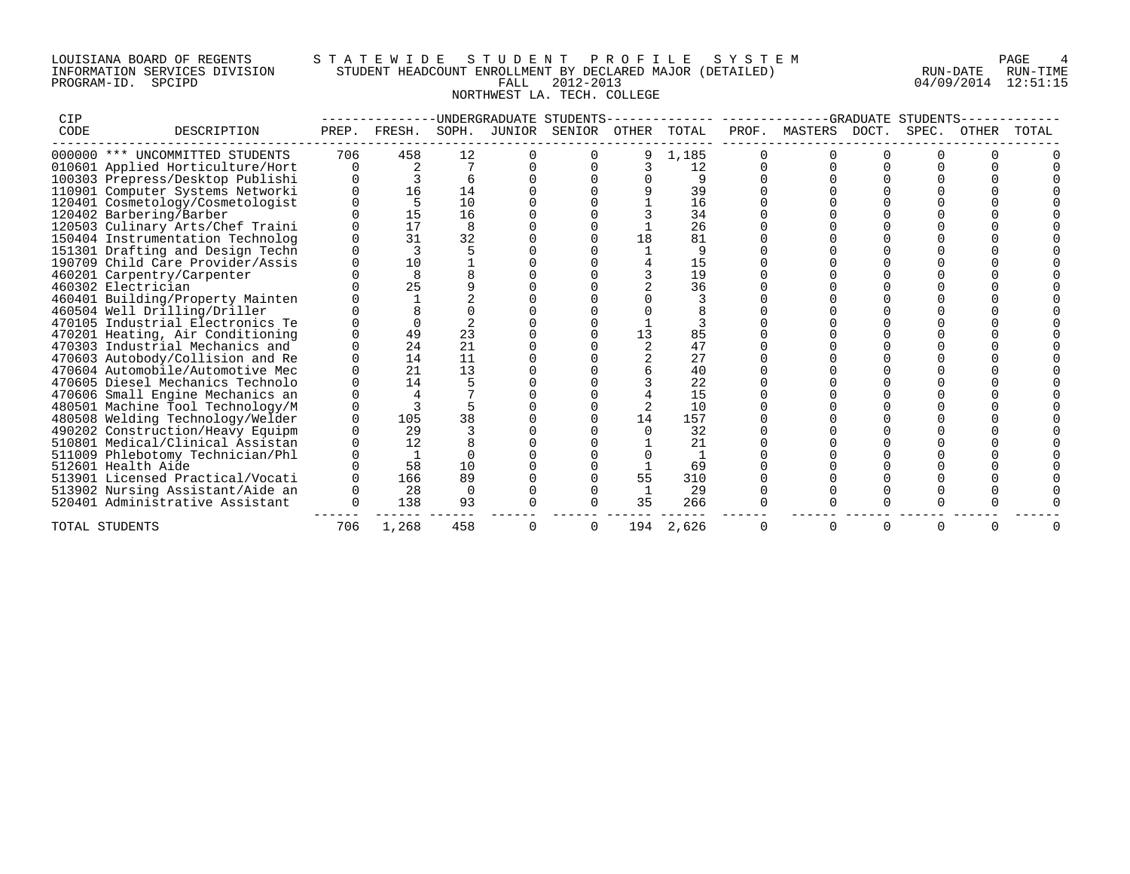## LOUISIANA BOARD OF REGENTS S T A T E W I D E S T U D E N T P R O F I L E S Y S T E M PAGE 4 INFORMATION SERVICES DIVISION STUDENT HEADCOUNT ENROLLMENT BY DECLARED MAJOR (DETAILED) RUN-DATE RUN-TIME PROGRAM-ID. SPCIPD FALL 2012-2013 04/09/2014 12:51:15 NORTHWEST LA. TECH. COLLEGE

| <b>CIP</b> |                                  |       |        |            |        | UNDERGRADUATE STUDENTS |       |       |       |         |       | -GRADUATE STUDENTS |       |       |
|------------|----------------------------------|-------|--------|------------|--------|------------------------|-------|-------|-------|---------|-------|--------------------|-------|-------|
| CODE       | DESCRIPTION                      | PREP. | FRESH. | SOPH.      | JUNIOR | SENIOR                 | OTHER | TOTAL | PROF. | MASTERS | DOCT. | SPEC.              | OTHER | TOTAL |
|            | 000000 *** UNCOMMITTED STUDENTS  | 706   | 458    | 12         |        |                        |       | 1,185 |       |         |       |                    |       |       |
|            | 010601 Applied Horticulture/Hort |       |        |            |        |                        |       | 12    |       |         |       |                    |       |       |
|            | 100303 Prepress/Desktop Publishi |       |        | $\sqrt{2}$ |        |                        |       |       |       |         |       |                    |       |       |
|            | 110901 Computer Systems Networki |       | 16     | 14         |        |                        |       | 39    |       |         |       |                    |       |       |
|            | 120401 Cosmetology/Cosmetologist |       | 5      | 10         |        |                        |       | 16    |       |         |       |                    |       |       |
|            | 120402 Barbering/Barber          |       | 15     | 16         |        |                        |       | 34    |       |         |       |                    |       |       |
|            | 120503 Culinary Arts/Chef Traini |       | 17     | 8          |        |                        |       | 26    |       |         |       |                    |       |       |
|            | 150404 Instrumentation Technolog |       | 31     | 32         |        |                        | 18    | 81    |       |         |       |                    |       |       |
|            | 151301 Drafting and Design Techn |       |        |            |        |                        |       |       |       |         |       |                    |       |       |
|            | 190709 Child Care Provider/Assis |       | 10     |            |        |                        |       | 15    |       |         |       |                    |       |       |
|            | 460201 Carpentry/Carpenter       |       | 8      |            |        |                        |       | 19    |       |         |       |                    |       |       |
|            | 460302 Electrician               |       | 25     |            |        |                        |       | 36    |       |         |       |                    |       |       |
|            | 460401 Building/Property Mainten |       |        |            |        |                        |       |       |       |         |       |                    |       |       |
|            | 460504 Well Drilling/Driller     |       |        |            |        |                        |       |       |       |         |       |                    |       |       |
|            | 470105 Industrial Electronics Te |       |        |            |        |                        |       |       |       |         |       |                    |       |       |
|            | 470201 Heating, Air Conditioning |       | 49     | 23         |        |                        | 13    | 85    |       |         |       |                    |       |       |
|            | 470303 Industrial Mechanics and  |       | 24     | 21         |        |                        |       | 47    |       |         |       |                    |       |       |
|            | 470603 Autobody/Collision and Re |       | 14     | 11         |        |                        |       | 27    |       |         |       |                    |       |       |
|            | 470604 Automobile/Automotive Mec |       | 21     | 13         |        |                        |       | 40    |       |         |       |                    |       |       |
|            | 470605 Diesel Mechanics Technolo |       | 14     |            |        |                        |       | 22    |       |         |       |                    |       |       |
|            | 470606 Small Engine Mechanics an |       |        |            |        |                        |       | 15    |       |         |       |                    |       |       |
|            | 480501 Machine Tool Technology/M |       |        |            |        |                        |       | 10    |       |         |       |                    |       |       |
|            | 480508 Welding Technology/Welder |       | 105    | 38         |        |                        | 14    | 157   |       |         |       |                    |       |       |
|            | 490202 Construction/Heavy Equipm |       | 29     |            |        |                        |       | 32    |       |         |       |                    |       |       |
|            | 510801 Medical/Clinical Assistan |       | 12     |            |        |                        |       | 21    |       |         |       |                    |       |       |
|            | 511009 Phlebotomy Technician/Phl |       |        |            |        |                        |       |       |       |         |       |                    |       |       |
|            | 512601 Health Aide               |       | 58     | 10         |        |                        |       | 69    |       |         |       |                    |       |       |
|            | 513901 Licensed Practical/Vocati |       | 166    | 89         |        |                        | 55    | 310   |       |         |       |                    |       |       |
|            | 513902 Nursing Assistant/Aide an |       | 28     |            |        |                        |       | 29    |       |         |       |                    |       |       |
|            | 520401 Administrative Assistant  |       | 138    | 93         |        |                        | 35    | 266   |       |         |       |                    |       |       |
|            | TOTAL STUDENTS                   | 706   | 1,268  | 458        |        | $\Omega$               | 194   | 2,626 |       | 0       | 0     | 0                  |       |       |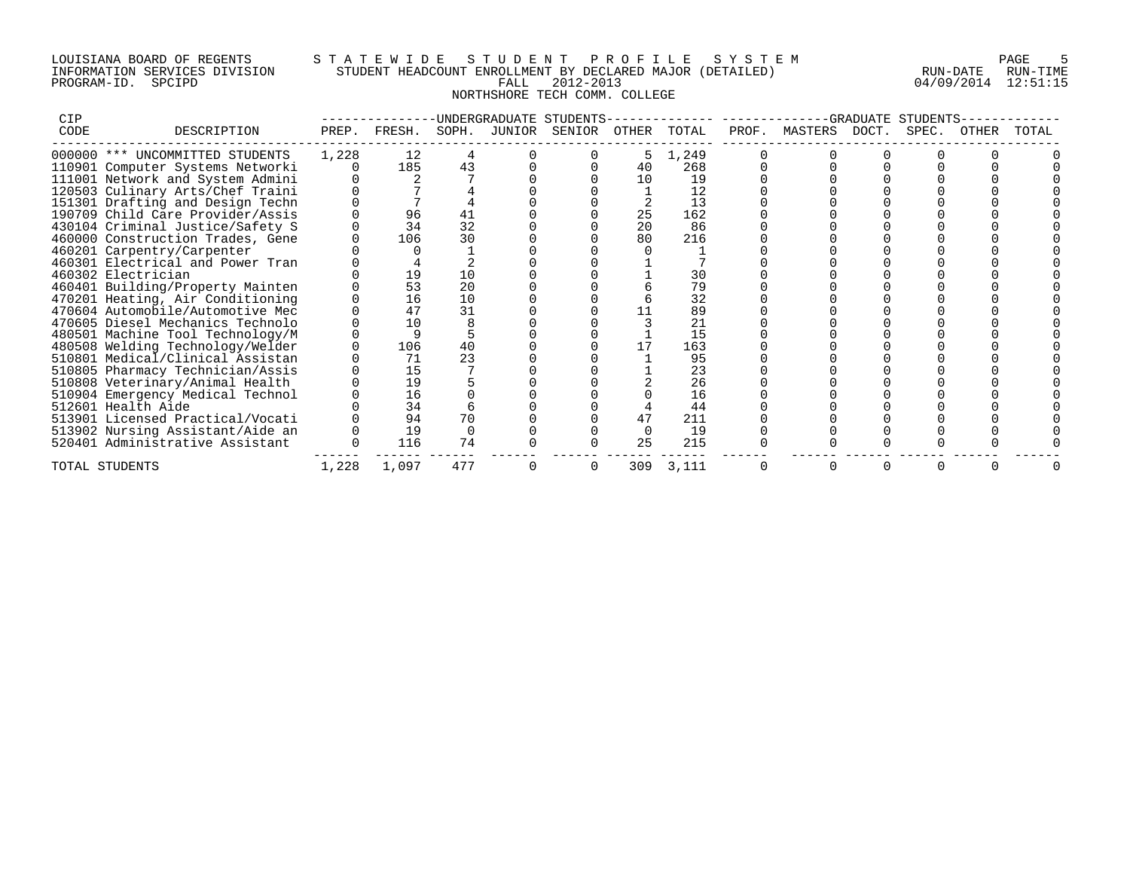## LOUISIANA BOARD OF REGENTS S T A T E W I D E S T U D E N T P R O F I L E S Y S T E M PAGE 5 INFORMATION SERVICES DIVISION STUDENT HEADCOUNT ENROLLMENT BY DECLARED MAJOR (DETAILED) RUN-DATE RUN-TIME PROGRAM-ID. SPCIPD FALL 2012-2013 04/09/2014 12:51:15 NORTHSHORE TECH COMM. COLLEGE

| CIP                              |       |        |       |        | UNDERGRADUATE STUDENTS |              |                 |       |         | GRADUATE | STUDENT. |             |       |
|----------------------------------|-------|--------|-------|--------|------------------------|--------------|-----------------|-------|---------|----------|----------|-------------|-------|
| CODE<br>DESCRIPTION              | PREP. | FRESH. | SOPH. | JUNIOR | SENIOR                 | <b>OTHER</b> | TOTAL           | PROF. | MASTERS | DOCT.    | SPEC.    | $()$ 'I'HER | TOTAL |
| 000000 *** UNCOMMITTED STUDENTS  | 1,228 | 12     |       |        |                        | 5            | 1,249           |       |         |          |          |             |       |
| 110901 Computer Systems Networki |       | 185    | 43    |        |                        | 40           | 268             |       |         |          |          |             |       |
| 111001 Network and System Admini |       |        |       |        |                        | 10           | 19              |       |         |          |          |             |       |
| 120503 Culinary Arts/Chef Traini |       |        |       |        |                        |              | 12              |       |         |          |          |             |       |
| 151301 Drafting and Design Techn |       |        |       |        |                        |              | 13              |       |         |          |          |             |       |
| 190709 Child Care Provider/Assis |       | 96     | 41    |        |                        | 25           | 162             |       |         |          |          |             |       |
| 430104 Criminal Justice/Safety S |       | 34     | 32    |        |                        | 20           | 86              |       |         |          |          |             |       |
| 460000 Construction Trades, Gene |       | 106    | 30    |        |                        | 80           | 216             |       |         |          |          |             |       |
| 460201 Carpentry/Carpenter       |       |        |       |        |                        |              |                 |       |         |          |          |             |       |
| 460301 Electrical and Power Tran |       |        |       |        |                        |              |                 |       |         |          |          |             |       |
| 460302 Electrician               |       | 19     | 10    |        |                        |              | 30              |       |         |          |          |             |       |
| 460401 Building/Property Mainten |       | 53     | 20    |        |                        |              | 79              |       |         |          |          |             |       |
| 470201 Heating, Air Conditioning |       | 16     | 10    |        |                        |              | 32              |       |         |          |          |             |       |
| 470604 Automobile/Automotive Mec |       | 47     | 31    |        |                        |              | 89              |       |         |          |          |             |       |
| 470605 Diesel Mechanics Technolo |       | 10     |       |        |                        |              | $\overline{21}$ |       |         |          |          |             |       |
| 480501 Machine Tool Technology/M |       |        |       |        |                        |              | 15              |       |         |          |          |             |       |
| 480508 Welding Technology/Welder |       | 106    | 40    |        |                        |              | 163             |       |         |          |          |             |       |
| 510801 Medical/Clinical Assistan |       | 71     | 23    |        |                        |              | 95              |       |         |          |          |             |       |
| 510805 Pharmacy Technician/Assis |       | 15     |       |        |                        |              | 23              |       |         |          |          |             |       |
| 510808 Veterinary/Animal Health  |       | 19     |       |        |                        |              | 26              |       |         |          |          |             |       |
| 510904 Emergency Medical Technol |       | 16     |       |        |                        |              | 16              |       |         |          |          |             |       |
| 512601 Health Aide               |       | 34     |       |        |                        |              | 44              |       |         |          |          |             |       |
| 513901 Licensed Practical/Vocati |       | 94     | 70    |        |                        | 47           | 211             |       |         |          |          |             |       |
| 513902 Nursing Assistant/Aide an |       | 19     |       |        |                        |              | 19              |       |         |          |          |             |       |
| 520401 Administrative Assistant  |       | 116    | 74    |        |                        | 25           | 215             |       |         |          |          |             |       |
| TOTAL STUDENTS                   | 1,228 | 1,097  | 477   |        |                        | 309          | 3,111           |       |         |          |          |             |       |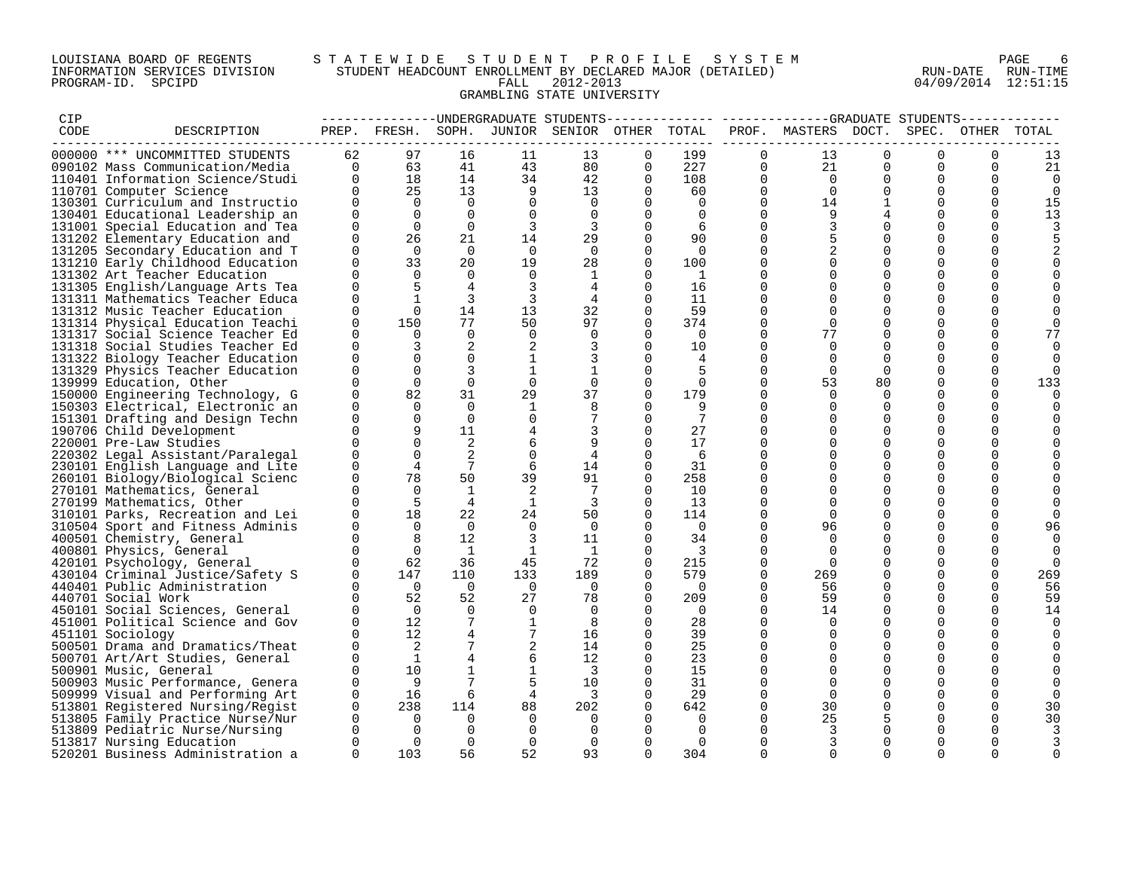# LOUISIANA BOARD OF REGENTS STA TEWIDE STUDENT PROFILE SYSTEM NAGE 6 INFORMATION SERVICES DIVISION STUDENT HEADCOUNT ENROLLMENT BY DECLARED MAJOR (DETAILED) RUN-DATE RUN-DATE RUN-TIME<br>PROGRAM-ID. SPCIPD 804/09/2014 12:51:15 PROGRAM-ID. SPCIPD FALL 2012-2013 04/09/2014 12:51:15 GRAMBLING STATE UNIVERSITY

| CIP  |                                                                      |                      |                 |                 |                 | -------------UNDERGRADUATE STUDENTS          |              |                         |                      | -------------GRADUATE STUDENTS------- |                      |                         |             |             |
|------|----------------------------------------------------------------------|----------------------|-----------------|-----------------|-----------------|----------------------------------------------|--------------|-------------------------|----------------------|---------------------------------------|----------------------|-------------------------|-------------|-------------|
| CODE | DESCRIPTION                                                          |                      |                 |                 |                 | PREP. FRESH. SOPH. JUNIOR SENIOR OTHER TOTAL |              |                         |                      | PROF. MASTERS DOCT.                   |                      | SPEC.                   | OTHER       | TOTAL       |
|      | 000000 *** UNCOMMITTED STUDENTS                                      | 62                   | 97              | 16              | 11              | 13                                           | $\Omega$     | 199                     | $\Omega$             | 13                                    | $\Omega$             | $\Omega$                | $\mathbf 0$ | 13          |
|      | 090102 Mass Communication/Media                                      | $\Omega$             | 63              | 41              | 43              | 80                                           | 0            | 227                     | 0                    | 21                                    | $\Omega$             | $\Omega$                | $\mathbf 0$ | 21          |
|      | 110401 Information Science/Studi                                     | $\Omega$             | 18              | 14              | 34              | 42                                           | $\Omega$     | 108                     | $\Omega$             | $\overline{0}$                        | $\Omega$             | $\Omega$                | $\Omega$    | $\mathbf 0$ |
|      | 110701 Computer Science                                              | $\Omega$             | 25              | 13 <sup>°</sup> | 9               | 13                                           | $\mathbf{0}$ | 60                      | $\mathbf 0$          | $\Omega$                              | $\Omega$             | $\Omega$                | $\mathbf 0$ | $\mathbf 0$ |
|      | 130301 Curriculum and Instructio                                     | $\Omega$             | $\Omega$        | $\Omega$        | $\Omega$        | $\overline{0}$                               | $\Omega$     | $\Omega$                | $\Omega$             | 14                                    | $\mathbf 1$          | $\Omega$                | 0           | 15          |
|      | 130401 Educational Leadership an                                     | $\Omega$             | $\Omega$        | $\Omega$        | $\Omega$        | $\Omega$                                     | $\Omega$     | $\Omega$                | $\Omega$             | 9                                     | 4                    | $\Omega$                | $\Omega$    | 13          |
|      | 131001 Special Education and Tea                                     | $\mathbf 0$          | $\overline{0}$  | $\mathbf 0$     | 3               | 3                                            | $\mathbf 0$  | 6                       | $\Omega$             | 3                                     | $\Omega$             | $\mathbf 0$             | $\mathbf 0$ |             |
|      | 131202 Elementary Education and                                      | $\Omega$             | 26              | 21              | 14              | 29                                           | 0            | 90                      | $\Omega$             | 5                                     | $\Omega$             | $\Omega$                | $\Omega$    | 5           |
|      | 131205 Secondary Education and T                                     | $\Omega$             | $\Omega$        | $\Omega$        | $\Omega$        | $\Omega$                                     | $\Omega$     | $\Omega$                | $\Omega$             | $\overline{2}$                        | $\Omega$             | $\Omega$                | $\Omega$    |             |
|      | 131210 Early Childhood Education                                     | $\Omega$             | 33              | 20              | 19              | 28                                           | 0            | 100                     | 0                    | $\mathbf 0$                           | $\mathbf 0$          | $\mathbf 0$             | 0           |             |
|      | 131302 Art Teacher Education                                         | $\Omega$             | $\Omega$        | $\Omega$        | $\Omega$        | 1                                            | $\Omega$     | $\overline{1}$          | $\Omega$             | $\Omega$                              | $\Omega$             | $\mathbf 0$             | 0           |             |
|      | 131305 English/Language Arts Tea                                     | $\mathbf 0$          | 5               | $\overline{4}$  | 3               |                                              | $\Omega$     | 16                      | $\Omega$             | $\Omega$                              | $\Omega$             | $\Omega$                | 0           |             |
|      | 131311 Mathematics Teacher Educa                                     | $\Omega$             | $\mathbf{1}$    | 3               | 3               | 4                                            | $\Omega$     | 11                      | $\Omega$             | $\Omega$                              | $\Omega$             | $\Omega$                | $\Omega$    |             |
|      | 131312 Music Teacher Education                                       | $\Omega$             | $\Omega$        | 14              | 13              | 32                                           | $\Omega$     | 59                      | $\Omega$             | $\mathbf 0$                           | $\Omega$             | $\mathbf 0$             | 0           | 0           |
|      | 131314 Physical Education Teachi                                     | $\mathbf 0$          | 150             | 77              | 50              | 97                                           | $\Omega$     | 374                     | $\Omega$             | $\Omega$                              | $\Omega$             | $\Omega$                | $\Omega$    | $\Omega$    |
|      | 131317 Social Science Teacher Ed                                     | $\Omega$             | $\Omega$        | $\Omega$        | $\Omega$        | $\Omega$                                     | 0            | $\Omega$                | $\Omega$             | 77                                    | $\Omega$             | $\Omega$                | $\Omega$    | 77          |
|      | 131318 Social Studies Teacher Ed                                     | $\Omega$             | 3               | 2               |                 | 3                                            | $\Omega$     | 10                      | $\Omega$             | $\Omega$                              | $\Omega$             | $\Omega$                | $\mathbf 0$ |             |
|      | 131322 Biology Teacher Education                                     | 0                    | $\Omega$        | $\mathbf 0$     | 1               |                                              | 0            | 4                       | $\Omega$             | $\Omega$                              | $\Omega$             | 0                       | 0           |             |
|      | 131329 Physics Teacher Education                                     | $\Omega$             | $\Omega$        | 3               | $\mathbf{1}$    |                                              | 0            | 5                       | $\Omega$             | $\Omega$                              | $\Omega$             | $\Omega$                | $\Omega$    | $\Omega$    |
|      | 139999 Education, Other                                              | $\mathbf 0$          | $\mathbf 0$     | $\mathbf 0$     | $\mathbf 0$     | $\mathbf 0$                                  | 0            | $\mathbf 0$             | $\mathbf 0$          | 53                                    | 80                   | 0                       | $\mathbf 0$ | 133         |
|      |                                                                      | $\Omega$             | 82              | 31              | 29              | 37                                           | 0            | 179                     | $\Omega$             | $\Omega$                              | $\Omega$             | $\Omega$                | $\Omega$    |             |
|      | 150000 Engineering Technology, G<br>150303 Electrical, Electronic an | $\Omega$             | $\Omega$        | $\Omega$        | $\mathbf{1}$    | 8                                            | $\Omega$     | 9                       | $\Omega$             | $\Omega$                              | $\Omega$             | $\Omega$                | $\Omega$    | 0<br>O      |
|      |                                                                      | 0                    | $\mathbf 0$     | $\overline{0}$  | $\Omega$        | 7                                            | $\Omega$     | 7                       | $\Omega$             | $\Omega$                              | $\Omega$             | 0                       | 0           |             |
|      | 151301 Drafting and Design Techn                                     | $\Omega$             | 9               | 11              |                 |                                              | $\Omega$     | 27                      | $\Omega$             | $\Omega$                              | $\Omega$             | $\Omega$                | $\Omega$    |             |
|      | 190706 Child Development                                             | $\Omega$             | $\Omega$        | 2               |                 |                                              | 0            | 17                      | $\Omega$             | $\Omega$                              | $\Omega$             | $\Omega$                | $\Omega$    |             |
|      | 220001 Pre-Law Studies                                               | $\Omega$             |                 | 2               | 6               | 9                                            |              |                         |                      |                                       |                      |                         |             |             |
|      | 220302 Legal Assistant/Paralegal                                     |                      | $\Omega$        | 7               | $\mathbf 0$     | 4                                            | $\Omega$     | -6                      | $\Omega$<br>$\Omega$ | $\Omega$<br>$\Omega$                  | $\Omega$<br>$\Omega$ | $\mathbf 0$             | 0           |             |
|      | 230101 English Language and Lite                                     | $\mathbf 0$          | 4               |                 | 6               | 14                                           | $\Omega$     | 31                      | $\Omega$             |                                       |                      | $\mathbf 0$<br>$\Omega$ | 0           |             |
|      | 260101 Biology/Biological Scienc                                     | 0                    | 78              | 50              | 39              | 91                                           | $\Omega$     | 258                     |                      | $\Omega$                              | $\Omega$             | $\Omega$                | $\Omega$    |             |
|      | 270101 Mathematics, General                                          | $\Omega$             | $\Omega$        | $\mathbf{1}$    | 2               | 7                                            | $\Omega$     | 10                      | $\Omega$             | $\Omega$                              | $\Omega$             |                         | $\Omega$    |             |
|      | 270199 Mathematics, Other                                            | $\Omega$             | -5              | $\overline{4}$  | $\mathbf{1}$    | 3                                            | $\Omega$     | 13                      | $\Omega$             | $\Omega$                              | $\Omega$             | $\mathbf 0$             | 0           |             |
|      | 310101 Parks, Recreation and Lei                                     | $\Omega$<br>$\Omega$ | 18              | 22<br>$\Omega$  | 24              | 50                                           | 0            | 114                     | $\Omega$<br>$\Omega$ | $\Omega$                              | $\Omega$<br>$\Omega$ | $\Omega$                | 0           |             |
|      | 310504 Sport and Fitness Adminis                                     |                      | $\Omega$        |                 | $\Omega$        | $\Omega$                                     | $\Omega$     | $\overline{0}$          |                      | 96                                    |                      | $\Omega$<br>$\Omega$    | $\Omega$    | 96          |
|      | 400501 Chemistry, General                                            | $\Omega$             | 8               | 12              | 3               | 11                                           | 0            | 34                      | $\Omega$             | $\Omega$                              | $\Omega$             |                         | $\mathbf 0$ |             |
|      | 400801 Physics, General                                              | $\Omega$             | $\Omega$        | $\overline{1}$  | <sup>1</sup>    | $\overline{1}$                               | $\Omega$     | $\overline{\mathbf{3}}$ | $\Omega$             | $\Omega$                              | $\Omega$             | $\Omega$                | $\Omega$    |             |
|      | 420101 Psychology, General                                           | $\Omega$             | 62              | 36              | 45              | 72                                           | $\Omega$     | 215                     | $\Omega$             | $\Omega$                              | $\Omega$             | 0                       | $\mathbf 0$ | $\Omega$    |
|      | 430104 Criminal Justice/Safety S                                     | $\Omega$             | 147             | 110             | 133             | 189                                          | $\Omega$     | 579                     | $\mathbf 0$          | 269                                   | $\mathbf 0$          | 0                       | 0           | 269         |
|      | 440401 Public Administration                                         | $\Omega$             | $\overline{0}$  | $\Omega$        | $\overline{0}$  | $\overline{0}$                               | $\Omega$     | $\overline{0}$          | $\Omega$             | 56                                    | $\Omega$             | $\Omega$                | $\Omega$    | 56          |
|      | 440701 Social Work                                                   | $\Omega$             | 52              | 52              | 27              | 78                                           | $\Omega$     | 209                     | $\Omega$             | 59                                    | $\Omega$             | $\Omega$                | $\Omega$    | 59          |
|      | 450101 Social Sciences, General                                      | $\Omega$             | $\overline{0}$  | $\mathbf 0$     | $\overline{0}$  | 0                                            | 0            | $\overline{0}$          | $\mathbf 0$          | 14                                    | $\Omega$             | 0                       | $\mathbf 0$ | 14          |
|      | 451001 Political Science and Gov                                     | $\Omega$             | 12 <sup>°</sup> | $7\phantom{.0}$ | $\mathbf{1}$    | 8                                            | $\Omega$     | 28                      | $\Omega$             | $\Omega$                              | $\Omega$             | $\mathbf 0$             | 0           | $\Omega$    |
|      | 451101 Sociology                                                     | $\Omega$             | 12              | $\overline{4}$  | $7\phantom{.0}$ | 16                                           | $\Omega$     | 39                      | $\Omega$             | $\Omega$                              | $\Omega$             | $\Omega$                | $\Omega$    | $\Omega$    |
|      | 500501 Drama and Dramatics/Theat                                     | $\Omega$             | 2               |                 | $\overline{2}$  | 14                                           | $\Omega$     | 25                      | $\Omega$             | $\Omega$                              | $\Omega$             | $\Omega$                | $\Omega$    |             |
|      | 500701 Art/Art Studies, General                                      | $\mathbf 0$          | 1               |                 | 6               | 12                                           | $\Omega$     | 23                      | $\Omega$             | $\Omega$                              | $\mathbf 0$          | $\mathbf 0$             | 0           |             |
|      | 500901 Music, General                                                | $\Omega$             | 10              |                 | $\mathbf{1}$    | 3                                            | 0            | 15                      | $\Omega$             | $\Omega$                              | $\Omega$             | $\Omega$                | 0           |             |
|      | 500903 Music Performance, Genera                                     | $\Omega$             | 9               | $7\phantom{.0}$ | 5               | 10                                           | $\Omega$     | 31                      | $\Omega$             | $\Omega$                              | $\Omega$             | $\Omega$                | $\Omega$    | $\Omega$    |
|      | 509999 Visual and Performing Art                                     | $\mathbf 0$          | 16              | 6               | $\overline{4}$  | 3                                            | $\Omega$     | 29                      | $\Omega$             | $\Omega$                              | $\Omega$             | $\Omega$                | $\mathbf 0$ | $\Omega$    |
|      | 513801 Registered Nursing/Regist                                     | $\mathbf 0$          | 238             | 114             | 88              | 202                                          | $\Omega$     | 642                     | $\Omega$             | 30                                    | $\Omega$             | $\Omega$                | $\Omega$    | 30          |
|      | 513805 Family Practice Nurse/Nur                                     | $\Omega$             | $\overline{0}$  | $\Omega$        | $\Omega$        | $\Omega$                                     | $\Omega$     | $\Omega$                | $\Omega$             | 25                                    |                      | $\Omega$                | $\Omega$    | 30          |
|      | 513809 Pediatric Nurse/Nursing                                       | 0                    | $\overline{0}$  | $\mathbf 0$     | $\Omega$        | $\Omega$                                     | $\Omega$     | $\Omega$                | $\Omega$             | 3                                     | $\Omega$             | 0                       | $\mathbf 0$ |             |
|      | 513817 Nursing Education                                             | $\Omega$             | $\Omega$        | $\Omega$        | $\Omega$        | $\Omega$                                     | $\Omega$     | $\Omega$                | 0                    | 3                                     | $\Omega$             | $\Omega$                | $\Omega$    | 3           |
|      | 520201 Business Administration a                                     | $\Omega$             | 103             | 56              | 52              | 93                                           | $\Omega$     | 304                     | $\Omega$             | $\Omega$                              | $\Omega$             | $\Omega$                | $\Omega$    | $\Omega$    |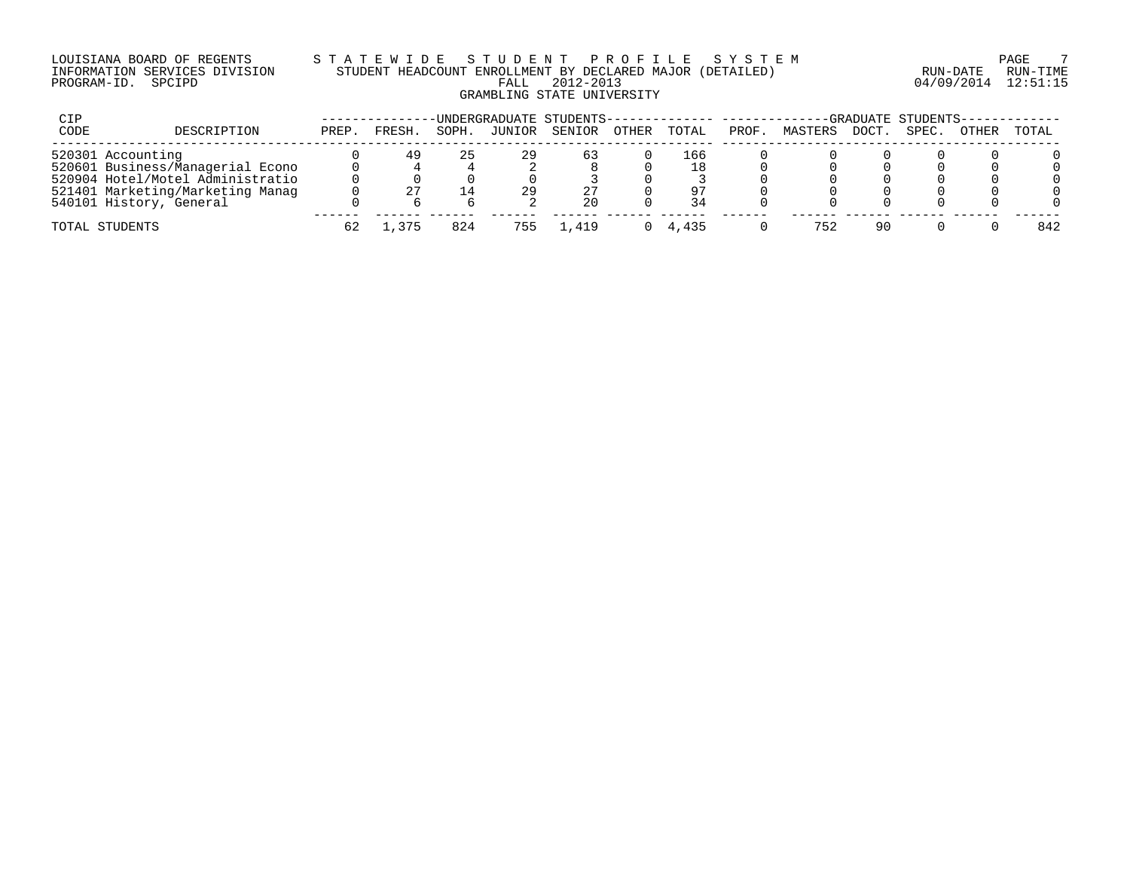### LOUISIANA BOARD OF REGENTS S T A T E W I D E S T U D E N T P R O F I L E S Y S T E M PAGE 7 INFORMATION SERVICES DIVISION STUDENT HEADCOUNT ENROLLMENT BY DECLARED MAJOR (DETAILED) RUN-DATE RUN-TIME PROGRAM-ID. SPCIPD FALL 2012-2013 04/09/2014 12:51:15 GRAMBLING STATE UNIVERSITY

| CIP  |                                  |       |        |       | UNDERGRADUATE STUDENTS- |        |       |       |       |         |       | -GRADUATE STUDENTS-- |       |       |
|------|----------------------------------|-------|--------|-------|-------------------------|--------|-------|-------|-------|---------|-------|----------------------|-------|-------|
| CODE | DESCRIPTION                      | PREP. | FRESH  | SOPH. | JUNIOR                  | SENIOR | OTHER | TOTAL | PROF. | MASTERS | DOCT. | SPEC.                | OTHER | TOTAL |
|      | 520301 Accounting                |       | 49     | 25    | 29                      | 63     |       | 166   |       |         |       |                      |       |       |
|      | 520601 Business/Managerial Econo |       |        |       |                         |        |       | 18    |       |         |       |                      |       |       |
|      | 520904 Hotel/Motel Administratio |       |        |       |                         |        |       |       |       |         |       |                      |       |       |
|      | 521401 Marketing/Marketing Manag |       |        |       | 29                      |        |       | 97    |       |         |       |                      |       |       |
|      | 540101 History, General          |       |        |       |                         | 20     |       | 34    |       |         |       |                      |       |       |
|      | TOTAL STUDENTS                   | 62    | ., 375 | 824   | 755                     | .419   |       | 4.435 |       | 752     | 90    |                      |       | 842   |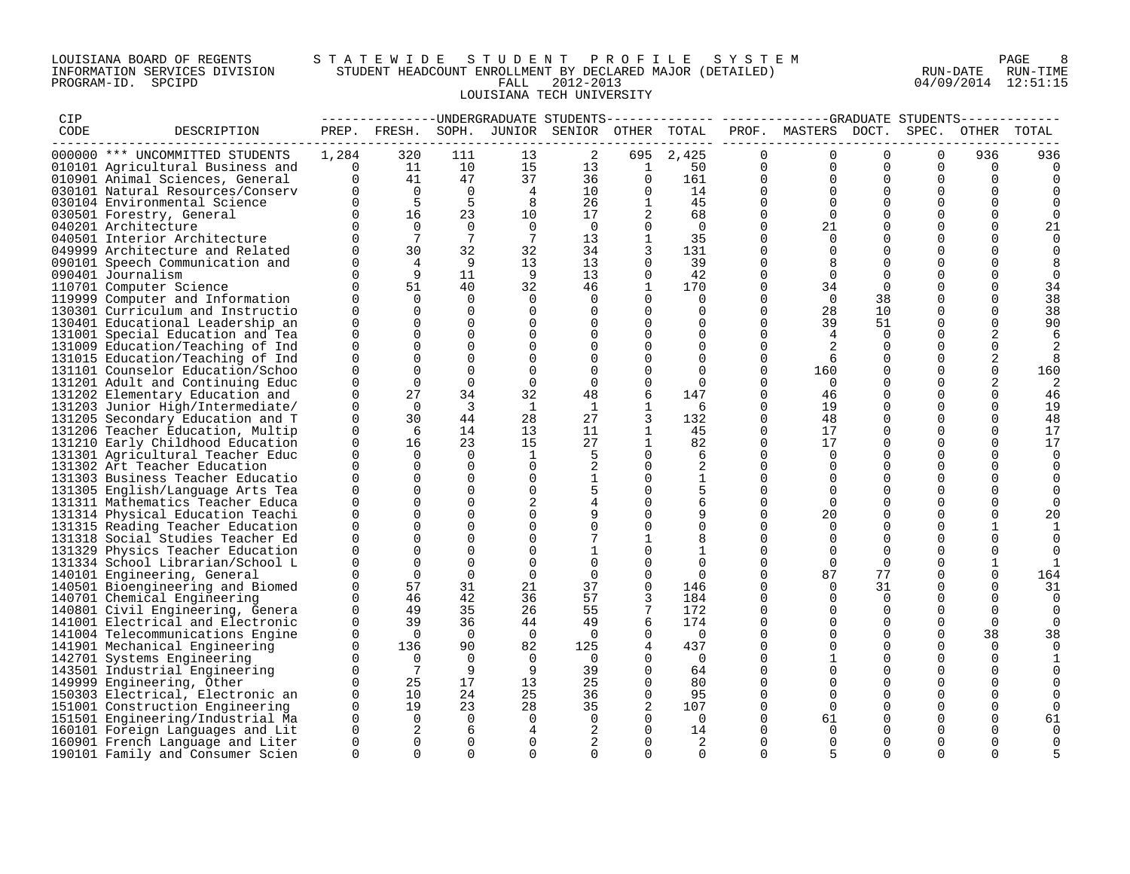### LOUISIANA BOARD OF REGENTS S T A T E W I D E S T U D E N T P R O F I L E S Y S T E M PAGE 8 INFORMATION SERVICES DIVISION STUDENT HEADCOUNT ENROLLMENT BY DECLARED MAJOR (DETAILED) RUN-DATE RUN-TIME PROGRAM-ID. SPCIPD FALL 2012-2013 04/09/2014 12:51:15 LOUISIANA TECH UNIVERSITY

| CIP  |                                                                      |                      |                 |                      |                 | ------------UNDERGRADUATE STUDENTS |                   |                |                      |                     |                      |                      |                      |               |
|------|----------------------------------------------------------------------|----------------------|-----------------|----------------------|-----------------|------------------------------------|-------------------|----------------|----------------------|---------------------|----------------------|----------------------|----------------------|---------------|
| CODE | DESCRIPTION                                                          |                      | PREP. FRESH.    |                      |                 | SOPH. JUNIOR SENIOR OTHER TOTAL    |                   |                |                      | PROF. MASTERS DOCT. |                      | SPEC.                | OTHER                | TOTAL         |
|      | 000000 *** UNCOMMITTED STUDENTS                                      | 1,284                | 320             | 111                  | 13              | 2                                  | 695               | 2,425          | $\Omega$             | $\Omega$            | $\Omega$             | $\Omega$             | 936                  | 936           |
|      | 010101 Agricultural Business and                                     | $\mathbf{0}$         | 11              | 10                   | 15              | 13                                 | $\mathbf{1}$      | 50             | 0                    | $\Omega$            | $\mathbf 0$          | $\Omega$             | $\mathbf 0$          |               |
|      | 010901 Animal Sciences, General                                      | $\Omega$             | 41              | 47                   | 37              | 36                                 | $\Omega$          | 161            | $\Omega$             | $\Omega$            | $\Omega$             | $\Omega$             | $\Omega$             | 0             |
|      | 030101 Natural Resources/Conserv                                     |                      | $\overline{0}$  | $\overline{0}$       | $\overline{4}$  | 10                                 | $\Omega$          | 14             | $\Omega$             | $\Omega$            | $\Omega$             | $\Omega$             | $\Omega$             |               |
|      | 030104 Environmental Science                                         |                      | 5               | $5^{\circ}$          | 8               | 26                                 | $\mathbf{1}$      | 45             | $\Omega$             | $\Omega$            | $\Omega$             | $\Omega$             | $\Omega$             |               |
|      | 030501 Forestry, General                                             | $\Omega$             | 16              | 23                   | 10              | 17                                 | 2                 | 68             | $\Omega$             | $\Omega$            | $\Omega$             | $\Omega$             | $\mathbf 0$          | $\Omega$      |
|      | 040201 Architecture                                                  |                      | $\Omega$        | $\Omega$             | $\Omega$        | $\Omega$                           | $\Omega$          | $\Omega$       | $\Omega$             | 21                  | $\Omega$             | $\Omega$             | $\mathbf 0$          | 21            |
|      | 040501 Interior Architecture                                         |                      | $7\overline{ }$ | 7                    | $7\phantom{.0}$ | 13                                 | $\mathbf{1}$      | 35             | $\Omega$             | $\Omega$            | $\Omega$             | $\Omega$             | $\Omega$             | $\Omega$      |
|      | 049999 Architecture and Related                                      |                      | 30              | 32                   | 32              | 34                                 | 3                 | 131            | $\Omega$             | $\Omega$            | $\Omega$             | $\Omega$             | $\Omega$             | 0             |
|      | 090101 Speech Communication and                                      |                      | 4               | - 9                  | 13              | 13                                 | $\Omega$          | 39             | $\Omega$             | 8                   | $\Omega$             | $\Omega$             | $\Omega$             | 8             |
|      | 090401 Journalism                                                    |                      | 9               | 11                   | 9               | 13                                 | $\Omega$          | 42             | $\Omega$             | $\Omega$            | $\Omega$             | $\Omega$             | $\Omega$             | 0             |
|      | 110701 Computer Science                                              | $\Omega$             | 51              | 40                   | 32              | 46                                 | $\mathbf{1}$      | 170            | $\Omega$             | 34                  | $\Omega$             | $\Omega$             | $\Omega$             | 34            |
|      | 119999 Computer and Information                                      |                      | $\Omega$        | $\Omega$             | $\Omega$        | 0                                  | $\Omega$          | $\Omega$       | $\Omega$             | $\bigcap$           | 38                   | $\Omega$             | $\Omega$             | 38            |
|      | 130301 Curriculum and Instructio                                     | $\Omega$             | $\Omega$        | $\Omega$             | $\Omega$        | $\Omega$                           | $\Omega$          | $\Omega$       | $\Omega$             | 28                  | 10                   | $\Omega$             | $\Omega$             | 38            |
|      | 130401 Educational Leadership an                                     | $\Omega$             | $\Omega$        | $\Omega$             | 0               | 0                                  | $\Omega$          | $\Omega$       | $\Omega$             | 39                  | 51                   | $\mathbf 0$          | $\mathbf 0$          | 90            |
|      | 131001 Special Education and Tea                                     | $\Omega$             |                 | $\Omega$             | $\Omega$        | $\Omega$                           |                   | $\Omega$       | $\Omega$             | $\overline{4}$      | $\Omega$             | $\Omega$             | 2                    | 6             |
|      | 131009 Education/Teaching of Ind                                     | $\Omega$             | $\Omega$        | $\mathbf 0$          | $\mathbf 0$     | $\Omega$                           | $\Omega$          | $\Omega$       | $\Omega$             |                     | $\Omega$             | $\Omega$             | $\mathbf 0$          |               |
|      | 131015 Education/Teaching of Ind                                     | $\Omega$             | $\Omega$        | $\Omega$             | $\Omega$        | $\Omega$                           | 0                 | $\Omega$       | $\Omega$             | -6                  | $\Omega$             | $\Omega$             | 2                    | 8             |
|      | 131101 Counselor Education/Schoo                                     | $\Omega$             | $\Omega$        | $\Omega$             | $\Omega$        | $\Omega$                           | $\Omega$          | $\Omega$       | $\Omega$             | 160                 | $\Omega$             | $\Omega$             | $\Omega$             | 160           |
|      | 131201 Adult and Continuing Educ                                     | $\Omega$             | $\Omega$        | $\Omega$             | $\Omega$        | $\Omega$                           | $\Omega$          | $\Omega$       | $\Omega$             | $\Omega$            | $\Omega$             | $\Omega$             | 2                    | 2             |
|      | 131202 Elementary Education and                                      | <sup>n</sup>         | 27              | 34                   | 32              | 48                                 | 6                 | 147            | $\Omega$             | 46                  | $\Omega$             | $\Omega$             | $\Omega$             | 46            |
|      | 131203 Junior High/Intermediate/                                     | $\Omega$<br>$\Omega$ | $\Omega$<br>30  | $\overline{3}$<br>44 | <sup>1</sup>    | 1                                  | 1                 | 6              | $\Omega$<br>$\Omega$ | 19                  | $\Omega$<br>$\Omega$ | $\Omega$<br>$\Omega$ | $\Omega$             | 19            |
|      | 131205 Secondary Education and T                                     | $\Omega$             | 6               | 14                   | 28<br>13        | 27<br>11                           | 3<br>$\mathbf{1}$ | 132<br>45      | $\Omega$             | 48<br>17            | $\Omega$             | $\Omega$             | $\Omega$<br>$\Omega$ | 48<br>17      |
|      | 131206 Teacher Education, Multip<br>131210 Early Childhood Education | $\Omega$             | 16              | 23                   | 15              | 27                                 | $\mathbf{1}$      | 82             | 0                    | 17                  | $\Omega$             | $\Omega$             | 0                    | 17            |
|      | 131301 Agricultural Teacher Educ                                     | U                    | $\Omega$        | $\Omega$             | <sup>1</sup>    | 5                                  | $\Omega$          | 6              | $\Omega$             | $\Omega$            | $\Omega$             | $\Omega$             | $\Omega$             |               |
|      | 131302 Art Teacher Education                                         | $\Omega$             | $\Omega$        | $\Omega$             | $\Omega$        | 2                                  | $\Omega$          | 2              | $\Omega$             | $\Omega$            | $\Omega$             | $\Omega$             | $\Omega$             | 0<br>$\Omega$ |
|      | 131303 Business Teacher Educatio                                     | $\Omega$             | $\Omega$        | $\Omega$             | $\mathbf 0$     | $\mathbf 1$                        | $\Omega$          | $\mathbf{1}$   | $\Omega$             | $\Omega$            | $\Omega$             | $\Omega$             | $\Omega$             |               |
|      | 131305 English/Language Arts Tea                                     | <sup>n</sup>         |                 | $\Omega$             | $\mathbf 0$     |                                    | $\Omega$          |                | $\Omega$             | $\Omega$            | $\Omega$             | $\Omega$             | $\Omega$             | $\Omega$      |
|      | 131311 Mathematics Teacher Educa                                     | $\Omega$             | $\Omega$        | $\Omega$             | 2               |                                    | $\Omega$          | 6              | $\Omega$             | $\Omega$            | $\Omega$             | $\mathbf 0$          | $\mathbf 0$          | <sup>0</sup>  |
|      | 131314 Physical Education Teachi                                     | $\Omega$             | $\Omega$        | $\Omega$             | $\Omega$        | 9                                  | $\Omega$          | 9              | $\Omega$             | 20                  | $\Omega$             | $\Omega$             | $\Omega$             | 20            |
|      | 131315 Reading Teacher Education                                     | $\Omega$             |                 | $\Omega$             | $\mathbf 0$     |                                    | $\Omega$          | $\mathbf 0$    | $\Omega$             | $\Omega$            | $\mathbf 0$          | $\mathbf 0$          | $\mathbf{1}$         |               |
|      | 131318 Social Studies Teacher Ed                                     | $\Omega$             |                 | $\Omega$             | $\mathbf 0$     |                                    |                   | 8              | $\Omega$             | $\Omega$            | $\Omega$             | $\Omega$             | 0                    | 0             |
|      | 131329 Physics Teacher Education                                     |                      | $\Omega$        | $\Omega$             | $\Omega$        | $\mathbf{1}$                       |                   | 1              | $\Omega$             | $\Omega$            | $\Omega$             | $\Omega$             | $\Omega$             | 0             |
|      | 131334 School Librarian/School L                                     |                      | $\Omega$        | $\Omega$             | $\Omega$        | $\Omega$                           | $\Omega$          | $\Omega$       | $\Omega$             | $\Omega$            | $\Omega$             | $\Omega$             | $\mathbf{1}$         | $\mathbf{1}$  |
|      | 140101 Engineering, General                                          |                      | $\Omega$        | $\Omega$             | $\overline{0}$  | $\Omega$                           | $\Omega$          | $\Omega$       | $\Omega$             | 87                  | 77                   | $\Omega$             | $\mathbf 0$          | 164           |
|      | 140501 Bioengineering and Biomed                                     |                      | 57              | 31                   | 21              | 37                                 | $\Omega$          | 146            | $\Omega$             | $\Omega$            | 31                   | $\mathbf 0$          | 0                    | 31            |
|      | 140701 Chemical Engineering                                          | <sup>n</sup>         | 46              | 42                   | 36              | 57                                 |                   | 184            | $\Omega$             | $\Omega$            | $\Omega$             | $\Omega$             | $\Omega$             | 0             |
|      | 140801 Civil Engineering, Genera                                     |                      | 49              | 35                   | 26              | 55                                 | 7                 | 172            | $\Omega$             | $\Omega$            | $\Omega$             | $\Omega$             | $\Omega$             | $\Omega$      |
|      | 141001 Electrical and Electronic                                     | $\Omega$             | 39              | 36                   | 44              | 49                                 | 6                 | 174            | $\Omega$             | $\Omega$            | $\Omega$             | $\Omega$             | $\mathbf 0$          | $\Omega$      |
|      | 141004 Telecommunications Engine                                     | <sup>n</sup>         | $\Omega$        | $\overline{0}$       | $\overline{0}$  | $\Omega$                           | $\mathbf 0$       | $\overline{0}$ | $\Omega$             | $\Omega$            | $\Omega$             | $\Omega$             | 38                   | 38            |
|      | 141901 Mechanical Engineering                                        | $\Omega$             | 136             | 90                   | 82              | 125                                |                   | 437            | $\Omega$             | $\Omega$            | $\Omega$             | $\Omega$             | $\Omega$             | $\Omega$      |
|      | 142701 Systems Engineering                                           | U                    | $\Omega$        | $\Omega$             | $\Omega$        | $\overline{0}$                     | $\Omega$          | $\overline{0}$ | $\Omega$             | $\mathbf{1}$        | $\Omega$             | $\Omega$             | $\mathbf 0$          |               |
|      | 143501 Industrial Engineering                                        | $\Omega$             | $\overline{7}$  | 9                    | -9              | 39                                 | $\Omega$          | 64             | $\Omega$             | $\Omega$            | $\Omega$             | $\Omega$             | $\Omega$             |               |
|      | 149999 Engineering, Other                                            | $\Omega$             | 25              | 17                   | 13              | 25                                 | $\Omega$          | 80             | $\Omega$             | $\Omega$            | $\Omega$             | $\mathbf 0$          | 0                    |               |
|      | 150303 Electrical, Electronic an                                     | $\Omega$             | 10              | 24                   | 25              | 36                                 | $\Omega$          | 95             | $\Omega$             | $\Omega$            | $\Omega$             | $\Omega$             | 0                    |               |
|      | 151001 Construction Engineering                                      | $\Omega$             | 19              | 23                   | 28              | 35                                 |                   | 107            | $\Omega$             | $\Omega$            | $\Omega$             | $\Omega$             | $\Omega$             | <sup>0</sup>  |
|      | 151501 Engineering/Industrial Ma                                     | $\Omega$             | $\Omega$        | $\overline{0}$       | $\mathbf 0$     | $\Omega$                           | $\Omega$          | $\overline{0}$ | $\Omega$             | 61                  | $\Omega$             | $\Omega$             | $\mathbf 0$          | 61            |
|      | 160101 Foreign Languages and Lit                                     | $\Omega$             | 2               | 6                    | 4               | 2                                  | $\Omega$          | 14             | $\Omega$             | $\Omega$            | $\Omega$             | $\Omega$             | $\Omega$             |               |
|      | 160901 French Language and Liter                                     | $\Omega$             | $\Omega$        | $\Omega$             | $\Omega$        | 2                                  | $\Omega$          | 2              | $\Omega$             | $\Omega$            | $\Omega$             | $\Omega$             | $\Omega$             | 0             |
|      | 190101 Family and Consumer Scien                                     | $\Omega$             | $\Omega$        | $\Omega$             | $\Omega$        | $\Omega$                           | $\Omega$          | $\Omega$       | $\Omega$             | 5                   | $\Omega$             | $\Omega$             | $\Omega$             |               |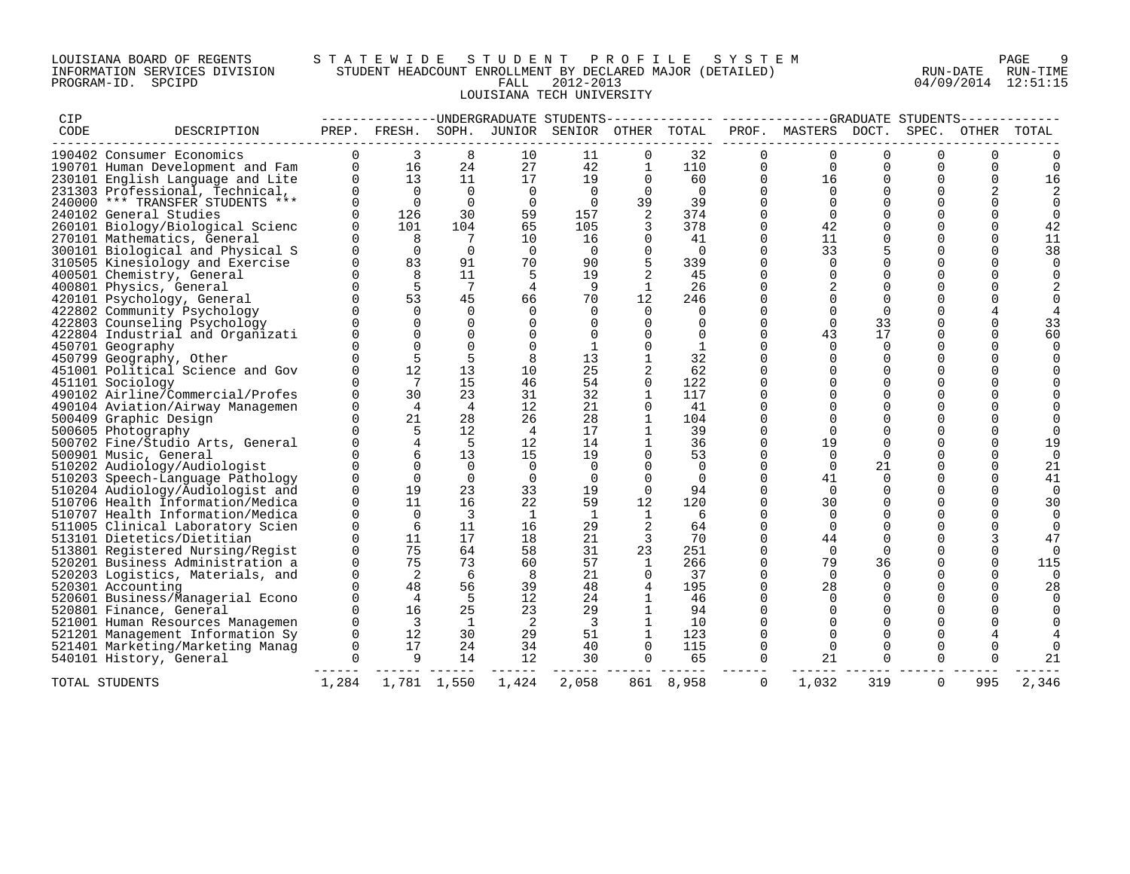### LOUISIANA BOARD OF REGENTS S T A T E W I D E S T U D E N T P R O F I L E S Y S T E M PAGE 9 INFORMATION SERVICES DIVISION STUDENT HEADCOUNT ENROLLMENT BY DECLARED MAJOR (DETAILED) RUN-DATE RUN-TIME PROGRAM-ID. SPCIPD FALL 2012-2013 04/09/2014 12:51:15 LOUISIANA TECH UNIVERSITY

| CIP  |                                                             |                      |                         |                              |                   |                                              |                |                |                      | -------------UNDERGRADUATE STUDENTS------------- -------------GRADUATE STUDENTS------- |                      |                      |                      |                |
|------|-------------------------------------------------------------|----------------------|-------------------------|------------------------------|-------------------|----------------------------------------------|----------------|----------------|----------------------|----------------------------------------------------------------------------------------|----------------------|----------------------|----------------------|----------------|
| CODE | DESCRIPTION                                                 |                      |                         |                              |                   | PREP. FRESH. SOPH. JUNIOR SENIOR OTHER TOTAL |                |                |                      | PROF. MASTERS DOCT.                                                                    |                      | SPEC.                |                      | OTHER TOTAL    |
|      | 190402 Consumer Economics                                   | $\Omega$             | 3                       | 8                            | 10                | 11                                           | 0              | 32             | 0                    |                                                                                        | $\Omega$             | $\Omega$             |                      |                |
|      | 190701 Human Development and Fam                            |                      | $\overline{0}$<br>16    | 24                           | 27                | 42                                           | 1              | 110            | $\Omega$             | $\Omega$                                                                               | $\Omega$             | $\Omega$             | $\Omega$             | $\cap$         |
|      | 230101 English Language and Lite                            |                      | 13                      | 11                           | 17                | 19                                           | $\Omega$       | 60             | $\Omega$             | 16                                                                                     | $\Omega$             | $\Omega$             | $\Omega$             | 16             |
|      | 231303 Professional, Technical,                             | $\Omega$             | $\bigcap$               | $\overline{0}$               | $\overline{0}$    | $\Omega$                                     | $\overline{0}$ | $\overline{0}$ | $\Omega$             | $\Omega$                                                                               | $\Omega$             | $\Omega$             | $\overline{2}$       |                |
|      | 240000 *** TRANSFER STUDENTS ***                            |                      | $\Omega$                | $\overline{0}$               | $\overline{0}$    | $\overline{0}$                               | 39             | 39             | $\Omega$             |                                                                                        |                      |                      |                      |                |
|      | 240102 General Studies                                      |                      | 126                     | 30                           | 59                | 157                                          | 2              | 374            | $\Omega$             | $\Omega$                                                                               | $\Omega$             | $\Omega$             |                      |                |
|      | 260101 Biology/Biological Scienc                            |                      | 101                     | 104                          | 65                | 105                                          |                | 378            | $\Omega$             | 42                                                                                     |                      | $\Omega$             | $\Omega$             | 42             |
|      | 270101 Mathematics, General                                 |                      | 8                       | $7\overline{ }$              | 10                | 16                                           | 0              | 41             | $\Omega$             | 11                                                                                     |                      | $\Omega$             | $\Omega$             | 11             |
|      | 300101 Biological and Physical S                            |                      | $\Omega$                | $\Omega$                     | $\overline{0}$    | $\Omega$                                     | $\Omega$       | $\Omega$       | $\Omega$             | 33                                                                                     |                      | $\Omega$             | $\Omega$             | 38             |
|      | 310505 Kinesiology and Exercise                             | $\cap$               | 83                      | 91                           | 70                | 90                                           | 5              | 339            | $\Omega$             | $\Omega$                                                                               | $\Omega$             | $\Omega$             | $\Omega$             |                |
|      | 400501 Chemistry, General                                   |                      | 8                       | 11                           | 5                 | 19                                           | 2              | 45             | $\Omega$             | $\Omega$                                                                               | $\Omega$             | $\Omega$             |                      |                |
|      | 400801 Physics, General                                     | $\cap$               | $\overline{5}$          | $7\phantom{.0}\phantom{.0}7$ | $\overline{4}$    | -9                                           | 1              | 26             | $\Omega$             |                                                                                        | $\Omega$             | $\Omega$             |                      |                |
|      | 420101 Psychology, General                                  | $\Omega$             | 53                      | 45                           | 66                | 70                                           | 12             | 246            | $\Omega$             | $\Omega$                                                                               | $\Omega$             | $\Omega$             |                      |                |
|      | 422802 Community Psychology                                 |                      | $\Omega$                | $\Omega$                     | $\Omega$          | $\Omega$                                     | $\Omega$       | $\Omega$       | $\Omega$             |                                                                                        |                      |                      |                      |                |
|      | 422803 Counseling Psychology                                |                      | $\Omega$                | $\mathbf 0$                  | $\mathbf 0$       | $\Omega$                                     | $\Omega$       | $\Omega$       | $\Omega$             | $\Omega$                                                                               | 33                   | 0                    | $\Omega$             | 33             |
|      | 422804 Industrial and Organizati                            |                      | $\Omega$                | $\Omega$                     | $\Omega$          | $\Omega$                                     | $\Omega$       | $\Omega$       | $\Omega$             | 43                                                                                     | 17                   | $\Omega$             | $\Omega$             | 60             |
|      | 450701 Geography                                            |                      | $\Omega$                | $\Omega$                     | $\Omega$          | 1                                            | $\Omega$       | 1              | 0                    | $\Omega$                                                                               | $\Omega$             | $\Omega$             | $\Omega$             |                |
|      | 450799 Geography, Other                                     |                      |                         | 5                            |                   | 13                                           |                | 32             | $\Omega$             |                                                                                        |                      | $\Omega$             |                      |                |
|      | 451001 Political Science and Gov                            |                      | 12                      | 13                           | 10                | 25                                           |                | 62             | $\Omega$             |                                                                                        | $\Omega$             | $\Omega$             |                      |                |
|      | 451101 Sociology                                            |                      | $\overline{7}$          | 15                           | 46                | 54                                           | $\Omega$       | 122            | $\Omega$             |                                                                                        |                      | $\Omega$             |                      |                |
|      | 490102 Airline/Commercial/Profes                            |                      | 30                      | 23                           | 31                | 32                                           | $\mathbf{1}$   | 117            | $\Omega$             | ∩                                                                                      | $\Omega$             | $\Omega$             |                      |                |
|      | 490104 Aviation/Airway Managemen                            |                      | $\overline{4}$          | $\overline{4}$               | 12                | 21                                           | 0              | 41             | $\Omega$             |                                                                                        | $\Omega$             | $\Omega$             |                      |                |
|      | 500409 Graphic Design                                       | $\Omega$             | 21                      | 28                           | 26                | 28                                           | $\mathbf{1}$   | 104            | $\Omega$             |                                                                                        |                      | $\Omega$             |                      |                |
|      | 500605 Photography                                          |                      | 5                       | 12                           | $\overline{4}$    | 17                                           | 1              | 39             | $\Omega$             | $\Omega$                                                                               |                      | $\Omega$             |                      |                |
|      | 500702 Fine/Studio Arts, General                            |                      | $\overline{4}$          | 5                            | $12 \overline{ }$ | 14                                           | $\mathbf{1}$   | 36             | $\Omega$             | 19                                                                                     |                      | $\Omega$             | $\Omega$             | 19             |
|      | 500901 Music, General                                       |                      | $\epsilon$              | 13                           | 15                | 19                                           | $\Omega$       | 53             | $\Omega$             | $\Omega$                                                                               | $\Omega$             | $\Omega$             | $\Omega$             | $\Omega$       |
|      | 510202 Audiology/Audiologist                                |                      |                         | $\overline{0}$               | $\Omega$          | $\Omega$                                     |                | $\Omega$       | 0                    | $\Omega$                                                                               | 21                   | $\Omega$             | $\Omega$             | 21             |
|      | 510203 Speech-Language Pathology                            |                      | $\Omega$                | $\mathbf 0$                  | $\overline{0}$    | $\mathbf 0$                                  | $\Omega$       | $\overline{0}$ | $\Omega$             | 41                                                                                     | $\Omega$             | $\Omega$             | $\Omega$             | 41             |
|      | 510204 Audiology/Audiologist and                            | $\Omega$             | 19                      | 23                           | 33                | 19                                           | $\Omega$       | 94             | $\Omega$             | $\Omega$                                                                               |                      | $\Omega$             | $\Omega$             | $\Omega$       |
|      | 510706 Health Information/Medica                            | $\Omega$             | 11                      | 16                           | 22                | 59                                           | 12             | 120            | $\Omega$             | 30                                                                                     | $\Omega$             | $\Omega$             | $\Omega$             | 30             |
|      | 510707 Health Information/Medica                            | $\Omega$             | $\Omega$                | $\overline{\mathbf{3}}$      | $\mathbf{1}$      | 1                                            | <sup>1</sup>   | -6             | $\Omega$             | $\Omega$                                                                               |                      | $\Omega$             |                      | $\Omega$       |
|      | 511005 Clinical Laboratory Scien                            | $\cap$               | 6<br>11                 | 11<br>17                     | 16<br>18          | 29                                           | 2              | 64<br>70       | $\Omega$<br>$\Omega$ | $\Omega$                                                                               | $\Omega$             | $\cap$<br>$\Omega$   |                      | $\Omega$       |
|      | 513101 Dietetics/Dietitian                                  | $\Omega$             |                         |                              |                   | 21                                           | 3              |                |                      | 44                                                                                     |                      |                      | 3                    | 47             |
|      | 513801 Registered Nursing/Regist                            |                      | 75<br>75                | 64                           | 58                | 31<br>57                                     | 23             | 251            | $\Omega$             | $\Omega$                                                                               | $\Omega$             |                      | $\Omega$             |                |
|      | 520201 Business Administration a                            | $\Omega$             | $\overline{2}$          | 73<br>6                      | 60                |                                              | $\mathbf{1}$   | 266            | $\mathbf 0$          | 79                                                                                     | 36                   | 0                    | $\Omega$             | 115            |
|      | 520203 Logistics, Materials, and                            | $\Omega$<br>$\Omega$ | 48                      | 56                           | 8<br>39           | 21<br>48                                     | $\Omega$       | 37<br>195      | $\Omega$<br>$\Omega$ | $\Omega$<br>28                                                                         | $\Omega$             | $\Omega$<br>$\Omega$ | $\Omega$<br>$\Omega$ | $\Omega$       |
|      | 520301 Accounting                                           | $\Omega$             | $\overline{4}$          | $-5$                         | 12                | 24                                           | $\overline{4}$ | 46             | $\Omega$             | $\Omega$                                                                               | $\Omega$<br>$\Omega$ | 0                    |                      | 28<br>$\Omega$ |
|      | 520601 Business/Managerial Econo                            | $\Omega$             | 16                      | 25                           | 23                | 29                                           |                | 94             | $\Omega$             |                                                                                        |                      | $\Omega$             |                      |                |
|      | 520801 Finance, General                                     | $\Omega$             | $\overline{\mathbf{3}}$ | $\overline{1}$               | $\overline{2}$    | $\overline{\mathbf{3}}$                      | 1<br>1         |                | $\Omega$             |                                                                                        |                      |                      |                      |                |
|      | 521001 Human Resources Managemen                            | $\Omega$             | 12                      | 30                           | 29                | 51                                           | $\mathbf{1}$   | 10<br>123      | $\Omega$             |                                                                                        |                      | $\Omega$             |                      |                |
|      | 521201 Management Information Sy                            | $\Omega$             | 17                      | 24                           | 34                | 40                                           | $\Omega$       | 115            | $\Omega$             | $\Omega$                                                                               | $\Omega$             | $\Omega$             |                      |                |
|      | 521401 Marketing/Marketing Manag<br>540101 History, General | $\Omega$             | $\overline{9}$          | 14                           | 12                | 30                                           | $\mathbf 0$    | 65             | $\Omega$             | 21                                                                                     |                      | $\Omega$             |                      | 21             |
|      |                                                             |                      |                         |                              |                   |                                              |                |                |                      |                                                                                        |                      |                      |                      |                |
|      | TOTAL STUDENTS                                              | 1,284                |                         |                              | 1,781 1,550 1,424 | 2,058                                        |                | 861 8,958      | $\overline{0}$       | 1,032                                                                                  | 319                  | 0                    | 995                  | 2,346          |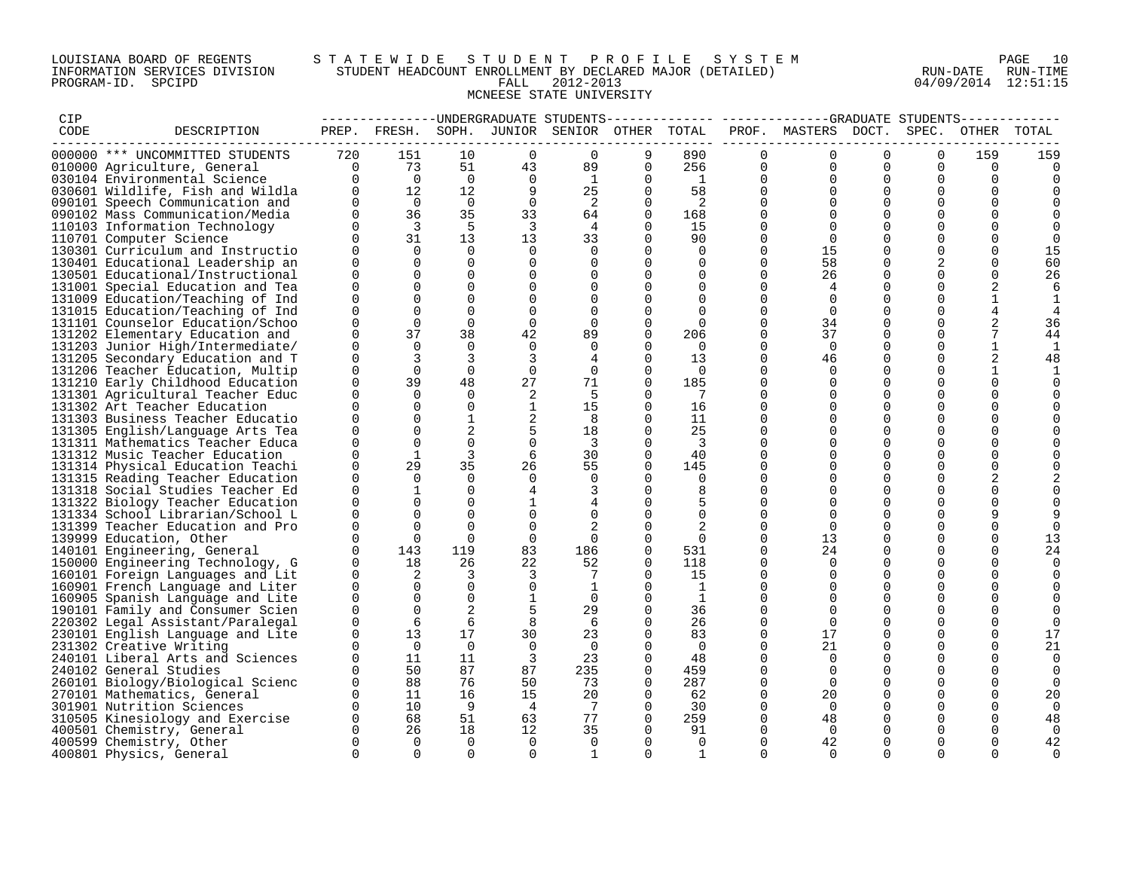### LOUISIANA BOARD OF REGENTS S T A T E W I D E S T U D E N T P R O F I L E S Y S T E M PAGE 10 INFORMATION SERVICES DIVISION STUDENT HEADCOUNT ENROLLMENT BY DECLARED MAJOR (DETAILED) RUN-DATE RUN-TIME PROGRAM-ID. SPCIPD FALL 2012-2013 04/09/2014 12:51:15 MCNEESE STATE UNIVERSITY

| CIP  |                                                                  |                      |                |                |                      | ------------UNDERGRADUATE STUDENTS |                         |                            |                      |                     |               |                      |                |                |
|------|------------------------------------------------------------------|----------------------|----------------|----------------|----------------------|------------------------------------|-------------------------|----------------------------|----------------------|---------------------|---------------|----------------------|----------------|----------------|
| CODE | DESCRIPTION                                                      | PREP.                | FRESH.         | SOPH.          |                      | JUNIOR SENIOR OTHER TOTAL          |                         |                            |                      | PROF. MASTERS DOCT. |               | SPEC.                | OTHER          | TOTAL          |
|      | 000000 *** UNCOMMITTED STUDENTS                                  | 720                  | 151            | 10             | $\Omega$             | $\Omega$                           | 9                       | 890                        | $\Omega$             | $\Omega$            | $\Omega$      | $\Omega$             | 159            | 159            |
|      | 010000 Agriculture, General                                      | $\overline{0}$       | 73             | 51             | 43                   | 89                                 | $\Omega$                | 256                        | 0                    | $\Omega$            | $\mathbf 0$   | $\Omega$             | 0              | $\Omega$       |
|      | 030104 Environmental Science                                     | $\Omega$             | $\overline{0}$ | $\overline{0}$ | $\Omega$             | 1                                  | $\Omega$                | $\overline{1}$             | $\Omega$             | $\Omega$            | 0             | $\Omega$             | $\Omega$       | $\Omega$       |
|      | 030601 Wildlife, Fish and Wildla                                 | $\Omega$             | 12             | 12             | 9                    | 25                                 | $\mathbf 0$             | 58                         | 0                    | $\Omega$            | 0             | $\Omega$             | $\mathbf 0$    |                |
|      | 090101 Speech Communication and                                  | $\Omega$             | $\overline{0}$ | $\overline{0}$ | $\Omega$             | -2                                 | $\Omega$                | $\overline{\phantom{0}}^2$ | $\Omega$             | $\Omega$            | $\Omega$      |                      | $\Omega$       |                |
|      | 090102 Mass Communication/Media                                  | $\Omega$             | 36             | 35             | 33                   | 64                                 | $\Omega$                | 168                        | $\Omega$             | $\Omega$            | $\Omega$      | ∩                    | $\Omega$       |                |
|      | 110103 Information Technology                                    | $\Omega$             | - 3            | -5             | $\overline{3}$       | 4                                  | $\Omega$                | 15                         | $\Omega$             |                     |               |                      |                |                |
|      | 110701 Computer Science                                          | <sup>n</sup>         | 31             | 13             | 13                   | 33                                 | $\Omega$                | 90                         | 0                    | $\Omega$            | $\Omega$      |                      |                | $\Omega$       |
|      | 130301 Curriculum and Instructio                                 | $\Omega$             | $\Omega$       | $\Omega$       | $\Omega$             | $\Omega$                           | $\Omega$                | $\Omega$                   | $\Omega$             | 15                  | $\Omega$      | ∩                    |                | 15             |
|      | 130401 Educational Leadership an                                 | $\Omega$             | $\Omega$       | $\Omega$       | 0                    | $\Omega$                           | $\Omega$                | 0                          | $\Omega$             | 58                  | 0             |                      | 0              | 60             |
|      | 130501 Educational/Instructional                                 | 0                    | $\Omega$       | $\Omega$       | 0                    | $\Omega$                           | $\Omega$                | $\Omega$                   | $\Omega$             | 26                  | 0             | $\Omega$             | $\Omega$       | 26             |
|      | 131001 Special Education and Tea                                 | $\Omega$             | $\Omega$       | $\Omega$       | 0                    | $\Omega$                           | $\Omega$                | $\Omega$                   | $\Omega$             |                     | $\Omega$      | $\Omega$             | 2              | 6              |
|      | 131009 Education/Teaching of Ind                                 | $\Omega$             | $\Omega$       | $\Omega$       | $\Omega$             | $\Omega$                           | $\Omega$                | $\Omega$                   | $\Omega$             | $\Omega$            | $\Omega$      |                      |                | 1              |
|      | 131015 Education/Teaching of Ind                                 | 0                    | $\Omega$       | $\Omega$       | $\Omega$             | $\Omega$                           | $\Omega$                | $\Omega$                   | $\Omega$             | $\Omega$            | $\Omega$      | $\Omega$             | $\overline{4}$ | 4              |
|      | 131101 Counselor Education/Schoo                                 | $\Omega$             | $\Omega$       | $\Omega$       | $\mathbf 0$          | $\Omega$                           | $\Omega$                | $\Omega$                   | $\Omega$             | 34                  | $\Omega$      |                      | $\overline{2}$ | 36             |
|      | 131202 Elementary Education and                                  | 0                    | 37             | 38             | 42                   | 89                                 | $\Omega$                | 206                        | $\Omega$             | 37                  | 0             | $\Omega$             | 7              | 44             |
|      | 131203 Junior High/Intermediate/                                 | 0                    | $\Omega$       | $\Omega$       | $\Omega$             | $\Omega$                           | $\Omega$                | $\Omega$                   | $\Omega$             | $\Omega$            | 0             | $\Omega$             | $\mathbf{1}$   | 1              |
|      | 131205 Secondary Education and T                                 | $\Omega$             | 3              | 3              | $\overline{3}$       |                                    | $\Omega$                | 13                         | $\Omega$             | 46                  | $\Omega$      | ∩                    | $\overline{2}$ | 48             |
|      | 131206 Teacher Education, Multip                                 | 0                    | $\Omega$       | $\mathbf 0$    | $\mathbf 0$          | $\mathbf 0$                        | $\mathbf 0$<br>$\Omega$ | $\overline{0}$             | $\Omega$             | $\Omega$            | 0             | ∩                    |                | 1              |
|      | 131210 Early Childhood Education                                 | 0<br>$\Omega$        | 39<br>$\Omega$ | 48<br>$\Omega$ | 27                   | 71<br>.5                           | $\Omega$                | 185<br>$\overline{7}$      | 0<br>$\cap$          | $\Omega$            | 0             |                      | $\mathbf 0$    | $\Omega$       |
|      | 131301 Agricultural Teacher Educ<br>131302 Art Teacher Education | 0                    | $\Omega$       | $\Omega$       | 2<br>$\mathbf{1}$    | 15                                 | $\mathbf 0$             | 16                         | $\Omega$             | $\Omega$            | $\Omega$<br>0 |                      | $\Omega$       |                |
|      | 131303 Business Teacher Educatio                                 | 0                    | $\Omega$       | 1              | 2                    | 8                                  | $\Omega$                | 11                         | $\Omega$             |                     | $\Omega$      |                      | $\Omega$       |                |
|      | 131305 English/Language Arts Tea                                 | $\Omega$             | $\Omega$       | 2              | 5                    | 18                                 | $\Omega$                | 25                         | $\Omega$             | $\Omega$            | $\Omega$      | ∩                    | $\Omega$       |                |
|      | 131311 Mathematics Teacher Educa                                 | 0                    | $\Omega$       | $\Omega$       | $\mathbf 0$          | -3                                 | $\Omega$                | -3                         | <sup>0</sup>         |                     | 0             |                      |                |                |
|      | 131312 Music Teacher Education                                   | $\Omega$             | $\mathbf{1}$   | 3              | 6                    | 30                                 | $\Omega$                | 40                         | $\Omega$             | $\Omega$            | $\Omega$      |                      | $\Omega$       |                |
|      | 131314 Physical Education Teachi                                 | $\Omega$             | 29             | 35             | 26                   | 55                                 | $\Omega$                | 145                        | $\Omega$             |                     | $\mathbf 0$   |                      | $\Omega$       |                |
|      | 131315 Reading Teacher Education                                 | 0                    | $\Omega$       | $\Omega$       | 0                    | $\Omega$                           | $\Omega$                | 0                          | $\Omega$             |                     | $\Omega$      |                      | $\overline{2}$ |                |
|      | 131318 Social Studies Teacher Ed                                 | $\Omega$             | 1              | $\Omega$       | 4                    |                                    | $\Omega$                | 8                          | $\Omega$             | $\Omega$            | $\Omega$      |                      |                |                |
|      | 131322 Biology Teacher Education                                 | $\Omega$             | $\Omega$       | $\Omega$       | $\mathbf{1}$         |                                    | $\Omega$                | 5                          | $\Omega$             | $\Omega$            | $\Omega$      | $\Omega$             | $\Omega$       | $\Omega$       |
|      | 131334 School Librarian/School L                                 | $\Omega$             | $\Omega$       | $\Omega$       | 0                    |                                    | $\Omega$                | $\Omega$                   | $\Omega$             | $\Omega$            | <sup>0</sup>  |                      |                |                |
|      | 131399 Teacher Education and Pro                                 | 0                    | $\Omega$       | $\Omega$       | $\Omega$             |                                    | $\Omega$                |                            | 0                    | $\Omega$            | $\Omega$      |                      |                | $\Omega$       |
|      | 139999 Education, Other                                          | 0                    | $\Omega$       | $\Omega$       | $\mathbf 0$          | $\Omega$                           | $\Omega$                | $\Omega$                   | $\Omega$             | 13                  | $\Omega$      |                      | $\Omega$       | 13             |
|      | 140101 Engineering, General                                      | $\Omega$             | 143            | 119            | 83                   | 186                                | $\Omega$                | 531                        | $\Omega$             | 24                  | 0             |                      | $\Omega$       | 24             |
|      | 150000 Engineering Technology, G                                 | $\Omega$             | 18             | 26             | 22                   | 52                                 | $\Omega$                | 118                        | $\Omega$             | $\Omega$            | 0             | ∩                    | $\Omega$       | 0              |
|      | 160101 Foreign Languages and Lit                                 | $\Omega$             | 2              | 3              | 3                    | 7                                  | $\Omega$                | 15                         | $\Omega$             |                     | $\Omega$      |                      | $\Omega$       |                |
|      | 160901 French Language and Liter                                 | 0                    | $\Omega$       | $\Omega$       | $\mathbf 0$          | 1                                  | $\Omega$                | $\overline{1}$             | $\Omega$             | $\Omega$            | $\mathbf 0$   | ∩                    | $\Omega$       | $\Omega$       |
|      | 160905 Spanish Language and Lite                                 | $\Omega$             | $\Omega$       | $\Omega$       | $\mathbf{1}$         | $\Omega$                           | $\Omega$                | 1                          | $\Omega$             |                     | $\Omega$      |                      |                | $\Omega$       |
|      | 190101 Family and Consumer Scien                                 | $\Omega$             | $\Omega$       | 2              | 5                    | 29                                 | $\Omega$                | 36                         | $\Omega$             | $\Omega$            | $\Omega$      |                      | $\Omega$       |                |
|      | 220302 Legal Assistant/Paralegal                                 | $\Omega$             | 6              | 6              | 8                    | 6                                  | $\Omega$                | 26                         | $\Omega$             | $\Omega$            | $\Omega$      |                      | $\Omega$       | $\mathbf 0$    |
|      | 230101 English Language and Lite                                 | 0                    | 13             | 17             | 30                   | 23                                 | $\Omega$                | 83                         | 0                    | 17                  | $\Omega$      | ∩                    | $\mathbf 0$    | 17             |
|      | 231302 Creative Writing                                          | $\Omega$             | $\Omega$       | $\cap$         | $\Omega$             | - 0                                | $\Omega$                | $\Omega$                   | $\Omega$             | 21                  | $\Omega$      |                      | $\Omega$       | 21             |
|      | 240101 Liberal Arts and Sciences                                 | $\Omega$             | 11             | 11             | 3                    | 23                                 | $\mathbf 0$             | 48                         | $\Omega$             | $\Omega$            | $\Omega$      | $\Omega$             | $\Omega$       | $\mathbf 0$    |
|      | 240102 General Studies                                           | $\Omega$             | 50             | 87             | 87                   | 235                                | $\Omega$                | 459                        | $\Omega$             | $\Omega$            |               |                      |                | 0              |
|      | 260101 Biology/Biological Scienc                                 | $\Omega$             | 88             | 76             | 50                   | 73                                 | $\Omega$                | 287                        | $\Omega$             | $\Omega$            | $\Omega$      | $\Omega$             | $\Omega$       | $\Omega$       |
|      | 270101 Mathematics, General                                      | $\Omega$             | 11             | 16             | 15                   | 20                                 | $\Omega$                | 62                         | $\Omega$             | 20                  | $\mathbf 0$   | ∩                    | $\Omega$       | 20             |
|      | 301901 Nutrition Sciences                                        | $\Omega$<br>$\Omega$ | 10<br>68       | - 9            | $\overline{4}$<br>63 | $\overline{7}$<br>77               | $\Omega$<br>$\Omega$    | 30                         | $\Omega$<br>$\Omega$ | $\Omega$            | 0             | $\Omega$             | $\Omega$       | $\Omega$       |
|      | 310505 Kinesiology and Exercise                                  | $\Omega$             | 26             | 51<br>18       | 12                   | 35                                 | $\Omega$                | 259<br>91                  | 0                    | 48<br>$\Omega$      | 0             | $\Omega$<br>$\Omega$ | $\mathbf 0$    | 48<br>$\Omega$ |
|      | 400501 Chemistry, General<br>400599 Chemistry, Other             | $\Omega$             | $\Omega$       | $\Omega$       | $\Omega$             | $\Omega$                           | $\Omega$                | $\Omega$                   | $\Omega$             | 42                  | 0<br>$\Omega$ |                      |                | 42             |
|      | 400801 Physics, General                                          | $\Omega$             | $\Omega$       | $\Omega$       | $\Omega$             | $\mathbf{1}$                       | $\Omega$                | 1                          | $\Omega$             | $\Omega$            | $\Omega$      | $\Omega$             | $\Omega$       | $\Omega$       |
|      |                                                                  |                      |                |                |                      |                                    |                         |                            |                      |                     |               |                      |                |                |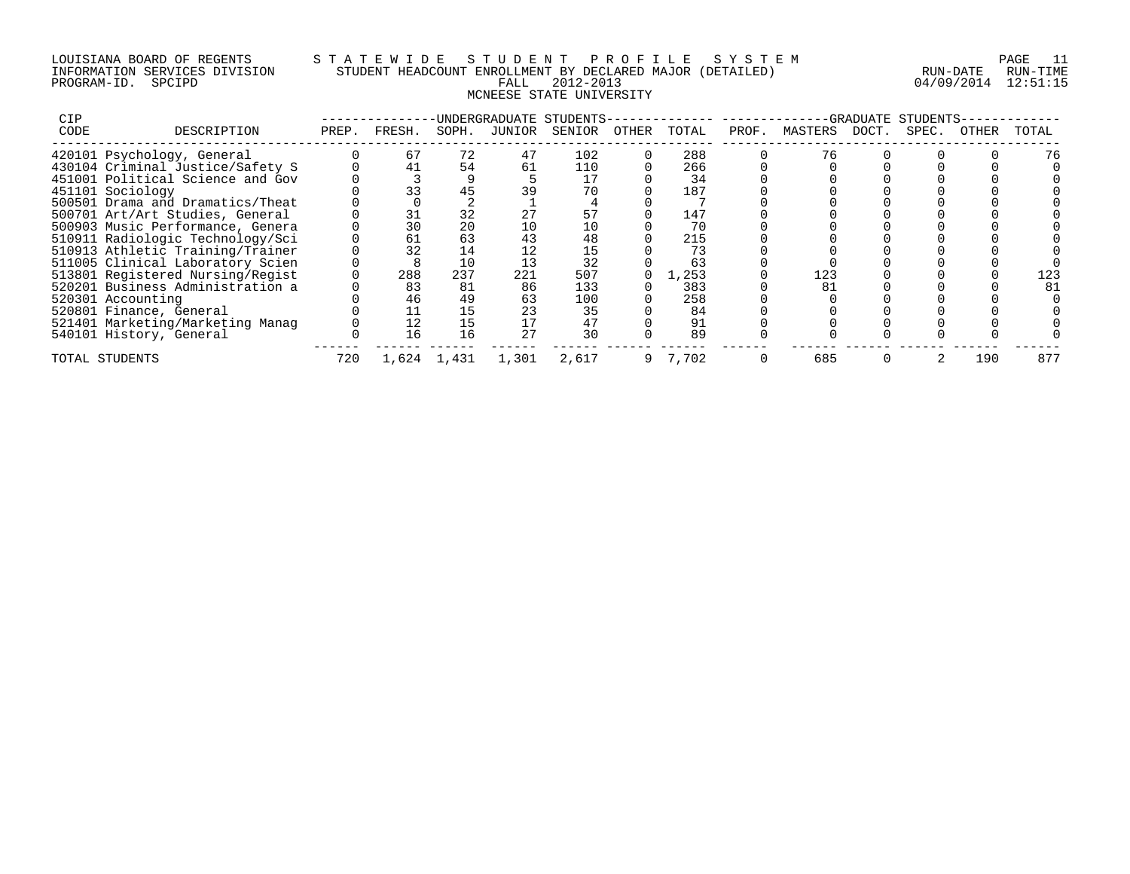## LOUISIANA BOARD OF REGENTS S T A T E W I D E S T U D E N T P R O F I L E S Y S T E M PAGE 11 INFORMATION SERVICES DIVISION STUDENT HEADCOUNT ENROLLMENT BY DECLARED MAJOR (DETAILED) RUN-DATE RUN-TIME PROGRAM-ID. SPCIPD FALL 2012-2013 04/09/2014 12:51:15 MCNEESE STATE UNIVERSITY

| <b>CIP</b> |                                  |       |        |             |        | UNDERGRADUATE STUDENTS- |       |         |       |         | GRADUATE | STUDENTS |       |       |
|------------|----------------------------------|-------|--------|-------------|--------|-------------------------|-------|---------|-------|---------|----------|----------|-------|-------|
| CODE       | DESCRIPTION                      | PREP. | FRESH. | SOPH.       | JUNIOR | SENIOR                  | OTHER | TOTAL   | PROF. | MASTERS | DOCT.    | SPEC.    | OTHER | TOTAL |
|            | 420101 Psychology, General       |       | 67     | 72          | 47     | 102                     |       | 288     |       |         |          |          |       | 76    |
|            | 430104 Criminal Justice/Safety S |       |        | 54          | 61     | 110                     |       | 266     |       |         |          |          |       |       |
|            | 451001 Political Science and Gov |       |        |             |        |                         |       | 34      |       |         |          |          |       |       |
|            | 451101 Sociology                 |       | 33     | 45          |        | 70                      |       | 187     |       |         |          |          |       |       |
|            | 500501 Drama and Dramatics/Theat |       |        |             |        |                         |       |         |       |         |          |          |       |       |
|            | 500701 Art/Art Studies, General  |       | 31     | 32          |        |                         |       | 147     |       |         |          |          |       |       |
|            | 500903 Music Performance, Genera |       | 30     | 20          |        |                         |       | 70      |       |         |          |          |       |       |
|            | 510911 Radiologic Technology/Sci |       | 61     | 63          |        | 48                      |       | 215     |       |         |          |          |       |       |
|            | 510913 Athletic Training/Trainer |       | 32     | 14          |        | 15                      |       | 73      |       |         |          |          |       |       |
|            | 511005 Clinical Laboratory Scien |       |        | 10          | 13     | 32                      |       | 63      |       |         |          |          |       |       |
|            | 513801 Registered Nursing/Regist |       | 288    | 237         | 221    | 507                     |       | 1,253   |       | 123     |          |          |       |       |
|            | 520201 Business Administration a |       | 83     | 81          | 86     | 133                     |       | 383     |       |         |          |          |       | 81    |
|            | 520301 Accounting                |       | 46     | 49          | 63     | 100                     |       | 258     |       |         |          |          |       |       |
|            | 520801 Finance, General          |       |        | 15          |        | 35                      |       | 84      |       |         |          |          |       |       |
|            | 521401 Marketing/Marketing Manag |       | 12     | 15          |        | 47                      |       | 91      |       |         |          |          |       |       |
|            | 540101 History, General          |       | 16     | 16          | 27     | 30                      |       | 89      |       |         |          |          |       |       |
|            | TOTAL STUDENTS                   | 720   |        | 1,624 1,431 | 1,301  | 2,617                   |       | 9 7.702 |       | 685     |          |          | 190   | 877   |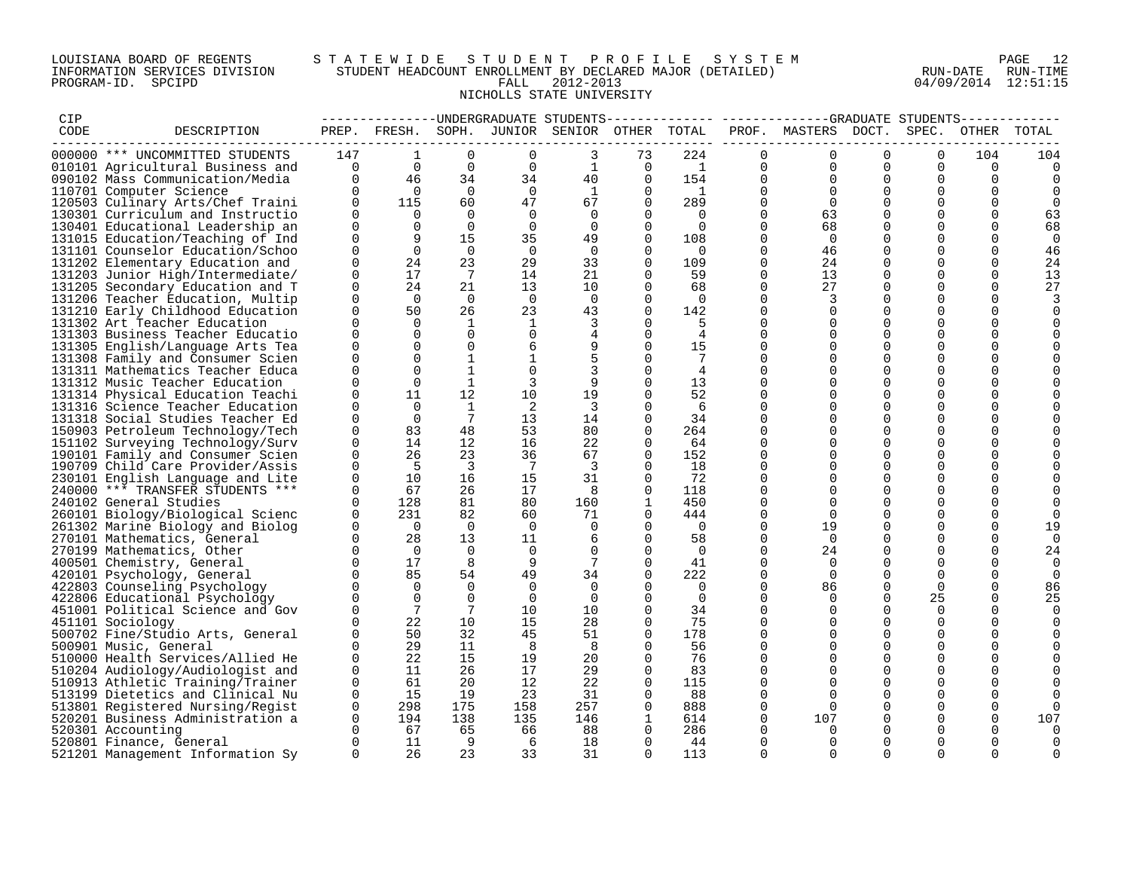### LOUISIANA BOARD OF REGENTS S T A T E W I D E S T U D E N T P R O F I L E S Y S T E M PAGE 12 INFORMATION SERVICES DIVISION STUDENT HEADCOUNT ENROLLMENT BY DECLARED MAJOR (DETAILED) RUN-DATE RUN-TIME PROGRAM-ID. SPCIPD FALL 2012-2013 04/09/2014 12:51:15 NICHOLLS STATE UNIVERSITY

| CIP  |                                                                      |                                            |                         |                             |                      |                                                                                                                                                         |                           |                                  |                                           | --------------UNDERGRADUATE STUDENTS-------------- ------------GRADUATE STUDENTS------------ |                         |                      |                      |          |
|------|----------------------------------------------------------------------|--------------------------------------------|-------------------------|-----------------------------|----------------------|---------------------------------------------------------------------------------------------------------------------------------------------------------|---------------------------|----------------------------------|-------------------------------------------|----------------------------------------------------------------------------------------------|-------------------------|----------------------|----------------------|----------|
| CODE | DESCRIPTION                                                          |                                            |                         |                             |                      | PREP. FRESH. SOPH. JUNIOR SENIOR OTHER TOTAL                                                                                                            |                           |                                  |                                           | PROF. MASTERS DOCT.                                                                          |                         | SPEC.                | OTHER                | TOTAL    |
|      | 000000 *** UNCOMMITTED STUDENTS                                      | 147                                        | $\mathbf{1}$            | $\Omega$                    | $\Omega$             | $\mathbf{3}$                                                                                                                                            | 73                        | 224                              | $\Omega$                                  | $\Omega$                                                                                     | $\Omega$                | $\Omega$             | 104                  |          |
|      |                                                                      |                                            |                         |                             |                      |                                                                                                                                                         |                           |                                  |                                           |                                                                                              |                         | $\Omega$             |                      | 104      |
|      | 010101 Agricultural Business and                                     |                                            |                         |                             |                      |                                                                                                                                                         |                           |                                  | $\overline{0}$<br>$\Omega$                | $\overline{0}$<br>$\Omega$                                                                   | $\mathbf 0$<br>$\Omega$ | $\Omega$             | 0<br>$\Omega$        |          |
|      | 090102 Mass Communication/Media                                      |                                            |                         |                             |                      | $\begin{array}{cccccccc} - & 0 & & & 0 & & & 0 & & & 0 & & 1 & & 0 \ 0 & & 46 & & 34 & & 34 & & 40 & & 0 \ 0 & & 0 & & 0 & & 0 & & 1 & & 0 \end{array}$ |                           |                                  | $\begin{array}{c}\n1 \\ 154\n\end{array}$ |                                                                                              |                         |                      |                      | 0        |
|      | 110701 Computer Science                                              |                                            |                         | 60                          | 47                   |                                                                                                                                                         |                           | $\overline{1}$                   | $\mathbf{0}$                              | $\overline{0}$                                                                               | $\Omega$<br>$\Omega$    | $\mathbf 0$          | 0                    |          |
|      | 120503 Culinary Arts/Chef Traini                                     | $\overline{0}$<br>$\Omega$                 | 115                     |                             | $\overline{0}$       |                                                                                                                                                         | 67 — 10<br>$\overline{0}$ | 289                              | $\overline{0}$<br>$\overline{0}$          | $\overline{0}$                                                                               |                         | $\Omega$             | $\Omega$             | $\Omega$ |
|      | 130301 Curriculum and Instructio                                     | $\Omega$                                   | $\overline{0}$          | $\overline{0}$<br>$\bigcap$ |                      | $\Omega$                                                                                                                                                | $\Omega$                  | $\overline{0}$<br>$\bigcap$      |                                           | 63<br>68                                                                                     | $\Omega$                | $\Omega$             | $\Omega$             | 63       |
|      | 130401 Educational Leadership an                                     |                                            | $\Omega$                |                             | $\overline{0}$       | $\Omega$                                                                                                                                                | $\Omega$                  |                                  | $\Omega$                                  |                                                                                              | $\Omega$                | $\Omega$             | $\Omega$             | 68       |
|      | 131015 Education/Teaching of Ind                                     | $\Omega$                                   | 9                       | 15                          | 35                   | 49                                                                                                                                                      | $\mathbf{0}$              | 108                              | $\Omega$<br>$\Omega$                      | $\overline{0}$                                                                               | $\Omega$<br>$\Omega$    | $\Omega$             | 0                    | 0        |
|      | 131101 Counselor Education/Schoo                                     | $\Omega$<br>$\Omega$                       | $\Omega$                | $\overline{0}$              | $\Omega$             | $\Omega$                                                                                                                                                | $\Omega$                  | $\overline{0}$                   |                                           | 46                                                                                           | $\Omega$                | $\Omega$             | $\Omega$             | 46       |
|      | 131202 Elementary Education and                                      |                                            | 24                      | 23                          | 29                   | 33                                                                                                                                                      | $\Omega$                  | 109                              | $\Omega$                                  | 24                                                                                           |                         | $\Omega$             | $\Omega$             | 24       |
|      | 131203 Junior High/Intermediate/                                     | $\mathbf 0$                                | 17                      | $\overline{7}$              | 14                   | 21                                                                                                                                                      | $\overline{0}$            | 59                               | $\mathbf 0$                               | 13                                                                                           | $\mathbf 0$             | $\mathbf 0$          | $\mathbf 0$          | 13       |
|      | 131205 Secondary Education and T                                     | $\overline{0}$<br>$\Omega$                 | 24                      | 21                          | 13                   | 10                                                                                                                                                      | $\mathbf{0}$              | 68                               | $\mathbf 0$<br>$\Omega$                   | 27                                                                                           | $\Omega$                | $\Omega$             | 0                    | 27       |
|      | 131206 Teacher Education, Multip                                     |                                            | $\bigcap$               | $\bigcap$                   | $\bigcap$            | $\Omega$                                                                                                                                                | $\Omega$                  | $\overline{0}$                   |                                           | 3                                                                                            | $\Omega$                | $\Omega$             | $\Omega$             |          |
|      | 131210 Early Childhood Education                                     | $\Omega$                                   | 50                      | 26                          | 23                   | 43                                                                                                                                                      | $\Omega$                  | 142                              | $\Omega$                                  | $\Omega$                                                                                     | $\Omega$                | $\Omega$             | $\Omega$             |          |
|      | 131302 Art Teacher Education                                         | $\Omega$                                   | $\Omega$                | $\mathbf{1}$                | $\mathbf{1}$         | 3                                                                                                                                                       | $\Omega$                  | 5                                | $\Omega$                                  | $\Omega$                                                                                     | $\Omega$                | 0                    | 0                    |          |
|      | 131303 Business Teacher Educatio                                     | $\Omega$                                   | $\Omega$                | $\Omega$                    | $\overline{0}$       | $\overline{4}$                                                                                                                                          | $\Omega$                  | $\overline{4}$                   | $\Omega$                                  | $\Omega$                                                                                     | $\Omega$                | $\Omega$             | $\Omega$             |          |
|      | 131305 English/Language Arts Tea                                     | $\Omega$                                   | $\Omega$                | $\Omega$                    | 6                    | 9                                                                                                                                                       | $\Omega$                  | 15                               | $\Omega$                                  | $\Omega$                                                                                     | $\Omega$                | $\Omega$             | 0                    |          |
|      | 131308 Family and Consumer Scien                                     | $\Omega$                                   | $\Omega$                | $\mathbf{1}$                | $\mathbf{1}$         | 5                                                                                                                                                       | $\Omega$                  | 7                                | $\Omega$                                  | $\Omega$                                                                                     | $\Omega$                | $\Omega$             | 0                    |          |
|      | 131311 Mathematics Teacher Educa                                     | $\Omega$                                   | $\Omega$                | 1                           | $\mathbf 0$          | 3                                                                                                                                                       | $\Omega$                  | 4                                | $\Omega$                                  | $\Omega$                                                                                     | $\Omega$                | $\mathbf 0$          | 0                    |          |
|      | 131312 Music Teacher Education                                       | $\Omega$                                   | $\Omega$                | 1                           | 3                    | 9                                                                                                                                                       | $\Omega$                  | 13                               | $\Omega$                                  | $\Omega$                                                                                     | $\Omega$                | $\Omega$             | 0                    |          |
|      | 131314 Physical Education Teachi                                     | $\Omega$                                   | 11                      | 12                          | 10                   | 19                                                                                                                                                      | $\Omega$                  | 52                               | $\Omega$                                  | $\Omega$                                                                                     | $\Omega$                | $\Omega$             | 0                    |          |
|      | 131316 Science Teacher Education                                     | $\Omega$                                   | $\Omega$                | $\mathbf{1}$                | 2                    | 3                                                                                                                                                       | $\Omega$                  | - 6                              | $\Omega$                                  | $\Omega$                                                                                     | $\Omega$                | $\Omega$             | 0                    |          |
|      | 131318 Social Studies Teacher Ed                                     | $\Omega$                                   | $\Omega$                | $7\overline{ }$             | 13                   | 14                                                                                                                                                      | $\Omega$                  | 34                               | $\Omega$                                  | $\Omega$                                                                                     | $\Omega$                | $\Omega$             | 0                    |          |
|      | 150903 Petroleum Technology/Tech                                     | $\Omega$                                   | 83                      | 48                          | 53                   | 80                                                                                                                                                      | $\Omega$                  | 264                              | $\Omega$                                  | $\Omega$                                                                                     | $\Omega$                | $\Omega$             | $\Omega$             |          |
|      | 151102 Surveying Technology/Surv                                     | $\overline{0}$                             | 14                      | 12                          | 16                   | 22                                                                                                                                                      | $\mathbf{0}$              | 64                               | $\mathbf 0$                               | $\Omega$                                                                                     | $\Omega$                | $\Omega$             | 0                    |          |
|      | 190101 Family and Consumer Scien                                     | $\Omega$<br>$\Omega$                       | 26                      | 23                          | 36<br>$\overline{7}$ | 67                                                                                                                                                      | $\Omega$                  | 152                              | $\Omega$<br>$\Omega$                      | $\Omega$                                                                                     | $\Omega$                | $\Omega$             | $\Omega$             |          |
|      | 190709 Child Care Provider/Assis                                     | $\mathbf 0$                                | $-5$<br>10              | $\overline{\phantom{a}}$    |                      | $\overline{\mathbf{3}}$                                                                                                                                 | $\Omega$                  | 18<br>72                         | $\Omega$                                  | $\Omega$<br>$\Omega$                                                                         | $\Omega$<br>$\Omega$    | $\Omega$<br>$\Omega$ | $\Omega$             |          |
|      | 230101 English Language and Lite                                     |                                            |                         | 16                          | 15                   | 31                                                                                                                                                      | $\mathbf{0}$              |                                  |                                           |                                                                                              |                         |                      | 0                    |          |
|      | 240000 *** TRANSFER STUDENTS ***                                     | $\Omega$<br>$\Omega$                       | 67<br>128               | 26<br>81                    | 17<br>80             | 8<br>160                                                                                                                                                | $\Omega$<br>$\mathbf{1}$  | 118<br>450                       | $\Omega$<br>$\Omega$                      | $\Omega$<br>$\Omega$                                                                         | $\Omega$<br>$\Omega$    | $\Omega$<br>$\Omega$ | $\Omega$<br>$\Omega$ |          |
|      | 240102 General Studies                                               | $\overline{0}$                             | 231                     | 82                          | 60                   |                                                                                                                                                         | $\Omega$                  | 444                              | $\Omega$                                  | $\Omega$                                                                                     | $\Omega$                | $\Omega$             |                      |          |
|      | 260101 Biology/Biological Scienc                                     |                                            | $\overline{0}$          | $\bigcirc$                  | $\overline{0}$       | 71<br>$\Omega$                                                                                                                                          | $\Omega$                  | $\overline{0}$                   | $\mathbf 0$                               | 19                                                                                           | $\Omega$                | $\Omega$             | 0                    | 19       |
|      | 261302 Marine Biology and Biolog                                     | $\begin{array}{c} 0 \\ 0 \\ 0 \end{array}$ | $0 \qquad \qquad$<br>28 | 13                          |                      |                                                                                                                                                         |                           | 58                               | $\mathbf 0$                               | $\Omega$                                                                                     | $\Omega$                | $\Omega$             | 0                    |          |
|      | 270101 Mathematics, General                                          |                                            | $\bigcap$               | $\overline{0}$              | 11<br>$\overline{0}$ | 6<br>$\Omega$                                                                                                                                           | $\mathbf{0}$<br>$\Omega$  | $\bigcap$                        | $\Omega$                                  |                                                                                              | $\Omega$                | $\Omega$             | 0<br>$\Omega$        | 24       |
|      | 270199 Mathematics, Other                                            |                                            | 17<br>$0 \qquad \qquad$ | 8 <sup>8</sup>              | 9                    | $7\overline{ }$                                                                                                                                         | $\overline{0}$            | 41                               | $\mathbf 0$                               | 24<br>$\Omega$                                                                               | $\Omega$                | $\mathbf 0$          | $\Omega$             |          |
|      | 400501 Chemistry, General                                            |                                            | 85<br>$\Omega$          | 54                          |                      |                                                                                                                                                         | $\Omega$                  |                                  |                                           |                                                                                              | $\Omega$                |                      |                      | 0        |
|      | 420101 Psychology, General                                           | $\Omega$                                   | $\bigcap$               | $\Omega$                    | 49<br>$\overline{0}$ | 34                                                                                                                                                      | $\Omega$                  | 222                              | $\mathbf 0$<br>$\Omega$                   | $\Omega$                                                                                     | $\Omega$                | $\Omega$<br>$\Omega$ | 0<br>$\Omega$        |          |
|      | 422803 Counseling Psychology                                         | $\Omega$                                   | $\overline{0}$          | $\Omega$                    | $\overline{0}$       | $\Omega$<br>$\overline{0}$                                                                                                                              | $\Omega$                  | $\overline{0}$<br>$\overline{0}$ | $\Omega$                                  | 86<br>$\Omega$                                                                               | $\Omega$                | 25                   | 0                    | 86       |
|      | 422806 Educational Psychology                                        | $\Omega$                                   | $7\overline{ }$         | 7                           | 10                   |                                                                                                                                                         | $\Omega$                  |                                  | $\Omega$                                  | $\Omega$                                                                                     | $\Omega$                | $\Omega$             | $\Omega$             | 25       |
|      | 451001 Political Science and Gov                                     | $\Omega$                                   | 22                      | 10                          | 15                   | 10<br>28                                                                                                                                                | $\Omega$                  | 34<br>75                         | $\Omega$                                  | $\Omega$                                                                                     | $\Omega$                | $\Omega$             | 0                    |          |
|      | 451101 Sociology<br>500702 Fine/Studio Arts, General                 | $\Omega$                                   | 50                      | 32                          | 45                   | 51                                                                                                                                                      | $\Omega$                  | 178                              | $\Omega$                                  | $\Omega$                                                                                     | $\Omega$                | $\Omega$             | $\Omega$             |          |
|      | 500901 Music, General                                                | $\Omega$                                   | 29                      | 11                          | 8                    | - 8                                                                                                                                                     | $\Omega$                  | 56                               | $\Omega$                                  | $\Omega$                                                                                     | $\Omega$                | $\Omega$             | 0                    |          |
|      | 510000 Health Services/Allied He                                     | $\Omega$                                   | 22                      | 15                          | 19                   | 20                                                                                                                                                      | $\Omega$                  | 76                               | $\Omega$                                  | $\Omega$                                                                                     | $\Omega$                | $\Omega$             | $\Omega$             |          |
|      | 510204 Audiology/Audiologist and                                     | $\Omega$                                   | 11                      | 26                          | 17                   | 29                                                                                                                                                      | $\Omega$                  | 83                               | $\Omega$                                  | $\Omega$                                                                                     | $\Omega$                | $\Omega$             | $\Omega$             |          |
|      | 510913 Athletic Training/Trainer                                     | $\mathbf 0$                                | 61                      | 20                          | 12                   | 22                                                                                                                                                      | $\Omega$                  | 115                              | $\Omega$                                  | $\Omega$                                                                                     | $\Omega$                | $\Omega$             | 0                    |          |
|      |                                                                      | $\overline{0}$                             | 15                      | 19                          | 23                   | 31                                                                                                                                                      | $\overline{0}$            | 88                               | $\Omega$                                  | $\Omega$                                                                                     | $\Omega$                | $\Omega$             | $\mathbf 0$          |          |
|      | 513199 Dietetics and Clinical Nu<br>513801 Registered Nursing/Regist | $\Omega$                                   | 298                     | 175                         | 158                  | 257                                                                                                                                                     | $\Omega$                  | 888                              | $\Omega$                                  | $\Omega$                                                                                     | $\Omega$                | $\Omega$             | $\Omega$             |          |
|      | 520201 Business Administration a                                     | $\overline{0}$                             | 194                     | 138                         | 135                  | 146                                                                                                                                                     | $\mathbf{1}$              | 614                              | $\mathbf 0$                               | 107                                                                                          | $\mathbf 0$             | $\mathbf 0$          | $\mathbf 0$          | 107      |
|      | 520301 Accounting                                                    | $\overline{0}$                             | 67                      | 65                          | 66                   | 88                                                                                                                                                      | $\mathbf{0}$              | 286                              | $\mathbf 0$                               | $\Omega$                                                                                     | $\Omega$                | $\Omega$             | 0                    |          |
|      | 520801 Finance, General                                              | $\Omega$                                   | - 11                    | - 9                         | 6                    | 18                                                                                                                                                      | $\Omega$                  | 44                               | $\Omega$                                  | $\Omega$                                                                                     | $\Omega$                | $\Omega$             | 0                    | 0        |
|      | 521201 Management Information Sy                                     | $\Omega$                                   | 26                      | 23                          | 33                   | 31                                                                                                                                                      | $\Omega$                  | 113                              | $\Omega$                                  | $\Omega$                                                                                     | $\Omega$                | $\Omega$             | 0                    | $\Omega$ |
|      |                                                                      |                                            |                         |                             |                      |                                                                                                                                                         |                           |                                  |                                           |                                                                                              |                         |                      |                      |          |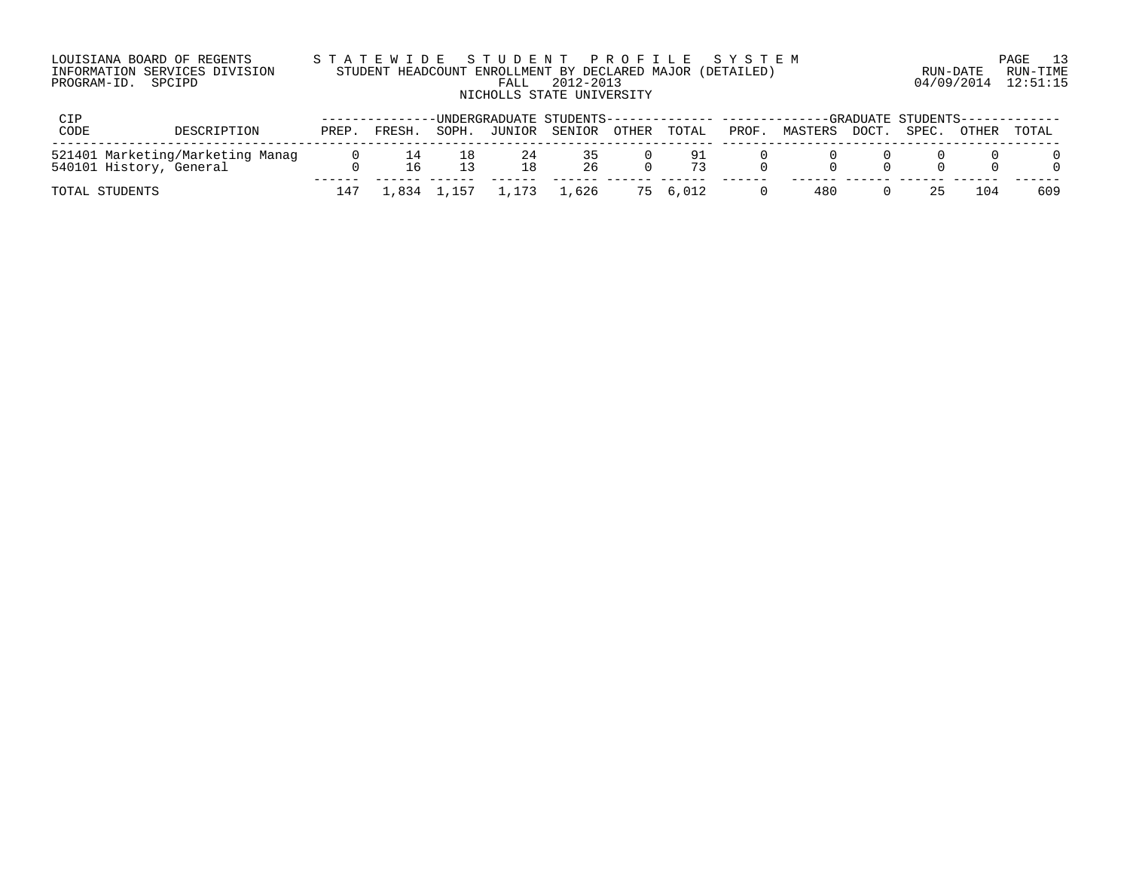| LOUISIANA BOARD OF REGENTS    | STATEWIDE STUDENT PROFILE SYSTEM                          |                     | PAGE 13  |
|-------------------------------|-----------------------------------------------------------|---------------------|----------|
| INFORMATION SERVICES DIVISION | STUDENT HEADCOUNT ENROLLMENT BY DECLARED MAJOR (DETAILED) | RUN-DATE            | RUN-TIME |
| PROGRAM-ID. SPCIPD            | FALL 2012-2013                                            | 04/09/2014 12:51:15 |          |
|                               | NICHOLLS STATE UNIVERSITY                                 |                     |          |

| CIP                                                         |       |        |             |                         |                |             |       | -UNDERGRADUATE STUDENTS------------- -------------GRADUATE STUDENTS------------ |       |       |              |       |
|-------------------------------------------------------------|-------|--------|-------------|-------------------------|----------------|-------------|-------|---------------------------------------------------------------------------------|-------|-------|--------------|-------|
| CODE<br>DESCRIPTION                                         | PREP. | FRESH. | SOPH.       |                         | JUNIOR SENIOR  | OTHER TOTAL | PROF. | MASTERS                                                                         | DOCT. | SPEC. | <b>OTHER</b> | TOTAL |
| 521401 Marketing/Marketing Manag<br>540101 History, General |       |        |             | 24                      | $\sim$ 5<br>26 | -91         |       |                                                                                 |       |       |              |       |
| TOTAL STUDENTS                                              |       |        | 1,834 1,157 | $\cdot$ , 1,173 $\cdot$ | .626           | 75 6.012    |       | 480                                                                             |       | 25.   | 1 () 4       | 609   |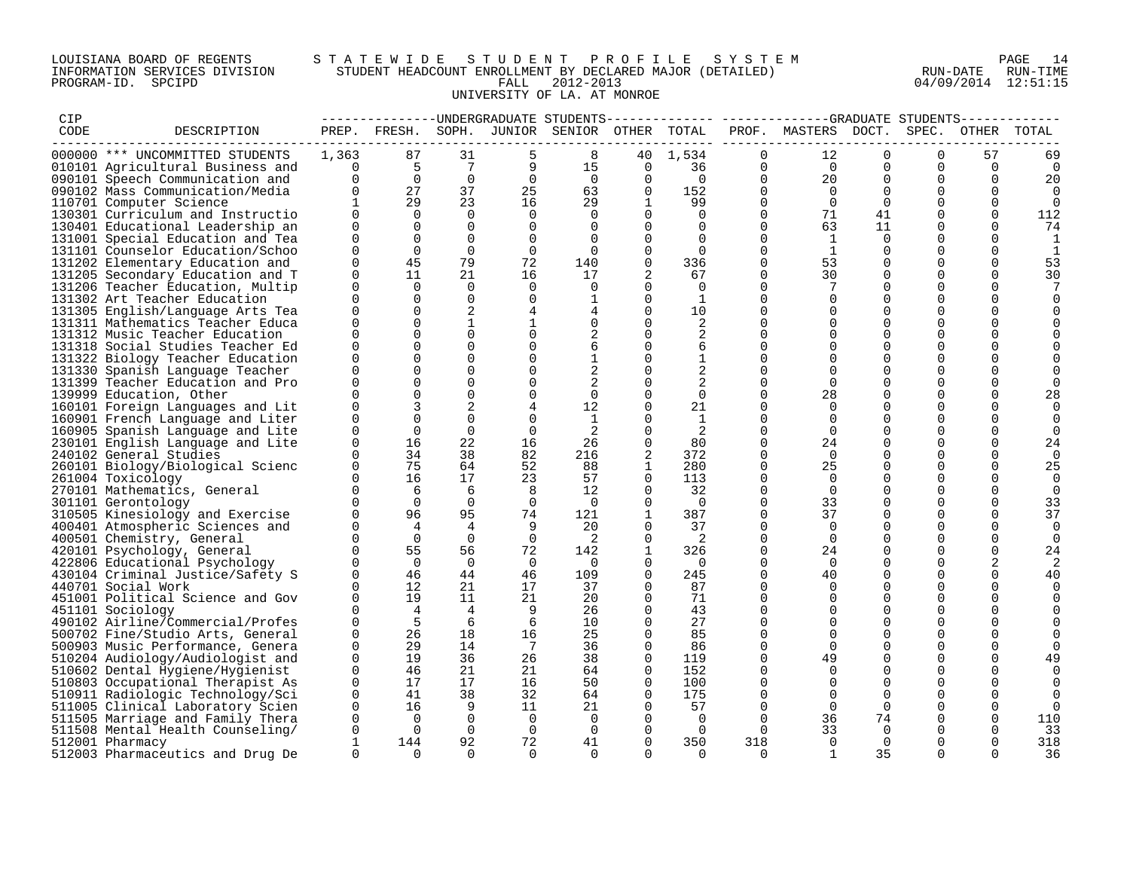### LOUISIANA BOARD OF REGENTS S T A T E W I D E S T U D E N T P R O F I L E S Y S T E M PAGE 14 INFORMATION SERVICES DIVISION STUDENT HEADCOUNT ENROLLMENT BY DECLARED MAJOR (DETAILED) RUN-DATE RUN-TIME PROGRAM-ID. SPCIPD FALL 2012-2013 04/09/2014 12:51:15 UNIVERSITY OF LA. AT MONROE

| CIP  |                                                                      |                          |                 |                 |                |                                              |                         |                |                      | -------------UNDERGRADUATE STUDENTS------------- ------------GRADUATE STUDENTS----------- |                      |                         |                |             |
|------|----------------------------------------------------------------------|--------------------------|-----------------|-----------------|----------------|----------------------------------------------|-------------------------|----------------|----------------------|-------------------------------------------------------------------------------------------|----------------------|-------------------------|----------------|-------------|
| CODE | DESCRIPTION                                                          |                          |                 |                 |                | PREP. FRESH. SOPH. JUNIOR SENIOR OTHER TOTAL |                         |                |                      | PROF. MASTERS DOCT.                                                                       |                      | SPEC.                   |                | OTHER TOTAL |
|      | 000000 *** UNCOMMITTED STUDENTS                                      | 1,363                    | 87              | 31              | 5              | 8                                            |                         | 40 1,534       | $\Omega$             | 12                                                                                        | $\Omega$             | $\Omega$                | 57             | 69          |
|      | 010101 Agricultural Business and                                     | $\overline{\phantom{0}}$ | $5\overline{)}$ | $7\overline{ }$ | 9              | 15                                           | 0                       | 36             | $\overline{0}$       | $\overline{0}$                                                                            | $\mathbf 0$          | $\mathbf 0$             | $\overline{0}$ | $\mathbf 0$ |
|      | 090101 Speech Communication and                                      | $\Omega$                 | $\overline{0}$  | $\overline{0}$  | $\overline{0}$ | $\bigcirc$                                   | $\Omega$                | $\overline{0}$ | $\overline{0}$       | 20                                                                                        | $\Omega$             | $\Omega$                | $\Omega$       | 20          |
|      | 090102 Mass Communication/Media                                      | $\overline{0}$           | 27              | 37              | 25             | 63                                           | $\Omega$                | 152            | $\Omega$             | $\Omega$                                                                                  | $\Omega$             | $\Omega$                | $\Omega$       | $\Omega$    |
|      | 110701 Computer Science                                              | $\mathbf{1}$             | 29              | 23              | 16             | 29                                           | $\mathbf{1}$            | 99             | $\Omega$             | $\Omega$                                                                                  | $\Omega$             | $\Omega$                | $\Omega$       | $\Omega$    |
|      | 130301 Curriculum and Instructio                                     | $\Omega$                 | $\Omega$        | $\Omega$        | $\Omega$       | $\Omega$                                     | $\Omega$                | $\Omega$       | $\Omega$             | 71                                                                                        | 41                   | $\Omega$                | $\Omega$       | 112         |
|      | 130401 Educational Leadership an                                     | $\Omega$                 | $\Omega$        | $\Omega$        | 0              | $\Omega$                                     | $\mathbf 0$             | $\Omega$       | $\mathbf 0$          | 63                                                                                        | 11                   | 0                       | $\Omega$       | 74          |
|      | 131001 Special Education and Tea                                     | $\Omega$                 | $\Omega$        | $\Omega$        | $\mathbf 0$    | $\Omega$                                     | $\Omega$                | $\Omega$       | $\Omega$             | 1                                                                                         | $\Omega$             | $\Omega$                | $\Omega$       | 1           |
|      | 131101 Counselor Education/Schoo                                     | $\Omega$                 | $\Omega$        | $\Omega$        | $\mathbf 0$    | $\Omega$                                     | $\Omega$                | $\Omega$       | $\Omega$             | 1                                                                                         | $\Omega$             | $\Omega$                | $\Omega$       |             |
|      | 131202 Elementary Education and                                      | $\Omega$                 | 45              | 79              | 72             | 140                                          | $\Omega$                | 336            | $\Omega$             | 53                                                                                        | $\Omega$             | $\Omega$                | $\Omega$       | 53          |
|      | 131205 Secondary Education and T                                     | $\Omega$                 | 11              | 21              | 16             | 17                                           |                         | 67             | $\mathbf 0$          | 30                                                                                        | $\mathbf 0$          | $\mathbf 0$             | $\Omega$       | 30          |
|      | 131206 Teacher Education, Multip                                     | $\Omega$                 | $\Omega$        | $\overline{0}$  | 0              | $\Omega$                                     | $\Omega$                | $\Omega$       | $\Omega$             |                                                                                           | $\Omega$             | $\mathbf 0$             | $\Omega$       |             |
|      | 131302 Art Teacher Education                                         | $\Omega$                 | $\Omega$        | $\Omega$        | $\mathbf 0$    |                                              | $\Omega$                | 1              | 0                    |                                                                                           | $\Omega$             | $\Omega$                | ∩              |             |
|      | 131305 English/Language Arts Tea                                     | $\Omega$                 | $\Omega$        | 2               | $\overline{4}$ |                                              | $\Omega$                | 10             | $\Omega$             | $\Omega$                                                                                  | $\Omega$             | $\Omega$                | ∩              |             |
|      | 131311 Mathematics Teacher Educa                                     | $\Omega$                 | $\Omega$        | $\mathbf{1}$    |                | $\Omega$                                     | $\Omega$                | 2              | $\Omega$             | $\Omega$                                                                                  | $\Omega$             | $\Omega$                | $\Omega$       |             |
|      | 131312 Music Teacher Education                                       | $\Omega$                 |                 |                 | $\mathbf 0$    |                                              | $\mathbf 0$             | 2              | $\Omega$             | $\Omega$                                                                                  | $\Omega$             | $\mathbf 0$             |                |             |
|      | 131318 Social Studies Teacher Ed                                     | $\Omega$                 | $\Omega$        | $\Omega$        | $\mathbf 0$    | 6                                            | $\Omega$                | 6              | $\Omega$             |                                                                                           | $\Omega$             | $\mathbf 0$             | $\Omega$       |             |
|      | 131322 Biology Teacher Education                                     | $\Omega$                 | $\Omega$        | $\Omega$        | $\Omega$       | 1                                            | $\Omega$                | $\mathbf{1}$   | $\Omega$             | $\Omega$                                                                                  | $\Omega$             | $\Omega$                |                |             |
|      | 131330 Spanish Language Teacher                                      | $\Omega$                 | $\Omega$        | $\Omega$        | $\Omega$       |                                              | $\Omega$                |                | $\Omega$             | $\Omega$                                                                                  | $\Omega$             | $\Omega$                |                |             |
|      | 131399 Teacher Education and Pro                                     | $\Omega$                 |                 | $\Omega$        | $\mathbf 0$    |                                              | $\mathbf 0$             | 2              | $\Omega$             | $\Omega$                                                                                  | $\Omega$             | 0                       | $\Omega$       |             |
|      | 139999 Education, Other                                              |                          |                 | $\Omega$        | 0              | $\Omega$                                     | $\Omega$                | $\Omega$       | $\Omega$             | 28                                                                                        | $\Omega$             | $\mathbf 0$             | $\Omega$       | 28          |
|      | 160101 Foreign Languages and Lit                                     | $\Omega$                 |                 | 2               | 4              | 12                                           | $\Omega$                | 21             | $\Omega$             |                                                                                           | $\Omega$             | $\Omega$                | $\Omega$       |             |
|      | 160901 French Language and Liter                                     | $\Omega$                 | $\Omega$        | $\Omega$        | $\Omega$       | 1                                            | $\Omega$                | 1              | $\Omega$             | $\Omega$                                                                                  | $\Omega$             | $\Omega$                | $\Omega$       |             |
|      | 160905 Spanish Language and Lite                                     | $\Omega$                 | $\Omega$        | $\Omega$        | $\Omega$       | -2                                           | $\Omega$                |                | $\Omega$             | $\Omega$                                                                                  | $\Omega$             | $\Omega$                | $\Omega$       | ∩           |
|      | 230101 English Language and Lite                                     | 0                        | 16              | 22              | 16             | 26                                           | $\mathbf 0$             | 80             | $\Omega$             | 24                                                                                        | 0                    | 0                       | $\Omega$       | 24          |
|      | 240102 General Studies                                               | $\Omega$                 | 34              | 38              | 82             | 216                                          |                         | 372            | $\Omega$             | $\overline{0}$                                                                            | $\Omega$             | $\mathbf 0$             | $\Omega$       | $\Omega$    |
|      | 260101 Biology/Biological Scienc                                     | $\Omega$                 | 75              | 64              | 52             | 88                                           | 1                       | 280            | $\Omega$             | 25                                                                                        | $\Omega$             | $\Omega$                | $\Omega$       | 25          |
|      | 261004 Toxicology                                                    | $\Omega$                 | 16              | 17              | 23             | 57                                           | $\Omega$                | 113            | $\Omega$             | $\Omega$                                                                                  | $\Omega$             | $\Omega$                | $\Omega$       | $\Omega$    |
|      | 270101 Mathematics, General                                          | $\Omega$                 | 6               | 6               | 8              | 12                                           | $\mathbf 0$             | 32             | $\mathbf 0$          | $\Omega$                                                                                  | $\Omega$             | $\mathbf 0$             |                | $\Omega$    |
|      | 301101 Gerontology                                                   | $\Omega$                 | $\overline{0}$  | $\overline{0}$  | $\overline{0}$ | $\Omega$                                     | 0                       | $\overline{0}$ | 0                    | 33                                                                                        | 0                    | 0                       | 0              | 33          |
|      | 310505 Kinesiology and Exercise                                      |                          | 96              | 95              | 74             | 121                                          | 1                       | 387            | $\Omega$             | 37                                                                                        | $\Omega$             | $\Omega$                | $\Omega$       | 37          |
|      | 400401 Atmospheric Sciences and                                      | $\Omega$                 | $\overline{4}$  | $\overline{4}$  | 9              | 20                                           | $\Omega$                | 37             | $\Omega$             | $\Omega$                                                                                  | $\Omega$             | $\Omega$                | $\Omega$       | $\Omega$    |
|      | 400501 Chemistry, General                                            | $\Omega$                 | $\overline{0}$  | $\Omega$        | $\Omega$       | $\overline{\phantom{0}}^2$                   | $\Omega$                | $\overline{2}$ | $\Omega$             | $\Omega$                                                                                  | $\Omega$             | $\Omega$                | $\Omega$       | $\Omega$    |
|      | 420101 Psychology, General                                           | $\Omega$                 | 55              | 56              | 72             | 142                                          | $\mathbf{1}$            | 326            | $\Omega$             | 24                                                                                        | $\Omega$             | $\mathbf 0$             | $\Omega$       | 24          |
|      | 422806 Educational Psychology                                        | $\Omega$                 | $\overline{0}$  | $\mathbf 0$     | $\overline{0}$ | $\overline{\phantom{0}}$                     | 0                       | $\overline{0}$ | $\Omega$             | $\Omega$                                                                                  | $\Omega$             | $\Omega$                | 2              |             |
|      | 430104 Criminal Justice/Safety S                                     | $\Omega$                 | 46<br>12        | 44              | 46             | 109                                          | $\Omega$                | 245            | $\Omega$             | 40                                                                                        | $\Omega$             | $\Omega$                | $\Omega$       | 40          |
|      | 440701 Social Work                                                   | $\Omega$<br>$\Omega$     | 19              | 21<br>11        | 17<br>21       | 37<br>20                                     | $\Omega$<br>$\mathbf 0$ | 87<br>71       | $\Omega$<br>$\Omega$ | $\Omega$                                                                                  | $\Omega$<br>$\Omega$ | $\Omega$<br>$\mathbf 0$ | ∩              | $\Omega$    |
|      | 451001 Political Science and Gov                                     | $\Omega$                 | $\overline{4}$  | $\overline{4}$  | - 9            | 26                                           | $\Omega$                | 43             | $\Omega$             | $\Omega$                                                                                  | $\Omega$             | $\mathbf 0$             | $\Omega$       |             |
|      | 451101 Sociology                                                     | $\Omega$                 | 5               | 6               | 6              | 10                                           | $\Omega$                | 27             | $\Omega$             | $\Omega$                                                                                  | $\Omega$             | $\Omega$                | $\Omega$       |             |
|      | 490102 Airline/Commercial/Profes<br>500702 Fine/Studio Arts, General | $\Omega$                 | 26              | 18              | 16             | 25                                           | $\Omega$                | 85             | $\Omega$             | $\Omega$                                                                                  | $\Omega$             | $\Omega$                |                |             |
|      |                                                                      | $\Omega$                 | 29              | 14              | $\overline{7}$ | 36                                           | $\Omega$                | 86             | $\Omega$             | $\Omega$                                                                                  | $\Omega$             | $\Omega$                |                |             |
|      | 500903 Music Performance, Genera<br>510204 Audiology/Audiologist and | $\mathbf 0$              | 19              | 36              | 26             | 38                                           | $\overline{0}$          | 119            | 0                    | 49                                                                                        | 0                    | 0                       | 0              | 49          |
|      | 510602 Dental Hygiene/Hygienist                                      | $\Omega$                 | 46              | 21              | 21             | 64                                           | $\Omega$                | 152            | $\Omega$             | $\Omega$                                                                                  | $\Omega$             | $\Omega$                | $\Omega$       |             |
|      | 510803 Occupational Therapist As                                     | $\Omega$                 | 17              | 17              | 16             | 50                                           | $\Omega$                | 100            | $\Omega$             |                                                                                           | $\Omega$             | $\Omega$                |                |             |
|      | 510911 Radiologic Technology/Sci                                     | $\Omega$                 | 41              | 38              | 32             | 64                                           | $\Omega$                | 175            | $\Omega$             | $\Omega$                                                                                  | $\Omega$             | $\Omega$                | $\Omega$       |             |
|      | 511005 Clinical Laboratory Scien                                     | $\Omega$                 | 16              | $\overline{9}$  | 11             | 21                                           | $\mathbf 0$             | 57             | $\Omega$             | $\Omega$                                                                                  | $\Omega$             | $\mathbf 0$             | $\Omega$       |             |
|      | 511505 Marriage and Family Thera                                     | 0                        | $\overline{0}$  | $\overline{0}$  | $\overline{0}$ | $\overline{0}$                               | $\overline{0}$          | $\overline{0}$ | $\Omega$             | 36                                                                                        | 74                   | 0                       |                | 110         |
|      | 511508 Mental Health Counseling/                                     | $\Omega$                 | $\Omega$        | $\Omega$        | $\overline{0}$ | $\Omega$                                     | $\Omega$                | $\Omega$       | $\Omega$             | 33                                                                                        | $\Omega$             | $\Omega$                |                | 33          |
|      | 512001 Pharmacy                                                      | $\mathbf{1}$             | 144             | 92              | 72             | 41                                           | $\Omega$                | 350            | 318                  | $\Omega$                                                                                  | $\Omega$             | $\Omega$                | $\Omega$       | 318         |
|      | 512003 Pharmaceutics and Drug De                                     | $\Omega$                 | $\cap$          | $\Omega$        | $\cap$         | $\cap$                                       | $\cap$                  | $\cap$         | $\cap$               |                                                                                           | 35                   | $\cap$                  |                | 36          |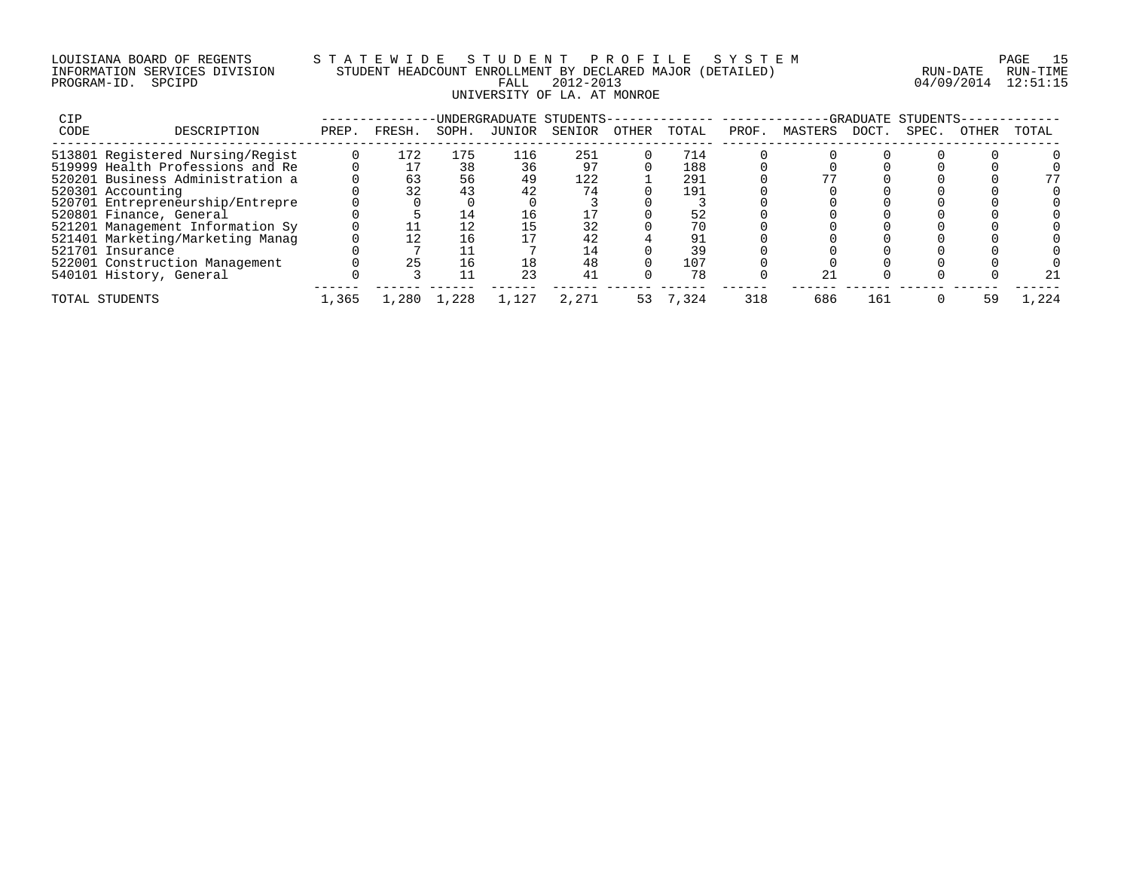### LOUISIANA BOARD OF REGENTS S T A T E W I D E S T U D E N T P R O F I L E S Y S T E M PAGE 15 INFORMATION SERVICES DIVISION STUDENT HEADCOUNT ENROLLMENT BY DECLARED MAJOR (DETAILED) RUN-DATE RUN-TIME PROGRAM-ID. SPCIPD FALL 2012-2013 04/09/2014 12:51:15 UNIVERSITY OF LA. AT MONROE

| CIP  |                                  |       |        |       |        | UNDERGRADUATE STUDENTS- |       |       |      |         | <b>GRADUATE</b> | STUDENTS- |       |       |
|------|----------------------------------|-------|--------|-------|--------|-------------------------|-------|-------|------|---------|-----------------|-----------|-------|-------|
| CODE | DESCRIPTION                      | PREP. | FRESH. | SOPH. | JUNIOR | SENIOR                  | OTHER | TOTAL | PROF | MASTERS | DOCT            | SPEC.     | OTHER | TOTAL |
|      | 513801 Registered Nursing/Regist |       | 172    | 175   | 116    | 251                     |       | 714   |      |         |                 |           |       |       |
|      | 519999 Health Professions and Re |       |        | 38    | 36     |                         |       | 188   |      |         |                 |           |       |       |
|      | 520201 Business Administration a |       | 63     | 56    | 49     | 122                     |       | 291   |      |         |                 |           |       | 77    |
|      | 520301 Accounting                |       | 32     | 43    | 42     | 74                      |       | 191   |      |         |                 |           |       |       |
|      | 520701 Entrepreneurship/Entrepre |       |        |       |        |                         |       |       |      |         |                 |           |       |       |
|      | 520801 Finance, General          |       |        | 14    | ⊥6⊥    |                         |       | 52    |      |         |                 |           |       |       |
|      | 521201 Management Information Sy |       |        |       |        |                         |       | 70    |      |         |                 |           |       |       |
|      | 521401 Marketing/Marketing Manag |       |        | 16    |        | 42                      |       | 91    |      |         |                 |           |       |       |
|      | 521701 Insurance                 |       |        |       |        | 14                      |       | 39    |      |         |                 |           |       |       |
|      | 522001 Construction Management   |       | 25     | ⊥ ճ   | 18     | 48                      |       | 107   |      |         |                 |           |       |       |
|      | 540101 History, General          |       |        |       | 23     | 41                      |       | 78    |      | 21      |                 |           |       | 21    |
|      | TOTAL STUDENTS                   | 1,365 | 1,280  | 1,228 | 1,127  | 2,271                   | 53.   | 7,324 | 318  | 686     | 161             |           | 59    | .224  |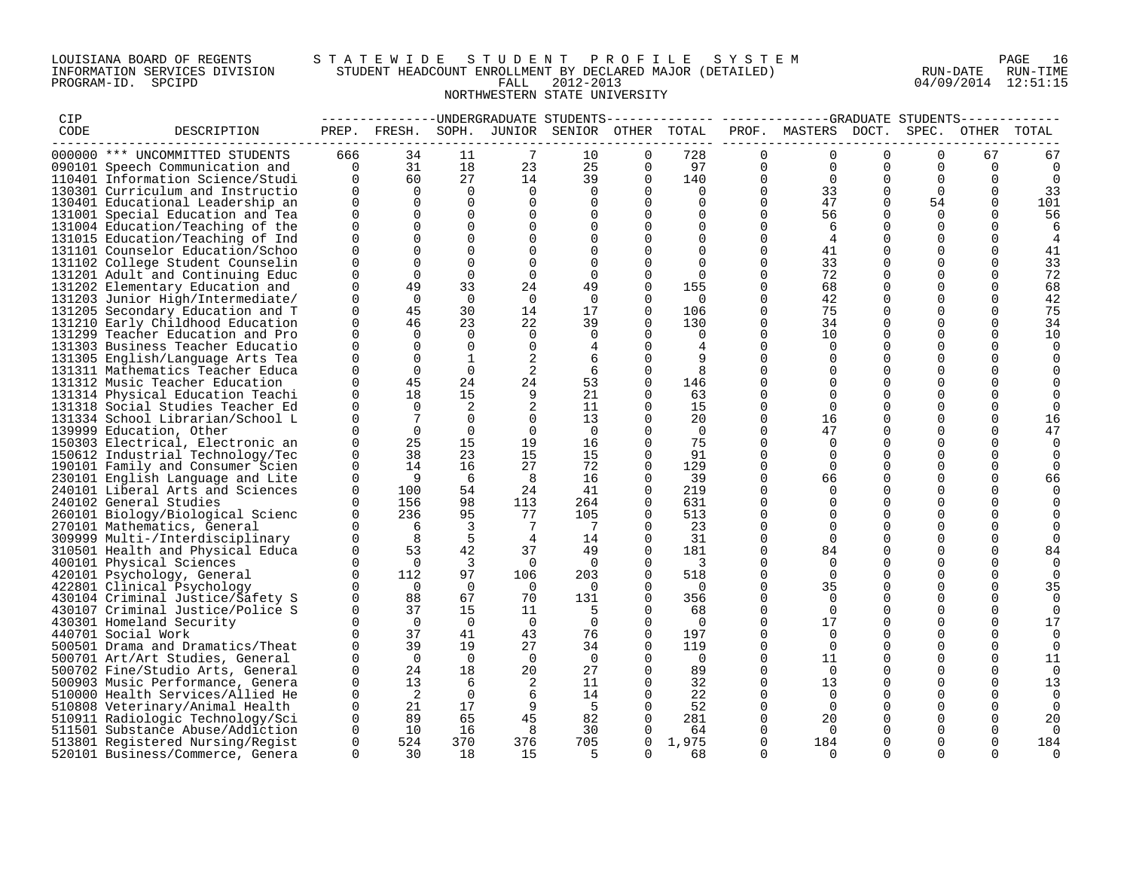### LOUISIANA BOARD OF REGENTS S T A T E W I D E S T U D E N T P R O F I L E S Y S T E M PAGE 16 INFORMATION SERVICES DIVISION STUDENT HEADCOUNT ENROLLMENT BY DECLARED MAJOR (DETAILED) RUN-DATE RUN-TIME PROGRAM-ID. SPCIPD FALL 2012-2013 04/09/2014 12:51:15 NORTHWESTERN STATE UNIVERSITY

| CIP  |                                  |                |                 |                |                 |                                              |              |                          |                | -------------UNDERGRADUATE STUDENTS------------- ------------GRADUATE STUDENTS------------ |          |             |                |              |
|------|----------------------------------|----------------|-----------------|----------------|-----------------|----------------------------------------------|--------------|--------------------------|----------------|--------------------------------------------------------------------------------------------|----------|-------------|----------------|--------------|
| CODE | DESCRIPTION                      |                |                 |                |                 | PREP. FRESH. SOPH. JUNIOR SENIOR OTHER TOTAL |              |                          |                | PROF. MASTERS DOCT.                                                                        |          | SPEC.       | OTHER          | TOTAL        |
|      | 000000 *** UNCOMMITTED STUDENTS  | 666            | 34              | 11             | 7               | 10                                           | $\Omega$     | 728                      | $\Omega$       | $\Omega$                                                                                   | $\cap$   | $\cap$      | 67             | 67           |
|      | 090101 Speech Communication and  | $\overline{0}$ | 31              | 18             | 23              | 25                                           | $\mathbf{0}$ | 97                       | $\overline{0}$ | $\overline{0}$                                                                             | 0        | $\mathbf 0$ | $\overline{0}$ | 0            |
|      | 110401 Information Science/Studi | $\Omega$       | 60              | 27             | 14              | 39                                           | $\Omega$     | 140                      | $\Omega$       | $\overline{0}$                                                                             | $\Omega$ | $\Omega$    | $\Omega$       | 0            |
|      | 130301 Curriculum and Instructio | $\overline{0}$ | $\Omega$        | $\Omega$       | $\Omega$        | $\Omega$                                     | $\Omega$     | $\Omega$                 | $\Omega$       | 33                                                                                         | $\Omega$ | $\Omega$    | $\Omega$       | 33           |
|      | 130401 Educational Leadership an | $\Omega$       | $\Omega$        | $\Omega$       | $\Omega$        | $\Omega$                                     | $\Omega$     | $\Omega$                 | $\Omega$       | 47                                                                                         | $\Omega$ | 54          | $\Omega$       | 101          |
|      | 131001 Special Education and Tea | $\Omega$       | $\Omega$        | $\Omega$       | $\Omega$        | $\Omega$                                     | $\Omega$     | $\Omega$                 | $\Omega$       | 56                                                                                         | $\Omega$ | $\Omega$    | $\Omega$       | 56           |
|      | 131004 Education/Teaching of the | $\mathbf 0$    | $\Omega$        | $\Omega$       | $\mathbf 0$     | $\Omega$                                     | 0            | $\mathbf 0$              | $\mathbf{0}$   | 6                                                                                          |          | $\Omega$    | $\Omega$       | 6            |
|      | 131015 Education/Teaching of Ind | $\Omega$       | $\Omega$        | $\Omega$       | $\Omega$        | $\Omega$                                     | $\Omega$     | $\Omega$                 | $\Omega$       | $\overline{4}$                                                                             | $\Omega$ | $\Omega$    | $\Omega$       | 4            |
|      | 131101 Counselor Education/Schoo | $\Omega$       | $\Omega$        | $\Omega$       | $\Omega$        | $\Omega$                                     | $\Omega$     | $\Omega$                 | $\Omega$       | 41                                                                                         | $\Omega$ | $\Omega$    | $\Omega$       | 41           |
|      | 131102 College Student Counselin | $\Omega$       | $\Omega$        | $\Omega$       | $\Omega$        | $\Omega$                                     | $\Omega$     | $\Omega$                 | $\Omega$       | 33                                                                                         | $\Omega$ | $\Omega$    | $\Omega$       | 33           |
|      | 131201 Adult and Continuing Educ | 0              | $\Omega$        | $\Omega$       | $\mathbf 0$     | $\mathbf 0$                                  | $\mathbf 0$  | $\Omega$                 | $\mathbf 0$    | 72                                                                                         | $\Omega$ | $\Omega$    | $\Omega$       | 72           |
|      | 131202 Elementary Education and  | $\Omega$       | 49              | 33             | 24              | 49                                           | $\Omega$     | 155                      | 0              | 68                                                                                         | $\Omega$ | $\Omega$    | $\Omega$       | 68           |
|      | 131203 Junior High/Intermediate/ | $\Omega$       | $\Omega$        | $\Omega$       | $\overline{0}$  | $\Omega$                                     | $\Omega$     | $\overline{0}$           | $\Omega$       | 42                                                                                         | $\Omega$ | $\Omega$    |                | 42           |
|      | 131205 Secondary Education and T | $\Omega$       | 45              | 30             | 14              | 17                                           | $\Omega$     | 106                      | $\Omega$       | 75                                                                                         | $\Omega$ | $\Omega$    | $\Omega$       | 75           |
|      | 131210 Early Childhood Education | $\Omega$       | 46              | 23             | 22              | 39                                           | $\Omega$     | 130                      | $\Omega$       | 34                                                                                         | $\Omega$ | $\Omega$    | $\Omega$       | 34           |
|      | 131299 Teacher Education and Pro | $\Omega$       | $\Omega$        | $\Omega$       | $\mathbf 0$     | $\overline{0}$                               | $\Omega$     | $\overline{0}$           | $\mathbf 0$    | 10                                                                                         | $\Omega$ | $\Omega$    | $\Omega$       | 10           |
|      | 131303 Business Teacher Educatio | $\mathbf 0$    | $\Omega$        | $\mathbf 0$    | $\mathbf 0$     |                                              | $\Omega$     | 4                        | $\Omega$       | $\Omega$                                                                                   | 0        | $\Omega$    | $\Omega$       |              |
|      | 131305 English/Language Arts Tea | $\Omega$       | $\Omega$        | 1              | 2               | 6                                            | $\Omega$     | 9                        | $\Omega$       | $\Omega$                                                                                   | $\Omega$ | $\Omega$    | $\Omega$       |              |
|      | 131311 Mathematics Teacher Educa | $\Omega$       | $\Omega$        | $\Omega$       | $\overline{a}$  | 6                                            | $\Omega$     | 8                        | $\Omega$       | $\Omega$                                                                                   | $\Omega$ | $\Omega$    |                |              |
|      | 131312 Music Teacher Education   | $\Omega$       | 45              | 24             | 24              | 53                                           | $\mathbf 0$  | 146                      | 0              | $\mathbf 0$                                                                                | $\Omega$ | $\mathbf 0$ | $\Omega$       |              |
|      | 131314 Physical Education Teachi | $\Omega$       | 18              | 15             | 9               | 21                                           |              | 63                       | $\Omega$       | $\Omega$                                                                                   | $\Omega$ | $\Omega$    |                |              |
|      | 131318 Social Studies Teacher Ed | $\Omega$       | $\Omega$        | 2              | 2               | 11                                           | $\Omega$     | 15                       | $\Omega$       | $\Omega$                                                                                   |          | $\Omega$    |                |              |
|      | 131334 School Librarian/School L | $\Omega$       | $7\overline{ }$ | $\Omega$       | $\Omega$        | 13                                           | $\Omega$     | 20                       | $\Omega$       | 16                                                                                         | $\Omega$ | $\Omega$    | $\Omega$       | 16           |
|      | 139999 Education, Other          | $\Omega$       | $\Omega$        | $\Omega$       | $\Omega$        | $\overline{0}$                               | $\Omega$     | $\Omega$                 | $\Omega$       | 47                                                                                         | $\Omega$ | $\Omega$    | $\Omega$       | 47           |
|      | 150303 Electrical, Electronic an | $\Omega$       | 25              | 15             | 19              | 16                                           | $\Omega$     | 75                       | $\Omega$       | $\Omega$                                                                                   | $\Omega$ | $\Omega$    | $\Omega$       |              |
|      | 150612 Industrial Technology/Tec | $\Omega$       | 38              | 23             | 15              | 15                                           | $\Omega$     | 91                       | $\Omega$       | $\Omega$                                                                                   | $\Omega$ | $\Omega$    | $\Omega$       | <sup>0</sup> |
|      | 190101 Family and Consumer Scien | $\Omega$       | 14              | 16             | 27              | 72                                           | $\Omega$     | 129                      | $\Omega$       | $\Omega$                                                                                   | $\Omega$ | $\Omega$    | $\Omega$       |              |
|      | 230101 English Language and Lite | $\Omega$       | - 9             | 6              | 8               | 16                                           | $\Omega$     | 39                       | $\Omega$       | 66                                                                                         | $\Omega$ | $\Omega$    | $\Omega$       | 66           |
|      | 240101 Liberal Arts and Sciences | $\mathbf 0$    | 100             | 54             | 24              | 41                                           | $\Omega$     | 219                      | $\mathbf 0$    | $\mathbf 0$                                                                                | $\Omega$ | $\Omega$    |                |              |
|      | 240102 General Studies           | $\Omega$       | 156             | 98             | 113             | 264                                          | $\Omega$     | 631                      | 0              | $\Omega$                                                                                   | $\Omega$ | 0           | $\Omega$       |              |
|      | 260101 Biology/Biological Scienc | $\Omega$       | 236             | 95             | 77              | 105                                          | $\Omega$     | 513                      | $\Omega$       | $\Omega$                                                                                   | $\Omega$ | $\Omega$    |                |              |
|      | 270101 Mathematics, General      | $\Omega$       | 6               | $\overline{3}$ | $7\overline{ }$ | $\overline{7}$                               | $\Omega$     | 23                       | $\Omega$       | $\Omega$                                                                                   | $\Omega$ | $\Omega$    |                |              |
|      | 309999 Multi-/Interdisciplinary  | $\Omega$       | 8               | 5              | $\overline{4}$  | 14                                           | $\Omega$     | 31                       | $\Omega$       | $\Omega$                                                                                   | 0        | $\Omega$    | $\Omega$       |              |
|      | 310501 Health and Physical Educa | $\Omega$       | 53              | 42             | 37              | 49                                           | $\Omega$     | 181                      | $\Omega$       | 84                                                                                         | $\Omega$ | $\Omega$    | $\Omega$       | 84           |
|      | 400101 Physical Sciences         | 0              | $\overline{0}$  | 3              | $\overline{0}$  | $\overline{0}$                               | 0            | $\overline{\phantom{a}}$ | $\Omega$       | $\Omega$                                                                                   |          | $\Omega$    | $\Omega$       | <sup>0</sup> |
|      | 420101 Psychology, General       | $\Omega$       | 112             | 97             | 106             | 203                                          | $\Omega$     | 518                      | $\Omega$       | $\Omega$                                                                                   | $\Omega$ | $\Omega$    | $\Omega$       |              |
|      | 422801 Clinical Psychology       | $\Omega$       | $\overline{0}$  | $\Omega$       | $\overline{0}$  | $\Omega$                                     | $\Omega$     | $\Omega$                 | $\Omega$       | 35                                                                                         | $\Omega$ | $\Omega$    | $\Omega$       | 35           |
|      | 430104 Criminal Justice/Safety S | $\mathbf{0}$   | 88              | 67             | 70              | 131                                          | $\mathbf 0$  | 356                      | $\mathbf 0$    | $\Omega$                                                                                   | $\Omega$ | $\Omega$    | $\Omega$       | $\Omega$     |
|      | 430107 Criminal Justice/Police S | $\Omega$       | 37              | 15             | 11              | -5                                           | $\Omega$     | 68                       | $\Omega$       | $\Omega$                                                                                   | $\Omega$ | $\Omega$    | $\Omega$       | $\Omega$     |
|      | 430301 Homeland Security         | $\Omega$       | $\overline{0}$  | $\overline{0}$ | $\overline{0}$  | $\overline{0}$                               | $\Omega$     | $\overline{0}$           | $\Omega$       | 17                                                                                         | $\Omega$ | $\Omega$    | $\Omega$       | 17           |
|      | 440701 Social Work               | $\Omega$       | 37              | 41             | 43              | 76                                           | $\Omega$     | 197                      | $\Omega$       | $\Omega$                                                                                   | $\Omega$ | $\Omega$    | $\Omega$       | $\Omega$     |
|      | 500501 Drama and Dramatics/Theat | $\Omega$       | 39              | 19             | 27              | 34                                           | $\Omega$     | 119                      | $\Omega$       | $\Omega$                                                                                   | $\Omega$ | $\Omega$    | $\Omega$       | $\Omega$     |
|      | 500701 Art/Art Studies, General  | 0              | $\overline{0}$  | $\overline{0}$ | $\overline{0}$  | $\overline{0}$                               | 0            | $\overline{0}$           | $\mathbf 0$    | 11                                                                                         | $\Omega$ | $\Omega$    | 0              | 11           |
|      | 500702 Fine/Studio Arts, General | $\Omega$       | 24              | 18             | 20              | 27                                           | $\Omega$     | 89                       | $\Omega$       | $\Omega$                                                                                   | $\Omega$ | $\Omega$    | $\Omega$       | $\Omega$     |
|      | 500903 Music Performance, Genera | $\Omega$       | 13              | 6              | 2               | 11                                           | $\Omega$     | 32                       | $\Omega$       | 13                                                                                         | $\Omega$ | $\Omega$    | $\Omega$       | 13           |
|      | 510000 Health Services/Allied He | $\Omega$       | $\overline{2}$  | $\Omega$       | 6               | 14                                           | $\Omega$     | 22                       | $\Omega$       | $\Omega$                                                                                   | $\Omega$ | $\Omega$    | $\Omega$       | $\Omega$     |
|      | 510808 Veterinary/Animal Health  | $\Omega$       | 21              | 17             | 9               | $-5$                                         | $\Omega$     | 52                       | $\mathbf 0$    | $\overline{0}$                                                                             | $\Omega$ | $\Omega$    | $\Omega$       | $\mathbf 0$  |
|      | 510911 Radiologic Technology/Sci | 0              | 89              | 65             | 45              | 82                                           | $\Omega$     | 281                      | 0              | 20                                                                                         |          | $\Omega$    |                | 20           |
|      | 511501 Substance Abuse/Addiction | $\Omega$       | 10              | 16             | - 8             | 30                                           |              | 64                       | $\Omega$       | - റ                                                                                        |          | $\Omega$    |                |              |
|      | 513801 Registered Nursing/Regist | $\Omega$       | 524             | 370            | 376             | 705                                          | $\Omega$     | 1,975                    | $\Omega$       | 184                                                                                        | $\Omega$ | $\Omega$    | $\Omega$       | 184          |
|      | 520101 Business/Commerce, Genera | $\Omega$       | 30              | 18             | 15              | -5                                           | $\cap$       | 68                       | $\cap$         | $\Omega$                                                                                   | $\cap$   | $\cap$      |                | $\Omega$     |
|      |                                  |                |                 |                |                 |                                              |              |                          |                |                                                                                            |          |             |                |              |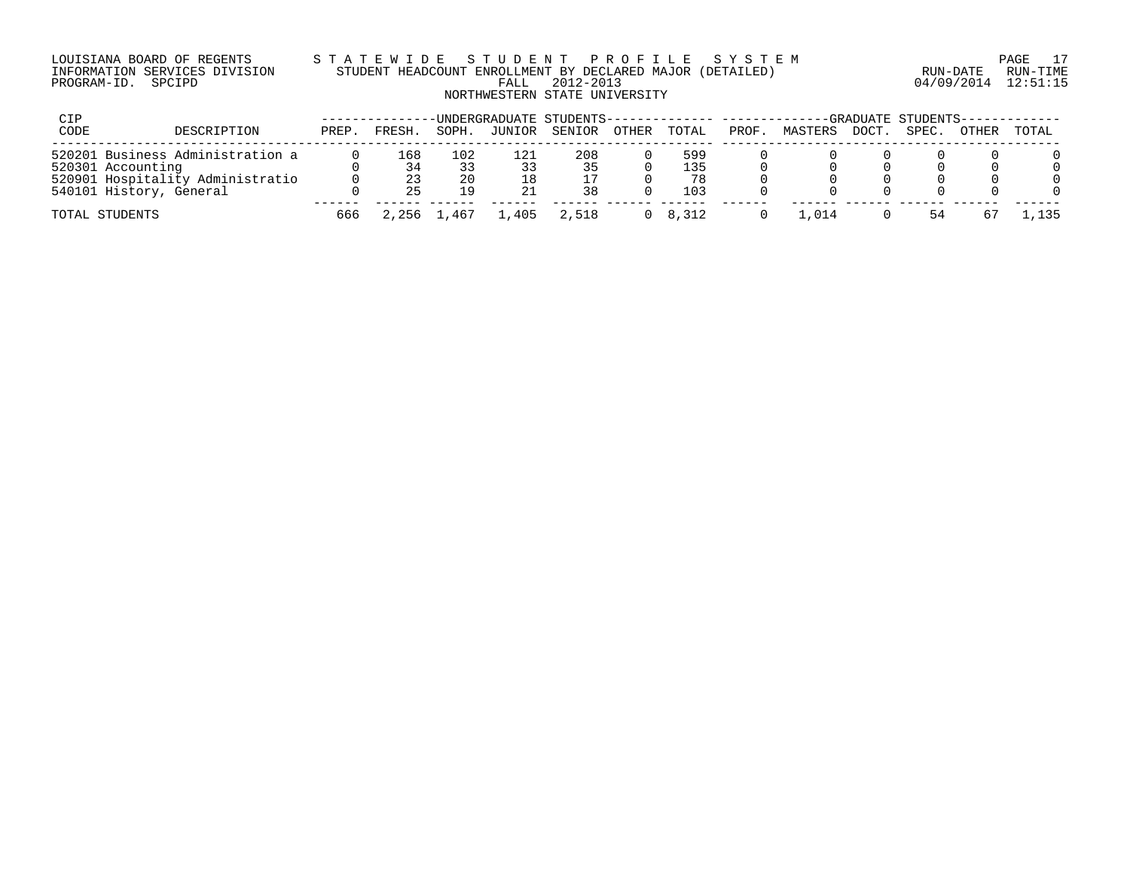### LOUISIANA BOARD OF REGENTS S T A T E W I D E S T U D E N T P R O F I L E S Y S T E M PAGE 17 INFORMATION SERVICES DIVISION STUDENT HEADCOUNT ENROLLMENT BY DECLARED MAJOR (DETAILED) RUN-DATE RUN-TIME PROGRAM-ID. SPCIPD FALL 2012-2013 04/09/2014 12:51:15 NORTHWESTERN STATE UNIVERSITY

| CIP  |                                                             |       |           |           | UNDERGRADUATE STUDENTS-------------- ------ |           |       |                 |       |         |       | -GRADUATE STUDENTS-- |       |       |
|------|-------------------------------------------------------------|-------|-----------|-----------|---------------------------------------------|-----------|-------|-----------------|-------|---------|-------|----------------------|-------|-------|
| CODE | DESCRIPTION                                                 | PREP. | FRESH.    | SOPH.     | JUNIOR                                      | SENIOR    | OTHER | TOTAL           | PROF. | MASTERS | DOCT. | SPEC.                | OTHER | TOTAL |
|      | 520201 Business Administration a<br>520301 Accounting       |       | 168<br>34 | 102<br>33 |                                             | 208<br>35 |       | 599<br>135      |       |         |       |                      |       |       |
|      | 520901 Hospitality Administratio<br>540101 History, General |       | 23<br>25  | 20<br>19  |                                             | 38        |       | 78<br>103       |       |         |       |                      |       |       |
|      | TOTAL STUDENTS                                              | 666   | 2,256     | 1,467     | 1,405                                       | 2,518     |       | $0 \quad 8.312$ |       | .014    |       | 54                   |       | .,135 |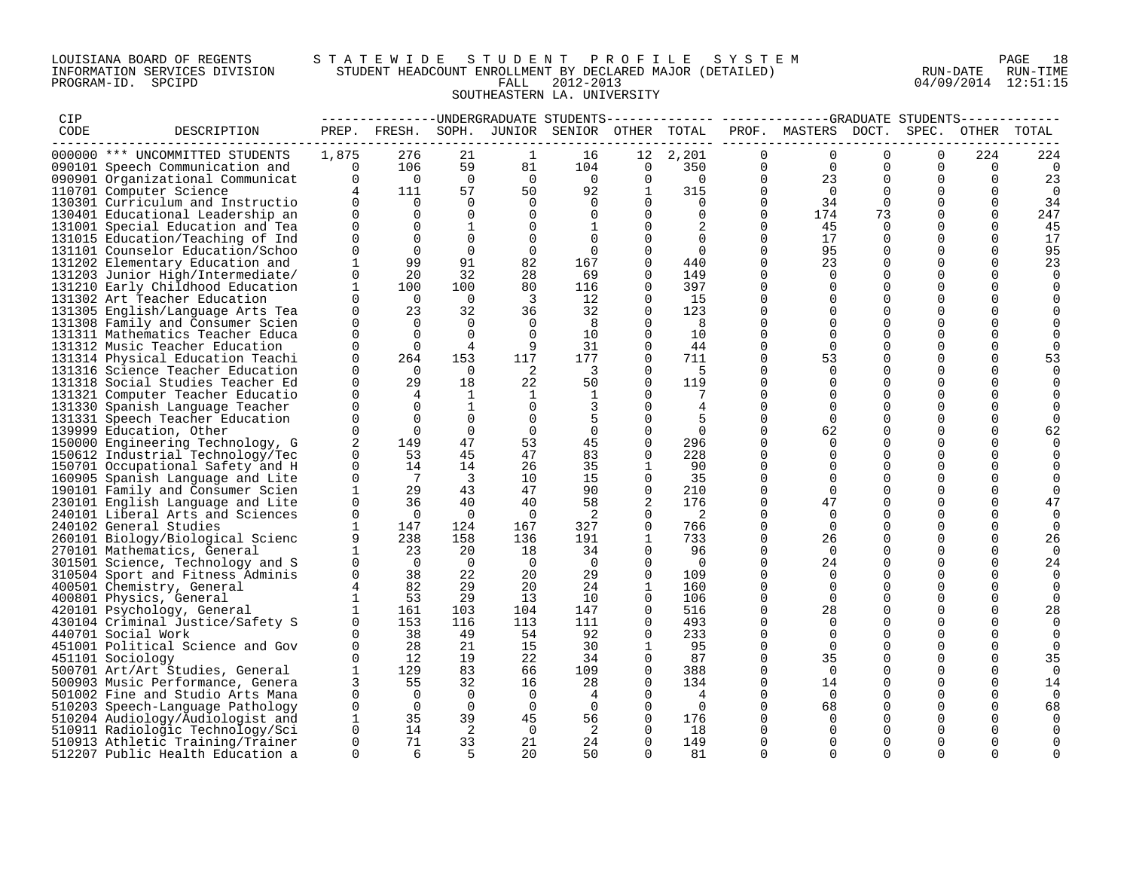## LOUISIANA BOARD OF REGENTS S T A T E W I D E S T U D E N T P R O F I L E S Y S T E M PAGE 18 INFORMATION SERVICES DIVISION STUDENT HEADCOUNT ENROLLMENT BY DECLARED MAJOR (DETAILED) RUN-DATE RUN-TIME PROGRAM-ID. SPCIPD FALL 2012-2013 04/09/2014 12:51:15 SOUTHEASTERN LA. UNIVERSITY

| CIP  |                                                        |                          |                |                          |                |                                              |                          |                            |                | -------------UNDERGRADUATE STUDENTS-------------- ------------GRADUATE STUDENTS------------ |                      |                         |                         |               |
|------|--------------------------------------------------------|--------------------------|----------------|--------------------------|----------------|----------------------------------------------|--------------------------|----------------------------|----------------|---------------------------------------------------------------------------------------------|----------------------|-------------------------|-------------------------|---------------|
| CODE | DESCRIPTION                                            |                          |                |                          |                | PREP. FRESH. SOPH. JUNIOR SENIOR OTHER TOTAL |                          |                            |                | PROF. MASTERS DOCT. SPEC.                                                                   |                      |                         | OTHER                   | TOTAL         |
|      | 000000 *** UNCOMMITTED STUDENTS                        | 1,875                    | 276            | 21                       | 1              | 16                                           | 12                       | 2,201                      | $\Omega$       | $\Omega$                                                                                    | $\Omega$             | $\Omega$                | 224                     | 224           |
|      | 090101 Speech Communication and                        | 0                        | 106            | 59                       | 81             | 104                                          | $\mathbf 0$              | 350                        | $\overline{0}$ | $\overline{0}$                                                                              | $\Omega$             | $\Omega$                | - 0                     | 0             |
|      | 090901 Organizational Communicat                       | $\overline{0}$           | $\overline{0}$ | $\overline{0}$           | $\overline{0}$ | $\overline{0}$                               | $\mathbf 0$              | $\bigcirc$                 | $\overline{0}$ | 23                                                                                          | $\mathbf 0$          | $\mathbf 0$             | 0                       | 23            |
|      | 110701 Computer Science                                | $\overline{4}$           | 111            | 57                       | 50             | 92                                           | 1                        | 315                        | $\Omega$       | $\bigcap$                                                                                   | $\Omega$             | $\mathbf 0$             | $\Omega$                | $\Omega$      |
|      | 130301 Curriculum and Instructio                       | $\Omega$                 | $\overline{0}$ | $\Omega$                 | $\Omega$       | $\Omega$                                     | $\Omega$                 | $\overline{0}$             | $\Omega$       | 34                                                                                          | $\Omega$             | $\Omega$                | $\Omega$                | 34            |
|      | 130401 Educational Leadership an                       | $\mathbf 0$              | $\Omega$       | $\Omega$                 | $\mathbf 0$    | $\Omega$                                     | $\Omega$                 | $\Omega$                   | $\Omega$       | 174                                                                                         | 73                   | $\Omega$                | $\Omega$                | 247           |
|      | 131001 Special Education and Tea                       | $\Omega$                 | $\Omega$       | 1                        | 0              | 1                                            | $\Omega$                 |                            | 0              | 45                                                                                          | $\Omega$             | $\Omega$                | $\Omega$                | 45            |
|      | 131015 Education/Teaching of Ind                       | $\Omega$                 | $\Omega$       | $\Omega$                 | $\mathbf 0$    | $\Omega$                                     | $\Omega$                 | $\Omega$                   | $\Omega$       | 17                                                                                          | $\Omega$             | $\Omega$                | $\Omega$                | 17            |
|      | 131101 Counselor Education/Schoo                       | $\Omega$                 | $\Omega$       | $\Omega$                 | $\mathbf 0$    | $\Omega$                                     | $\Omega$                 | $\Omega$                   | $\Omega$       | 95                                                                                          | $\Omega$             | $\Omega$                | $\Omega$                | 95            |
|      | 131202 Elementary Education and                        | $\mathbf{1}$             | 99             | 91                       | 82             | 167                                          | $\Omega$                 | 440                        | $\mathbf 0$    | 23                                                                                          | $\Omega$             | $\Omega$                | $\Omega$                | 23            |
|      | 131203 Junior High/Intermediate/                       | $\Omega$                 | 20             | 32                       | 28             | 69                                           | $\Omega$                 | 149                        | $\Omega$       | $\Omega$                                                                                    | $\Omega$             | $\Omega$                | $\Omega$                | $\Omega$      |
|      | 131210 Early Childhood Education                       | $\mathbf{1}$             | 100            | 100                      | 80             | 116                                          | $\Omega$                 | 397                        | 0              | $\Omega$                                                                                    | $\Omega$             | $\Omega$                | $\Omega$                |               |
|      | 131302 Art Teacher Education                           | $\Omega$                 | $\overline{0}$ | $\overline{0}$           | $\overline{3}$ | 12                                           | $\Omega$                 | 15                         | $\Omega$       | $\Omega$                                                                                    | $\Omega$             | $\Omega$                | $\Omega$                | $\Omega$      |
|      | 131305 English/Language Arts Tea                       | $\mathbf 0$              | 23             | 32                       | 36             | 32                                           | 0                        | 123                        | $\mathbf 0$    | $\Omega$                                                                                    | $\mathbf 0$          | $\mathbf{0}$            | $\mathbf 0$             |               |
|      | 131308 Family and Consumer Scien                       | 0                        | $\overline{0}$ | $\Omega$                 | $\overline{0}$ | 8                                            | $\Omega$                 | 8                          | $\Omega$       | $\Omega$                                                                                    | $\Omega$             | 0                       | 0                       |               |
|      | 131311 Mathematics Teacher Educa                       | $\Omega$                 | $\Omega$       | $\Omega$                 | $\overline{0}$ | 10                                           | $\Omega$                 | 10                         | $\Omega$       | $\overline{0}$                                                                              | $\mathbf 0$          | $\mathbf 0$             | $\Omega$                |               |
|      | 131312 Music Teacher Education                         | $\Omega$                 | $\Omega$       | $\overline{4}$           | 9              | 31                                           | $\Omega$                 | 44                         | $\Omega$       | $\Omega$                                                                                    | $\Omega$             | $\Omega$                | $\Omega$                |               |
|      | 131314 Physical Education Teachi                       | $\Omega$                 | 264            | 153                      | 117            | 177                                          | $\Omega$                 | 711                        | $\Omega$       | 53                                                                                          | $\mathbf 0$          | $\mathbf 0$             | $\mathbf 0$             | 53            |
|      | 131316 Science Teacher Education                       | $\Omega$                 | $\overline{0}$ | $\Omega$                 | 2              | $\overline{\mathbf{3}}$                      | $\Omega$                 | - 5                        | $\Omega$       | $\Omega$                                                                                    | $\Omega$             | $\Omega$                | 0                       |               |
|      | 131318 Social Studies Teacher Ed                       | 0                        | 29             | 18                       | 22             | 50                                           | $\Omega$                 | 119                        | 0              | $\Omega$                                                                                    | $\Omega$             | 0                       | 0                       |               |
|      | 131321 Computer Teacher Educatio                       | $\Omega$                 | $\overline{4}$ | $\mathbf{1}$             | -1             | 1                                            | $\Omega$                 | 7                          | $\Omega$       | $\Omega$                                                                                    | $\Omega$             | $\Omega$                | $\Omega$                |               |
|      | 131330 Spanish Language Teacher                        | $\Omega$                 | $\Omega$       | 1                        | $\mathbf 0$    |                                              | $\Omega$                 | 4                          | $\Omega$       | $\Omega$                                                                                    | $\Omega$             | $\Omega$                | $\Omega$                |               |
|      | 131331 Speech Teacher Education                        | $\Omega$                 | $\Omega$       | $\Omega$                 | $\overline{0}$ | 5                                            | $\Omega$                 | 5                          | $\Omega$       | $\Omega$                                                                                    | $\Omega$             | $\Omega$                | $\Omega$                |               |
|      | 139999 Education, Other                                | $\Omega$                 | $\Omega$       | $\Omega$                 | $\overline{0}$ | $\mathbf 0$                                  | $\Omega$                 | $\Omega$                   | $\Omega$       | 62                                                                                          | $\Omega$             | $\Omega$                | $\mathbf 0$             | 62            |
|      | 150000 Engineering Technology, G                       | 2                        | 149            | 47                       | 53             | 45                                           | $\Omega$                 | 296                        | $\Omega$       | $\Omega$                                                                                    | $\Omega$             | $\Omega$                | 0                       |               |
|      | 150612 Industrial Technology/Tec                       | $\Omega$                 | 53             | 45                       | 47             | 83                                           | $\Omega$                 | 228                        | $\Omega$       | $\Omega$                                                                                    | $\Omega$             | $\Omega$                | $\Omega$                |               |
|      | 150701 Occupational Safety and H                       | 0                        | 14             | 14                       | 26             | 35                                           | 1                        | 90                         | 0              | $\Omega$                                                                                    | $\Omega$             | 0                       | $\Omega$                |               |
|      | 160905 Spanish Language and Lite                       | $\mathbf 0$              | $\overline{7}$ | $\overline{\phantom{a}}$ | 10             | 15                                           | $\Omega$                 | 35                         | $\mathbf 0$    | $\Omega$                                                                                    | $\Omega$             | $\Omega$                | $\Omega$                |               |
|      | 190101 Family and Consumer Scien                       | $\mathbf{1}$             | 29             | 43                       | 47             | 90                                           | $\Omega$                 | 210                        | $\mathbf 0$    | $\Omega$                                                                                    | $\Omega$             | $\mathbf 0$             | $\mathbf 0$             | $\Omega$      |
|      | 230101 English Language and Lite                       | $\mathbf 0$              | 36             | 40                       | 40             | 58                                           |                          | 176                        | $\mathbf 0$    | 47                                                                                          | $\Omega$             | $\Omega$                | $\Omega$                | 47            |
|      | 240101 Liberal Arts and Sciences                       | $\mathbf 0$              | $\overline{0}$ | $\bigcirc$               | $\overline{0}$ | $\overline{\phantom{0}}^2$                   | $\Omega$                 | $\overline{\phantom{0}}^2$ | $\mathbf 0$    | $\Omega$                                                                                    | $\Omega$             | $\mathbf 0$             | $\mathbf 0$             | 0             |
|      | 240102 General Studies                                 | $\mathbf{1}$             | 147            | 124                      | 167            | 327                                          | $\Omega$                 | 766                        | $\Omega$       | $\Omega$                                                                                    | $\Omega$             | $\Omega$                | $\Omega$                | 0             |
|      | 260101 Biology/Biological Scienc                       | 9                        | 238            | 158                      | 136            | 191                                          | 1                        | 733                        | 0              | 26                                                                                          | 0                    | 0                       | 0                       | 26            |
|      | 270101 Mathematics, General                            | $\mathbf{1}$             | 23             | 20                       | 18             | 34                                           | $\Omega$                 | - 96                       | $\Omega$       | $\bigcap$                                                                                   | $\Omega$             | $\Omega$                | $\Omega$                | $\Omega$      |
|      | 301501 Science, Technology and S                       | $\mathbf 0$              | $\overline{0}$ | $\overline{0}$           | $\overline{0}$ | $\overline{0}$                               | 0                        | $\overline{0}$             | $\mathbf 0$    | 24                                                                                          | $\mathbf 0$          | $\mathbf 0$             | 0                       | 24            |
|      | 310504 Sport and Fitness Adminis                       | $\Omega$                 | 38             | 22                       | 20             | 29                                           | $\Omega$                 | 109                        | $\Omega$       | $\Omega$                                                                                    | $\Omega$             | $\Omega$                | $\Omega$                | 0             |
|      | 400501 Chemistry, General                              | 4<br>$\mathbf{1}$        | 82<br>53       | 29<br>29                 | 20<br>13       | 24<br>10                                     | $\mathbf{1}$<br>$\Omega$ | 160<br>106                 | $\Omega$       | $\Omega$<br>$\Omega$                                                                        | $\Omega$<br>$\Omega$ | $\Omega$<br>$\Omega$    | $\Omega$<br>$\Omega$    | $\Omega$      |
|      | 400801 Physics, General                                |                          |                |                          |                |                                              |                          |                            | 0              |                                                                                             |                      |                         |                         | $\Omega$      |
|      | 420101 Psychology, General                             | $\mathbf{1}$<br>$\Omega$ | 161            | 103                      | 104            | 147<br>111                                   | $\Omega$<br>$\Omega$     | 516                        | $\mathbf 0$    | 28<br>$\Omega$                                                                              | $\Omega$<br>$\Omega$ | $\mathbf 0$<br>$\Omega$ | $\mathbf 0$<br>$\Omega$ | 28            |
|      | 430104 Criminal Justice/Safety S                       | $\Omega$                 | 153<br>38      | 116<br>49                | 113            | 92                                           | $\Omega$                 | 493                        | 0<br>$\Omega$  | $\Omega$                                                                                    | $\Omega$             | $\Omega$                | $\Omega$                | $\Omega$      |
|      | 440701 Social Work<br>451001 Political Science and Gov | $\Omega$                 | 28             | 21                       | 54<br>15       | 30                                           | 1                        | 233<br>95                  | $\mathbf 0$    | $\Omega$                                                                                    | $\Omega$             | $\mathbf 0$             | $\Omega$                | 0<br>$\Omega$ |
|      | 451101 Sociology                                       | $\mathbf 0$              | 12             | 19                       | 22             | 34                                           | 0                        | 87                         | $\mathbf 0$    | 35                                                                                          | $\mathbf 0$          | $\mathbf 0$             | 0                       | 35            |
|      | 500701 Art/Art Studies, General                        | $\mathbf{1}$             | 129            | 83                       | 66             | 109                                          | $\Omega$                 | 388                        | $\mathbf 0$    | $\Omega$                                                                                    | $\Omega$             | 0                       | 0                       | 0             |
|      | 500903 Music Performance, Genera                       | 3                        | 55             | 32                       | 16             | 28                                           | $\Omega$                 | 134                        | $\mathbf 0$    | 14                                                                                          | $\Omega$             | $\Omega$                | $\Omega$                | 14            |
|      | 501002 Fine and Studio Arts Mana                       | $\Omega$                 | $\overline{0}$ | $\overline{0}$           | $\overline{0}$ | 4                                            | $\Omega$                 | 4                          | $\Omega$       | $\overline{0}$                                                                              | $\Omega$             | $\Omega$                | $\Omega$                |               |
|      | 510203 Speech-Language Pathology                       | $\Omega$                 | $\overline{0}$ | $\overline{0}$           | $\overline{0}$ | $\Omega$                                     | $\Omega$                 | $\overline{0}$             | $\Omega$       | 68                                                                                          | $\Omega$             | $\Omega$                | $\Omega$                | 68            |
|      | 510204 Audiology/Audiologist and                       | $\mathbf{1}$             | 35             | 39                       | 45             | 56                                           | 0                        | 176                        | 0              | $\Omega$                                                                                    | 0                    | 0                       | 0                       |               |
|      | 510911 Radiologic Technology/Sci                       | $\Omega$                 | 14             | $\overline{2}$           | $\overline{0}$ | $\overline{2}$                               | $\Omega$                 | 18                         | $\Omega$       | $\Omega$                                                                                    | $\Omega$             | $\Omega$                |                         | $\Omega$      |
|      | 510913 Athletic Training/Trainer                       | $\Omega$                 | 71             | 33                       | 21             | 24                                           | $\Omega$                 | 149                        | $\Omega$       | $\Omega$                                                                                    | $\Omega$             | $\Omega$                | $\Omega$                | $\Omega$      |
|      | 512207 Public Health Education a                       | $\Omega$                 | 6              | -5                       | 20             | 50                                           | $\Omega$                 | 81                         | $\Omega$       | $\Omega$                                                                                    | $\Omega$             | $\cap$                  | $\cap$                  | $\Omega$      |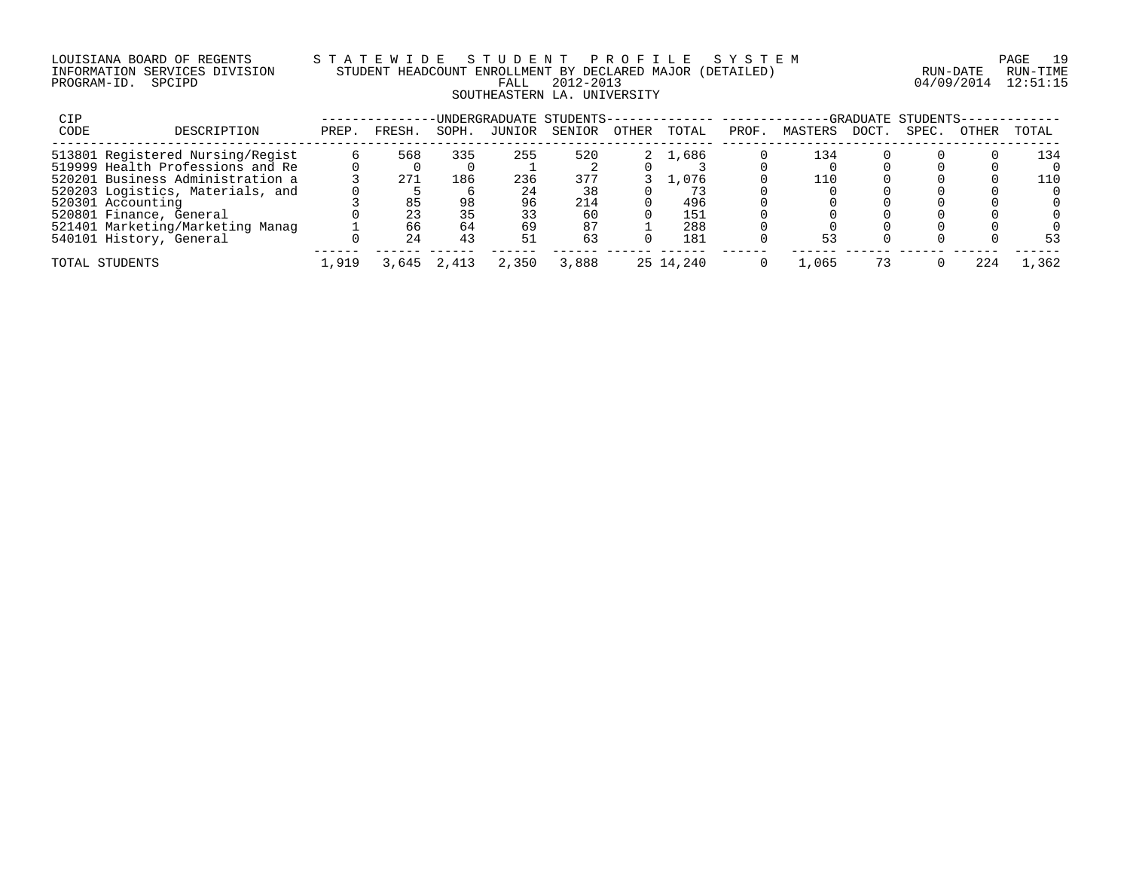### LOUISIANA BOARD OF REGENTS S T A T E W I D E S T U D E N T P R O F I L E S Y S T E M PAGE 19 INFORMATION SERVICES DIVISION STUDENT HEADCOUNT ENROLLMENT BY DECLARED MAJOR (DETAILED) RUN-DATE RUN-TIME PROGRAM-ID. SPCIPD FALL 2012-2013 04/09/2014 12:51:15 SOUTHEASTERN LA. UNIVERSITY

| <b>CIP</b> |                                  |       |        |       |        | UNDERGRADUATE STUDENTS-- |       |           |       |         |      | -GRADUATE STUDENTS- |       |         |
|------------|----------------------------------|-------|--------|-------|--------|--------------------------|-------|-----------|-------|---------|------|---------------------|-------|---------|
| CODE       | DESCRIPTION                      | PREP. | FRESH. | SOPH. | JUNIOR | SENIOR                   | OTHER | TOTAL     | PROF. | MASTERS | DOCT | SPEC.               | OTHER | TOTAL   |
|            | 513801 Registered Nursing/Regist |       | 568    | 335   | 255    | 520                      | 2.    | 1,686     |       | 134     |      |                     |       | 134     |
|            | 519999 Health Professions and Re |       |        |       |        |                          |       |           |       |         |      |                     |       |         |
|            | 520201 Business Administration a |       | 271    | 186   | 236    | 377                      |       | .076      |       | 110     |      |                     |       | 110     |
|            | 520203 Logistics, Materials, and |       |        |       | 24     | 38                       |       |           |       |         |      |                     |       |         |
|            | 520301 Accounting                |       | 85     | 98    | 96     | 214                      |       | 496       |       |         |      |                     |       |         |
|            | 520801 Finance, General          |       | 23     | 35    | 33     | 60                       |       | 151       |       |         |      |                     |       |         |
|            | 521401 Marketing/Marketing Manag |       | 66     | 64    | 69     | 87                       |       | 288       |       |         |      |                     |       |         |
|            | 540101 History, General          |       | 24     | 43    | 51     | 63                       |       | 181       |       | 53      |      |                     |       | 53      |
|            | TOTAL STUDENTS                   | 1,919 | 3,645  | 2,413 | 2,350  | 3,888                    |       | 25 14,240 |       | 1,065   |      |                     | 224   | . . 362 |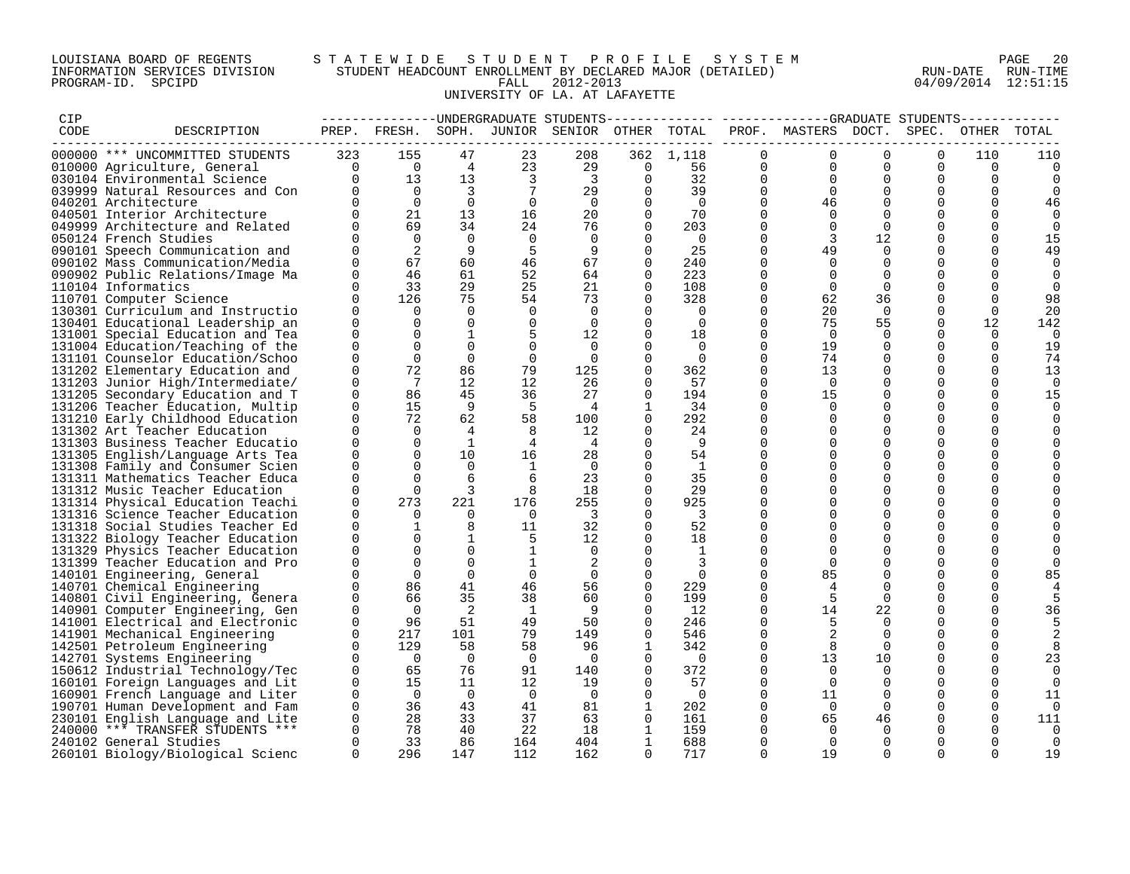### LOUISIANA BOARD OF REGENTS S T A T E W I D E S T U D E N T P R O F I L E S Y S T E M PAGE 20 INFORMATION SERVICES DIVISION STUDENT HEADCOUNT ENROLLMENT BY DECLARED MAJOR (DETAILED) RUN-DATE RUN-TIME PROGRAM-ID. SPCIPD FALL 2012-2013 04/09/2014 12:51:15 UNIVERSITY OF LA. AT LAFAYETTE

| CIP  |                                                                      |                      |                    |                |                | ------------UNDERGRADUATE STUDENTS |                      |                |                         |                     |                      |                      |                      |                |
|------|----------------------------------------------------------------------|----------------------|--------------------|----------------|----------------|------------------------------------|----------------------|----------------|-------------------------|---------------------|----------------------|----------------------|----------------------|----------------|
| CODE | DESCRIPTION                                                          |                      | PREP. FRESH. SOPH. |                |                | JUNIOR SENIOR                      | OTHER TOTAL          |                |                         | PROF. MASTERS DOCT. |                      | SPEC.                | OTHER                | TOTAL          |
|      |                                                                      |                      |                    |                |                |                                    |                      |                |                         |                     |                      |                      |                      |                |
|      | 000000 *** UNCOMMITTED STUDENTS                                      | 323                  | 155                | 47             | 23             | 208                                | 362                  | 1,118          | $\Omega$                |                     | $\Omega$             | $\Omega$             | 110                  | 110            |
|      | 010000 Agriculture, General                                          | $\Omega$             | $\overline{0}$     | $\overline{4}$ | 23             | 29                                 | 0                    | 56             | $\mathbf 0$             | $\Omega$            | $\Omega$             | $\Omega$             | $\Omega$             | $\Omega$       |
|      | 030104 Environmental Science                                         | $\Omega$             | 13                 | 13             | 3              | 3                                  | $\mathbf 0$          | 32             | 0                       | $\Omega$            | $\Omega$             | $\Omega$             | $\Omega$             | 0              |
|      | 039999 Natural Resources and Con                                     |                      | $\overline{0}$     | $\overline{3}$ |                | 29                                 | $\Omega$             | 39             | $\Omega$                | $\Omega$            | $\Omega$             | $\Omega$             | $\Omega$             | $\Omega$       |
|      | 040201 Architecture                                                  |                      | $\Omega$           | $\Omega$       | $\Omega$       | $\Omega$                           | $\Omega$             | $\overline{0}$ | $\Omega$                | 46                  | $\Omega$             | $\Omega$             | $\Omega$             | 46             |
|      | 040501 Interior Architecture                                         |                      | 21                 | 13             | 16             | 20                                 | $\Omega$             | 70             | $\Omega$                | $\Omega$            |                      | $\Omega$             |                      | $\Omega$       |
|      | 049999 Architecture and Related                                      |                      | 69<br>$\Omega$     | 34             | 24             | 76                                 | $\Omega$             | 203            | 0                       |                     | $\Omega$             | 0                    | $\Omega$<br>$\Omega$ | $\Omega$       |
|      | 050124 French Studies                                                |                      | 2                  | $\Omega$       | $\Omega$       | $\Omega$                           | $\Omega$             | $\bigcirc$     | $\Omega$                | 3                   | 12<br>$\Omega$       | $\Omega$             | $\Omega$             | 15             |
|      | 090101 Speech Communication and                                      |                      | 67                 | 9<br>60        | 5<br>46        | 9<br>67                            | $\Omega$<br>$\Omega$ | 25<br>240      | $\Omega$<br>$\Omega$    | 49<br>$\Omega$      |                      | $\Omega$<br>$\Omega$ | $\Omega$             | 49<br>$\Omega$ |
|      | 090102 Mass Communication/Media                                      |                      | 46                 | 61             | 52             | 64                                 | $\mathbf 0$          | 223            | $\Omega$                | $\Omega$            |                      |                      |                      |                |
|      | 090902 Public Relations/Image Ma<br>110104 Informatics               | $\Omega$             | 33                 | 29             | 25             | 21                                 | 0                    | 108            | 0                       | $\Omega$            | $\Omega$             | 0                    | $\Omega$             | 0<br>$\Omega$  |
|      | 110701 Computer Science                                              |                      | 126                | 75             | 54             | 73                                 | $\Omega$             | 328            | $\Omega$                | 62                  | 36                   | $\Omega$             | $\cap$               | 98             |
|      | 130301 Curriculum and Instructio                                     | $\Omega$             | $\Omega$           | $\Omega$       | $\Omega$       | $\Omega$                           | $\Omega$             | $\Omega$       | $\Omega$                | 20                  | $\Omega$             | $\Omega$             | $\Omega$             | 20             |
|      | 130401 Educational Leadership an                                     | $\Omega$             | $\Omega$           | $\Omega$       | $\mathbf 0$    | $\Omega$                           | $\Omega$             | $\Omega$       | $\Omega$                | 75                  | 55                   | $\Omega$             | 12                   | 142            |
|      | 131001 Special Education and Tea                                     | $\Omega$             | $\Omega$           | 1              | 5              | 12                                 | $\Omega$             | 18             | $\Omega$                | $\Omega$            | $\Omega$             | 0                    | $\Omega$             | 0              |
|      | 131004 Education/Teaching of the                                     | $\Omega$             | $\Omega$           | $\Omega$       | $\mathbf 0$    | $\Omega$                           | $\Omega$             | $\Omega$       | $\Omega$                | 19                  | $\Omega$             | $\Omega$             | $\Omega$             | 19             |
|      | 131101 Counselor Education/Schoo                                     | $\Omega$             | $\Omega$           | $\Omega$       | $\Omega$       | $\Omega$                           | $\Omega$             | $\Omega$       | $\Omega$                | 74                  | $\Omega$             | $\Omega$             | $\Omega$             | 74             |
|      | 131202 Elementary Education and                                      | $\Omega$             | 72                 | 86             | 79             | 125                                | $\Omega$             | 362            | $\Omega$                | 13                  | $\Omega$             | $\Omega$             | $\Omega$             | 13             |
|      | 131203 Junior High/Intermediate/                                     | $\Omega$             | 7                  | 12             | 12             | 26                                 | $\mathbf 0$          | 57             | 0                       | $\Omega$            | $\Omega$             | $\mathbf 0$          | $\Omega$             | $\mathbf 0$    |
|      | 131205 Secondary Education and T                                     | $\cap$               | 86                 | 45             | 36             | 27                                 | 0                    | 194            | $\mathbf 0$             | 15                  | $\Omega$             | $\Omega$             | $\Omega$             | 15             |
|      | 131206 Teacher Education, Multip                                     | $\Omega$             | 15                 | 9              | 5              | $\overline{4}$                     | 1                    | 34             | $\Omega$                | $\Omega$            | 0                    | $\Omega$             | $\cap$               | $\Omega$       |
|      | 131210 Early Childhood Education                                     | $\Omega$             | 72                 | 62             | 58             | 100                                | $\mathbf 0$          | 292            | $\Omega$                |                     | 0                    | $\Omega$             | ∩                    |                |
|      | 131302 Art Teacher Education                                         |                      | $\Omega$           | $\overline{4}$ | 8              | 12                                 | $\Omega$             | 24             | $\Omega$                | $\Omega$            | $\Omega$             | $\Omega$             |                      |                |
|      | 131303 Business Teacher Educatio                                     | $\cap$               | $\Omega$           | 1              | 4              | 4                                  | 0                    | 9              | $\Omega$                |                     |                      | 0                    | $\Omega$             |                |
|      | 131305 English/Language Arts Tea                                     |                      | $\Omega$           | 10             | 16             | 28                                 | $\Omega$             | 54             | $\Omega$                |                     |                      | $\Omega$             |                      |                |
|      | 131308 Family and Consumer Scien                                     | $\Omega$             | $\Omega$           | $\Omega$       | 1              | $\Omega$                           | $\Omega$             | 1              | $\Omega$                | $\Omega$            | 0                    | $\Omega$             | $\Omega$             |                |
|      | 131311 Mathematics Teacher Educa                                     | $\Omega$             | $\cap$             | 6              | 6              | 23                                 | $\Omega$             | 35             | $\Omega$                |                     |                      | $\Omega$             |                      |                |
|      | 131312 Music Teacher Education                                       | $\Omega$             | $\Omega$           | 3              | 8              | 18                                 | $\Omega$             | 29             | $\Omega$                |                     | $\Omega$             | $\mathbf 0$          | $\Omega$             |                |
|      | 131314 Physical Education Teachi                                     | $\Omega$             | 273                | 221            | 176            | 255                                | $\Omega$             | 925            | $\Omega$                | $\Omega$            | 0                    | 0                    | $\Omega$             |                |
|      | 131316 Science Teacher Education                                     | $\Omega$             | $\Omega$           | $\Omega$       | $\Omega$       | 3                                  | $\Omega$             | 3              | $\Omega$                |                     | 0                    | $\Omega$             | $\cap$               |                |
|      | 131318 Social Studies Teacher Ed                                     | $\Omega$             | 1                  | 8              | 11             | 32                                 | $\Omega$             | 52             | $\Omega$                |                     |                      | $\Omega$             |                      |                |
|      | 131322 Biology Teacher Education                                     | $\Omega$             | $\Omega$           | $\mathbf{1}$   | 5              | $12 \,$                            | $\Omega$             | 18             | $\Omega$                |                     |                      | $\Omega$             | $\cap$               |                |
|      | 131329 Physics Teacher Education                                     |                      |                    |                | 1              | $\Omega$                           | $\Omega$             | 1              | $\Omega$                | $\Omega$            |                      | $\Omega$             | $\cap$               |                |
|      | 131399 Teacher Education and Pro                                     |                      | $\Omega$           | $\Omega$       | 1              |                                    | $\Omega$             |                | $\Omega$                | $\Omega$            |                      | $\Omega$             | $\Omega$             |                |
|      | 140101 Engineering, General                                          |                      | $\Omega$           | $\Omega$       | $\Omega$       | $\Omega$                           | $\Omega$             | $\Omega$       | $\Omega$                | 85                  | 0                    | $\Omega$             | $\Omega$             | 85             |
|      | 140701 Chemical Engineering                                          |                      | 86                 | 41             | 46             | 56                                 | $\Omega$             | 229            | $\Omega$                |                     |                      | $\Omega$             | $\Omega$             |                |
|      | 140801 Civil Engineering, Genera                                     | $\Omega$             | 66                 | 35             | 38             | 60                                 | $\mathbf 0$          | 199            | $\mathbf 0$             |                     | $\Omega$             | 0                    | $\Omega$             | 5              |
|      | 140901 Computer Engineering, Gen                                     |                      | $\Omega$           | 2              | <sup>1</sup>   | 9                                  | $\Omega$             | 12             | $\Omega$                | 14                  | 22                   | $\Omega$             |                      | 36             |
|      | 141001 Electrical and Electronic                                     | $\Omega$             | 96                 | 51             | 49             | 50                                 | $\Omega$             | 246            | $\Omega$                | 5                   | $\Omega$             | $\Omega$             | $\Omega$             | 5              |
|      | 141901 Mechanical Engineering                                        | $\Omega$             | 217                | 101            | 79             | 149                                | $\Omega$             | 546            | $\Omega$                |                     | $\Omega$             | $\Omega$             |                      |                |
|      | 142501 Petroleum Engineering                                         | $\Omega$<br>$\Omega$ | 129                | 58             | 58             | 96                                 | $\mathbf{1}$         | 342            | $\Omega$                | 8                   | $\Omega$             | $\Omega$             | ∩<br>$\Omega$        |                |
|      | 142701 Systems Engineering                                           |                      | $\overline{0}$     | $\Omega$       | 0              | 0                                  | 0                    | $\overline{0}$ | 0                       | 13                  | 10                   | 0                    |                      | 23             |
|      | 150612 Industrial Technology/Tec                                     | $\Omega$<br>$\Omega$ | 65<br>15           | 76<br>11       | 91<br>12       | 140                                | $\Omega$<br>$\Omega$ | 372<br>57      | $\Omega$<br>$\mathbf 0$ | $\Omega$            | $\Omega$<br>$\Omega$ | $\Omega$<br>$\Omega$ | $\cap$               | $\Omega$<br>0  |
|      | 160101 Foreign Languages and Lit                                     | $\Omega$             | $\Omega$           | $\overline{0}$ | $\overline{0}$ | 19<br>$\Omega$                     | $\Omega$             | $\bigcirc$     | $\Omega$                | 11                  | $\Omega$             | $\Omega$             | $\Omega$             | 11             |
|      | 160901 French Language and Liter                                     | $\Omega$             | 36                 | 43             | 41             | 81                                 | $\mathbf{1}$         | 202            | $\Omega$                | $\Omega$            | $\Omega$             | 0                    | $\Omega$             | $\Omega$       |
|      | 190701 Human Development and Fam<br>230101 English Language and Lite | $\Omega$             | 28                 | 33             | 37             | 63                                 | $\Omega$             | 161            | $\Omega$                | 65                  | 46                   | 0                    |                      | 111            |
|      | 240000 *** TRANSFER STUDENTS ***                                     | $\Omega$             | 78                 | 40             | 22             | 18                                 | $\mathbf{1}$         | 159            | $\Omega$                | $\Omega$            | $\Omega$             | $\Omega$             | $\Omega$             | $\Omega$       |
|      | 240102 General Studies                                               | $\Omega$             | 33                 | 86             | 164            | 404                                | $\mathbf{1}$         | 688            | $\Omega$                | $\Omega$            | $\Omega$             | $\Omega$             | $\Omega$             | $\Omega$       |
|      | 260101 Biology/Biological Scienc                                     | $\Omega$             | 296                | 147            | 112            | 162                                | $\Omega$             | 717            | $\Omega$                | 19                  | <sup>n</sup>         | $\Omega$             | $\Omega$             | 19             |
|      |                                                                      |                      |                    |                |                |                                    |                      |                |                         |                     |                      |                      |                      |                |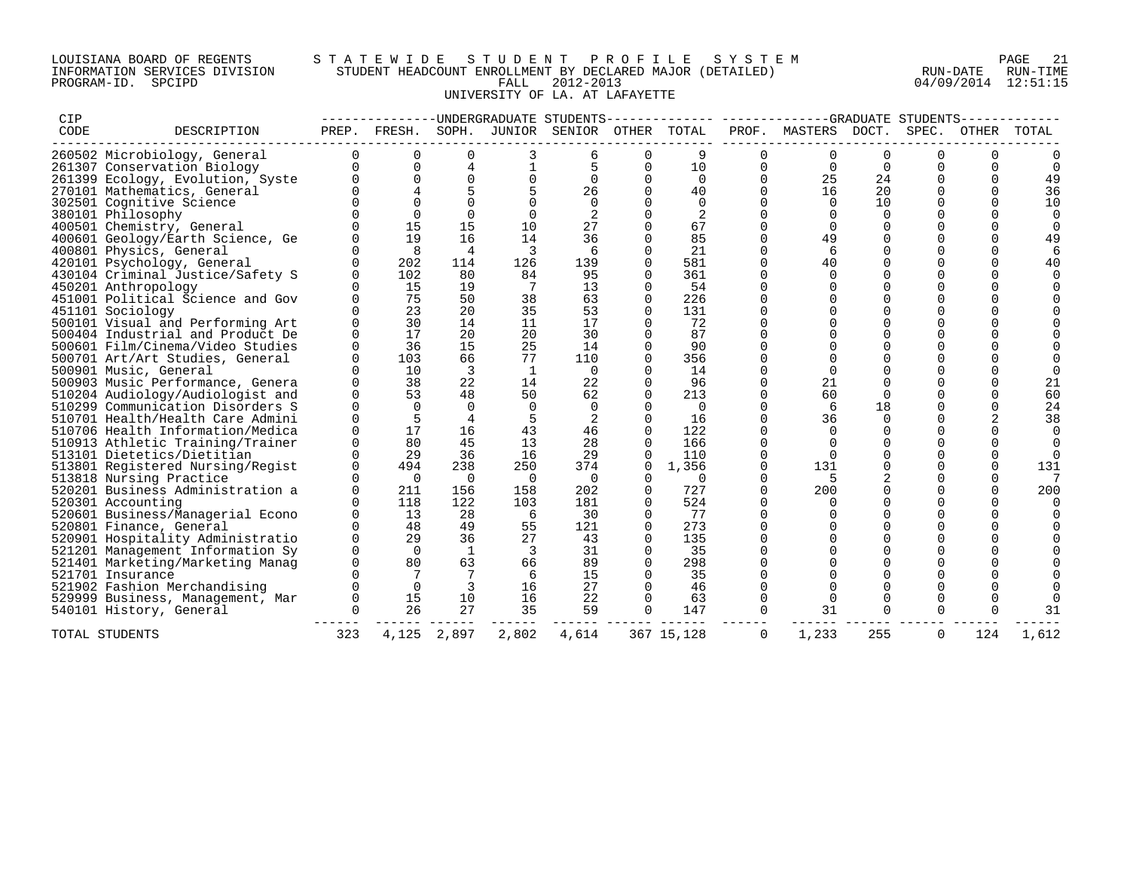## LOUISIANA BOARD OF REGENTS S T A T E W I D E S T U D E N T P R O F I L E S Y S T E M PAGE 21 INFORMATION SERVICES DIVISION STUDENT HEADCOUNT ENROLLMENT BY DECLARED MAJOR (DETAILED) RUN-DATE RUN-TIME PROGRAM-ID. SPCIPD FALL 2012-2013 04/09/2014 12:51:15 UNIVERSITY OF LA. AT LAFAYETTE

| CIP                              |             |              |             |                |                | -------------DNDERGRADUATE STUDENTS------------ |             |             |             | ------------GRADUATE STUDENTS-- |          |          |          |          |
|----------------------------------|-------------|--------------|-------------|----------------|----------------|-------------------------------------------------|-------------|-------------|-------------|---------------------------------|----------|----------|----------|----------|
| CODE                             | DESCRIPTION | PREP.        | FRESH.      |                |                | SOPH. JUNIOR SENIOR OTHER TOTAL                 |             |             |             | PROF. MASTERS DOCT.             |          | SPEC.    | OTHER    | TOTAL    |
| 260502 Microbiology, General     |             | $\Omega$     | 0           | 0              |                | 6                                               | 0           | 9           |             | 0                               | $\Omega$ |          |          |          |
| 261307 Conservation Biology      |             | <sup>n</sup> | $\Omega$    | 4              |                |                                                 | $\mathbf 0$ | 10          | $\Omega$    | $\Omega$                        | $\Omega$ |          | $\Omega$ | $\Omega$ |
| 261399 Ecology, Evolution, Syste |             |              | $\Omega$    | $\Omega$       |                | $\Omega$                                        | $\Omega$    | $\mathbf 0$ | $\Omega$    | 25                              | 24       |          | $\Omega$ | 49       |
| 270101 Mathematics, General      |             |              |             | 5              |                | 26                                              | $\Omega$    | 40          | $\Omega$    | 16                              | 20       |          | $\Omega$ | 36       |
| 302501 Cognitive Science         |             |              |             |                |                | $\Omega$                                        |             | $\mathbf 0$ | $\Omega$    | $\Omega$                        | 10       |          |          | 10       |
| 380101 Philosophy                |             |              | $\cap$      |                |                |                                                 |             | 2           |             |                                 |          |          |          |          |
| 400501 Chemistry, General        |             |              | 15          | 15             | 10             | 27                                              |             | 67          | 0           | $\Omega$                        | $\Omega$ |          |          |          |
| 400601 Geology/Earth Science, Ge |             |              | 19          | 16             | 14             | 36                                              |             | 85          |             | 49                              |          |          |          | 49       |
| 400801 Physics, General          |             |              | 8           | $\overline{4}$ | 3              | 6                                               |             | 21          | $\Omega$    | 6                               |          |          |          |          |
| 420101 Psychology, General       |             |              | 202         | 114            | 126            | 139                                             |             | 581         | 0           | 40                              |          |          |          | 40       |
| 430104 Criminal Justice/Safety S |             | 0            | 102         | 80             | 84             | 95                                              | 0           | 361         | $\mathbf 0$ | $\Omega$                        |          |          |          |          |
| 450201 Anthropology              |             |              | 15          | 19             | 7              | 13                                              | $\Omega$    | 54          | $\Omega$    | $\Omega$                        | $\Omega$ |          |          |          |
| 451001 Political Science and Gov |             |              | 75          | 50             | 38             | 63                                              | $\Omega$    | 226         | 0           | $\Omega$                        |          |          |          |          |
| 451101 Sociology                 |             |              | 23          | 20             | 35             | 53                                              | $\Omega$    | 131         | $\Omega$    | $\Omega$                        | $\Omega$ |          |          |          |
| 500101 Visual and Performing Art |             |              | 30          | 14             | 11             | 17                                              |             | 72          |             |                                 |          |          |          |          |
| 500404 Industrial and Product De |             | $\Omega$     | 17          | 20             | 20             | 30                                              |             | 87          |             |                                 |          |          |          |          |
| 500601 Film/Cinema/Video Studies |             | $\Omega$     | 36          | 15             | 25             | 14                                              |             | 90          |             |                                 |          |          |          |          |
| 500701 Art/Art Studies, General  |             | $\Omega$     | 103         | 66             | 77             | 110                                             |             | 356         |             |                                 |          |          |          |          |
| 500901 Music, General            |             |              | 10          | 3              | <sup>1</sup>   | $\overline{0}$                                  |             | 14          |             | $\Omega$                        |          |          |          |          |
| 500903 Music Performance, Genera |             |              | 38          | 22             | 14             | 22                                              |             | 96          |             | 21                              |          |          |          | 21       |
| 510204 Audiology/Audiologist and |             | $\Omega$     | 53          | 48             | 50             | 62                                              |             | 213         | $\Omega$    | 60                              | $\Omega$ |          |          | 60       |
| 510299 Communication Disorders S |             | $\Omega$     | $\cap$      | $\Omega$       | $\Omega$       | 0                                               |             | $\Omega$    | $\Omega$    | 6                               | 18       |          |          | 24       |
| 510701 Health/Health Care Admini |             |              | 5           | 4              |                |                                                 |             | 16          | $\Omega$    | 36                              |          |          |          | 38       |
| 510706 Health Information/Medica |             | <sup>0</sup> | 17          | 16             | 43             | 46                                              |             | 122         | $\Omega$    | $\Omega$                        | $\Omega$ |          |          | $\Omega$ |
| 510913 Athletic Training/Trainer |             |              | 80          | 45             | 13             | 28                                              | $\Omega$    | 166         | $\Omega$    |                                 |          |          |          |          |
| 513101 Dietetics/Dietitian       |             |              | 29          | 36             | 16             | 29                                              |             | 110         | $\Omega$    |                                 |          |          |          |          |
| 513801 Registered Nursing/Regist |             | $\Omega$     | 494         | 238            | 250            | 374                                             | 0           | 1,356       | $\Omega$    | 131                             | $\Omega$ |          | $\Omega$ | 131      |
| 513818 Nursing Practice          |             |              | $\mathbf 0$ | 0              | 0              | 0                                               | 0           | 0           | $\Omega$    | .5                              |          |          |          | 7        |
| 520201 Business Administration a |             | $\Omega$     | 211         | 156            | 158            | 202                                             | $\Omega$    | 727         | $\Omega$    | 200                             |          |          |          | 200      |
| 520301 Accounting                |             |              | 118         | 122            | 103            | 181                                             |             | 524         |             | <sup>n</sup>                    |          |          |          |          |
| 520601 Business/Managerial Econo |             |              | 13          | 28             | -6             | 30                                              | 0           | 77          | $\Omega$    | $\Omega$                        |          |          |          |          |
| 520801 Finance, General          |             |              | 48          | 49             | 55             | 121                                             | $\Omega$    | 273         | $\Omega$    |                                 |          |          |          |          |
| 520901 Hospitality Administratio |             |              | 29          | 36             | 27             | 43                                              | $\Omega$    | 135         |             |                                 |          |          |          |          |
| 521201 Management Information Sy |             | $\Omega$     | $\Omega$    | 1              | $\overline{3}$ | 31                                              | 0           | 35          | $\Omega$    | $\Omega$                        | $\Omega$ |          |          |          |
| 521401 Marketing/Marketing Manag |             |              | 80          | 63             | 66             | 89                                              |             | 298         |             |                                 |          |          |          |          |
| 521701 Insurance                 |             |              |             |                | -6             | 15                                              |             | 35          |             |                                 |          |          |          |          |
| 521902 Fashion Merchandising     |             |              | $\Omega$    | $\overline{3}$ | 16             | 27                                              | $\Omega$    | 46          | $\Omega$    |                                 |          |          |          |          |
| 529999 Business, Management, Mar |             | 0            | 15          | 10             | 16             | 22                                              | $\Omega$    | 63          | $\mathbf 0$ | $\Omega$                        |          |          |          |          |
| 540101 History, General          |             | $\Omega$     | 26          | 27             | 35             | 59                                              | 0           | 147         | $\Omega$    | 31                              |          |          |          | 31       |
| TOTAL STUDENTS                   |             | 323          | 4,125       | 2,897          | 2,802          | 4,614                                           |             | 367 15,128  | $\Omega$    | 1,233                           | 255      | $\Omega$ | 124      | 1,612    |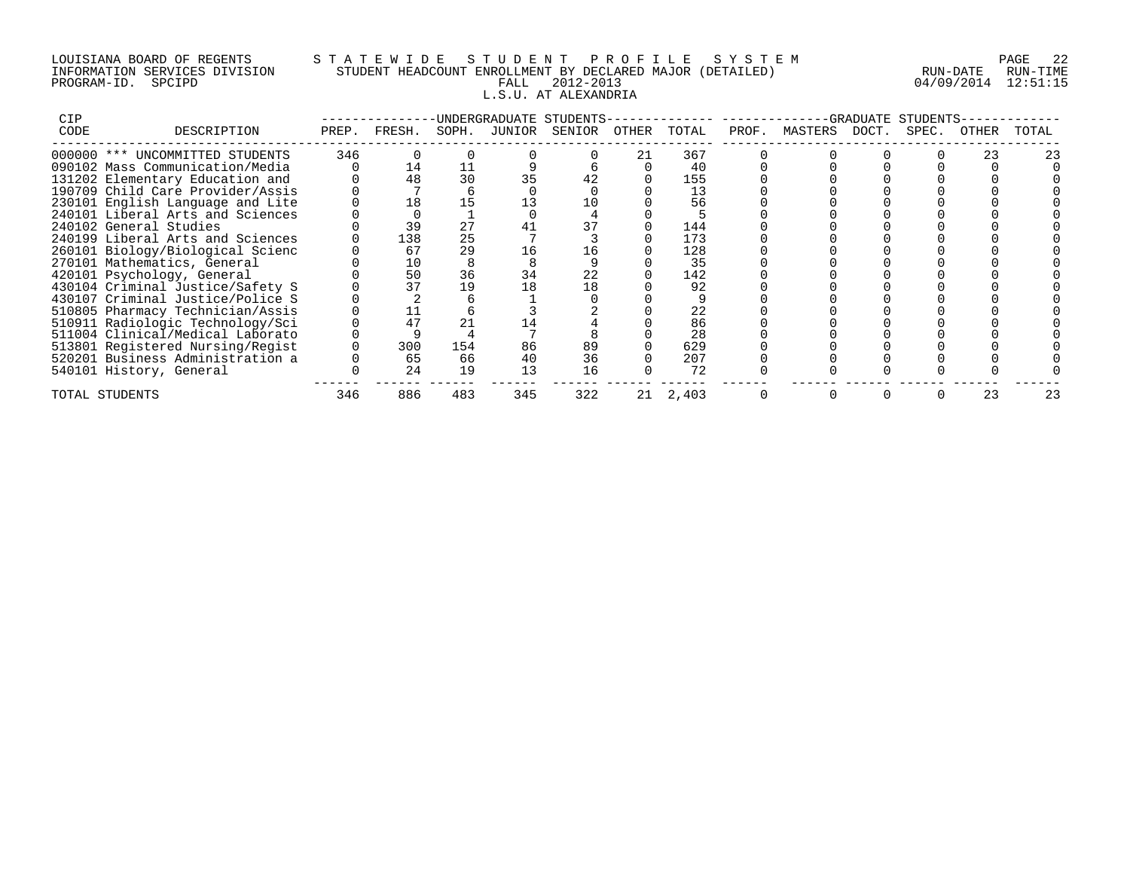## LOUISIANA BOARD OF REGENTS S T A T E W I D E S T U D E N T P R O F I L E S Y S T E M PAGE 22 INFORMATION SERVICES DIVISION STUDENT HEADCOUNT ENROLLMENT BY DECLARED MAJOR (DETAILED) RUN-DATE RUN-TIME PROGRAM-ID. SPCIPD FALL 2012-2013 04/09/2014 12:51:15 L.S.U. AT ALEXANDRIA

| <b>CIP</b> |                                  |     |              |       |        | -UNDERGRADUATE STUDENTS- |       |       |                     | -GRADUATE | STUDENTS |       |       |
|------------|----------------------------------|-----|--------------|-------|--------|--------------------------|-------|-------|---------------------|-----------|----------|-------|-------|
| CODE       | DESCRIPTION                      |     | PREP. FRESH. | SOPH. | JUNIOR | SENIOR                   | OTHER | TOTAL | PROF. MASTERS DOCT. |           | SPEC.    | OTHER | TOTAL |
|            | 000000 *** UNCOMMITTED STUDENTS  | 346 |              |       |        |                          | 21    | 367   |                     |           |          | 23    |       |
|            | 090102 Mass Communication/Media  |     | 14           | 11    |        |                          |       | 40    |                     |           |          |       |       |
|            | 131202 Elementary Education and  |     | 48           | 30    | 35     | 42                       |       | 155   |                     |           |          |       |       |
|            | 190709 Child Care Provider/Assis |     |              |       |        |                          |       | 13    |                     |           |          |       |       |
|            | 230101 English Language and Lite |     | 18           | 15    |        | 10                       |       | 56    |                     |           |          |       |       |
|            | 240101 Liberal Arts and Sciences |     |              |       |        |                          |       |       |                     |           |          |       |       |
|            | 240102 General Studies           |     | 39           | 27    |        |                          |       | 144   |                     |           |          |       |       |
|            | 240199 Liberal Arts and Sciences |     | 138          | 25    |        |                          |       | 173   |                     |           |          |       |       |
|            | 260101 Biology/Biological Scienc |     | 67           | 29    |        | 16                       |       | 128   |                     |           |          |       |       |
|            | 270101 Mathematics, General      |     | 10           |       |        |                          |       | 35    |                     |           |          |       |       |
|            | 420101 Psychology, General       |     | 50           | 36    | 34     | 22                       |       | 142   |                     |           |          |       |       |
|            | 430104 Criminal Justice/Safety S |     | 37           | 19    |        | 18                       |       | 92    |                     |           |          |       |       |
|            | 430107 Criminal Justice/Police S |     |              |       |        |                          |       |       |                     |           |          |       |       |
|            | 510805 Pharmacy Technician/Assis |     |              |       |        |                          |       | 22    |                     |           |          |       |       |
|            | 510911 Radiologic Technology/Sci |     | 47           | 21    |        |                          |       | 86    |                     |           |          |       |       |
|            | 511004 Clinical/Medical Laborato |     |              |       |        |                          |       | 28    |                     |           |          |       |       |
|            | 513801 Registered Nursing/Regist |     | 300          | 154   | 86     | 89                       |       | 629   |                     |           |          |       |       |
|            | 520201 Business Administration a |     | 65           | 66    | 40     | 36                       |       | 207   |                     |           |          |       |       |
|            | 540101 History, General          |     | 24           | 19    |        | 16                       |       | 72    |                     |           |          |       |       |
|            | TOTAL STUDENTS                   | 346 | 886          | 483   | 345    | 322                      | 21    | 2,403 |                     |           |          | 23    | 23    |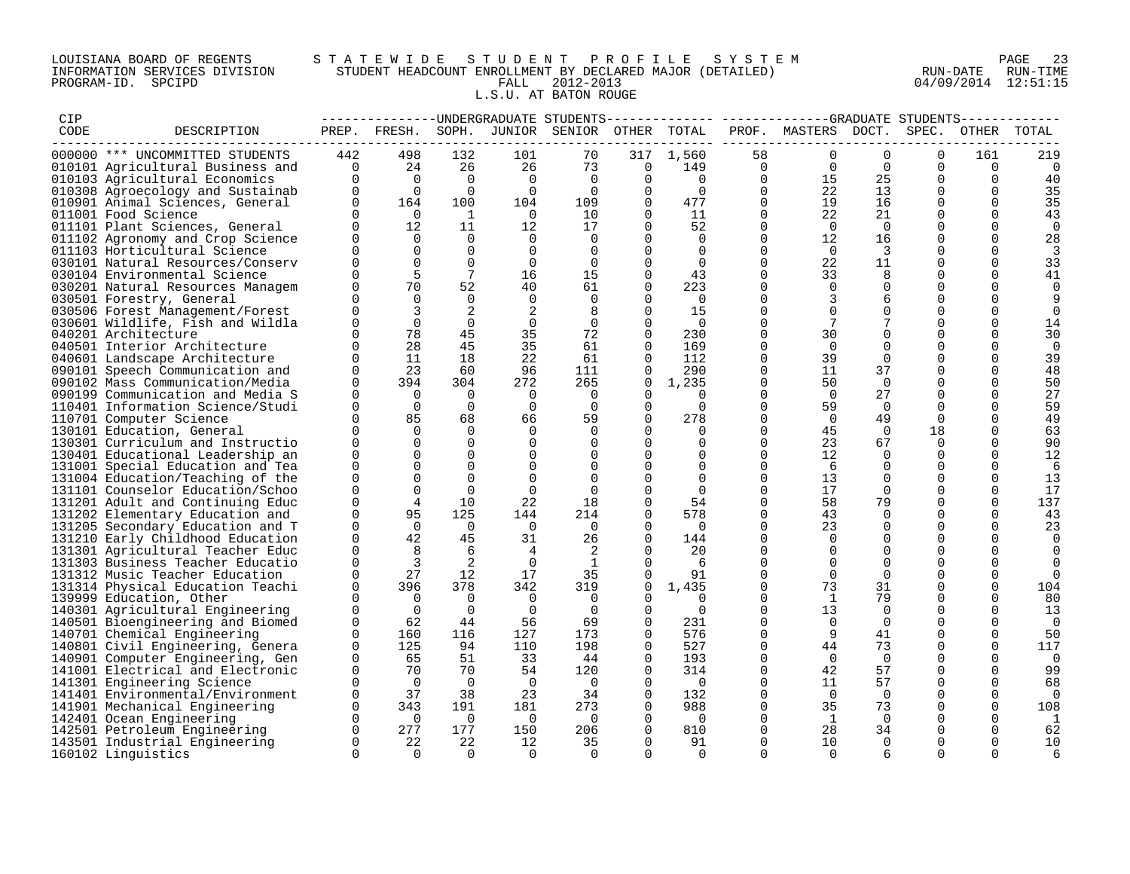## LOUISIANA BOARD OF REGENTS S T A T E W I D E S T U D E N T P R O F I L E S Y S T E M PAGE 23 INFORMATION SERVICES DIVISION STUDENT HEADCOUNT ENROLLMENT BY DECLARED MAJOR (DETAILED) RUN-DATE RUN-TIME PROGRAM-ID. SPCIPD FALL 2012-2013 04/09/2014 12:51:15 L.S.U. AT BATON ROUGE

| CIP  |                                  |                      |                                        |                      |                      | -------------UNDERGRADUATE STUDENTS          |                      | ---------      |                | -------------GRADUATE STUDENTS- |                         |             |                      |                      |
|------|----------------------------------|----------------------|----------------------------------------|----------------------|----------------------|----------------------------------------------|----------------------|----------------|----------------|---------------------------------|-------------------------|-------------|----------------------|----------------------|
| CODE | DESCRIPTION                      |                      |                                        |                      |                      | PREP. FRESH. SOPH. JUNIOR SENIOR OTHER TOTAL |                      |                |                | PROF. MASTERS DOCT. SPEC.       |                         |             |                      | OTHER TOTAL          |
|      | 000000 *** UNCOMMITTED STUDENTS  | 442                  | 498                                    | 132                  | 101                  | 70                                           | 317                  | 1,560          | 58             |                                 | $\Omega$                | $\Omega$    | 161                  | 219                  |
|      | 010101 Agricultural Business and |                      |                                        | 26                   | 26                   | 73                                           | $\overline{0}$       | 149            | $\overline{0}$ | $\Omega$                        | $\Omega$                | $\Omega$    | 0                    | 0                    |
|      | 010103 Agricultural Economics    | $442$<br>0<br>0      | $\begin{array}{c} 24 \\ 0 \end{array}$ | $\overline{0}$       | $\overline{0}$       | $\overline{0}$                               | $\mathbf 0$          | $\overline{0}$ | $\Omega$       | 15                              | 25                      | $\Omega$    | $\Omega$             | 40                   |
|      | 010308 Agroecology and Sustainab |                      | $\overline{0}$                         | $\overline{0}$       | $\Omega$             | $\overline{0}$                               | $\Omega$             | $\Omega$       | $\Omega$       | 22                              | 13                      | $\Omega$    | $\Omega$             | 35                   |
|      | 010901 Animal Sciences, General  |                      | 164                                    | 100                  | 104                  | 109                                          | $\mathbf 0$          | 477            | $\mathsf{O}$   | 19                              | 16                      | $\mathbf 0$ | 0                    | 35                   |
|      | 011001 Food Science              | $\Omega$             | $\overline{0}$                         | $\overline{1}$       | $\overline{0}$       | 10                                           | $\Omega$             | 11             | $\mathbf 0$    | 22                              | 21                      | $\Omega$    | $\Omega$             | 43                   |
|      | 011101 Plant Sciences, General   | $\Omega$             | 12                                     | 11                   | 12                   | 17                                           | $\Omega$             | 52             | $\mathbf 0$    | $\overline{0}$                  | $\overline{0}$          | $\Omega$    | $\Omega$             | 0                    |
|      | 011102 Agronomy and Crop Science | $\Omega$             | $\overline{0}$                         | $\Omega$             | $\Omega$             | $\Omega$                                     | $\Omega$             | $\Omega$       | $\Omega$       | 12                              | 16                      | $\Omega$    | $\Omega$             | 28                   |
|      | 011103 Horticultural Science     | $\Omega$             | $\mathbf 0$                            | $\mathbf 0$          | 0                    | 0                                            | $\Omega$             | $\overline{0}$ | $\mathbf 0$    | $\overline{0}$                  | $\overline{\mathbf{3}}$ | $\Omega$    | $\Omega$             | 3                    |
|      | 030101 Natural Resources/Conserv | $\Omega$             | $\Omega$                               | $\Omega$             | $\Omega$             | $\Omega$                                     | $\Omega$             | $\Omega$       | $\mathbf 0$    | 22                              | 11                      | $\Omega$    | $\Omega$             | 33                   |
|      | 030104 Environmental Science     | $\Omega$             | 5                                      | $7\phantom{.0}$      | 16                   | 15                                           | $\Omega$             | 43             | $\Omega$       | 33                              | 8                       | $\Omega$    | $\Omega$             | 41                   |
|      | 030201 Natural Resources Managem | $\Omega$             | 70                                     | 52                   | 40                   | 61                                           | $\Omega$             | 223            | $\mathbf 0$    | $\Omega$                        | $\Omega$                | $\Omega$    | $\Omega$             | $\mathbf 0$          |
|      | 030501 Forestry, General         | $\Omega$             | $\Omega$                               | $\overline{0}$       | $\Omega$             | 0                                            | $\Omega$             | $\overline{0}$ | 0              | 3                               | 6                       | 0           | $\Omega$             | 9                    |
|      | 030506 Forest Management/Forest  | $\Omega$             | 3                                      | 2                    | 2                    | 8                                            | $\Omega$             | 15             | $\mathbf 0$    | $\Omega$                        | $\Omega$                | $\Omega$    | $\Omega$             | $\Omega$             |
|      | 030601 Wildlife, Fish and Wildla | $\Omega$             | $\Omega$                               | $\Omega$             | $\mathbf 0$          | $\overline{0}$                               | $\Omega$             | $\overline{0}$ | $\Omega$       | 7                               |                         | $\Omega$    | $\Omega$             | 14                   |
|      | 040201 Architecture              | $\Omega$             | 78                                     | 45                   | 35                   | 72                                           | $\Omega$             | 230            | $\mathbf 0$    | 30                              |                         | $\Omega$    | 0                    |                      |
|      | 040501 Interior Architecture     | $\Omega$             | 28                                     | 45                   | 35                   | 61                                           | $\Omega$             | 169            | $\mathbf 0$    | $\overline{0}$                  | $\Omega$                | $\Omega$    | $\Omega$             | 30<br>$\overline{0}$ |
|      |                                  | $\Omega$             | 11                                     | 18                   | 22                   | 61                                           | $\Omega$             | 112            | $\mathbf 0$    | 39                              | $\Omega$                | $\Omega$    | $\Omega$             | 39                   |
|      | 040601 Landscape Architecture    | $\Omega$             | 23                                     | 60                   | 96                   |                                              | $\Omega$             | 290            | $\mathbf 0$    | 11                              | 37                      | $\Omega$    | $\Omega$             |                      |
|      | 090101 Speech Communication and  | $\Omega$             | 394                                    |                      |                      | 111                                          |                      |                |                | 50                              | $\Omega$                | $\Omega$    | $\Omega$             | 48                   |
|      | 090102 Mass Communication/Media  | $\Omega$             |                                        | 304                  | 272                  | 265                                          | 0                    | 1,235          | 0              |                                 |                         |             |                      | 50                   |
|      | 090199 Communication and Media S | $\Omega$             | $\overline{0}$<br>$\Omega$             | $\Omega$<br>$\Omega$ | $\Omega$<br>$\Omega$ | $\Omega$<br>$\Omega$                         | $\Omega$<br>$\Omega$ | $\Omega$       | $\Omega$       | $\overline{0}$                  | 27                      | $\Omega$    | $\Omega$<br>$\Omega$ | 27<br>59             |
|      | 110401 Information Science/Studi | $\Omega$             | 85                                     | 68                   |                      |                                              |                      | $\Omega$       | $\mathbf 0$    | 59                              | $\overline{0}$          | $\Omega$    | $\Omega$             |                      |
|      | 110701 Computer Science          |                      |                                        |                      | 66                   | 59                                           | $\mathbf 0$          | 278            | 0              | $\overline{0}$                  | 49                      | $\mathbf 0$ |                      | 49                   |
|      | 130101 Education, General        | $\Omega$<br>$\Omega$ | $\Omega$<br>$\Omega$                   | $\Omega$<br>$\Omega$ | $\Omega$             | $\Omega$                                     | $\Omega$             | $\overline{0}$ | $\mathbf 0$    | 45                              | $\overline{0}$          | 18          | $\Omega$             | 63                   |
|      | 130301 Curriculum and Instructio |                      | $\Omega$                               |                      | $\Omega$             | $\Omega$                                     | $\Omega$             | $\Omega$       | $\Omega$       | 23                              | 67                      | $\Omega$    | $\Omega$             | 90                   |
|      | 130401 Educational Leadership an | $\Omega$             |                                        | $\Omega$             | $\Omega$             | $\Omega$                                     | $\Omega$             | $\Omega$       | $\Omega$       | 12                              | $\Omega$                | $\Omega$    | $\Omega$             | 12                   |
|      | 131001 Special Education and Tea | $\Omega$             | $\Omega$                               | $\Omega$             | $\Omega$             | $\Omega$                                     | $\Omega$             | 0              | $\mathbf 0$    | - 6                             | $\Omega$                | $\Omega$    | $\Omega$             | 6                    |
|      | 131004 Education/Teaching of the | 0                    | $\Omega$                               | $\Omega$             | $\Omega$             | $\mathbf 0$                                  | $\Omega$             | $\mathbf 0$    | $\mathbf 0$    | 13                              | $\Omega$                | $\Omega$    | $\Omega$             | 13                   |
|      | 131101 Counselor Education/Schoo | $\Omega$             | $\Omega$                               | $\Omega$             | $\Omega$             | $\Omega$                                     | $\Omega$             | $\Omega$       | $\Omega$       | 17                              | $\Omega$                | $\Omega$    | $\Omega$             | 17                   |
|      | 131201 Adult and Continuing Educ | 0                    | 4                                      | 10                   | 22                   | 18                                           | $\mathbf 0$          | 54             | $\mathbf 0$    | 58                              | 79                      | $\mathbf 0$ | $\Omega$             | 137                  |
|      | 131202 Elementary Education and  | $\Omega$             | 95                                     | 125                  | 144                  | 214                                          | $\Omega$             | 578            | $\mathbf 0$    | 43                              | $\Omega$                | $\Omega$    | $\Omega$             | 43                   |
|      | 131205 Secondary Education and T | $\Omega$             | $\overline{0}$                         | $\bigcirc$           | $\overline{0}$       | $\bigcirc$                                   | $\Omega$             | $\overline{0}$ | $\mathbf 0$    | 23                              | $\Omega$                | $\Omega$    | $\Omega$             | 23                   |
|      | 131210 Early Childhood Education | $\Omega$             | 42                                     | 45                   | 31                   | 26                                           | $\Omega$             | 144            | $\Omega$       | $\Omega$                        | $\Omega$                | $\Omega$    | 0                    | $\Omega$             |
|      | 131301 Agricultural Teacher Educ | $\Omega$             | 8                                      | 6                    | $\overline{4}$       | 2                                            | $\Omega$             | 20             | $\mathbf 0$    | $\Omega$                        | $\Omega$                | $\Omega$    |                      | 0                    |
|      | 131303 Business Teacher Educatio | $\Omega$             | $\overline{3}$                         | 2                    | $\overline{0}$       | $\mathbf{1}$                                 |                      | 6              | $\mathbf 0$    | $\Omega$                        | $\Omega$                | $\Omega$    |                      | $\Omega$             |
|      | 131312 Music Teacher Education   | $\Omega$             | 27                                     | 12                   | 17                   | 35                                           | $\Omega$             | 91             | $\mathbf 0$    | $\Omega$                        | $\Omega$                | $\Omega$    | $\Omega$             | $\Omega$             |
|      | 131314 Physical Education Teachi | $\Omega$             | 396                                    | 378                  | 342                  | 319                                          | $\mathbf 0$          | 1,435          | $\mathbf 0$    | 73                              | 31                      | $\Omega$    | $\Omega$             | 104                  |
|      | 139999 Education, Other          | $\Omega$             | $\overline{0}$                         | $\Omega$             | $\Omega$             | 0                                            | $\Omega$             | 0              | 0              | 1                               | 79                      | $\Omega$    | $\Omega$             | 80                   |
|      | 140301 Agricultural Engineering  | $\Omega$             | $\overline{0}$                         | $\overline{0}$       | $\overline{0}$       | $\overline{0}$                               | $\Omega$             | $\overline{0}$ | $\mathbf 0$    | 13                              | $\Omega$                | $\Omega$    | $\Omega$             | 13                   |
|      | 140501 Bioengineering and Biomed | $\Omega$             | 62                                     | 44                   | 56                   | 69                                           | $\Omega$             | 231            | $\Omega$       | $\bigcirc$                      | $\Omega$                | $\Omega$    | $\Omega$             | $\overline{0}$       |
|      | 140701 Chemical Engineering      | 0                    | 160                                    | 116                  | 127                  | 173                                          | $\mathbf 0$          | 576            | $\mathbf 0$    | 9                               | 41                      | $\mathbf 0$ | $\Omega$             | 50                   |
|      | 140801 Civil Engineering, Genera | $\Omega$             | 125                                    | 94                   | 110                  | 198                                          | $\Omega$             | 527            | $\Omega$       | 44                              | 73                      | $\Omega$    | 0                    | 117                  |
|      | 140901 Computer Engineering, Gen | 0                    | 65                                     | 51                   | 33                   | 44                                           | $\mathbf 0$          | 193            | $\mathbf 0$    | $\overline{0}$                  | $\Omega$                | $\Omega$    |                      | $\overline{0}$       |
|      | 141001 Electrical and Electronic | $\Omega$             | 70                                     | 70                   | 54                   | 120                                          | $\Omega$             | 314            | $\mathbf 0$    | 42                              | 57                      | $\Omega$    | $\Omega$             | 99                   |
|      | 141301 Engineering Science       | 0                    | $\overline{0}$                         | $\overline{0}$       | $\overline{0}$       | $\overline{\phantom{0}}$                     | 0                    | $\overline{0}$ | 0              | 11                              | 57                      | $\Omega$    | $\Omega$             | 68                   |
|      | 141401 Environmental/Environment | $\mathbf{0}$         | 37                                     | 38                   | 23                   | 34                                           | $\Omega$             | 132            | $\mathbf 0$    | $\Omega$                        | $\Omega$                | $\Omega$    | $\Omega$             | $\Omega$             |
|      | 141901 Mechanical Engineering    | $\Omega$             | 343                                    | 191                  | 181                  | 273                                          | $\Omega$             | 988            | $\mathbf 0$    | 35                              | 73                      | $\Omega$    | $\Omega$             | 108                  |
|      | 142401 Ocean Engineering         | $\overline{0}$       | $\overline{0}$                         | $\overline{0}$       | $\overline{0}$       | $\overline{0}$                               | 0                    | $\overline{0}$ | 0              | $\mathbf{1}$                    | $\overline{0}$          | $\mathbf 0$ | $\Omega$             | 1                    |
|      | 142501 Petroleum Engineering     | 0                    | 277                                    | 177                  | 150                  | 206                                          | 0                    | 810            | 0              | 28                              | 34                      | 0           | 0                    | 62                   |
|      | 143501 Industrial Engineering    | $\Omega$             | 22                                     | 22                   | 12                   | 35                                           | $\Omega$             | 91             | $\Omega$       | 10                              | $\Omega$                | $\Omega$    | $\Omega$             | 10                   |
|      | 160102 Linguistics               | $\Omega$             | $\Omega$                               | $\Omega$             | $\Omega$             | $\Omega$                                     | $\Omega$             | $\Omega$       | $\Omega$       | $\Omega$                        | 6                       | $\Omega$    | $\Omega$             | 6                    |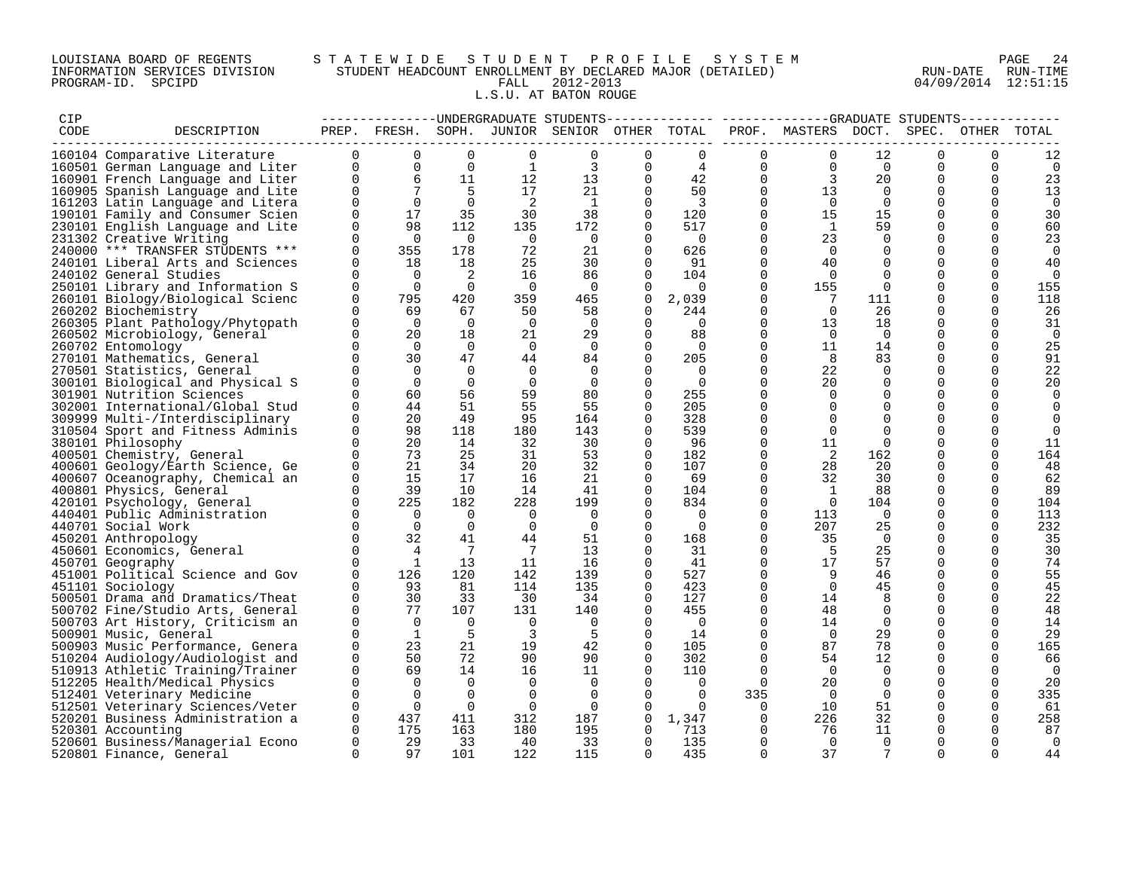### LOUISIANA BOARD OF REGENTS S T A T E W I D E S T U D E N T P R O F I L E S Y S T E M PAGE 24 INFORMATION SERVICES DIVISION STUDENT HEADCOUNT ENROLLMENT BY DECLARED MAJOR (DETAILED) RUN-DATE RUN-TIME PROGRAM-ID. SPCIPD FALL 2012-2013 04/09/2014 12:51:15 L.S.U. AT BATON ROUGE

| CIP  |                                  |                |                 |                            |                            | --------------DNDERGRADUATE STUDENTS-        |                |                         |                |                                       |                 |             |          |                |
|------|----------------------------------|----------------|-----------------|----------------------------|----------------------------|----------------------------------------------|----------------|-------------------------|----------------|---------------------------------------|-----------------|-------------|----------|----------------|
| CODE | DESCRIPTION                      |                |                 |                            |                            | PREP. FRESH. SOPH. JUNIOR SENIOR OTHER TOTAL |                |                         |                | PROF. MASTERS DOCT. SPEC. OTHER TOTAL |                 |             |          |                |
|      |                                  |                |                 |                            |                            |                                              |                |                         |                |                                       |                 |             |          |                |
|      | 160104 Comparative Literature    | $\mathbf 0$    | $\mathbf 0$     | $\mathbf 0$                | $\mathbf 0$                | $\mathbf 0$                                  | 0              | $\mathbf 0$             | 0              | $\mathbf 0$                           | 12              | $\mathbf 0$ | 0        | 12             |
|      | 160501 German Language and Liter | $\mathbf 0$    | $\overline{0}$  | $\overline{0}$             | 1                          | 3                                            | $\Omega$       | 4                       | 0              | $\Omega$                              | $\Omega$        | $\Omega$    | $\Omega$ | 0              |
|      | 160901 French Language and Liter | $\Omega$       | 6               | 11                         | 12                         | 13                                           | $\Omega$       | 42                      | $\Omega$       | $\overline{3}$                        | 20              | $\mathbf 0$ | $\Omega$ | 23             |
|      | 160905 Spanish Language and Lite | $\overline{0}$ | $7\overline{ }$ | $5^{\circ}$                | 17                         | 21                                           | $\Omega$       | 50                      | $\mathbf 0$    | 13                                    | $\overline{0}$  | $\mathbf 0$ | $\Omega$ | 13             |
|      | 161203 Latin Language and Litera | $\overline{0}$ | $\overline{0}$  | $\overline{0}$             | $\overline{\phantom{0}}^2$ | $\overline{1}$                               | $\mathbf 0$    | $\overline{\mathbf{3}}$ | $\overline{0}$ | $\overline{0}$                        | $\overline{0}$  | $\mathbf 0$ | $\Omega$ | 0              |
|      | 190101 Family and Consumer Scien | $\Omega$       | 17              | 35                         | 30                         | 38                                           | $\Omega$       | 120                     | $\mathbf 0$    | 15                                    | 15              | $\mathbf 0$ | $\Omega$ | 30             |
|      | 230101 English Language and Lite | $\Omega$       | 98              | 112                        | 135                        | 172                                          | $\Omega$       | 517                     | $\Omega$       | $\overline{1}$                        | 59              | $\Omega$    | $\Omega$ | 60             |
|      | 231302 Creative Writing          | $\Omega$       | $\overline{0}$  | $\overline{0}$             | $\overline{0}$             | $\overline{0}$                               | $\Omega$       | $\overline{0}$          | $\Omega$       | 23                                    | $\Omega$        | $\Omega$    | $\Omega$ | 23             |
|      | 240000 *** TRANSFER STUDENTS *** | $\Omega$       | 355             | 178                        | 72                         | 21                                           | $\Omega$       | 626                     | $\mathbf 0$    | $\overline{0}$                        | $\Omega$        | $\mathbf 0$ | $\Omega$ | $\overline{0}$ |
|      | 240101 Liberal Arts and Sciences | $\mathbf 0$    | 18              | 18                         | 25                         | 30                                           | $\Omega$       | 91                      | $\mathbf 0$    | 40                                    | $\Omega$        | 0           | $\Omega$ | 40             |
|      | 240102 General Studies           | $\Omega$       | $\Omega$        | $\overline{\phantom{0}}^2$ | 16                         | 86                                           | $\Omega$       | 104                     | $\mathbf 0$    | $\overline{0}$                        | $\Omega$        | $\mathbf 0$ | $\Omega$ | $\overline{0}$ |
|      |                                  | $\Omega$       |                 |                            | $\overline{0}$             |                                              |                |                         | $\mathbf 0$    |                                       | $\overline{0}$  |             | $\Omega$ |                |
|      | 250101 Library and Information S | $\Omega$       | $\overline{0}$  | $\overline{0}$             |                            | $\overline{\mathbf{0}}$                      | $\Omega$       | $\overline{0}$          | $\Omega$       | 155                                   |                 | 0           |          | 155            |
|      | 260101 Biology/Biological Scienc |                | 795             | 420                        | 359                        | 465                                          | $\overline{0}$ | 2,039                   |                | $\overline{7}$                        | 111             | 0           | $\Omega$ | 118            |
|      | 260202 Biochemistry              | $\Omega$       | 69              | 67                         | 50                         | 58                                           | $\Omega$       | 244                     | $\Omega$       | $\overline{0}$                        | 26              | $\Omega$    | $\Omega$ | 26             |
|      | 260305 Plant Pathology/Phytopath | 0              | $\overline{0}$  | $\overline{0}$             | $\overline{0}$             | $\overline{0}$                               | 0              | $\overline{0}$          | $\mathbf 0$    | 13                                    | 18              | 0           | $\Omega$ | 31             |
|      | 260502 Microbiology, General     | $\Omega$       | 20              | 18                         | 21                         | 29                                           | $\Omega$       | 88                      | $\mathbf 0$    | $\bigcap$                             | $\overline{0}$  | 0           | $\Omega$ | $\overline{0}$ |
|      | 260702 Entomology                | $\Omega$       | $\Omega$        | $\Omega$                   | $\overline{0}$             | $\overline{0}$                               | $\Omega$       | $\Omega$                | $\Omega$       | 11                                    | 14              | $\Omega$    | $\Omega$ | 25             |
|      | 270101 Mathematics, General      | $\mathbf{0}$   | 30              | 47                         | 44                         | 84                                           | 0              | 205                     | $\mathbf 0$    | - 8                                   | 83              | 0           | $\Omega$ | 91             |
|      | 270501 Statistics, General       | $\Omega$       | $\bigcap$       | $\Omega$                   | $\overline{0}$             | $\Omega$                                     | $\Omega$       | $\overline{0}$          | $\Omega$       | 22                                    | $\Omega$        | $\Omega$    | $\Omega$ | 22             |
|      | 300101 Biological and Physical S | $\Omega$       | $\Omega$        | $\Omega$                   | $\overline{0}$             | $\overline{0}$                               | 0              | $\overline{0}$          | $\mathbf 0$    | 20                                    | $\Omega$        | $\mathbf 0$ | $\Omega$ | 20             |
|      | 301901 Nutrition Sciences        | $\Omega$       | 60              | 56                         | 59                         | 80                                           | $\Omega$       | 255                     | $\mathbf 0$    | $\Omega$                              | $\Omega$        | $\mathbf 0$ | $\Omega$ | 0              |
|      | 302001 International/Global Stud | $\Omega$       | 44              | 51                         | 55                         | 55                                           | $\Omega$       | 205                     | $\mathbf 0$    | $\mathbf 0$                           | 0               | $\mathbf 0$ | $\Omega$ | $\mathbf 0$    |
|      | 309999 Multi-/Interdisciplinary  | $\Omega$       | 20              | 49                         | 95                         | 164                                          | $\Omega$       | 328                     | $\mathbf 0$    | $\Omega$                              | $\Omega$        | $\mathbf 0$ |          | 0              |
|      | 310504 Sport and Fitness Adminis | $\Omega$       | 98              | 118                        | 180                        | 143                                          | $\Omega$       | 539                     | $\Omega$       | $\Omega$                              | $\Omega$        | $\Omega$    |          | $\Omega$       |
|      | 380101 Philosophy                | $\Omega$       | 20              | 14                         | 32                         | 30                                           | $\Omega$       | 96                      | 0              | 11                                    | $\Omega$        | $\Omega$    | $\Omega$ | 11             |
|      | 400501 Chemistry, General        | $\Omega$       | 73              | 25                         | 31                         | 53                                           | $\Omega$       | 182                     | $\Omega$       | $\overline{2}$                        | 162             | $\Omega$    | $\Omega$ | 164            |
|      | 400601 Geology/Earth Science, Ge | $\Omega$       | 21              | 34                         | 20                         | 32                                           | $\Omega$       | 107                     | $\Omega$       | 28                                    | 20              | $\Omega$    | $\Omega$ | 48             |
|      | 400607 Oceanography, Chemical an | $\mathbf 0$    | 15              | 17                         | 16                         | 21                                           | 0              | 69                      | $\mathbf 0$    | 32                                    | 30              | $\mathbf 0$ |          | 62             |
|      | 400801 Physics, General          | $\Omega$       | 39              | 10                         | 14                         | 41                                           | $\Omega$       | 104                     | $\mathbf 0$    | $\overline{1}$                        | 88              | $\Omega$    | $\Omega$ | 89             |
|      | 420101 Psychology, General       | $\Omega$       | 225             | 182                        | 228                        | 199                                          | $\Omega$       | 834                     | $\mathbf 0$    | $\overline{0}$                        | 104             | 0           | $\Omega$ | 104            |
|      | 440401 Public Administration     | $\Omega$       | $\overline{0}$  | $\overline{0}$             | $\overline{0}$             | $\overline{0}$                               | $\Omega$       | $\overline{0}$          | $\Omega$       | 113                                   | $\overline{0}$  | $\Omega$    | $\Omega$ | 113            |
|      |                                  | $\Omega$       | $\overline{0}$  | $\bigcirc$                 | $\overline{\phantom{0}}$   | $\overline{0}$                               | $\Omega$       | $\overline{0}$          | $\Omega$       | 207                                   | 25              | 0           | $\Omega$ | 232            |
|      | 440701 Social Work               | $\Omega$       | 32              | 41                         |                            |                                              | $\Omega$       |                         | $\mathbf 0$    | 35                                    | $\overline{0}$  |             | $\Omega$ |                |
|      | 450201 Anthropology              |                |                 |                            | 44                         | 51                                           |                | 168                     |                |                                       |                 | 0           |          | 35             |
|      | 450601 Economics, General        | $\Omega$       | $\overline{4}$  | $\overline{7}$             | $\overline{7}$             | 13                                           | $\Omega$       | 31                      | $\Omega$       | $-5$                                  | 25              | $\Omega$    | $\Omega$ | 30             |
|      | 450701 Geography                 | $\Omega$       | $\mathbf{1}$    | 13                         | 11                         | 16                                           | 0              | 41                      | $\mathbf 0$    | 17                                    | 57              | $\mathbf 0$ |          | 74             |
|      | 451001 Political Science and Gov | $\Omega$       | 126             | 120                        | 142                        | 139                                          | 0              | 527                     | $\mathbf 0$    | 9                                     | 46              | 0           | $\Omega$ | 55             |
|      | 451101 Sociology                 | $\Omega$       | 93              | 81                         | 114                        | 135                                          | $\Omega$       | 423                     | $\Omega$       | $\bigcap$                             | 45              | $\Omega$    | $\Omega$ | 45             |
|      | 500501 Drama and Dramatics/Theat | $\mathbf 0$    | 30              | 33                         | 30                         | 34                                           | 0              | 127                     | $\mathbf 0$    | 14                                    | 8               | $\mathbf 0$ | $\Omega$ | 22             |
|      | 500702 Fine/Studio Arts, General | $\mathbf 0$    | 77              | 107                        | 131                        | 140                                          | 0              | 455                     | $\mathbf 0$    | 48                                    | 0               | 0           | $\Omega$ | 48             |
|      | 500703 Art History, Criticism an | $\Omega$       | $\overline{0}$  | $\overline{0}$             | $\overline{0}$             | $\overline{\phantom{0}}$                     | $\Omega$       | $\overline{0}$          | $\Omega$       | 14                                    | $\Omega$        | $\Omega$    | $\Omega$ | 14             |
|      | 500901 Music, General            | $\Omega$       | <sup>1</sup>    | - 5                        | $\overline{3}$             | -5                                           | $\Omega$       | 14                      | $\Omega$       | $\Omega$                              | 29              | $\Omega$    | $\Omega$ | 29             |
|      | 500903 Music Performance, Genera | $\Omega$       | 23              | 21                         | 19                         | 42                                           | $\Omega$       | 105                     | $\Omega$       | 87                                    | 78              | $\Omega$    | $\Omega$ | 165            |
|      | 510204 Audiology/Audiologist and | $\Omega$       | 50              | 72                         | 90                         | 90                                           | $\Omega$       | 302                     | $\mathbf 0$    | 54                                    | 12              | $\mathbf 0$ | $\Omega$ | 66             |
|      | 510913 Athletic Training/Trainer | $\Omega$       | 69              | 14                         | 16                         | 11                                           | $\Omega$       | 110                     | $\Omega$       | $\overline{0}$                        | $\Omega$        | 0           | $\Omega$ | - 0            |
|      | 512205 Health/Medical Physics    | $\mathbf 0$    | $\Omega$        | $\overline{0}$             | $\overline{0}$             | $\overline{0}$                               | $\Omega$       | $\overline{0}$          | $\Omega$       | 20                                    | $\mathbf 0$     | $\mathbf 0$ | $\Omega$ | 20             |
|      | 512401 Veterinary Medicine       | $\Omega$       | $\Omega$        | $\Omega$                   | $\overline{0}$             | $\overline{0}$                               | $\Omega$       | $\Omega$                | 335            | $\overline{0}$                        | $\Omega$        | 0           | $\Omega$ | 335            |
|      | 512501 Veterinary Sciences/Veter | $\Omega$       | $\Omega$        | $\overline{0}$             | $\overline{0}$             | $\overline{0}$                               | $\Omega$       | $\overline{0}$          | $\overline{0}$ | 10                                    | 51              | 0           | $\Omega$ | 61             |
|      | 520201 Business Administration a | $\Omega$       | 437             | 411                        | 312                        | 187                                          | $\Omega$       | 1,347                   | $\overline{0}$ | 226                                   | 32              | $\Omega$    | $\Omega$ | 258            |
|      | 520301 Accounting                | $\Omega$       | 175             | 163                        | 180                        | 195                                          | 0              | 713                     | $\overline{0}$ | -76                                   | 11              | 0           | $\Omega$ | 87             |
|      | 520601 Business/Managerial Econo | $\Omega$       | 29              | 33                         | 40                         | 33                                           | $\Omega$       | 135                     | $\Omega$       | $\overline{0}$                        | $\overline{0}$  | $\Omega$    | $\Omega$ | $\Omega$       |
|      | 520801 Finance, General          | $\Omega$       | 97              | 101                        | 122                        | 115                                          | $\Omega$       | 435                     | $\Omega$       | 37                                    | $7\phantom{.0}$ | $\Omega$    | $\Omega$ | 44             |
|      |                                  |                |                 |                            |                            |                                              |                |                         |                |                                       |                 |             |          |                |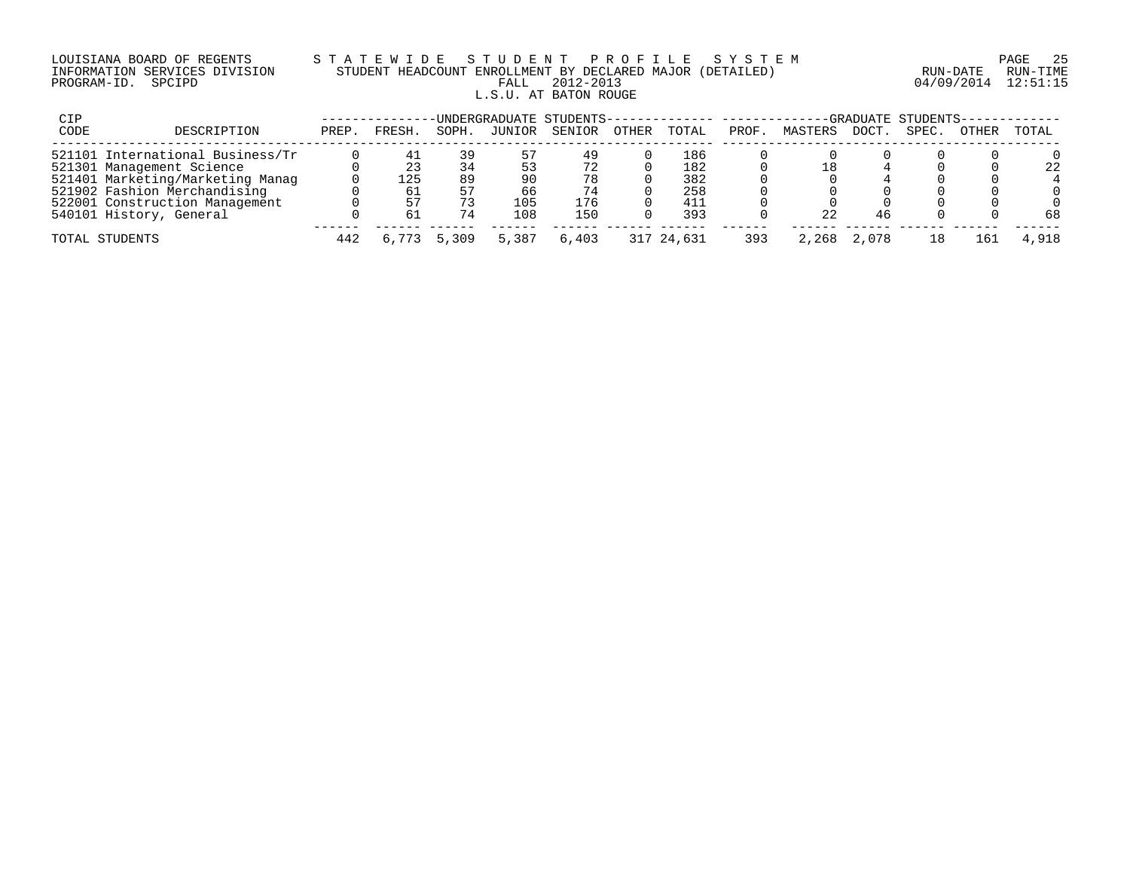## LOUISIANA BOARD OF REGENTS S T A T E W I D E S T U D E N T P R O F I L E S Y S T E M PAGE 25 INFORMATION SERVICES DIVISION STUDENT HEADCOUNT ENROLLMENT BY DECLARED MAJOR (DETAILED) RUN-DATE RUN-TIME PROGRAM-ID. SPCIPD FALL 2012-2013 04/09/2014 12:51:15 L.S.U. AT BATON ROUGE

| CIP  |                                  |       |        |       | UNDERGRADUATE STUDENTS-------------- --------- |        |       |            |       |         |       | -GRADUATE STUDENTS- |       |       |
|------|----------------------------------|-------|--------|-------|------------------------------------------------|--------|-------|------------|-------|---------|-------|---------------------|-------|-------|
| CODE | DESCRIPTION                      | PREP. | FRESH. | SOPH. | JUNIOR                                         | SENIOR | OTHER | TOTAL      | PROF. | MASTERS | DOCT. | SPEC.               | OTHER | TOTAL |
|      | 521101 International Business/Tr |       | 4⊥     | 39    | 57                                             | 49     |       | 186        |       |         |       |                     |       |       |
|      | 521301 Management Science        |       | 23     | 34    |                                                | 72     |       | 182        |       | 18      |       |                     |       | 22    |
|      | 521401 Marketing/Marketing Manag |       | 125    | 89    | 90                                             | 78     |       | 382        |       |         |       |                     |       |       |
|      | 521902 Fashion Merchandising     |       | 61     | 57    | 66                                             | 74     |       | 258        |       |         |       |                     |       |       |
|      | 522001 Construction Management   |       | 57     |       | 105                                            | 176    |       | 411        |       |         |       |                     |       |       |
|      | 540101 History, General          |       | б.     | 74    | 108                                            | 150    |       | 393        |       | 22      |       |                     |       | 68    |
|      | TOTAL STUDENTS                   | 442   |        | 5,309 | 5,387                                          | 6,403  |       | 317 24,631 | 393   | 2.268   |       |                     | L 6 1 | 4,918 |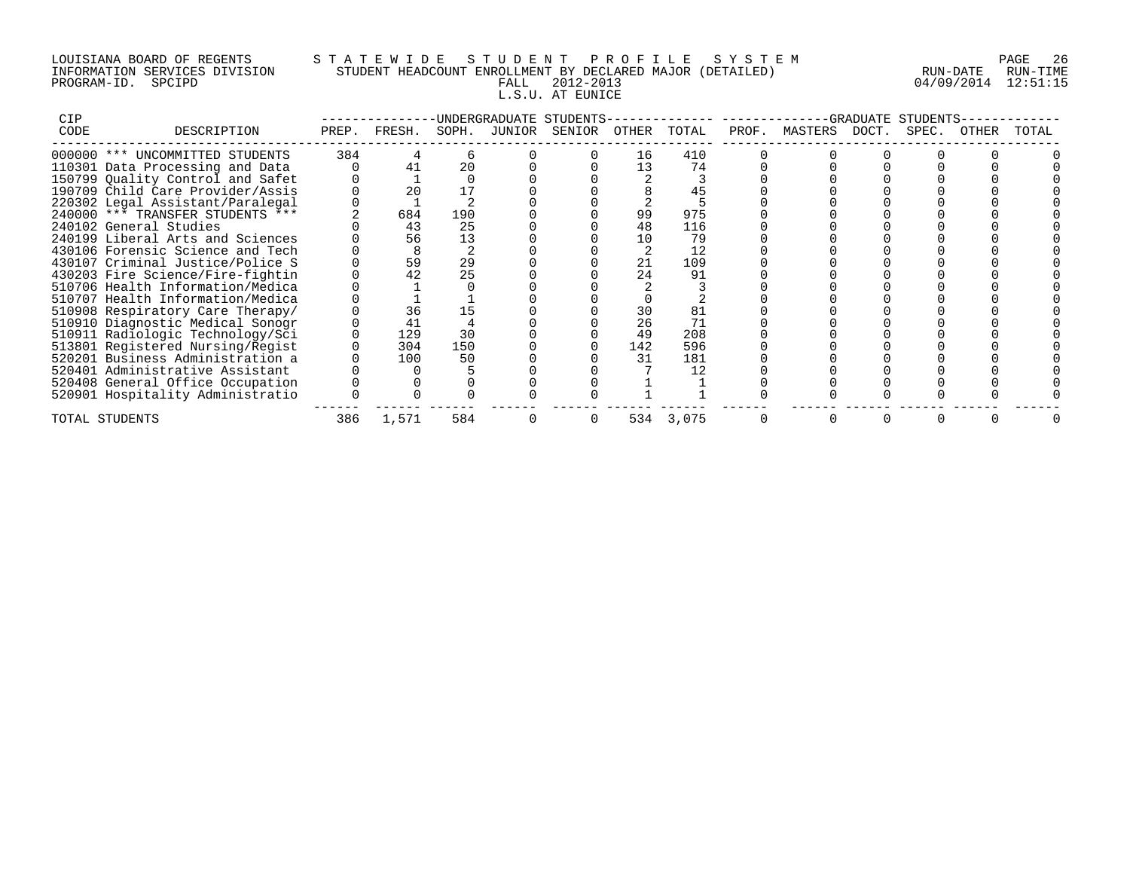## LOUISIANA BOARD OF REGENTS S T A T E W I D E S T U D E N T P R O F I L E S Y S T E M PAGE 26 INFORMATION SERVICES DIVISION STUDENT HEADCOUNT ENROLLMENT BY DECLARED MAJOR (DETAILED) RUN-DATE RUN-TIME PROGRAM-ID. SPCIPD FALL 2012-2013 04/09/2014 12:51:15 L.S.U. AT EUNICE

| CIP  |                                  |       |        |       | UNDERGRADUATE STUDENTS |       |           |       |               | GRADUATE | STUDENTS |       |       |
|------|----------------------------------|-------|--------|-------|------------------------|-------|-----------|-------|---------------|----------|----------|-------|-------|
| CODE | DESCRIPTION                      | PREP. | FRESH. | SOPH. | JUNIOR SENIOR          | OTHER | TOTAL     | PROF. | MASTERS DOCT. |          | SPEC.    | OTHER | TOTAL |
|      | 000000 *** UNCOMMITTED STUDENTS  | 384   |        |       |                        | 16    | 410       |       |               |          |          |       |       |
|      | 110301 Data Processing and Data  |       | 41     | 20    |                        | 13    | 74        |       |               |          |          |       |       |
|      | 150799 Quality Control and Safet |       |        |       |                        |       |           |       |               |          |          |       |       |
|      | 190709 Child Care Provider/Assis |       | 20     |       |                        |       |           |       |               |          |          |       |       |
|      | 220302 Legal Assistant/Paralegal |       |        |       |                        |       |           |       |               |          |          |       |       |
|      | 240000 *** TRANSFER STUDENTS *** |       | 684    | 190   |                        | 99    | 975       |       |               |          |          |       |       |
|      | 240102 General Studies           |       | 43     | 25    |                        | 48    | 116       |       |               |          |          |       |       |
|      | 240199 Liberal Arts and Sciences |       | 56     | 13    |                        | 10    | 79        |       |               |          |          |       |       |
|      | 430106 Forensic Science and Tech |       |        |       |                        |       | 12        |       |               |          |          |       |       |
|      | 430107 Criminal Justice/Police S |       | 59     | 29    |                        | 21    | 109       |       |               |          |          |       |       |
|      | 430203 Fire Science/Fire-fightin |       | 42     | 25    |                        | 24    | 91        |       |               |          |          |       |       |
|      | 510706 Health Information/Medica |       |        |       |                        |       |           |       |               |          |          |       |       |
|      | 510707 Health Information/Medica |       |        |       |                        |       |           |       |               |          |          |       |       |
|      | 510908 Respiratory Care Therapy/ |       | 36     | 15    |                        | 30    | 81        |       |               |          |          |       |       |
|      | 510910 Diagnostic Medical Sonogr |       | 41     |       |                        | 26    |           |       |               |          |          |       |       |
|      | 510911 Radiologic Technology/Sci |       | 129    | 30    |                        | 49    | 208       |       |               |          |          |       |       |
|      | 513801 Registered Nursing/Regist |       | 304    | 150   |                        | 142   | 596       |       |               |          |          |       |       |
|      | 520201 Business Administration a |       | 100    | 50    |                        | 31    | 181       |       |               |          |          |       |       |
|      | 520401 Administrative Assistant  |       |        |       |                        |       | 12        |       |               |          |          |       |       |
|      | 520408 General Office Occupation |       |        |       |                        |       |           |       |               |          |          |       |       |
|      | 520901 Hospitality Administratio |       |        |       |                        |       |           |       |               |          |          |       |       |
|      | TOTAL STUDENTS                   | 386   | 1,571  | 584   |                        |       | 534 3,075 |       |               |          |          |       |       |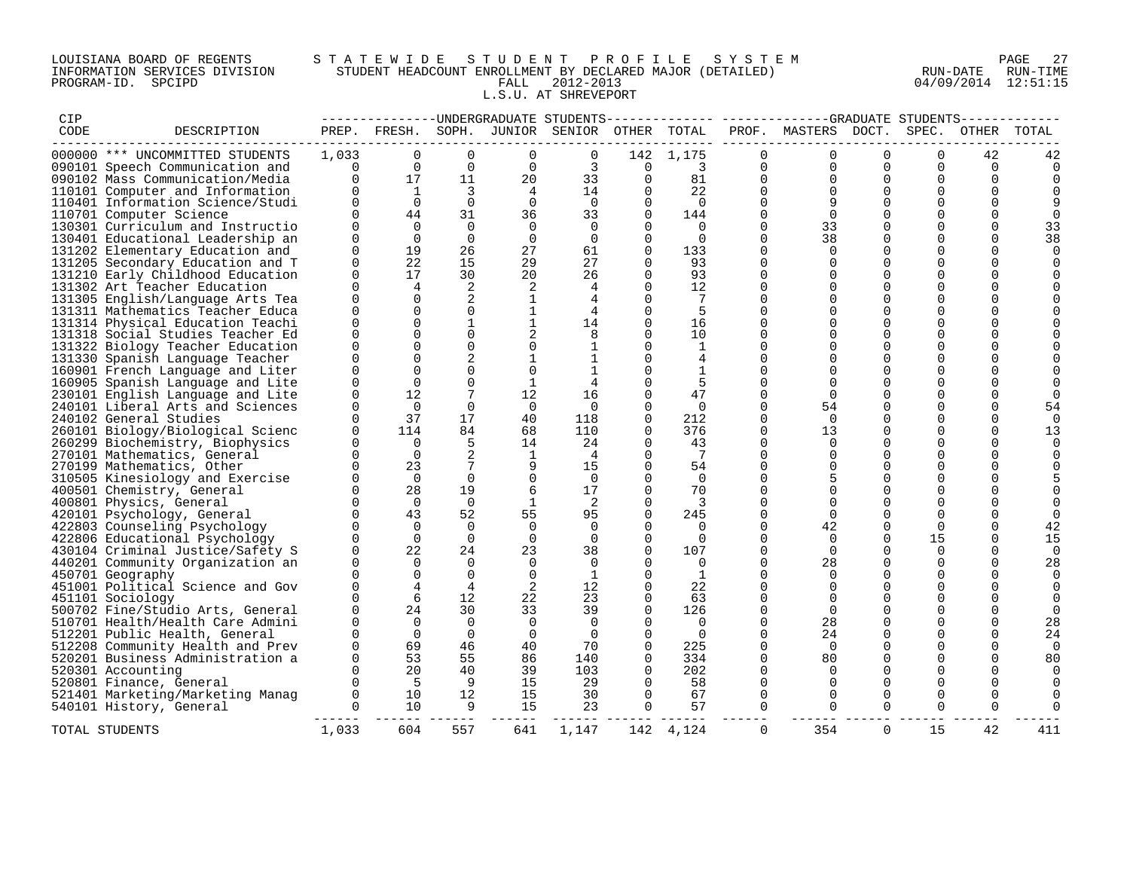## LOUISIANA BOARD OF REGENTS S T A T E W I D E S T U D E N T P R O F I L E S Y S T E M PAGE 27 INFORMATION SERVICES DIVISION STUDENT HEADCOUNT ENROLLMENT BY DECLARED MAJOR (DETAILED) RUN-DATE RUN-TIME PROGRAM-ID. SPCIPD FALL 2012-2013 04/09/2014 12:51:15 L.S.U. AT SHREVEPORT

| CIP  |                                  |                |                     |                         |                |                                              |                |                     |              | -------------UNDERGRADUATE STUDENTS-------------- ------------GRADUATE STUDENTS------------ |          |          |          |          |
|------|----------------------------------|----------------|---------------------|-------------------------|----------------|----------------------------------------------|----------------|---------------------|--------------|---------------------------------------------------------------------------------------------|----------|----------|----------|----------|
| CODE | DESCRIPTION                      |                |                     |                         |                | PREP. FRESH. SOPH. JUNIOR SENIOR OTHER TOTAL |                |                     |              | PROF. MASTERS DOCT. SPEC. OTHER                                                             |          |          |          | TOTAL    |
|      | 000000 *** UNCOMMITTED STUDENTS  | 1,033          | $\Omega$            | $\Omega$                | $\Omega$       | 0                                            |                | 142 1,175           |              |                                                                                             | $\Omega$ | $\Omega$ | 42       |          |
|      | 090101 Speech Communication and  | $\Omega$       | $\Omega$            | $\Omega$                | $\Omega$       | 3                                            |                | $0 \qquad \qquad 3$ | $\Omega$     | $\Omega$                                                                                    | $\Omega$ | $\Omega$ | $\Omega$ | $\Omega$ |
|      | 090102 Mass Communication/Media  | $\Omega$       | 17                  | 11                      | 20             | 33                                           | $\overline{0}$ | 81                  | $\mathbf{0}$ | $\Omega$                                                                                    | $\Omega$ | $\Omega$ | $\Omega$ |          |
|      | 110101 Computer and Information  |                | $\mathbf{1}$        | $\overline{\mathbf{3}}$ | $\overline{4}$ | 14                                           | $\Omega$       | 22                  | $\Omega$     |                                                                                             | $\Omega$ | $\Omega$ | $\cap$   |          |
|      | 110401 Information Science/Studi | $\Omega$       | $\Omega$            | $\overline{0}$          | $\Omega$       | $\Omega$                                     | $\Omega$       | $\overline{0}$      | $\Omega$     | 9                                                                                           | $\Omega$ | $\Omega$ | $\Omega$ |          |
|      | 110701 Computer Science          | $\Omega$       | 44                  | 31                      | 36             | 33                                           | $\Omega$       | 144                 | $\Omega$     | $\Omega$                                                                                    | $\Omega$ | $\Omega$ | $\Omega$ |          |
|      | 130301 Curriculum and Instructio | $\Omega$       | $\Omega$            | $\overline{0}$          | $\Omega$       | $\Omega$                                     | $\Omega$       | $\overline{0}$      | $\Omega$     | 33                                                                                          | $\Omega$ | $\Omega$ | 0        | 33       |
|      | 130401 Educational Leadership an | $\Omega$       | $\Omega$            | $\overline{0}$          | $\overline{0}$ | $\overline{0}$                               | $\Omega$       | $\overline{0}$      | $\Omega$     | 38                                                                                          | $\Omega$ | $\Omega$ | $\Omega$ | 38       |
|      | 131202 Elementary Education and  | $\Omega$       | 19                  | 26                      | 27             | 61                                           | $\Omega$       | 133                 | $\Omega$     | $\Omega$                                                                                    | $\Omega$ | $\Omega$ | $\Omega$ |          |
|      | 131205 Secondary Education and T | $\Omega$       | 22                  | 15                      | 29             | 27                                           | $\Omega$       | 93                  | $\Omega$     | $\Omega$                                                                                    | $\Omega$ | $\Omega$ | $\Omega$ |          |
|      | 131210 Early Childhood Education | $\Omega$       | 17                  | 30                      | 20             | 26                                           | $\Omega$       | 93                  | $\Omega$     | $\Omega$                                                                                    | $\Omega$ | $\Omega$ | ∩        |          |
|      | 131302 Art Teacher Education     | $\Omega$       |                     | 2                       | 2              |                                              | $\Omega$       | 12                  | $\Omega$     |                                                                                             | $\Omega$ | $\Omega$ | 0        |          |
|      | 131305 English/Language Arts Tea | <sup>n</sup>   | $\cap$              | 2                       | $\mathbf{1}$   |                                              | $\cap$         | 7                   | $\Omega$     |                                                                                             | $\Omega$ | $\Omega$ | $\Omega$ |          |
|      | 131311 Mathematics Teacher Educa | $\Omega$       | $\cap$              | $\Omega$                | $\mathbf{1}$   |                                              | $\Omega$       | 5                   | $\Omega$     |                                                                                             | $\Omega$ | $\Omega$ |          |          |
|      | 131314 Physical Education Teachi | $\Omega$       | $\cap$              | 1                       | $\mathbf{1}$   | 14                                           | $\Omega$       | 16                  | $\Omega$     |                                                                                             |          | $\Omega$ | $\Omega$ |          |
|      | 131318 Social Studies Teacher Ed | $\Omega$       |                     | $\Omega$                | 2              | 8                                            |                | 10                  | $\Omega$     |                                                                                             | $\Omega$ | $\Omega$ |          |          |
|      | 131322 Biology Teacher Education | $\Omega$       |                     | $\Omega$                | $\Omega$       |                                              | $\Omega$       | $\mathbf{1}$        | $\Omega$     |                                                                                             | $\Omega$ | $\Omega$ |          |          |
|      | 131330 Spanish Language Teacher  | <sup>n</sup>   |                     | 2                       | 1              |                                              | $\Omega$       | 4                   | $\Omega$     |                                                                                             | $\Omega$ | $\Omega$ |          |          |
|      | 160901 French Language and Liter | $\Omega$       | $\Omega$            | $\Omega$                | $\Omega$       |                                              | $\Omega$       | $\mathbf{1}$        | $\Omega$     |                                                                                             | $\Omega$ | $\Omega$ |          |          |
|      | 160905 Spanish Language and Lite | $\Omega$       | $\cap$              | $\Omega$                | 1              |                                              | $\Omega$       | 5                   | $\Omega$     |                                                                                             | $\Omega$ | $\Omega$ | $\cap$   |          |
|      | 230101 English Language and Lite | $\Omega$       | 12                  | 7                       | 12             | 16                                           | $\Omega$       | 47                  | $\Omega$     | $\Omega$                                                                                    | $\Omega$ | $\Omega$ | 0        |          |
|      | 240101 Liberal Arts and Sciences | $\Omega$       | $\Omega$            | $\Omega$                | $\overline{0}$ | $\Omega$                                     | $\Omega$       | $\overline{0}$      | $\Omega$     | 54                                                                                          | $\Omega$ | $\Omega$ | $\Omega$ | 54       |
|      | 240102 General Studies           | $\Omega$       | 37                  | 17                      | 40             | 118                                          | $\Omega$       | 212                 | $\Omega$     | $\Omega$                                                                                    | $\Omega$ | $\Omega$ | $\Omega$ |          |
|      | 260101 Biology/Biological Scienc | $\Omega$       | 114                 | 84                      | 68             | 110                                          | $\Omega$       | 376                 | $\Omega$     | 13                                                                                          | $\Omega$ | $\Omega$ | $\cap$   | 13       |
|      | 260299 Biochemistry, Biophysics  | $\Omega$       | $\overline{0}$      | 5                       | 14             | 24                                           | $\Omega$       | 43                  | $\Omega$     | $\Omega$                                                                                    | $\Omega$ | $\Omega$ | $\Omega$ | $\Omega$ |
|      | 270101 Mathematics, General      | $\Omega$       | $\bigcap$           | 2                       | 1              | 4                                            | $\Omega$       | $\overline{7}$      | $\Omega$     |                                                                                             | $\Omega$ | $\Omega$ | $\Omega$ |          |
|      | 270199 Mathematics, Other        | $\Omega$       | 23                  | 7                       | 9              | 15                                           | $\Omega$       | 54                  | $\Omega$     | $\Omega$                                                                                    | $\Omega$ | $\Omega$ | ∩        |          |
|      | 310505 Kinesiology and Exercise  | $\Omega$       | $\ddot{\mathbf{0}}$ | $\Omega$                | $\mathbf{0}$   | $\overline{0}$                               | $\Omega$       | $\overline{0}$      | $\Omega$     |                                                                                             | $\Omega$ | $\Omega$ |          |          |
|      | 400501 Chemistry, General        | $\cap$         | 28                  | 19                      | 6              | 17                                           | $\Omega$       | 70                  | $\Omega$     |                                                                                             |          | $\Omega$ |          |          |
|      | 400801 Physics, General          | $\Omega$       | $\overline{0}$      | $\Omega$                | $\mathbf{1}$   | 2                                            | $\Omega$       | 3                   | $\Omega$     | $\Omega$                                                                                    | $\Omega$ | $\Omega$ | 0        |          |
|      | 420101 Psychology, General       | $\Omega$       | 43                  | 52                      | 55             | 95                                           | $\Omega$       | 245                 | $\Omega$     | $\Omega$                                                                                    | $\Omega$ | $\Omega$ | $\Omega$ |          |
|      | 422803 Counseling Psychology     | $\Omega$       | $\bigcirc$          | $\Omega$                | $\Omega$       | $\Omega$                                     | $\Omega$       | $\Omega$            | $\Omega$     | 42                                                                                          | $\Omega$ | $\Omega$ | $\Omega$ | 42       |
|      | 422806 Educational Psychology    | $\Omega$       | $\Omega$            | $\overline{0}$          | $\overline{0}$ | $\Omega$                                     | $\Omega$       | $\overline{0}$      | $\Omega$     | $\Omega$                                                                                    | $\Omega$ | 15       | 0        | 15       |
|      | 430104 Criminal Justice/Safety S | $\Omega$       | 22                  | 24                      | 23             | 38                                           | $\Omega$       | 107                 | $\Omega$     | $\Omega$                                                                                    | $\Omega$ | $\Omega$ | 0        | $\Omega$ |
|      | 440201 Community Organization an | $\Omega$       | $\Omega$            | $\Omega$                | $\Omega$       | $\Omega$                                     | $\Omega$       | $\Omega$            | $\Omega$     | 28                                                                                          | $\Omega$ | $\Omega$ | 0        | 28       |
|      | 450701 Geography                 | $\Omega$       | $\Omega$            | $\Omega$                | $\overline{0}$ | 1                                            | $\Omega$       | 1                   | $\Omega$     | $\Omega$                                                                                    | $\Omega$ | $\Omega$ | ∩        | $\Omega$ |
|      | 451001 Political Science and Gov | <sup>n</sup>   | $\overline{4}$      | $\overline{4}$          | 2              | 12                                           | $\Omega$       | 22                  | $\Omega$     |                                                                                             | $\Omega$ | $\Omega$ | $\Omega$ |          |
|      | 451101 Sociology                 |                | 6                   | 12                      | 22             | 23                                           | $\Omega$       | 63                  | $\Omega$     |                                                                                             | $\Omega$ | $\Omega$ | $\Omega$ |          |
|      | 500702 Fine/Studio Arts, General | $\Omega$       | 24                  | 30                      | 33             | 39                                           | $\Omega$       | 126                 | $\Omega$     | $\Omega$                                                                                    |          | $\Omega$ | $\Omega$ |          |
|      | 510701 Health/Health Care Admini | $\Omega$       | $\cap$              | $\Omega$                | $\Omega$       | $\Omega$                                     | $\Omega$       | $\Omega$            | $\Omega$     | 28                                                                                          |          | $\Omega$ | $\Omega$ | 28       |
|      | 512201 Public Health, General    | $\Omega$       | $\Omega$            | $\Omega$                | $\overline{0}$ | $\overline{0}$                               | $\Omega$       | $\overline{0}$      | $\Omega$     | 24                                                                                          | $\Omega$ | $\Omega$ | $\Omega$ | 24       |
|      | 512208 Community Health and Prev | $\Omega$       | 69                  | 46                      | 40             | 70                                           | $\Omega$       | 225                 | $\Omega$     | $\Omega$                                                                                    | $\Omega$ | $\Omega$ | $\Omega$ | $\cap$   |
|      | 520201 Business Administration a | $\cap$         | 53                  | 55                      | 86             | 140                                          | $\Omega$       | 334                 | $\Omega$     | 80                                                                                          | $\Omega$ | $\Omega$ | $\Omega$ | 80       |
|      | 520301 Accounting                | $\Omega$       | 20                  | 40                      | 39             | 103                                          | $\Omega$       | 202                 | $\mathbf 0$  | $\Omega$                                                                                    | $\Omega$ | $\Omega$ | 0        |          |
|      | 520801 Finance, General          | $\Omega$       | 5                   | - 9                     | 15             | 29                                           | $\Omega$       | 58                  | $\Omega$     | $\Omega$                                                                                    | $\Omega$ | $\Omega$ | $\Omega$ |          |
|      | 521401 Marketing/Marketing Manag | $\overline{0}$ | 10                  | 12                      | 15             | 30                                           | $\Omega$       | 67                  | $\Omega$     | $\Omega$                                                                                    | $\Omega$ | $\Omega$ | $\Omega$ |          |
|      | 540101 History, General          | $\Omega$       | 10                  | 9                       | 15             | 23                                           | $\overline{0}$ | 57                  | $\Omega$     | $\Omega$                                                                                    | $\Omega$ | $\Omega$ | $\Omega$ |          |
|      | TOTAL STUDENTS                   | 1,033          | 604                 | 557                     | 641            | 1,147                                        |                | 142 4,124           | $\Omega$     | 354                                                                                         | 0        | 15       | 42       | 411      |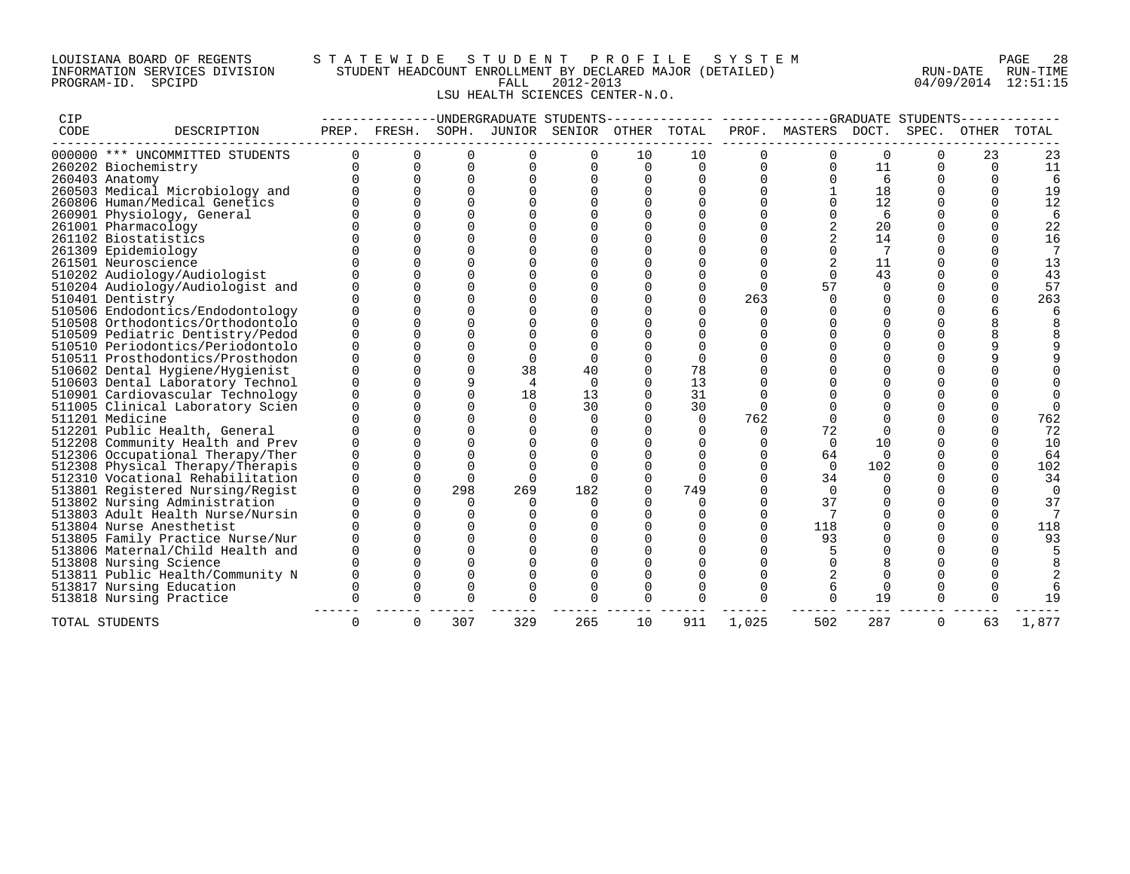### LOUISIANA BOARD OF REGENTS S T A T E W I D E S T U D E N T P R O F I L E S Y S T E M PAGE 28 INFORMATION SERVICES DIVISION STUDENT HEADCOUNT ENROLLMENT BY DECLARED MAJOR (DETAILED) RUN-DATE RUN-TIME PROGRAM-ID. SPCIPD FALL 2012-2013 04/09/2014 12:51:15 LSU HEALTH SCIENCES CENTER-N.O.

| CIP  |                                                                   |          |          |                      |                | ---------UNDERGRADUATE STUDENTS------------- |          |          |              |                | -GRADUATE STUDENTS- |          |          |       |
|------|-------------------------------------------------------------------|----------|----------|----------------------|----------------|----------------------------------------------|----------|----------|--------------|----------------|---------------------|----------|----------|-------|
| CODE | DESCRIPTION                                                       | PREP.    | FRESH.   | SOPH.                |                | JUNIOR SENIOR                                | OTHER    | TOTAL    | PROF.        | MASTERS        | DOCT.               | SPEC.    | OTHER    | TOTAL |
|      | 000000 *** UNCOMMITTED STUDENTS                                   | $\Omega$ | 0        | 0                    | 0              | 0                                            | 10       | 10       | 0            | $\mathbf 0$    | 0                   | 0        | 23       | 23    |
|      | 260202 Biochemistry                                               | $\Omega$ | $\Omega$ | $\Omega$             | $\Omega$       | $\Omega$                                     | $\Omega$ | $\Omega$ | $\Omega$     | $\Omega$       | 11                  | $\Omega$ | $\Omega$ | 11    |
|      | 260403 Anatomy                                                    |          |          | $\Omega$             | $\Omega$       |                                              | $\Omega$ | $\Omega$ |              | U              | 6                   | U        | U        |       |
|      | 260503 Medical Microbiology and                                   |          |          | $\Omega$             |                |                                              |          | $\Omega$ | $\Omega$     |                | 18                  | U        | U        | 19    |
|      | 260806 Human/Medical Genetics                                     |          |          |                      |                |                                              |          |          |              | $\Omega$       | 12                  | 0        | U        | 12    |
|      | 260901 Physiology, General                                        |          |          |                      |                |                                              |          |          |              |                | 6                   | U        |          | 6     |
|      | 261001 Pharmacology                                               |          |          |                      |                |                                              |          |          |              |                | 20                  | U        |          | 22    |
|      | 261102 Biostatistics                                              |          |          |                      |                |                                              |          |          |              |                | 14                  | 0        | U        | 16    |
|      | 261309 Epidemiology                                               |          |          |                      |                |                                              |          |          |              | $\Omega$       | 7                   | 0        |          |       |
|      | 261501 Neuroscience                                               |          |          |                      |                |                                              |          |          |              |                | 11                  |          |          | 13    |
|      | 510202 Audiology/Audiologist                                      |          |          |                      |                |                                              |          |          |              | $\Omega$       | 43                  |          |          | 43    |
|      | 510204 Audiology/Audiologist and                                  |          |          |                      |                |                                              |          |          | $\Omega$     | 57             | $\Omega$            | O        |          | 57    |
|      | 510401 Dentistry                                                  |          |          |                      |                |                                              |          |          | 263          | $\cap$         | $\Omega$            | U        | U        | 263   |
|      | 510506 Endodontics/Endodontology                                  |          |          |                      |                |                                              |          |          |              |                |                     |          |          |       |
|      | 510508 Orthodontics/Orthodontolo                                  |          |          | $\Omega$             |                |                                              |          |          |              |                | U                   |          | R        |       |
|      | 510509 Pediatric Dentistry/Pedod                                  |          |          | $\Omega$             |                |                                              |          |          |              |                |                     |          |          |       |
|      | 510510 Periodontics/Periodontolo                                  |          |          |                      |                |                                              |          |          |              |                |                     |          | q        |       |
|      | 510511 Prosthodontics/Prosthodon                                  |          |          | $\Omega$             | $\Omega$       |                                              |          | $\Omega$ |              |                |                     |          | q        |       |
|      | 510602 Dental Hygiene/Hygienist                                   |          |          | $\Omega$             | 38             | 40                                           | $\Omega$ | 78       | <sup>n</sup> |                |                     |          |          |       |
|      | 510603 Dental Laboratory Technol                                  |          |          | 9                    | $\overline{4}$ | $\Omega$                                     | $\Omega$ | 13       | $\Omega$     |                | U                   | U        |          |       |
|      | 510901 Cardiovascular Technology                                  |          |          |                      | 18             | 13                                           |          | 31       |              |                |                     |          |          |       |
|      | 511005 Clinical Laboratory Scien                                  |          |          |                      | $\Omega$       | 30                                           |          | 30       |              |                | U                   | U        |          |       |
|      | 511201 Medicine                                                   |          |          | $\Omega$             |                | <sup>0</sup>                                 |          | $\Omega$ | 762          | $\Omega$       | $\Omega$            | U        | U        | 762   |
|      | 512201 Public Health, General                                     |          |          | $\Omega$             |                |                                              |          |          | $\Omega$     | 72             | $\Omega$            | U        |          | 72    |
|      | 512208 Community Health and Prev                                  |          |          |                      |                |                                              |          |          |              | $\Omega$       | 10                  |          | U        | 10    |
|      | 512306 Occupational Therapy/Ther                                  |          |          |                      |                |                                              |          |          |              | 64             | $\Omega$            | U        |          | 64    |
|      | 512308 Physical Therapy/Therapis                                  |          |          | $\Omega$<br>$\Omega$ | $\Omega$       |                                              |          |          | $\Omega$     | $\Omega$       | 102                 | U<br>U   | U        | 102   |
|      | 512310 Vocational Rehabilitation                                  |          |          |                      |                |                                              |          |          |              | 34             | $\Omega$            |          |          | 34    |
|      | 513801 Registered Nursing/Regist                                  |          |          | 298<br>$\Omega$      | 269            | 182                                          |          | 749      |              | $\Omega$<br>37 | U                   |          |          | 37    |
|      | 513802 Nursing Administration<br>513803 Adult Health Nurse/Nursin |          |          | $\Omega$             |                |                                              |          |          | $\Omega$     |                | $\Omega$            |          |          |       |
|      | 513804 Nurse Anesthetist                                          |          |          | ∩                    |                |                                              |          |          | ∩            | 118            |                     |          | U        | 118   |
|      | 513805 Family Practice Nurse/Nur                                  |          |          |                      |                |                                              |          |          |              | 93             |                     |          |          | 93    |
|      | 513806 Maternal/Child Health and                                  |          |          | $\Omega$             |                |                                              |          |          | <sup>n</sup> |                | $\Omega$            | U        |          |       |
|      | 513808 Nursing Science                                            |          |          | $\Omega$             |                |                                              |          |          | $\Omega$     | $\Omega$       | 8                   | $\Omega$ |          |       |
|      | 513811 Public Health/Community N                                  |          |          |                      |                |                                              |          |          |              |                | $\Omega$            | $\Omega$ |          |       |
|      | 513817 Nursing Education                                          |          |          | ∩                    |                |                                              |          |          |              |                | $\mathbf 0$         | $\Omega$ |          |       |
|      | 513818 Nursing Practice                                           | $\Omega$ | $\Omega$ | $\Omega$             |                | $\Omega$                                     | $\Omega$ | $\Omega$ |              | $\Omega$       | 19                  | $\Omega$ | U        | 19    |
|      |                                                                   |          |          |                      |                |                                              |          |          |              |                |                     |          |          |       |
|      | TOTAL STUDENTS                                                    | $\Omega$ | 0        | 307                  | 329            | 265                                          | 10       | 911      | 1,025        | 502            | 287                 | 0        | 63       | 1,877 |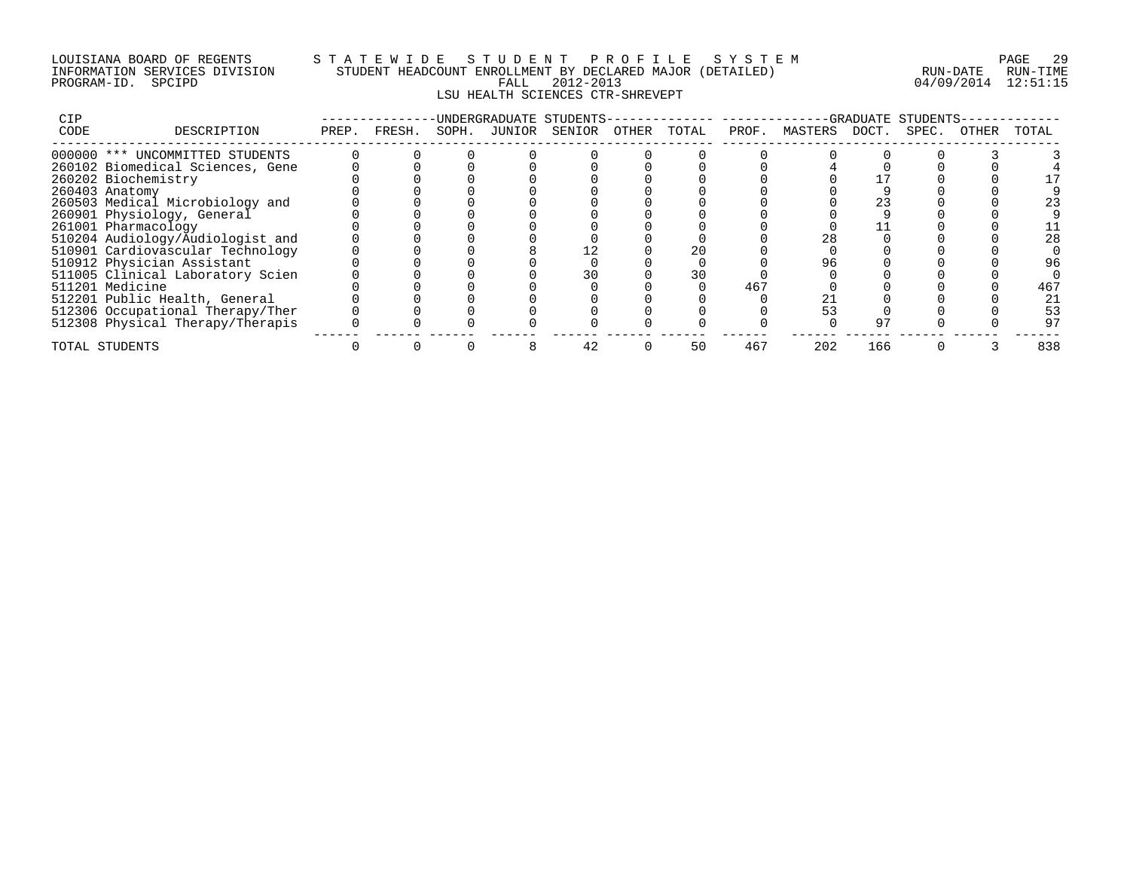### LOUISIANA BOARD OF REGENTS S T A T E W I D E S T U D E N T P R O F I L E S Y S T E M PAGE 29 INFORMATION SERVICES DIVISION STUDENT HEADCOUNT ENROLLMENT BY DECLARED MAJOR (DETAILED) RUN-DATE RUN-TIME PROGRAM-ID. SPCIPD FALL 2012-2013 04/09/2014 12:51:15 LSU HEALTH SCIENCES CTR-SHREVEPT

| <b>CIP</b> |                                  |       |        |       | UNDERGRADUATE STUDENTS- |       |       |       |         |       | GRADUATE STUDENTS |       |       |
|------------|----------------------------------|-------|--------|-------|-------------------------|-------|-------|-------|---------|-------|-------------------|-------|-------|
| CODE       | DESCRIPTION                      | PREP. | FRESH. | SOPH. | JUNIOR SENIOR           | OTHER | TOTAL | PROF. | MASTERS | DOCT. | SPEC.             | OTHER | TOTAL |
|            | 000000 *** UNCOMMITTED STUDENTS  |       |        |       |                         |       |       |       |         |       |                   |       |       |
|            | 260102 Biomedical Sciences, Gene |       |        |       |                         |       |       |       |         |       |                   |       |       |
|            | 260202 Biochemistry              |       |        |       |                         |       |       |       |         |       |                   |       |       |
|            | 260403 Anatomy                   |       |        |       |                         |       |       |       |         |       |                   |       |       |
|            | 260503 Medical Microbiology and  |       |        |       |                         |       |       |       |         |       |                   |       |       |
|            | 260901 Physiology, General       |       |        |       |                         |       |       |       |         |       |                   |       |       |
|            | 261001 Pharmacology              |       |        |       |                         |       |       |       |         |       |                   |       |       |
|            | 510204 Audiology/Audiologist and |       |        |       |                         |       |       |       | 28      |       |                   |       | 28    |
|            | 510901 Cardiovascular Technology |       |        |       |                         |       |       |       |         |       |                   |       |       |
|            | 510912 Physician Assistant       |       |        |       |                         |       |       |       |         |       |                   |       | 96    |
|            | 511005 Clinical Laboratory Scien |       |        |       |                         |       | 30    |       |         |       |                   |       |       |
|            | 511201 Medicine                  |       |        |       |                         |       |       | 467   |         |       |                   |       | 467   |
|            | 512201 Public Health, General    |       |        |       |                         |       |       |       |         |       |                   |       | 21    |
|            | 512306 Occupational Therapy/Ther |       |        |       |                         |       |       |       |         |       |                   |       | 53    |
|            | 512308 Physical Therapy/Therapis |       |        |       |                         |       |       |       |         |       |                   |       | 97    |
|            | TOTAL STUDENTS                   |       |        |       | 42                      |       | 50    | 467   | 202     | 166   |                   |       | 838   |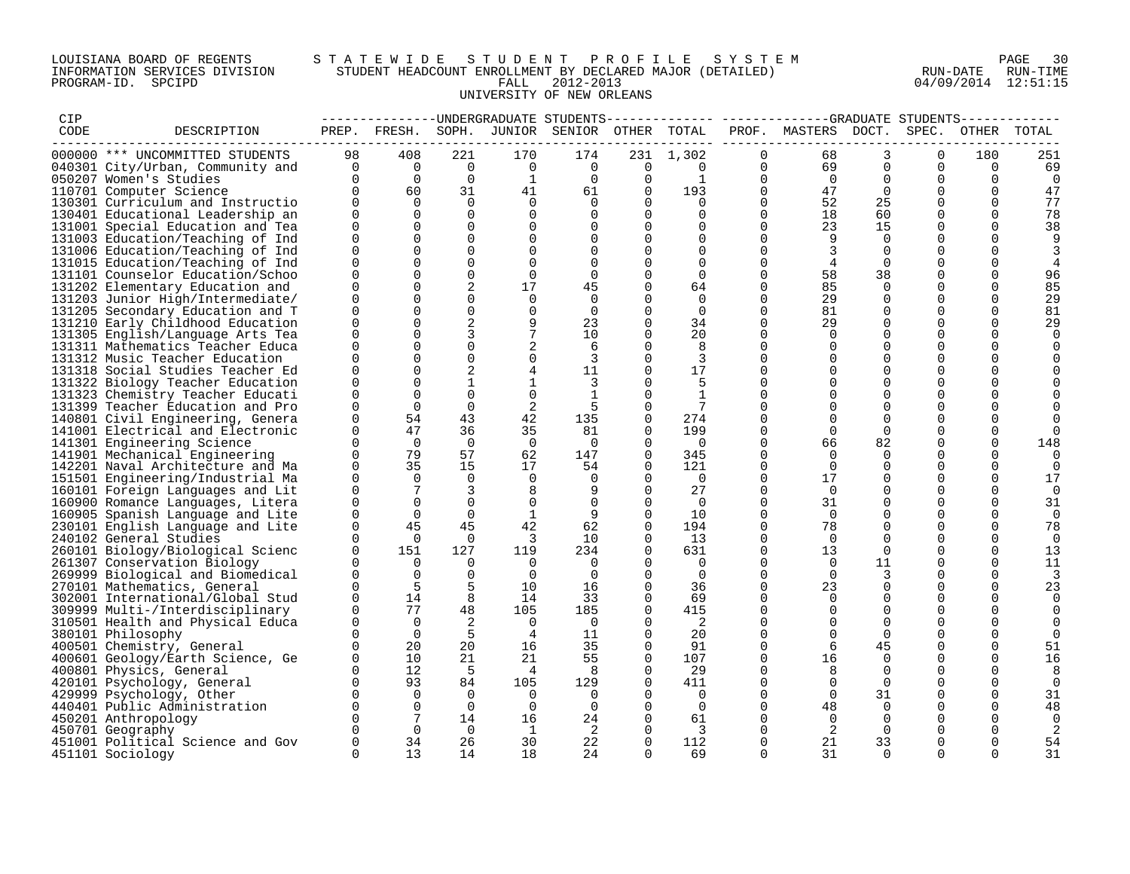### LOUISIANA BOARD OF REGENTS S T A T E W I D E S T U D E N T P R O F I L E S Y S T E M PAGE 30 INFORMATION SERVICES DIVISION STUDENT HEADCOUNT ENROLLMENT BY DECLARED MAJOR (DETAILED) RUN-DATE RUN-TIME PROGRAM-ID. SPCIPD FALL 2012-2013 04/09/2014 12:51:15 UNIVERSITY OF NEW ORLEANS

| CIP  |                                                                      |                          |                |                   |                               |                                              |                      |                   |               | -------------UNDERGRADUATE STUDENTS-------------- ------------GRADUATE STUDENTS----------- |                      |               |          |          |
|------|----------------------------------------------------------------------|--------------------------|----------------|-------------------|-------------------------------|----------------------------------------------|----------------------|-------------------|---------------|--------------------------------------------------------------------------------------------|----------------------|---------------|----------|----------|
| CODE | DESCRIPTION                                                          |                          |                |                   |                               | PREP. FRESH. SOPH. JUNIOR SENIOR OTHER TOTAL |                      |                   |               | PROF. MASTERS DOCT.                                                                        |                      | SPEC.         | OTHER    | TOTAL    |
|      | 000000 *** UNCOMMITTED STUDENTS                                      | 98                       | 408            | 221               | 170                           | 174                                          |                      | 231 1,302         | $\Omega$      | 68                                                                                         | 3                    | $\Omega$      | 180      | 251      |
|      | 040301 City/Urban, Community and                                     | $\overline{\phantom{0}}$ | $\overline{0}$ | $\overline{0}$    | $\overline{0}$                | $\overline{0}$                               | $\overline{0}$       | $\Omega$          | $\Omega$      | 69                                                                                         | $\Omega$             | $\Omega$      | $\Omega$ | 69       |
|      | 050207 Women's Studies                                               | $\Omega$                 | $\overline{0}$ | $\Omega$          | 1                             | $\Omega$                                     | $\mathbf 0$          | 1                 | 0             | $\Omega$                                                                                   | 0                    | 0             | $\Omega$ | 0        |
|      | 110701 Computer Science                                              | $\overline{0}$           | 60             | 31                | 41                            | 61                                           | $\overline{0}$       | 193               | 0             | 47                                                                                         | $\Omega$             | $\mathbf 0$   | $\Omega$ | 47       |
|      | 130301 Curriculum and Instructio                                     | $\Omega$                 | $\Omega$       | $\Omega$          | $\Omega$                      | $\Omega$                                     | $\Omega$             | $\Omega$          | $\Omega$      | 52                                                                                         | 25                   | $\Omega$      | $\Omega$ | 77       |
|      | 130401 Educational Leadership an                                     | $\Omega$                 | $\Omega$       | $\Omega$          | $\Omega$                      | $\Omega$                                     | $\Omega$             | $\Omega$          | $\Omega$      | 18                                                                                         | 60                   | $\Omega$      | $\Omega$ | 78       |
|      | 131001 Special Education and Tea                                     | $\mathbf 0$              | $\mathbf 0$    | $\mathbf 0$       | $\mathbf 0$                   |                                              | $\mathbf 0$          | $\Omega$          | 0             | 23                                                                                         | 15                   | 0             | $\Omega$ | 38       |
|      | 131003 Education/Teaching of Ind                                     | $\Omega$                 | $\Omega$       | $\Omega$          | $\mathbf 0$                   |                                              | 0                    | $\Omega$          | $\Omega$      | 9                                                                                          | $\Omega$             | $\Omega$      | $\Omega$ |          |
|      | 131006 Education/Teaching of Ind                                     | $\Omega$                 | $\Omega$       | $\Omega$          | $\Omega$                      |                                              | $\Omega$             | $\Omega$          | $\Omega$      | 3                                                                                          | $\Omega$             | $\Omega$      |          |          |
|      | 131015 Education/Teaching of Ind                                     | $\Omega$                 | $\Omega$       | $\Omega$          | $\Omega$                      | $\Omega$                                     | $\Omega$             | $\Omega$          | $\Omega$      | 4                                                                                          | $\Omega$             | $\Omega$      |          | 4        |
|      | 131101 Counselor Education/Schoo                                     | $\Omega$                 |                | $\Omega$          | $\overline{0}$                | $\Omega$                                     | $\Omega$             | $\Omega$          | $\Omega$      | 58                                                                                         | 38                   | $\Omega$      |          | 96       |
|      | 131202 Elementary Education and                                      | $\mathbf 0$              | $\mathbf 0$    | 2                 | 17                            | 45                                           | $\mathbf 0$          | 64                | 0             | 85                                                                                         | 0                    | $\mathbf 0$   | 0        | 85       |
|      | 131203 Junior High/Intermediate/                                     | $\Omega$                 | $\Omega$       | $\Omega$          | 0                             | $\Omega$                                     | $\Omega$             | 0                 | $\Omega$      | 29                                                                                         | <sup>0</sup>         | 0             | $\Omega$ | 29       |
|      | 131205 Secondary Education and T                                     | $\Omega$                 | $\Omega$       | $\Omega$          | $\mathbf 0$                   | $\Omega$                                     | $\Omega$             | $\mathbf 0$       | $\Omega$      | 81                                                                                         | $\Omega$             | $\Omega$      | $\Omega$ | 81       |
|      | 131210 Early Childhood Education                                     | $\Omega$                 |                | 2                 | 9                             | 23                                           | 0                    | 34                | $\Omega$      | 29                                                                                         | $\Omega$             | $\Omega$      | $\Omega$ | 29       |
|      | 131305 English/Language Arts Tea                                     | $\Omega$                 |                | 3                 | $7\phantom{.0}$               | 10                                           | $\Omega$             | 20                | $\Omega$      | $\Omega$                                                                                   | $\Omega$             | $\Omega$      | $\Omega$ | $\Omega$ |
|      | 131311 Mathematics Teacher Educa                                     | $\mathbf 0$              | $\Omega$       | $\mathbf 0$       |                               | 6                                            | 0                    | 8                 | 0             |                                                                                            | 0                    | $\mathbf 0$   | $\Omega$ |          |
|      | 131312 Music Teacher Education                                       | $\Omega$                 |                | $\Omega$          | $\mathbf 0$                   | 3                                            | $\Omega$             | 3                 | $\Omega$      |                                                                                            | $\Omega$             | 0             | O        |          |
|      | 131318 Social Studies Teacher Ed                                     | $\Omega$<br>$\Omega$     |                | 2<br>$\mathbf{1}$ | 4                             | 11                                           | $\Omega$             | 17                | $\Omega$<br>0 | $\Omega$                                                                                   | $\Omega$             | $\Omega$      |          |          |
|      | 131322 Biology Teacher Education                                     | $\Omega$                 | $\Omega$       | $\Omega$          | $\mathbf{1}$                  | 3                                            | $\Omega$<br>$\Omega$ | 5<br>$\mathbf{1}$ | $\Omega$      | $\Omega$                                                                                   | $\Omega$<br>$\Omega$ | 0<br>$\Omega$ |          |          |
|      | 131323 Chemistry Teacher Educati                                     | $\Omega$                 | $\mathbf 0$    | $\mathbf 0$       | $\mathbf 0$<br>$\overline{a}$ | -5                                           | $\Omega$             | 7                 | $\Omega$      |                                                                                            | $\Omega$             | $\Omega$      |          |          |
|      | 131399 Teacher Education and Pro<br>140801 Civil Engineering, Genera | $\Omega$                 | 54             | 43                | 42                            | 135                                          | 0                    | 274               | $\Omega$      | $\Omega$                                                                                   | 0                    | $\Omega$      |          |          |
|      | 141001 Electrical and Electronic                                     | $\Omega$                 | 47             | 36                | 35                            | 81                                           | $\Omega$             | 199               | $\Omega$      | $\Omega$                                                                                   | $\Omega$             | $\Omega$      |          |          |
|      | 141301 Engineering Science                                           | $\Omega$                 | $\Omega$       | $\Omega$          | $\overline{0}$                | $\overline{0}$                               | $\Omega$             | $\overline{0}$    | $\Omega$      | 66                                                                                         | 82                   | 0             | $\Omega$ | 148      |
|      | 141901 Mechanical Engineering                                        | $\Omega$                 | 79             | 57                | 62                            | 147                                          | $\Omega$             | 345               | $\Omega$      | $\Omega$                                                                                   | $\Omega$             | $\Omega$      | $\Omega$ | ∩        |
|      | 142201 Naval Architecture and Ma                                     | $\Omega$                 | 35             | 15                | 17                            | 54                                           | $\Omega$             | 121               | $\Omega$      | $\Omega$                                                                                   | $\Omega$             | $\Omega$      | $\Omega$ | $\Omega$ |
|      | 151501 Engineering/Industrial Ma                                     | 0                        | $\Omega$       | 0                 | 0                             |                                              | 0                    | $\overline{0}$    | 0             | 17                                                                                         | 0                    | 0             | $\Omega$ | 17       |
|      | 160101 Foreign Languages and Lit                                     | $\Omega$                 | 7              | 3                 | 8                             |                                              | $\mathbf 0$          | 27                | $\Omega$      | $\Omega$                                                                                   | $\Omega$             | $\mathbf 0$   | $\Omega$ | $\Omega$ |
|      | 160900 Romance Languages, Litera                                     | $\mathbf 0$              | $\Omega$       | $\Omega$          | $\mathbf 0$                   | $\overline{0}$                               | $\Omega$             | $\overline{0}$    | $\Omega$      | 31                                                                                         | $\Omega$             | 0             | $\Omega$ | 31       |
|      | 160905 Spanish Language and Lite                                     | $\Omega$                 | $\Omega$       | $\Omega$          | $\mathbf{1}$                  | 9                                            | $\Omega$             | 10                | $\Omega$      | $\Omega$                                                                                   | $\Omega$             | $\Omega$      | ∩        | $\Omega$ |
|      | 230101 English Language and Lite                                     | $\overline{0}$           | 45             | 45                | 42                            | 62                                           | $\Omega$             | 194               | $\mathbf 0$   | 78                                                                                         | $\Omega$             | $\Omega$      | $\Omega$ | 78       |
|      | 240102 General Studies                                               | $\Omega$                 | $\overline{0}$ | $\Omega$          | $\overline{\mathbf{3}}$       | 10                                           | 0                    | 13                | 0             | $\overline{0}$                                                                             | 0                    | 0             | $\Omega$ | $\Omega$ |
|      | 260101 Biology/Biological Scienc                                     | $\Omega$                 | 151            | 127               | 119                           | 234                                          | $\Omega$             | 631               | $\Omega$      | 13                                                                                         | $\Omega$             | $\Omega$      | $\Omega$ | 13       |
|      | 261307 Conservation Biology                                          | $\Omega$                 | $\Omega$       | $\Omega$          | $\Omega$                      | $\overline{0}$                               | $\Omega$             | $\overline{0}$    | $\Omega$      | $\Omega$                                                                                   | 11                   | $\Omega$      | $\Omega$ | 11       |
|      | 269999 Biological and Biomedical                                     | $\Omega$                 | $\Omega$       | $\Omega$          | $\overline{0}$                | $\Omega$                                     | $\Omega$             | $\Omega$          | $\Omega$      | $\cap$                                                                                     | 3                    | $\Omega$      | $\Omega$ |          |
|      | 270101 Mathematics, General                                          | $\Omega$                 | 5              | 5                 | 10                            | 16                                           | $\mathbf 0$          | 36                | $\mathbf 0$   | 23                                                                                         | $\mathbf 0$          | $\mathbf 0$   | $\Omega$ | 23       |
|      | 302001 International/Global Stud                                     | $\Omega$                 | 14             | 8                 | 14                            | 33                                           | 0                    | 69                | $\Omega$      | $\Omega$                                                                                   | 0                    | 0             |          | $\Omega$ |
|      | 309999 Multi-/Interdisciplinary                                      | $\Omega$                 | 77             | 48                | 105                           | 185                                          | $\Omega$             | 415               | $\Omega$      |                                                                                            | $\Omega$             | $\mathbf 0$   |          |          |
|      | 310501 Health and Physical Educa                                     | $\Omega$                 | $\Omega$       | 2                 | $\Omega$                      | $\overline{0}$                               | $\Omega$             | 2                 | $\Omega$      | $\Omega$                                                                                   | $\Omega$             | $\Omega$      |          |          |
|      | 380101 Philosophy                                                    | $\Omega$                 | $\Omega$       | -5                | $\overline{4}$                | 11                                           | $\Omega$             | 20                | $\Omega$      | $\Omega$                                                                                   | $\Omega$             | $\Omega$      |          |          |
|      | 400501 Chemistry, General                                            | $\Omega$                 | 20             | 20                | 16                            | 35                                           | $\mathbf 0$          | 91                | 0             |                                                                                            | 45                   | $\mathbf 0$   | $\Omega$ | 51       |
|      | 400601 Geology/Earth Science, Ge                                     | 0                        | 10             | 21                | 21                            | 55                                           | 0                    | 107               | 0             | 16                                                                                         | 0                    | 0             | 0        | 16       |
|      | 400801 Physics, General                                              |                          | 12             | - 5               | $\overline{4}$                | -8                                           | $\Omega$             | 29                | $\Omega$      | 8                                                                                          | $\Omega$             | $\Omega$      | $\Omega$ | 8        |
|      | 420101 Psychology, General                                           | $\Omega$                 | 93             | 84                | 105                           | 129                                          | $\Omega$             | 411               | $\Omega$      |                                                                                            | $\Omega$             | $\Omega$      | ∩        | $\Omega$ |
|      | 429999 Psychology, Other                                             | $\Omega$                 | $\Omega$       | $\Omega$          | $\Omega$                      | $\Omega$                                     | $\Omega$             | $\Omega$          | $\Omega$      | $\Omega$                                                                                   | 31                   | $\Omega$      | $\Omega$ | 31       |
|      | 440401 Public Administration                                         | $\Omega$                 | $\mathbf 0$    | $\Omega$          | 0                             | $\Omega$                                     | 0                    | $\overline{0}$    | $\Omega$      | 48                                                                                         | 0                    | 0             | $\Omega$ | 48       |
|      | 450201 Anthropology                                                  | $\Omega$                 | 7              | 14                | 16                            | 24                                           | 0                    | 61                | 0             | $\Omega$                                                                                   | $\Omega$             | 0             |          | $\Omega$ |
|      | 450701 Geography                                                     |                          | $\Omega$       | $\Omega$          | $\overline{1}$                | -2                                           | $\Omega$             | 3                 | 0             | 2                                                                                          | $\Omega$             | <sup>0</sup>  |          |          |
|      | 451001 Political Science and Gov                                     | $\mathbf 0$              | 34             | 26                | 30                            | 22                                           | $\Omega$             | 112               | $\Omega$      | 21                                                                                         | 33                   | $\Omega$      | $\Omega$ | 54       |
|      | 451101 Sociology                                                     | $\Omega$                 | 13             | 14                | 18                            | 24                                           | $\cap$               | 69                | $\cap$        | 31                                                                                         | $\cap$               |               |          | 31       |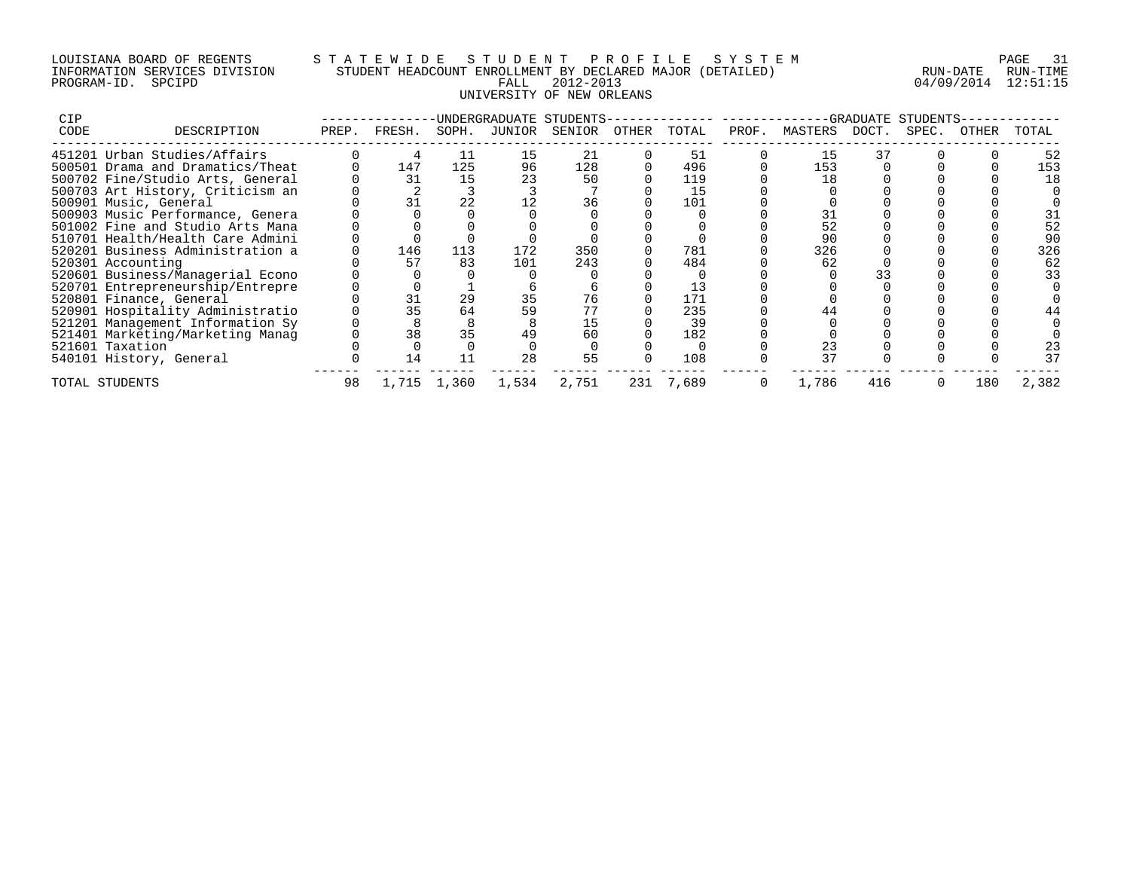## LOUISIANA BOARD OF REGENTS S T A T E W I D E S T U D E N T P R O F I L E S Y S T E M PAGE 31 INFORMATION SERVICES DIVISION STUDENT HEADCOUNT ENROLLMENT BY DECLARED MAJOR (DETAILED) RUN-DATE RUN-TIME PROGRAM-ID. SPCIPD FALL 2012-2013 04/09/2014 12:51:15 UNIVERSITY OF NEW ORLEANS

| CIP  |                                  |       |        |       |        | UNDERGRADUATE STUDENTS- |       |       |       |               | -GRADUATE | STUDENTS |       |       |
|------|----------------------------------|-------|--------|-------|--------|-------------------------|-------|-------|-------|---------------|-----------|----------|-------|-------|
| CODE | DESCRIPTION                      | PREP. | FRESH. | SOPH. | JUNIOR | SENIOR                  | OTHER | TOTAL | PROF. | MASTERS DOCT. |           | SPEC.    | OTHER | TOTAL |
|      | 451201 Urban Studies/Affairs     |       |        |       |        | 21                      |       | 51    |       | 15            |           |          |       | 52    |
|      | 500501 Drama and Dramatics/Theat |       | 147    | 125   | 96     | 128                     |       | 496   |       | 153           |           |          |       | 153   |
|      | 500702 Fine/Studio Arts, General |       | 31     | 15    |        | 50                      |       | 119   |       | 18            |           |          |       | 18    |
|      | 500703 Art History, Criticism an |       |        |       |        |                         |       | 15    |       |               |           |          |       |       |
|      | 500901 Music, General            |       | 31     | 22    |        | 36                      |       | 101   |       |               |           |          |       |       |
|      | 500903 Music Performance, Genera |       |        |       |        |                         |       |       |       |               |           |          |       |       |
|      | 501002 Fine and Studio Arts Mana |       |        |       |        |                         |       |       |       |               |           |          |       | 52    |
|      | 510701 Health/Health Care Admini |       |        |       |        |                         |       |       |       | 90            |           |          |       |       |
|      | 520201 Business Administration a |       | 146    | 113   | 172    | 350                     |       | 781   |       | 326           |           |          |       | 326   |
|      | 520301 Accounting                |       | 57     | 83    | 101    | 243                     |       | 484   |       | 62            |           |          |       | 62    |
|      | 520601 Business/Managerial Econo |       |        |       |        |                         |       |       |       |               |           |          |       | 33    |
|      | 520701 Entrepreneurship/Entrepre |       |        |       |        |                         |       |       |       |               |           |          |       |       |
|      | 520801 Finance, General          |       | 31     | 29    |        | 76                      |       | 171   |       |               |           |          |       |       |
|      | 520901 Hospitality Administratio |       | 35     | 64    |        |                         |       | 235   |       |               |           |          |       |       |
|      | 521201 Management Information Sy |       |        |       |        |                         |       | 39    |       |               |           |          |       |       |
|      | 521401 Marketing/Marketing Manag |       | 38     | 35    |        | 60                      |       | 182   |       |               |           |          |       |       |
|      | 521601 Taxation                  |       |        |       |        |                         |       |       |       | 23            |           |          |       | 23    |
|      | 540101 History, General          |       | 14     |       | 28     | 55                      |       | 108   |       | 37            |           |          |       | 37    |
|      | TOTAL STUDENTS                   | 98    | 1,715  | 1,360 | 1,534  | 2,751                   | 231   | 7,689 |       | 1,786         | 416       |          | 180   | 2,382 |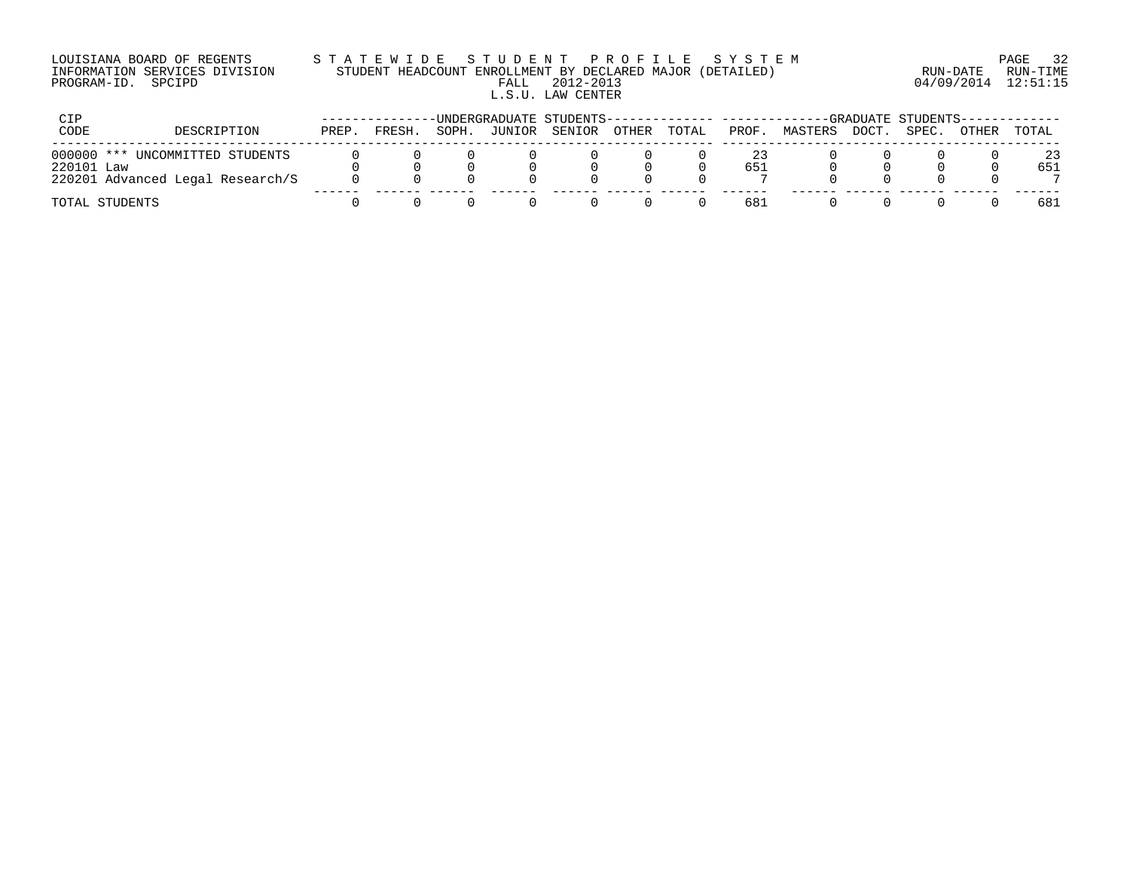| LOUISIANA BOARD OF REGENTS    |  |
|-------------------------------|--|
| INFORMATION SERVICES DIVISION |  |
| PROGRAM-ID. SPCIPD            |  |

## LOUISIANA BOARD OF REGENTS S T A T E W I D E S T U D E N T P R O F I L E S Y S T E M PAGE 32 INFORMATION SERVICES DIVISION STUDENT HEADCOUNT ENROLLMENT BY DECLARED MAJOR (DETAILED) RUN-DATE RUN-TIME PALL 2012-2013 04/09/2014 12:51:15 L.S.U. LAW CENTER

| CIP        |                                  |       |        |       |        | -UNDERGRADUATE STUDENTS-------------- ------- |       |       |       |         |                    | -GRADUATE STUDENTS------------ |       |       |
|------------|----------------------------------|-------|--------|-------|--------|-----------------------------------------------|-------|-------|-------|---------|--------------------|--------------------------------|-------|-------|
| CODE       | DESCRIPTION                      | PREP. | FRESH. | SOPH. | JUNIOR | SENIOR                                        | OTHER | TOTAL | PROF. | MASTERS | <sup>-</sup> DOCT. | SPEC.                          | OTHER | TOTAL |
|            | 000000 *** UNCOMMITTED STUDENTS  |       |        |       |        |                                               |       |       | 23    |         |                    |                                |       | 23    |
| 220101 Law |                                  |       |        |       |        |                                               |       |       | 651   |         |                    |                                |       | 651   |
|            | 220201 Advanced Legal Research/S |       |        |       |        |                                               |       |       |       |         |                    |                                |       |       |
|            | TOTAL STUDENTS                   |       |        |       |        |                                               |       |       | 681   |         |                    |                                |       | 681   |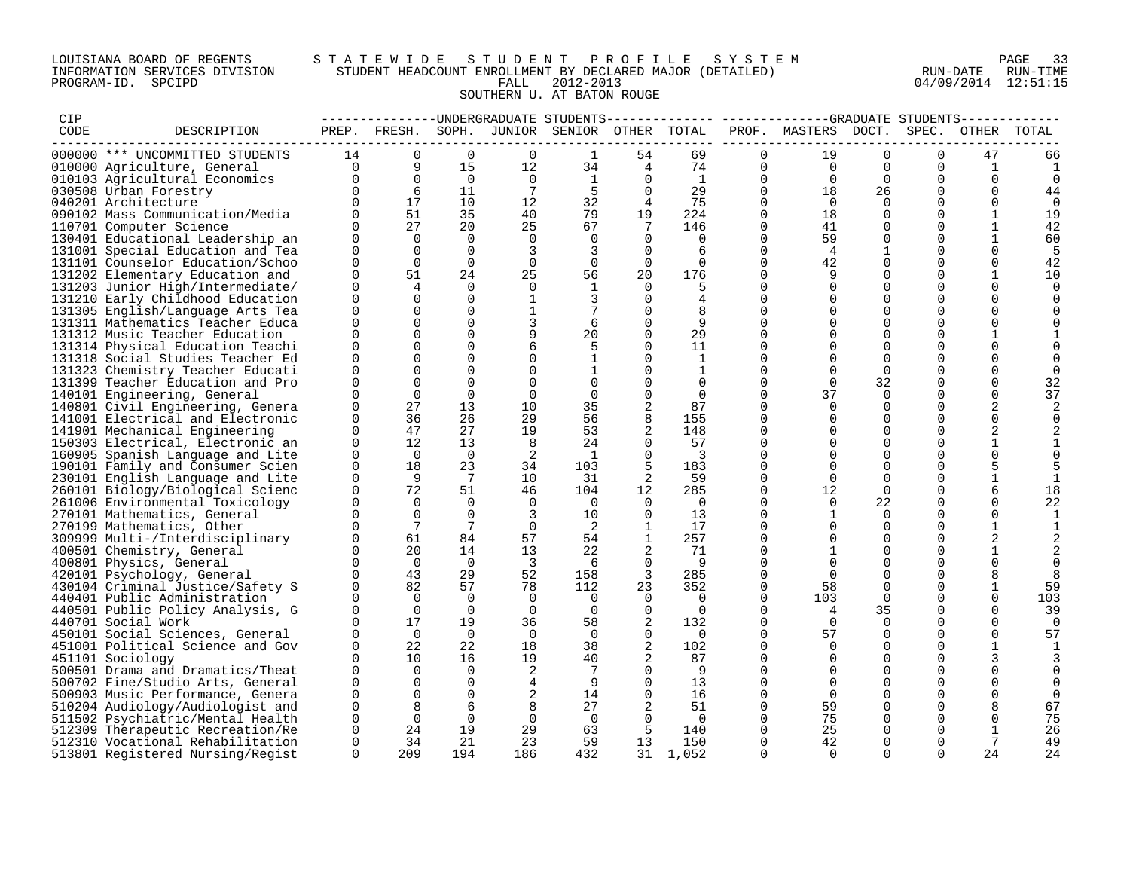### LOUISIANA BOARD OF REGENTS S T A T E W I D E S T U D E N T P R O F I L E S Y S T E M PAGE 33 INFORMATION SERVICES DIVISION STUDENT HEADCOUNT ENROLLMENT BY DECLARED MAJOR (DETAILED) RUN-DATE RUN-TIME PROGRAM-ID. SPCIPD FALL 2012-2013 04/09/2014 12:51:15 SOUTHERN U. AT BATON ROUGE

| CIP  |                                                                   |             |                |                 |                 |                                              |                |                                                     |                | -------------UNDERGRADUATE STUDENTS------------- ------------GRADUATE STUDENTS----------- |                         |                  |                      |             |
|------|-------------------------------------------------------------------|-------------|----------------|-----------------|-----------------|----------------------------------------------|----------------|-----------------------------------------------------|----------------|-------------------------------------------------------------------------------------------|-------------------------|------------------|----------------------|-------------|
| CODE | DESCRIPTION                                                       |             |                |                 |                 | PREP. FRESH. SOPH. JUNIOR SENIOR OTHER TOTAL |                |                                                     |                | PROF. MASTERS DOCT.                                                                       |                         | SPEC.            | OTHER                | TOTAL       |
|      | 000000 *** UNCOMMITTED STUDENTS                                   | 14          | $\Omega$       | $\Omega$        | $\Omega$        | 1                                            | 54             | 69                                                  | $\Omega$       | 19                                                                                        | $\Omega$                | $\Omega$         | 47                   | 66          |
|      | 010000 Agriculture, General                                       | $\Omega$    |                | 15              | 12 <sup>°</sup> | 34                                           |                |                                                     | 0              | $\overline{0}$                                                                            | $\Omega$                | $\Omega$         | 1                    |             |
|      | 010103 Agricultural Economics                                     | $\Omega$    | $\frac{9}{0}$  | $\overline{0}$  | $\overline{0}$  | $\overline{1}$                               |                | $\begin{bmatrix} 4 & & 74 \\ 0 & & 1 \end{bmatrix}$ | $\mathbf 0$    | $\overline{0}$                                                                            | $\Omega$                | $\Omega$         | $\Omega$             | $\mathbf 0$ |
|      | 030508 Urban Forestry                                             | $\Omega$    | 6              | 11              | 7               | -5                                           | $\Omega$       | 29                                                  | $\overline{0}$ | 18                                                                                        | 26                      | $\Omega$         | $\Omega$             | 44          |
|      | 040201 Architecture                                               | $\Omega$    | 17             | 10              | 12              | 32                                           | $\overline{4}$ | 75                                                  | $\Omega$       | $\overline{0}$                                                                            | $\Omega$                | $\Omega$         | $\Omega$             | $\Omega$    |
|      | 090102 Mass Communication/Media                                   | $\Omega$    | 51             | 35              | 40              | 79                                           | 19             | 224                                                 | $\mathbf 0$    | 18                                                                                        | $\Omega$                | 0                |                      | 19          |
|      | 110701 Computer Science                                           | $\Omega$    | 27             | 20              | 25              | 67                                           | 7              | 146                                                 | $\Omega$       | 41                                                                                        |                         | $\Omega$         |                      | 42          |
|      | 130401 Educational Leadership an                                  | $\Omega$    | $\Omega$       | $\Omega$        | $\mathbf 0$     | $\Omega$                                     | $\Omega$       | $\overline{0}$                                      | $\mathbf 0$    | 59                                                                                        | $\Omega$                | $\Omega$         |                      | 60          |
|      | 131001 Special Education and Tea                                  | $\Omega$    | $\Omega$       | $\Omega$        | 3               | 3                                            | $\Omega$       | -6                                                  | $\Omega$       | $\overline{4}$                                                                            | 1                       | $\Omega$         |                      | -5          |
|      | 131101 Counselor Education/Schoo                                  | $\Omega$    | $\Omega$       | $\Omega$        | $\mathbf 0$     | $\mathbf 0$                                  | $\Omega$       | $\Omega$                                            | $\Omega$       | 42                                                                                        | $\Omega$                | $\Omega$         | $\Omega$             | 42          |
|      | 131202 Elementary Education and                                   | $\Omega$    | 51             | 24              | 25              | 56                                           | 20             | 176                                                 | $\Omega$       |                                                                                           | $\mathbf 0$             | $\mathbf 0$      |                      | 10          |
|      | 131203 Junior High/Intermediate/                                  | 0           |                | $\Omega$        | 0               | 1                                            | $\Omega$       | 5                                                   | $\Omega$       |                                                                                           | $\Omega$                | 0                |                      | $\Omega$    |
|      | 131210 Early Childhood Education                                  | $\Omega$    | $\Omega$       | $\Omega$        | $\mathbf{1}$    |                                              | $\Omega$       | 4                                                   | $\Omega$       |                                                                                           | $\Omega$                | $\Omega$         |                      |             |
|      | 131305 English/Language Arts Tea                                  | $\Omega$    | $\Omega$       | $\Omega$        | $\mathbf{1}$    |                                              | 0              | 8                                                   | $\Omega$       | $\Omega$                                                                                  | $\Omega$                | $\mathbf 0$      |                      |             |
|      | 131311 Mathematics Teacher Educa                                  | $\Omega$    | $\Omega$       | $\Omega$        | 3               | 6                                            | $\Omega$       | 9                                                   | $\Omega$       |                                                                                           | $\Omega$                | 0                |                      |             |
|      | 131312 Music Teacher Education                                    | $\cap$      | $\Omega$       | $\Omega$        |                 | 20                                           | $\Omega$       | 29                                                  | 0              |                                                                                           | $\Omega$                | $\Omega$         |                      |             |
|      | 131314 Physical Education Teachi                                  | U           |                | $\Omega$        | 6               | 5                                            | $\Omega$       | 11                                                  | $\Omega$       |                                                                                           | $\Omega$                | $\Omega$         |                      |             |
|      | 131318 Social Studies Teacher Ed                                  | O           |                | $\Omega$        | 0               |                                              | $\Omega$       | 1                                                   | $\Omega$       |                                                                                           | $\Omega$                | $\Omega$         |                      |             |
|      | 131323 Chemistry Teacher Educati                                  | $\Omega$    |                | $\Omega$        | $\mathbf 0$     |                                              | $\Omega$       | 1                                                   | $\Omega$       |                                                                                           | $\Omega$                | $\Omega$         |                      |             |
|      | 131399 Teacher Education and Pro                                  | O<br>$\cap$ | $\Omega$       | $\Omega$        | 0               | 0                                            | $\Omega$       | 0                                                   | $\Omega$       | $\Omega$                                                                                  | 32                      | 0                | $\Omega$<br>$\Omega$ | 32          |
|      | 140101 Engineering, General                                       | $\Omega$    | $\Omega$<br>27 | $\Omega$        | $\Omega$        | $\Omega$                                     | $\Omega$       | $\Omega$                                            | $\Omega$       | 37<br>$\Omega$                                                                            | $\Omega$                | $\Omega$         |                      | 37          |
|      | 140801 Civil Engineering, Genera                                  | $\Omega$    | 36             | 13<br>26        | 10<br>29        | 35<br>56                                     | 8              | 87<br>155                                           | 0<br>$\Omega$  |                                                                                           | $\mathbf 0$<br>$\Omega$ | $\mathbf 0$<br>0 | $\Omega$             |             |
|      | 141001 Electrical and Electronic                                  | $\Omega$    | 47             | 27              | 19              | 53                                           | 2              | 148                                                 | $\Omega$       |                                                                                           | $\Omega$                | $\Omega$         |                      |             |
|      | 141901 Mechanical Engineering<br>150303 Electrical, Electronic an | $\Omega$    | 12             | 13              | 8               | 24                                           | $\Omega$       | 57                                                  | $\Omega$       | $\Omega$                                                                                  | $\Omega$                | $\Omega$         |                      |             |
|      | 160905 Spanish Language and Lite                                  | $\Omega$    | $\overline{0}$ | $\overline{0}$  | -2              | $\overline{1}$                               | $\Omega$       | $\overline{\phantom{a}}$                            | $\Omega$       | $\Omega$                                                                                  | $\Omega$                | $\Omega$         |                      |             |
|      | 190101 Family and Consumer Scien                                  | $\Omega$    | 18             | 23              | 34              | 103                                          | 5              | 183                                                 | $\Omega$       |                                                                                           | $\Omega$                | $\Omega$         |                      |             |
|      | 230101 English Language and Lite                                  | 0           | - 9            | 7               | 10              | 31                                           | 2              | 59                                                  | 0              | $\Omega$                                                                                  | $\Omega$                | $\Omega$         |                      |             |
|      | 260101 Biology/Biological Scienc                                  | $\Omega$    | 72             | 51              | 46              | 104                                          | 12             | 285                                                 | $\Omega$       | 12                                                                                        | $\Omega$                | $\Omega$         | 6                    | 18          |
|      | 261006 Environmental Toxicology                                   | $\Omega$    | $\Omega$       | $\mathbf 0$     | $\mathbf 0$     | $\overline{0}$                               | $\mathbf 0$    | $\overline{0}$                                      | 0              | $\Omega$                                                                                  | 22                      | $\mathbf 0$      | $\Omega$             | 22          |
|      | 270101 Mathematics, General                                       | $\Omega$    | $\Omega$       | $\Omega$        | 3               | 10                                           | $\mathbf 0$    | 13                                                  | $\Omega$       |                                                                                           | $\Omega$                | $\Omega$         |                      |             |
|      | 270199 Mathematics, Other                                         | $\cap$      | 7              | $7\phantom{.0}$ | $\Omega$        | 2                                            |                | 17                                                  | $\Omega$       | $\Omega$                                                                                  | $\Omega$                | $\Omega$         |                      |             |
|      | 309999 Multi-/Interdisciplinary                                   | $\Omega$    | 61             | 84              | 57              | 54                                           | $\mathbf{1}$   | 257                                                 | $\Omega$       | $\Omega$                                                                                  | $\Omega$                | $\Omega$         |                      |             |
|      | 400501 Chemistry, General                                         | $\Omega$    | 20             | 14              | 13              | 22                                           |                | 71                                                  | $\Omega$       |                                                                                           | $\Omega$                | $\Omega$         |                      |             |
|      | 400801 Physics, General                                           | $\Omega$    | $\overline{0}$ | $\overline{0}$  | $\overline{3}$  | 6                                            | $\Omega$       | - 9                                                 | $\Omega$       |                                                                                           | $\Omega$                | $\Omega$         |                      | $\Omega$    |
|      | 420101 Psychology, General                                        | $\Omega$    | 43             | 29              | 52              | 158                                          | 3              | 285                                                 | $\Omega$       |                                                                                           | $\Omega$                | 0                |                      |             |
|      | 430104 Criminal Justice/Safety S                                  | $\Omega$    | 82             | 57              | 78              | 112                                          | 23             | 352                                                 | $\Omega$       | 58                                                                                        | $\Omega$                | $\Omega$         |                      | 59          |
|      | 440401 Public Administration                                      | $\Omega$    | $\Omega$       | $\overline{0}$  | $\overline{0}$  | $\mathbf 0$                                  | 0              | $\overline{0}$                                      | $\mathbf 0$    | 103                                                                                       | $\mathbf 0$             | $\mathbf 0$      | $\Omega$             | 103         |
|      | 440501 Public Policy Analysis, G                                  | $\Omega$    | $\Omega$       | $\Omega$        | $\Omega$        | $\Omega$                                     | $\mathbf 0$    | $\overline{0}$                                      | $\Omega$       |                                                                                           | 35                      | 0                |                      | 39          |
|      | 440701 Social Work                                                | $\Omega$    | 17             | 19              | 36              | 58                                           |                | 132                                                 | $\Omega$       | $\Omega$                                                                                  | $\Omega$                | $\Omega$         | $\Omega$             | $\Omega$    |
|      | 450101 Social Sciences, General                                   | $\Omega$    | $\overline{0}$ | $\overline{0}$  | $\mathbf 0$     | $\overline{0}$                               | $\mathbf 0$    | $\overline{0}$                                      | $\mathbf 0$    | 57                                                                                        | $\Omega$                | $\Omega$         |                      | 57          |
|      | 451001 Political Science and Gov                                  | $\Omega$    | 22             | 22              | 18              | 38                                           | 2              | 102                                                 | $\Omega$       | $\Omega$                                                                                  | $\Omega$                | $\Omega$         |                      |             |
|      | 451101 Sociology                                                  | $\Omega$    | 10             | 16              | 19              | 40                                           |                | 87                                                  | $\Omega$       |                                                                                           | $\Omega$                | $\Omega$         |                      |             |
|      | 500501 Drama and Dramatics/Theat                                  | $\mathbf 0$ | $\Omega$       | $\Omega$        | 2               | -7                                           | $\Omega$       | 9                                                   | $\Omega$       |                                                                                           | $\Omega$                | $\mathbf 0$      |                      |             |
|      | 500702 Fine/Studio Arts, General                                  | $\Omega$    | $\Omega$       | $\Omega$        | 4               | 9                                            | $\Omega$       | 13                                                  | $\Omega$       |                                                                                           | $\Omega$                | $\Omega$         |                      |             |
|      | 500903 Music Performance, Genera                                  | $\Omega$    | $\Omega$       | $\Omega$        | $\sqrt{2}$      | 14                                           | $\Omega$       | 16                                                  | $\Omega$       | $\Omega$                                                                                  | $\Omega$                | $\Omega$         | $\Omega$             | $\Omega$    |
|      | 510204 Audiology/Audiologist and                                  | 0           | 8              | 6               | 8               | 27                                           | 2              | 51                                                  | 0              | 59                                                                                        | 0                       | 0                |                      | 67          |
|      | 511502 Psychiatric/Mental Health                                  | $\Omega$    | $\mathbf 0$    | $\overline{0}$  | $\overline{0}$  | $\overline{0}$                               | $\Omega$       | $\overline{0}$                                      | $\Omega$       | 75                                                                                        | $\Omega$                | $\Omega$         |                      | 75          |
|      | 512309 Therapeutic Recreation/Re                                  | $\mathbf 0$ | 24             | 19              | 29              | 63                                           | 5              | 140                                                 | $\mathbf 0$    | 25                                                                                        | $\Omega$                | $\Omega$         | 1                    | 26          |
|      | 512310 Vocational Rehabilitation                                  | $\Omega$    | 34             | 21              | 23              | 59                                           | 13             | 150                                                 | $\Omega$       | 42                                                                                        | $\Omega$                | $\Omega$         | 7                    | 49          |
|      | 513801 Registered Nursing/Regist                                  | $\Omega$    | 209            | 194             | 186             | 432                                          | 31             | 1,052                                               | $\Omega$       | $\Omega$                                                                                  | $\Omega$                | $\cap$           | 24                   | 24          |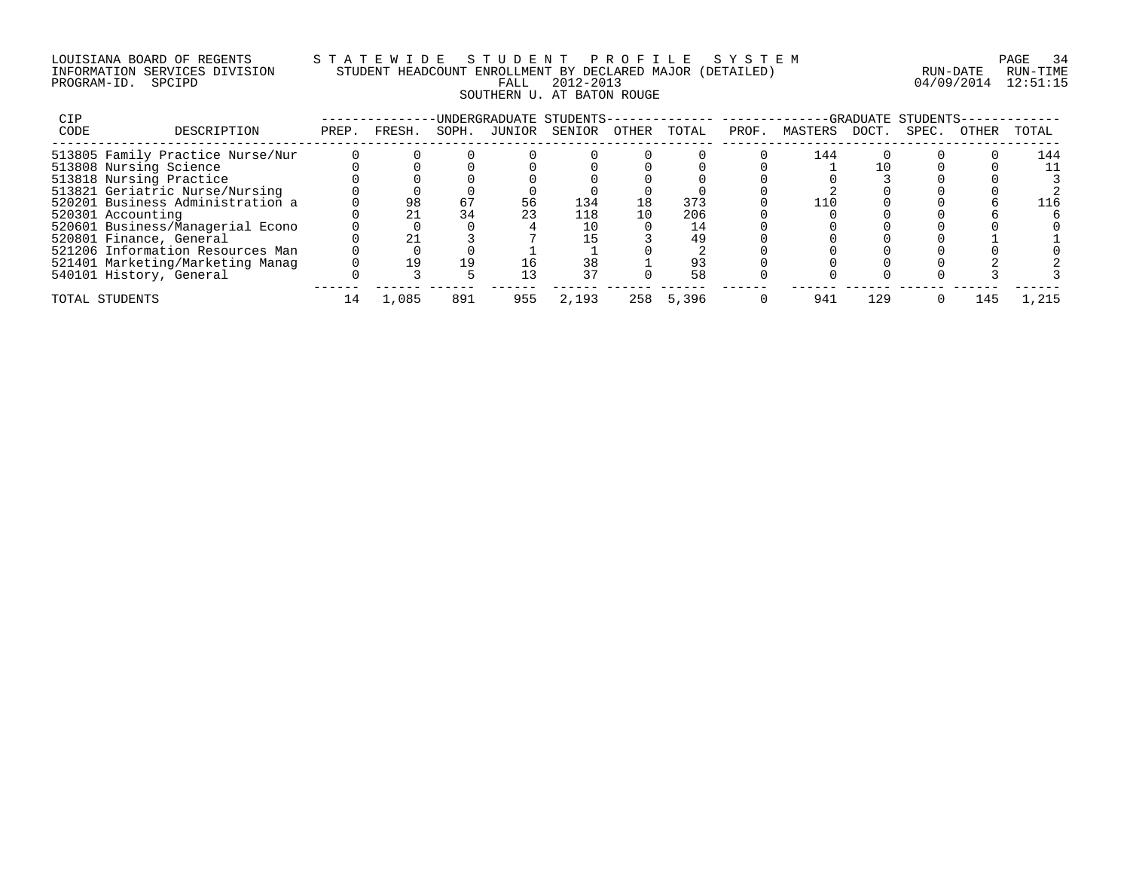## LOUISIANA BOARD OF REGENTS S T A T E W I D E S T U D E N T P R O F I L E S Y S T E M PAGE 34 INFORMATION SERVICES DIVISION STUDENT HEADCOUNT ENROLLMENT BY DECLARED MAJOR (DETAILED) RUN-DATE RUN-TIME PROGRAM-ID. SPCIPD FALL 2012-2013 04/09/2014 12:51:15 SOUTHERN U. AT BATON ROUGE

| CIP  |                                  |       |              |       | UNDERGRADUATE STUDENTS- |        |       |       |       |         | -GRADUATE | STUDENTS |       |       |
|------|----------------------------------|-------|--------------|-------|-------------------------|--------|-------|-------|-------|---------|-----------|----------|-------|-------|
| CODE | DESCRIPTION                      | PREP. | <b>FRESH</b> | SOPH. | JUNIOR                  | SENIOR | OTHER | TOTAL | PROF. | MASTERS | DOCT.     | SPEC.    | OTHER | TOTAL |
|      | 513805 Family Practice Nurse/Nur |       |              |       |                         |        |       |       |       | 144     |           |          |       | 144   |
|      | 513808 Nursing Science           |       |              |       |                         |        |       |       |       |         |           |          |       | 11    |
|      | 513818 Nursing Practice          |       |              |       |                         |        |       |       |       |         |           |          |       |       |
|      | 513821 Geriatric Nurse/Nursing   |       |              |       |                         |        |       |       |       |         |           |          |       |       |
|      | 520201 Business Administration a |       | 98           | 67    | 56                      | 134    | 18    | 373   |       |         |           |          |       |       |
|      | 520301 Accounting                |       |              | 34    | 23                      | 118    | 10    | 206   |       |         |           |          |       |       |
|      | 520601 Business/Managerial Econo |       |              |       |                         |        |       |       |       |         |           |          |       |       |
|      | 520801 Finance, General          |       |              |       |                         |        |       | 49    |       |         |           |          |       |       |
|      | 521206 Information Resources Man |       |              |       |                         |        |       |       |       |         |           |          |       |       |
|      | 521401 Marketing/Marketing Manag |       | 19           | 19    |                         | 38     |       | 93    |       |         |           |          |       |       |
|      | 540101 History, General          |       |              |       | 13                      | 37     |       | 58    |       |         |           |          |       |       |
|      | TOTAL STUDENTS                   | ⊥4    | 1,085        | 891   | 955                     | 2,193  | 258   | 5,396 |       | 941     | 129       |          | 145   | 1,215 |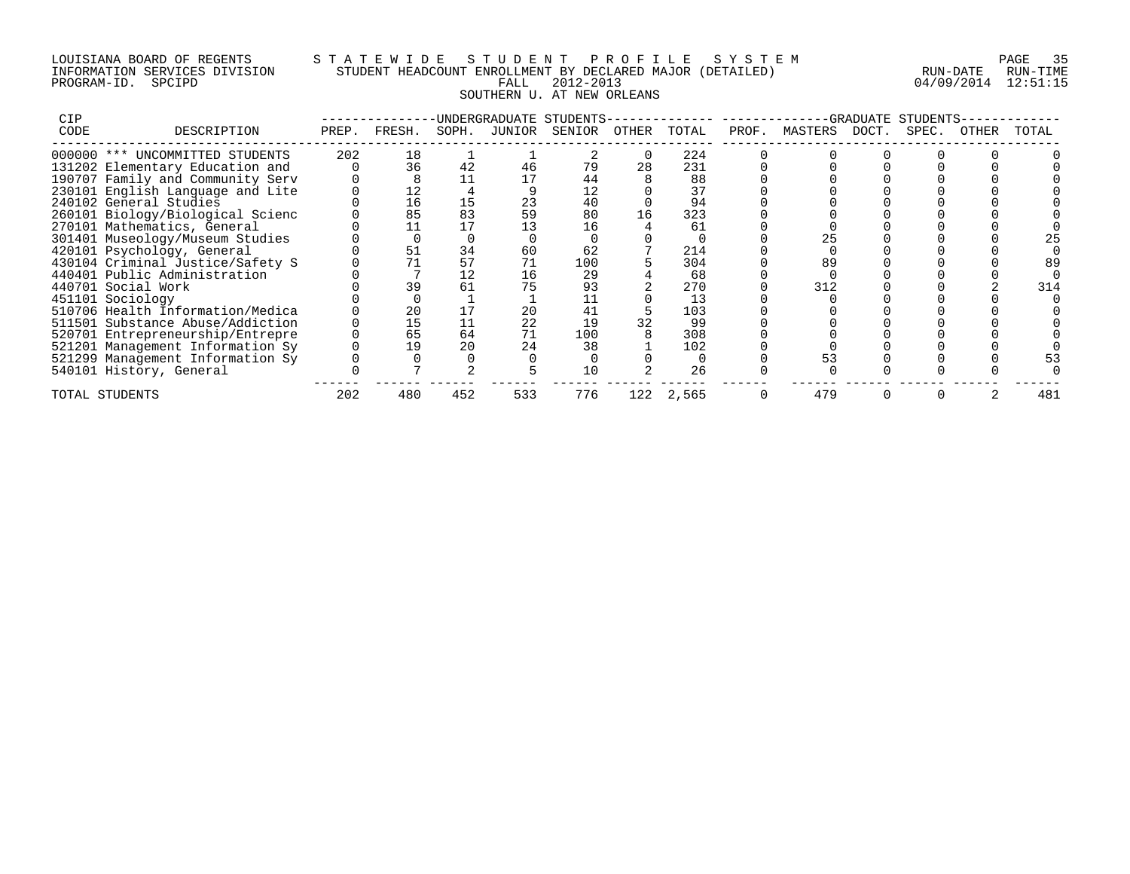## LOUISIANA BOARD OF REGENTS S T A T E W I D E S T U D E N T P R O F I L E S Y S T E M PAGE 35 INFORMATION SERVICES DIVISION STUDENT HEADCOUNT ENROLLMENT BY DECLARED MAJOR (DETAILED) RUN-DATE RUN-TIME PROGRAM-ID. SPCIPD FALL 2012-2013 04/09/2014 12:51:15 SOUTHERN U. AT NEW ORLEANS

| <b>CIP</b> |                                  |       |        |       |        | UNDERGRADUATE STUDENTS- |       |       |       |               | -GRADUATE | STUDENTS |       |       |
|------------|----------------------------------|-------|--------|-------|--------|-------------------------|-------|-------|-------|---------------|-----------|----------|-------|-------|
| CODE       | DESCRIPTION                      | PREP. | FRESH. | SOPH. | JUNIOR | SENIOR                  | OTHER | TOTAL | PROF. | MASTERS DOCT. |           | SPEC.    | OTHER | TOTAL |
|            | 000000 *** UNCOMMITTED STUDENTS  | 202   | 18     |       |        |                         |       | 224   |       |               |           |          |       |       |
|            | 131202 Elementary Education and  |       | 36     | 42    | 46     | 79                      | 28    | 231   |       |               |           |          |       |       |
|            | 190707 Family and Community Serv |       |        |       |        | 44                      |       | 88    |       |               |           |          |       |       |
|            | 230101 English Language and Lite |       | 12     |       |        | 12                      |       | 37    |       |               |           |          |       |       |
|            | 240102 General Studies           |       | 16     | 15    | 23     | 40                      |       | 94    |       |               |           |          |       |       |
|            | 260101 Biology/Biological Scienc |       | 85     | 83    | 59     | 80                      | 16    | 323   |       |               |           |          |       |       |
|            | 270101 Mathematics, General      |       |        |       |        | 16                      |       | 61    |       |               |           |          |       |       |
|            | 301401 Museology/Museum Studies  |       |        |       |        |                         |       |       |       |               |           |          |       |       |
|            | 420101 Psychology, General       |       | 51     | 34    | 60     | 62                      |       | 214   |       |               |           |          |       |       |
|            | 430104 Criminal Justice/Safety S |       |        | 57    |        | 100                     |       | 304   |       |               |           |          |       | 89    |
|            | 440401 Public Administration     |       |        | 12    | 16     | 29                      |       | 68    |       |               |           |          |       |       |
|            | 440701 Social Work               |       | 39     | 61    |        | 93                      |       | 270   |       | 312           |           |          |       | 314   |
|            | 451101 Sociology                 |       |        |       |        |                         |       | 13    |       |               |           |          |       |       |
|            | 510706 Health Information/Medica |       | 20     |       | 20     | 41                      |       | 103   |       |               |           |          |       |       |
|            | 511501 Substance Abuse/Addiction |       | 15     |       | 22     | 19                      | 32    | 99    |       |               |           |          |       |       |
|            | 520701 Entrepreneurship/Entrepre |       | 65     | 64    |        | 100                     |       | 308   |       |               |           |          |       |       |
|            | 521201 Management Information Sy |       | 19     | 20    | 24     | 38                      |       | 102   |       |               |           |          |       |       |
|            | 521299 Management Information Sy |       |        |       |        |                         |       |       |       |               |           |          |       |       |
|            | 540101 History, General          |       |        |       |        | 10                      |       | 26    |       |               |           |          |       |       |
|            | TOTAL STUDENTS                   | 202   | 480    | 452   | 533    | 776                     | 122   | 2,565 |       | 479           |           |          |       | 481   |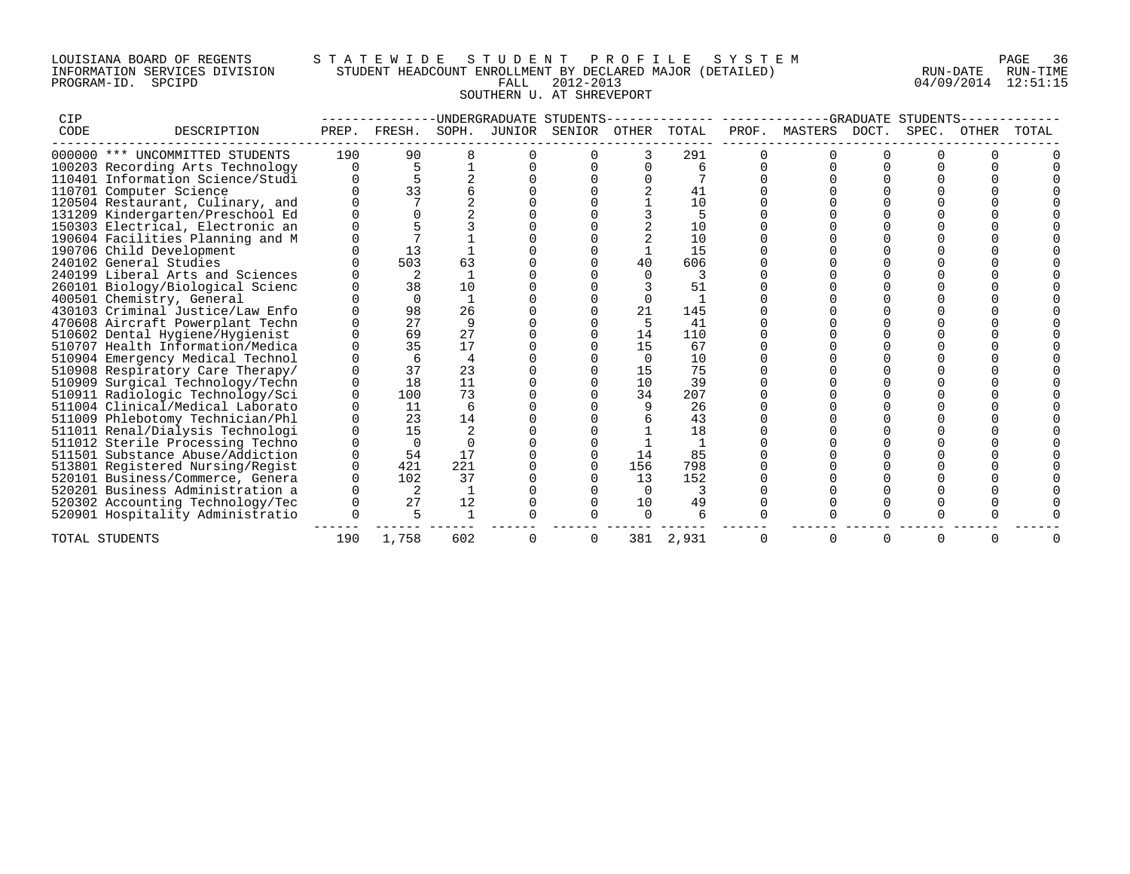## LOUISIANA BOARD OF REGENTS S T A T E W I D E S T U D E N T P R O F I L E S Y S T E M PAGE 36 INFORMATION SERVICES DIVISION STUDENT HEADCOUNT ENROLLMENT BY DECLARED MAJOR (DETAILED) RUN-DATE RUN-TIME PROGRAM-ID. SPCIPD FALL 2012-2013 04/09/2014 12:51:15 SOUTHERN U. AT SHREVEPORT

| CIP  |                                  |       |          |          |        | UNDERGRADUATE STUDENTS |          |       |               |       | GRADUATE STUDENTS |       |       |
|------|----------------------------------|-------|----------|----------|--------|------------------------|----------|-------|---------------|-------|-------------------|-------|-------|
| CODE | DESCRIPTION                      | PREP. | FRESH.   | SOPH.    | JUNIOR | SENIOR                 | OTHER    | TOTAL | PROF. MASTERS | DOCT. | SPEC.             | OTHER | TOTAL |
|      | 000000 *** UNCOMMITTED STUDENTS  | 190   | 90       |          |        |                        |          | 291   |               |       |                   |       |       |
|      | 100203 Recording Arts Technology |       |          |          |        |                        |          | ศ     |               |       |                   |       |       |
|      | 110401 Information Science/Studi |       |          |          |        |                        |          |       |               |       |                   |       |       |
|      | 110701 Computer Science          |       | 33       |          |        |                        |          | 41    |               |       |                   |       |       |
|      | 120504 Restaurant, Culinary, and |       |          |          |        |                        |          | 10    |               |       |                   |       |       |
|      | 131209 Kindergarten/Preschool Ed |       |          |          |        |                        |          |       |               |       |                   |       |       |
|      | 150303 Electrical, Electronic an |       |          |          |        |                        |          | 10    |               |       |                   |       |       |
|      | 190604 Facilities Planning and M |       |          |          |        |                        |          | 10    |               |       |                   |       |       |
|      | 190706 Child Development         |       | 13       |          |        |                        |          | 15    |               |       |                   |       |       |
|      | 240102 General Studies           |       | 503      | 63       |        |                        | 40       | 606   |               |       |                   |       |       |
|      | 240199 Liberal Arts and Sciences |       | 2        |          |        |                        |          |       |               |       |                   |       |       |
|      | 260101 Biology/Biological Scienc |       | 38       | 10       |        |                        |          | 51    |               |       |                   |       |       |
|      | 400501 Chemistry, General        |       | $\cap$   |          |        |                        | $\Omega$ |       |               |       |                   |       |       |
|      | 430103 Criminal Justice/Law Enfo |       | 98       | 26       |        |                        | 21       | 145   |               |       |                   |       |       |
|      | 470608 Aircraft Powerplant Techn |       | 27       | 9        |        |                        |          | 41    |               |       |                   |       |       |
|      | 510602 Dental Hygiene/Hygienist  |       | 69       | 27       |        |                        | 14       | 110   |               |       |                   |       |       |
|      | 510707 Health Information/Medica |       | 35       | 17       |        |                        | 15       | 67    |               |       |                   |       |       |
|      | 510904 Emergency Medical Technol |       | 6        | 4        |        |                        | 0        | 10    |               |       |                   |       |       |
|      | 510908 Respiratory Care Therapy/ |       | 37       | 23       |        |                        | 15       | 75    |               |       |                   |       |       |
|      | 510909 Surgical Technology/Techn |       | 18       | 11       |        |                        | 10       | 39    |               |       |                   |       |       |
|      | 510911 Radiologic Technology/Sci |       | 100      | 73       |        |                        | 34       | 207   |               |       |                   |       |       |
|      | 511004 Clinical/Medical Laborato |       | 11       | 6        |        |                        |          | 26    |               |       |                   |       |       |
|      | 511009 Phlebotomy Technician/Phl |       | 23       | 14       |        |                        |          | 43    |               |       |                   |       |       |
|      | 511011 Renal/Dialysis Technologi |       | 15       |          |        |                        |          | 18    |               |       |                   |       |       |
|      | 511012 Sterile Processing Techno |       | $\Omega$ | $\Omega$ |        |                        |          |       |               |       |                   |       |       |
|      | 511501 Substance Abuse/Addiction |       | 54       | 17       |        |                        | 14       | 85    |               |       |                   |       |       |
|      | 513801 Registered Nursing/Regist |       | 421      | 221      |        |                        | 156      | 798   |               |       |                   |       |       |
|      | 520101 Business/Commerce, Genera |       | 102      | 37       |        |                        | 13       | 152   |               |       |                   |       |       |
|      | 520201 Business Administration a |       |          |          |        |                        | $\Omega$ |       |               |       |                   |       |       |
|      | 520302 Accounting Technology/Tec |       | 27       | 12       |        |                        | 10       | 49    |               |       |                   |       |       |
|      | 520901 Hospitality Administratio |       | 5        |          |        |                        | $\Omega$ |       |               |       |                   |       |       |
|      | TOTAL STUDENTS                   | 190   | 1,758    | 602      |        | 0                      | 381      | 2,931 | 0             | 0     |                   |       |       |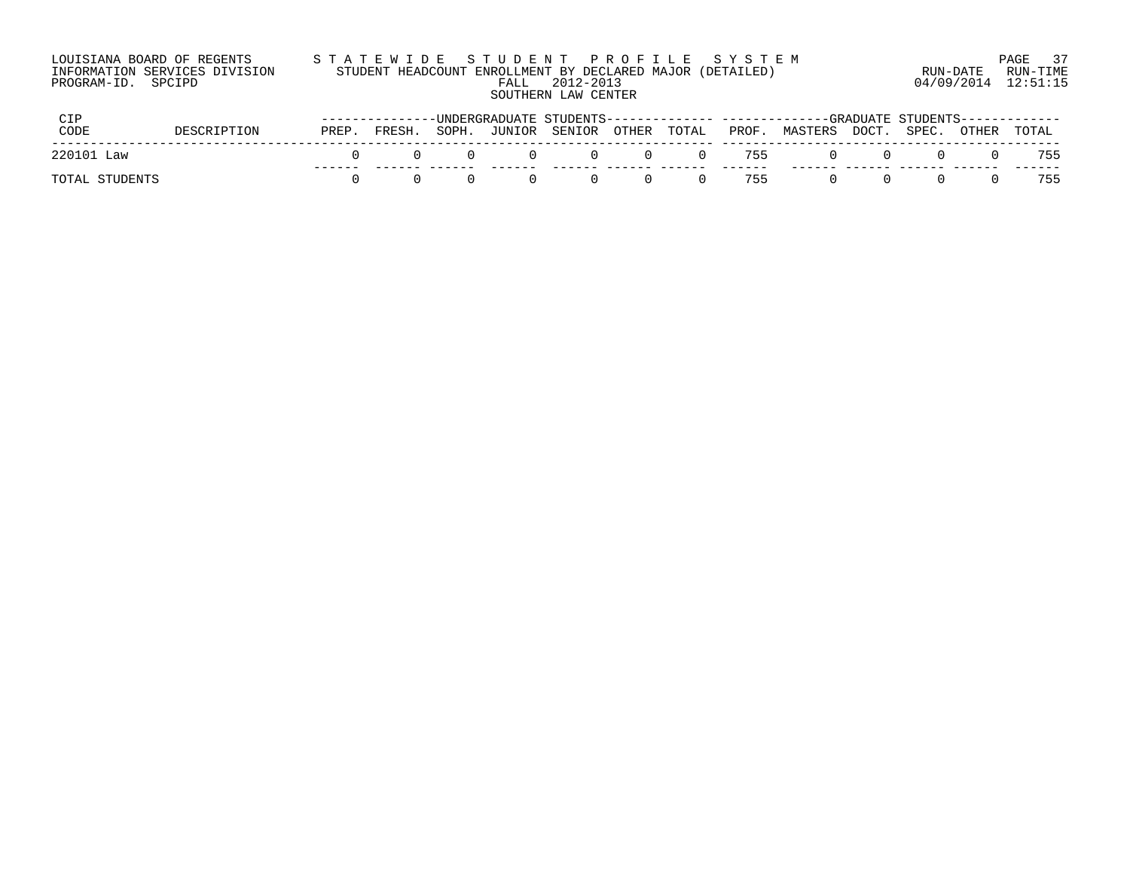| LOUISIANA BOARD OF REGENTS    | STATEWIDE STUDENT PROFILE SYSTEM                          | PAGE 37              |
|-------------------------------|-----------------------------------------------------------|----------------------|
| INFORMATION SERVICES DIVISION | STUDENT HEADCOUNT ENROLLMENT BY DECLARED MAJOR (DETAILED) | RUN-DATE<br>RUN-TIME |
| PROGRAM-ID. SPCIPD            | 2012-2013<br>FALL.                                        | 04/09/2014 12:51:15  |
|                               | SOUTHERN LAW CENTER                                       |                      |

|                |             |       |        |          |                   |                           |          |          |              | ------UNDERGRADUATE STUDENTS-------------- -------------GRADUATE STUDENTS------------ |              |             |       |
|----------------|-------------|-------|--------|----------|-------------------|---------------------------|----------|----------|--------------|---------------------------------------------------------------------------------------|--------------|-------------|-------|
| CODE           | DESCRIPTION | PREP. | FRESH. | SOPH.    |                   | JUNIOR SENIOR OTHER TOTAL |          |          |              | PROF. MASTERS DOCT. SPEC. OTHER TOTAL                                                 |              |             |       |
| 220101 Law     |             |       |        | $\Omega$ | $\sim$ 0 $\sim$ 0 |                           |          |          | 0 0 0 755    |                                                                                       | $\bigcap$    | $(1)$ $(1)$ | 0 755 |
| TOTAL STUDENTS |             |       |        |          | $\cap$            | $\bigcap$                 | $\Omega$ | $\Omega$ | -----<br>755 | $\bigcap$                                                                             | $\mathbf{r}$ | $\bigcap$   | 755   |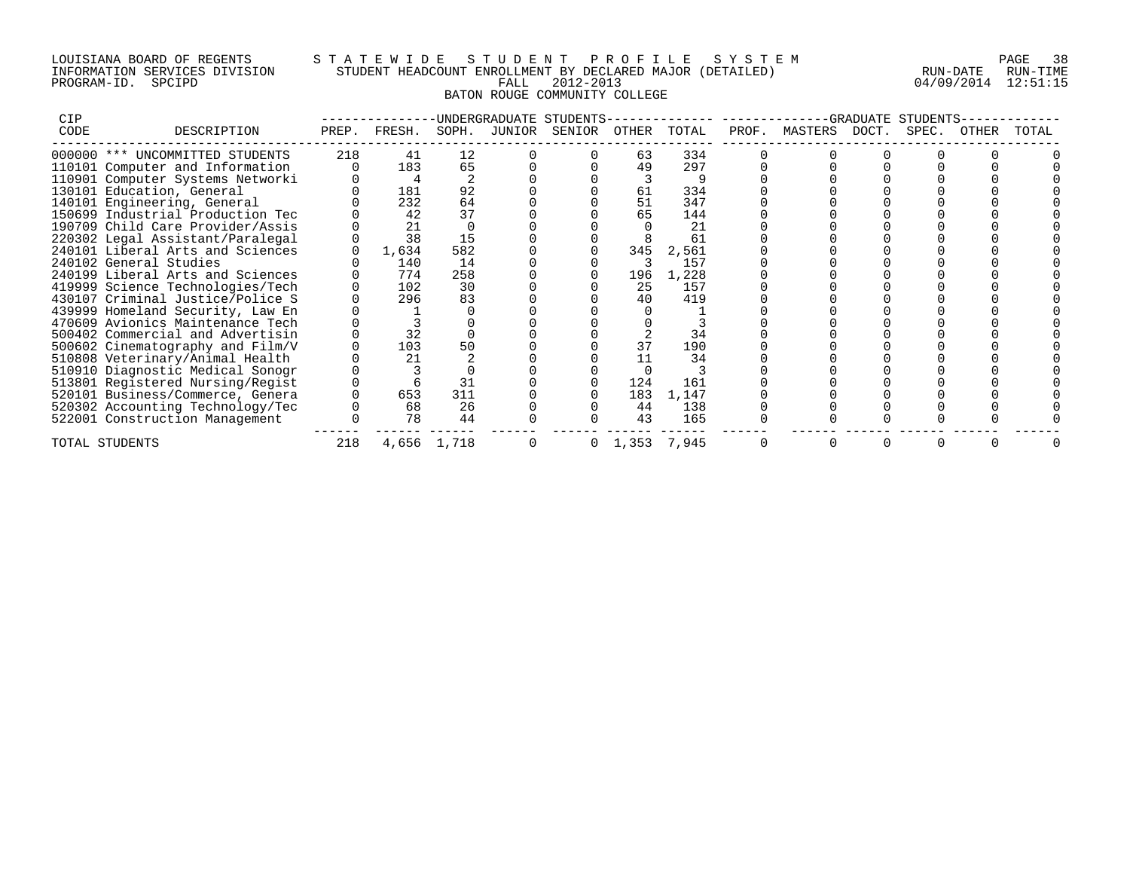## LOUISIANA BOARD OF REGENTS S T A T E W I D E S T U D E N T P R O F I L E S Y S T E M PAGE 38 INFORMATION SERVICES DIVISION STUDENT HEADCOUNT ENROLLMENT BY DECLARED MAJOR (DETAILED) RUN-DATE RUN-TIME PROGRAM-ID. SPCIPD FALL 2012-2013 04/09/2014 12:51:15 BATON ROUGE COMMUNITY COLLEGE

| CIP  |                                  |       |        |             | UNDERGRADUATE STUDENTS |        |             |       |       |               | GRADUATE. | STUDENTS |       |       |
|------|----------------------------------|-------|--------|-------------|------------------------|--------|-------------|-------|-------|---------------|-----------|----------|-------|-------|
| CODE | DESCRIPTION                      | PREP. | FRESH. | SOPH.       | JUNIOR                 | SENIOR | OTHER       | TOTAL | PROF. | MASTERS DOCT. |           | SPEC.    | OTHER | TOTAL |
|      | 000000 *** UNCOMMITTED STUDENTS  | 218   | 41     | 12          |                        |        | 63          | 334   |       |               |           |          |       |       |
|      | 110101 Computer and Information  |       | 183    | 65          |                        |        | 49          | 297   |       |               |           |          |       |       |
|      | 110901 Computer Systems Networki |       |        |             |                        |        |             |       |       |               |           |          |       |       |
|      | 130101 Education, General        |       | 181    | 92          |                        |        | 61          | 334   |       |               |           |          |       |       |
|      | 140101 Engineering, General      |       | 232    | 64          |                        |        | 51          | 347   |       |               |           |          |       |       |
|      | 150699 Industrial Production Tec |       | 42     | 37          |                        |        | 65          | 144   |       |               |           |          |       |       |
|      | 190709 Child Care Provider/Assis |       | 21     |             |                        |        |             | 21    |       |               |           |          |       |       |
|      | 220302 Legal Assistant/Paralegal |       | 38     | 15          |                        |        |             | 61    |       |               |           |          |       |       |
|      | 240101 Liberal Arts and Sciences |       | 1,634  | 582         |                        |        | 345         | 2,561 |       |               |           |          |       |       |
|      | 240102 General Studies           |       | 140    | 14          |                        |        |             | 157   |       |               |           |          |       |       |
|      | 240199 Liberal Arts and Sciences |       | 774    | 258         |                        |        | 196         | 1,228 |       |               |           |          |       |       |
|      | 419999 Science Technologies/Tech |       | 102    | 30          |                        |        | 25          | 157   |       |               |           |          |       |       |
|      | 430107 Criminal Justice/Police S |       | 296    | 83          |                        |        | 40          | 419   |       |               |           |          |       |       |
|      | 439999 Homeland Security, Law En |       |        |             |                        |        |             |       |       |               |           |          |       |       |
|      | 470609 Avionics Maintenance Tech |       |        |             |                        |        |             |       |       |               |           |          |       |       |
|      | 500402 Commercial and Advertisin |       | 32     |             |                        |        |             | 34    |       |               |           |          |       |       |
|      | 500602 Cinematography and Film/V |       | 103    | 50          |                        |        | 37          | 190   |       |               |           |          |       |       |
|      | 510808 Veterinary/Animal Health  |       | 21     |             |                        |        |             | 34    |       |               |           |          |       |       |
|      | 510910 Diagnostic Medical Sonogr |       |        |             |                        |        |             |       |       |               |           |          |       |       |
|      | 513801 Registered Nursing/Regist |       |        | 31          |                        |        | 124         | 161   |       |               |           |          |       |       |
|      | 520101 Business/Commerce, Genera |       | 653    | 311         |                        |        | 183         | 1,147 |       |               |           |          |       |       |
|      | 520302 Accounting Technology/Tec |       | 68     | 26          |                        |        | 44          | 138   |       |               |           |          |       |       |
|      | 522001 Construction Management   |       | 78     | 44          |                        |        | 43          | 165   |       |               |           |          |       |       |
|      | TOTAL STUDENTS                   | 218   |        | 4,656 1,718 |                        | 0      | 1,353 7,945 |       |       |               |           |          |       |       |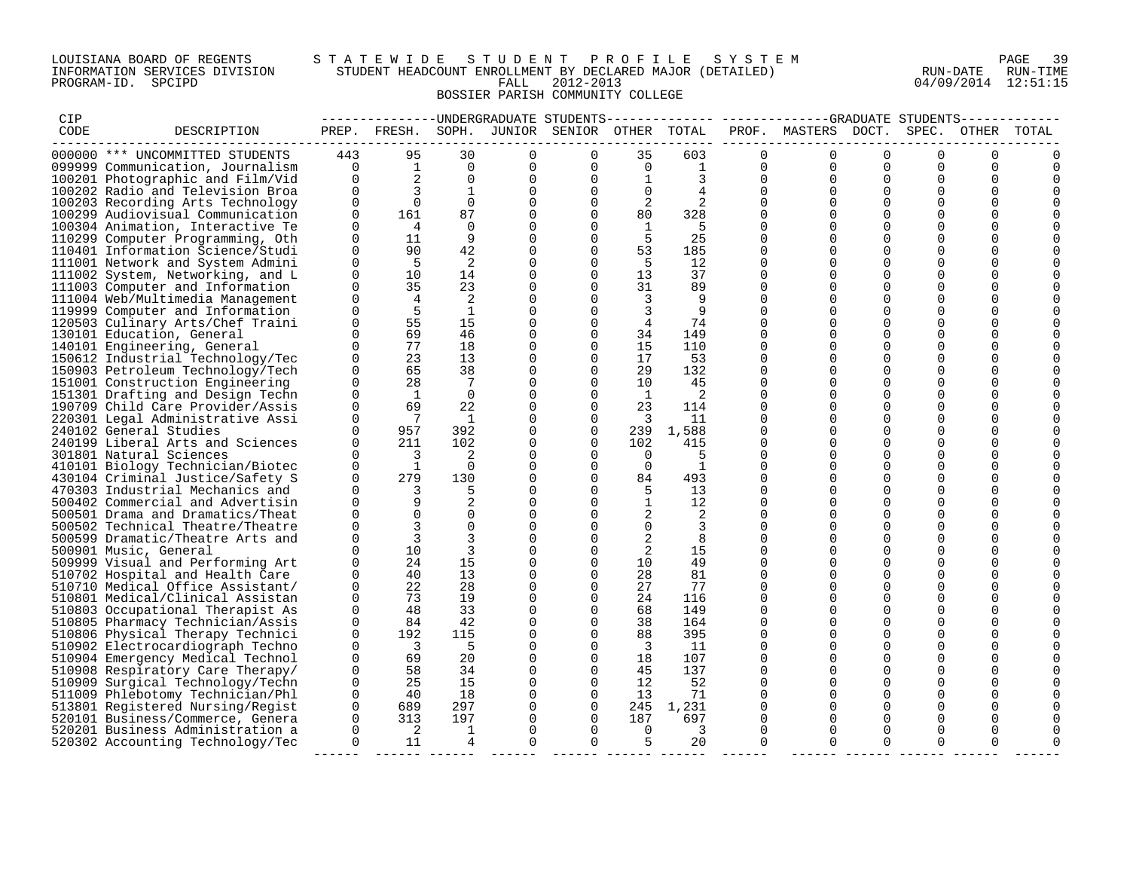### LOUISIANA BOARD OF REGENTS S T A T E W I D E S T U D E N T P R O F I L E S Y S T E M PAGE 39 INFORMATION SERVICES DIVISION STUDENT HEADCOUNT ENROLLMENT BY DECLARED MAJOR (DETAILED) RUN-DATE RUN-TIME PROGRAM-ID. SPCIPD FALL 2012-2013 04/09/2014 12:51:15 BOSSIER PARISH COMMUNITY COLLEGE

| CIP  |                                                                     |                    |                            |                               |                  |                                              |                         |                |                      | -------------UNDERGRADUATE STUDENTS-------------- ------------GRADUATE STUDENTS------------ |                      |                      |                      |             |
|------|---------------------------------------------------------------------|--------------------|----------------------------|-------------------------------|------------------|----------------------------------------------|-------------------------|----------------|----------------------|---------------------------------------------------------------------------------------------|----------------------|----------------------|----------------------|-------------|
| CODE | DESCRIPTION                                                         |                    |                            |                               |                  | PREP. FRESH. SOPH. JUNIOR SENIOR OTHER TOTAL |                         |                |                      | PROF. MASTERS DOCT.                                                                         |                      | SPEC.                |                      | OTHER TOTAL |
|      | 000000 *** UNCOMMITTED STUDENTS                                     | 443                | 95                         | 30                            | $\Omega$         | $\Omega$                                     | 35                      | 603            | $\Omega$             | $\Omega$                                                                                    | $\Omega$             | $\Omega$             |                      |             |
|      | 099999 Communication, Journalism                                    | $\overline{0}$     | $\mathbf{1}$               | $\Omega$                      | $\overline{0}$   | $\Omega$                                     | $\overline{0}$          | $\frac{1}{2}$  |                      | $\Omega$<br>$\Omega$                                                                        | $\Omega$             | $\Omega$             | $\Omega$             |             |
|      | 100201 Photographic and Film/Vid                                    | $\Omega$           | $\overline{a}$             | $\overline{0}$                | $\mathbf 0$      | $\Omega$                                     | $\mathbf{1}$            |                | $\Omega$             | $\Omega$                                                                                    | $\Omega$             | $\Omega$             | $\Omega$             |             |
|      | 100202 Radio and Television Broa                                    | $\Omega$           | $\overline{3}$             | $\overline{1}$                | $\mathbf{0}$     | $\Omega$                                     | $\Omega$                | $\overline{4}$ | $\Omega$             | $\Omega$                                                                                    | $\Omega$             | $\Omega$             | $\Omega$             |             |
|      | 100203 Recording Arts Technology                                    | $\Omega$           | $\bigcap$                  | $\Omega$                      | $\mathbf 0$      | $\Omega$                                     | 2                       | 2              | $\Omega$             | $\Omega$                                                                                    | $\Omega$             | $\Omega$             | $\Omega$             |             |
|      | 100299 Audiovisual Communication                                    | $\Omega$           | 161                        | 87                            | $\mathbf 0$      | $\Omega$                                     | 80                      | 328            | $\Omega$             | $\Omega$                                                                                    | $\Omega$             | $\Omega$             | $\Omega$             |             |
|      | 100304 Animation, Interactive Te                                    | 0                  | $\overline{4}$             | $\Omega$                      | 0                | $\Omega$                                     | 1                       | -5             | $\Omega$             |                                                                                             | 0                    | $\mathbf 0$          | $\Omega$             |             |
|      | 110299 Computer Programming, Oth                                    | $\Omega$           | 11                         | - 9                           | 0                | $\Omega$                                     | $-5$                    | 25             | $\Omega$             |                                                                                             | $\mathbf 0$          | $\mathbf 0$          | $\Omega$             |             |
|      | 110401 Information Science/Studi                                    | $\mathbf 0$        | 90                         | 42                            | 0                | $\Omega$                                     | 53                      | 185            | $\Omega$             |                                                                                             | $\Omega$             | $\mathbf 0$          | $\Omega$             |             |
|      | 111001 Network and System Admini                                    | $\Omega$           | $-5$                       | $\overline{2}$                | 0                | $\Omega$                                     | $-5$                    | 12             | $\Omega$             | $\Omega$                                                                                    | $\Omega$             | $\Omega$             | ∩                    |             |
|      | 111002 System, Networking, and L                                    | $\Omega$           | 10                         | 14                            | $\mathbf 0$      | $\Omega$                                     | 13                      | 37             | $\Omega$             | $\Omega$                                                                                    | $\Omega$             | $\Omega$             | $\Omega$             |             |
|      | 111003 Computer and Information                                     | $\Omega$           | 35                         | 23                            | $\mathbf 0$      | $\Omega$                                     | 31                      | 89             | $\Omega$             | $\Omega$                                                                                    | $\Omega$             | $\Omega$             | $\Omega$             |             |
|      | 111004 Web/Multimedia Management                                    | $\Omega$           | $\overline{4}$             | 2                             | $\mathbf 0$      | $\Omega$                                     | 3                       | -9             | $\Omega$             |                                                                                             | $\Omega$             | $\Omega$             | $\Omega$             |             |
|      | 119999 Computer and Information                                     | $\Omega$           | 5                          | $\mathbf{1}$                  | $\mathbf 0$      | $\Omega$                                     | $\overline{3}$          | 9              | $\Omega$             |                                                                                             | $\Omega$             | $\Omega$             | $\Omega$             |             |
|      | 120503 Culinary Arts/Chef Traini                                    | $\Omega$           | 55                         | 15                            | $\mathbf 0$      | $\Omega$                                     | $\overline{4}$          | 74             | $\Omega$             | $\Omega$                                                                                    | $\Omega$             | $\Omega$             | $\Omega$             |             |
|      | 130101 Education, General                                           | $\Omega$           | 69                         | 46                            | $\mathbf 0$      | $\Omega$                                     | 34                      | 149            | $\Omega$             | $\Omega$                                                                                    | $\Omega$             | $\Omega$             | $\Omega$             |             |
|      | 140101 Engineering, General                                         | $\Omega$           | 77                         | 18                            | 0                | $\mathbf 0$                                  | 15                      | 110            | $\Omega$             |                                                                                             | 0                    | $\mathbf 0$          |                      |             |
|      | 150612 Industrial Technology/Tec                                    | $\Omega$           | 23                         | 13                            | 0                | $\Omega$                                     | 17                      | 53             | $\Omega$             | $\Omega$                                                                                    | $\mathbf 0$          | $\mathbf 0$          | $\Omega$             |             |
|      | 150903 Petroleum Technology/Tech                                    | 0                  | 65                         | 38                            | 0                | $\Omega$                                     | 29                      | 132            | $\Omega$             |                                                                                             | $\Omega$             | $\Omega$             | $\Omega$             |             |
|      | 151001 Construction Engineering                                     | $\Omega$           | 28                         | $\overline{7}$                | $\mathbf 0$      | $\Omega$                                     | 10                      | 45             | $\Omega$             | $\Omega$                                                                                    | $\Omega$             | $\Omega$             | ∩                    |             |
|      | 151301 Drafting and Design Techn                                    | $\Omega$           | $\overline{1}$             | $\Omega$                      | $\mathbf 0$      | $\Omega$                                     | $\overline{1}$          | $\overline{2}$ | $\Omega$             | $\Omega$                                                                                    | $\Omega$             | $\Omega$             | $\Omega$             |             |
|      | 190709 Child Care Provider/Assis                                    | $\Omega$           | 69                         | 22                            | $\mathbf 0$      | $\Omega$                                     | 23                      | 114            | $\Omega$             |                                                                                             | $\Omega$             | $\Omega$             | $\Omega$             |             |
|      | 220301 Legal Administrative Assi                                    | $\Omega$           | $\overline{7}$             | $\overline{1}$                | $\mathbf 0$      | $\Omega$                                     | $\overline{\mathbf{3}}$ | 11             | $\Omega$             |                                                                                             | $\Omega$             | $\Omega$             | ∩                    |             |
|      | 240102 General Studies                                              | $\Omega$           | 957                        | 392                           | $\mathsf 0$      | $\Omega$                                     |                         | 239 1,588      | $\Omega$             |                                                                                             | $\Omega$             | $\Omega$             | $\Omega$             |             |
|      | 240199 Liberal Arts and Sciences                                    | $\mathbf 0$        | 211                        | 102                           | 0                | $\Omega$                                     | 102                     | 415            | $\Omega$             | $\Omega$                                                                                    | 0                    | $\mathbf 0$          | $\Omega$             |             |
|      | 301801 Natural Sciences                                             | $\Omega$           | $\overline{\mathbf{3}}$    | 2                             | $\mathbf 0$      | $\Omega$                                     | $\overline{0}$          | -5             | $\Omega$             | $\Omega$                                                                                    | $\Omega$             | $\Omega$             | $\Omega$             |             |
|      | 410101 Biology Technician/Biotec                                    | 0                  | $\overline{1}$             | $\overline{0}$                | 0                | $\Omega$                                     | $\overline{0}$          | $\mathbf{1}$   | $\Omega$             |                                                                                             | 0                    | $\mathbf 0$          | $\Omega$             |             |
|      | 430104 Criminal Justice/Safety S                                    | $\Omega$           | 279                        | 130                           | $\mathbf 0$      | $\Omega$                                     | 84                      | 493            | $\Omega$             |                                                                                             | $\Omega$             | $\Omega$             | ∩                    |             |
|      | 470303 Industrial Mechanics and                                     | $\Omega$           | 3                          | 5                             | $\mathbf 0$      |                                              | $5^{\circ}$             | 13             | $\Omega$             |                                                                                             | $\Omega$             | $\Omega$             |                      |             |
|      | 500402 Commercial and Advertisin                                    | $\Omega$           | 9                          | 2                             | $\mathbf 0$      | $\Omega$                                     | $\mathbf{1}$            | 12             | $\Omega$             |                                                                                             | $\Omega$             | $\Omega$             | $\Omega$             |             |
|      | 500501 Drama and Dramatics/Theat                                    | $\Omega$           |                            | $\Omega$<br>$\Omega$          | $\mathbf 0$      |                                              | 2                       | 2              | $\Omega$             |                                                                                             | $\Omega$             | $\Omega$             | $\Omega$             |             |
|      | 500502 Technical Theatre/Theatre                                    | $\Omega$<br>$\cap$ | $\mathbf{3}$               | 3                             | $\mathbf 0$      | $\Omega$<br>$\Omega$                         | $\Omega$                | 3<br>8         | $\Omega$             |                                                                                             | $\Omega$<br>$\Omega$ | $\Omega$<br>$\Omega$ | ∩                    |             |
|      | 500599 Dramatic/Theatre Arts and                                    | $\Omega$           |                            |                               | $\mathbf 0$      |                                              | 2                       |                | $\Omega$             |                                                                                             |                      |                      |                      |             |
|      | 500901 Music, General                                               | $\Omega$           | 10<br>24                   | $\overline{\mathbf{3}}$<br>15 | $\mathbf 0$      | $\Omega$                                     | 2<br>10                 | 15<br>49       | $\Omega$<br>$\Omega$ |                                                                                             | $\Omega$             | $\Omega$             | $\Omega$<br>$\Omega$ |             |
|      | 509999 Visual and Performing Art                                    | $\Omega$           | 40                         | 13                            | 0<br>$\mathbf 0$ | $\mathbf 0$<br>$\Omega$                      | 28                      | 81             | $\Omega$             | $\Omega$                                                                                    | 0<br>$\mathbf 0$     | 0<br>$\Omega$        |                      |             |
|      | 510702 Hospital and Health Care<br>510710 Medical Office Assistant/ | 0                  | 22                         | 28                            | 0                | $\Omega$                                     | 27                      | 77             | $\Omega$             |                                                                                             | $\mathbf 0$          | $\mathbf 0$          | $\Omega$             |             |
|      | 510801 Medical/Clinical Assistan                                    | $\Omega$           | 73                         | 19                            | 0                | $\Omega$                                     | 24                      | 116            | $\Omega$             | $\Omega$                                                                                    | $\Omega$             | $\Omega$             | ∩                    |             |
|      | 510803 Occupational Therapist As                                    | $\Omega$           | 48                         | 33                            | $\mathbf 0$      | $\Omega$                                     | 68                      | 149            | $\Omega$             |                                                                                             | $\Omega$             | $\Omega$             |                      |             |
|      | 510805 Pharmacy Technician/Assis                                    | $\Omega$           | 84                         | 42                            | $\mathbf 0$      | $\Omega$                                     | 38                      | 164            | $\Omega$             |                                                                                             | $\Omega$             | $\Omega$             | $\Omega$             |             |
|      | 510806 Physical Therapy Technici                                    | $\Omega$           | 192                        | 115                           | $\mathbf 0$      | $\Omega$                                     | 88                      | 395            | 0                    |                                                                                             | $\Omega$             | $\Omega$             | $\Omega$             |             |
|      | 510902 Electrocardiograph Techno                                    | $\overline{0}$     | $\overline{\mathbf{3}}$    | $5^{\circ}$                   | 0                | $\overline{0}$                               | $\overline{3}$          | 11             | 0                    |                                                                                             | 0                    | $\mathbf 0$          | ∩                    |             |
|      | 510904 Emergency Medical Technol                                    | $\Omega$           | 69                         | 20                            | 0                | $\Omega$                                     | 18                      | 107            | $\Omega$             | $\Omega$                                                                                    | $\Omega$             | $\Omega$             | $\Omega$             |             |
|      | 510908 Respiratory Care Therapy/                                    | $\Omega$           | 58                         | 34                            | $\mathbf 0$      | $\Omega$                                     | 45                      | 137            | $\Omega$             | $\Omega$                                                                                    | $\Omega$             | $\Omega$             | $\Omega$             |             |
|      | 510909 Surgical Technology/Techn                                    | $\overline{0}$     | 25                         | 15                            | 0                | $\overline{0}$                               | 12                      | 52             | $\Omega$             |                                                                                             | $\Omega$             | $\Omega$             | $\Omega$             |             |
|      | 511009 Phlebotomy Technician/Phl                                    | $\Omega$           | -40                        | 18                            | $\mathbf 0$      | $\Omega$                                     | 13                      | 71             | $\Omega$             | $\Omega$                                                                                    | $\Omega$             | $\Omega$             | ∩                    |             |
|      | 513801 Registered Nursing/Regist                                    | $\overline{0}$     | 689                        | 297                           | 0                | $\overline{0}$                               |                         | 245 1,231      | $\Omega$             |                                                                                             | $\Omega$             | $\Omega$             | $\Omega$             |             |
|      | 520101 Business/Commerce, Genera                                    | $\Omega$           | 313                        | 197                           | $\mathbf 0$      | $\Omega$                                     | 187                     | 697            | $\Omega$             |                                                                                             | $\Omega$             | $\Omega$             |                      |             |
|      | 520201 Business Administration a                                    | $\Omega$           | $\overline{\phantom{0}}^2$ | $\mathbf{1}$                  | $\Omega$         | $\Omega$                                     | $\Omega$                | 3              | $\Omega$             |                                                                                             | $\Omega$             | $\Omega$             | ∩                    |             |
|      | 520302 Accounting Technology/Tec                                    | $\Omega$           | 11                         | $\overline{4}$                | $\Omega$         | $\Omega$                                     | 5                       | 20             | $\Omega$             |                                                                                             | $\Omega$             | $\Omega$             | 0                    |             |
|      |                                                                     |                    |                            |                               |                  |                                              |                         |                |                      |                                                                                             |                      |                      |                      |             |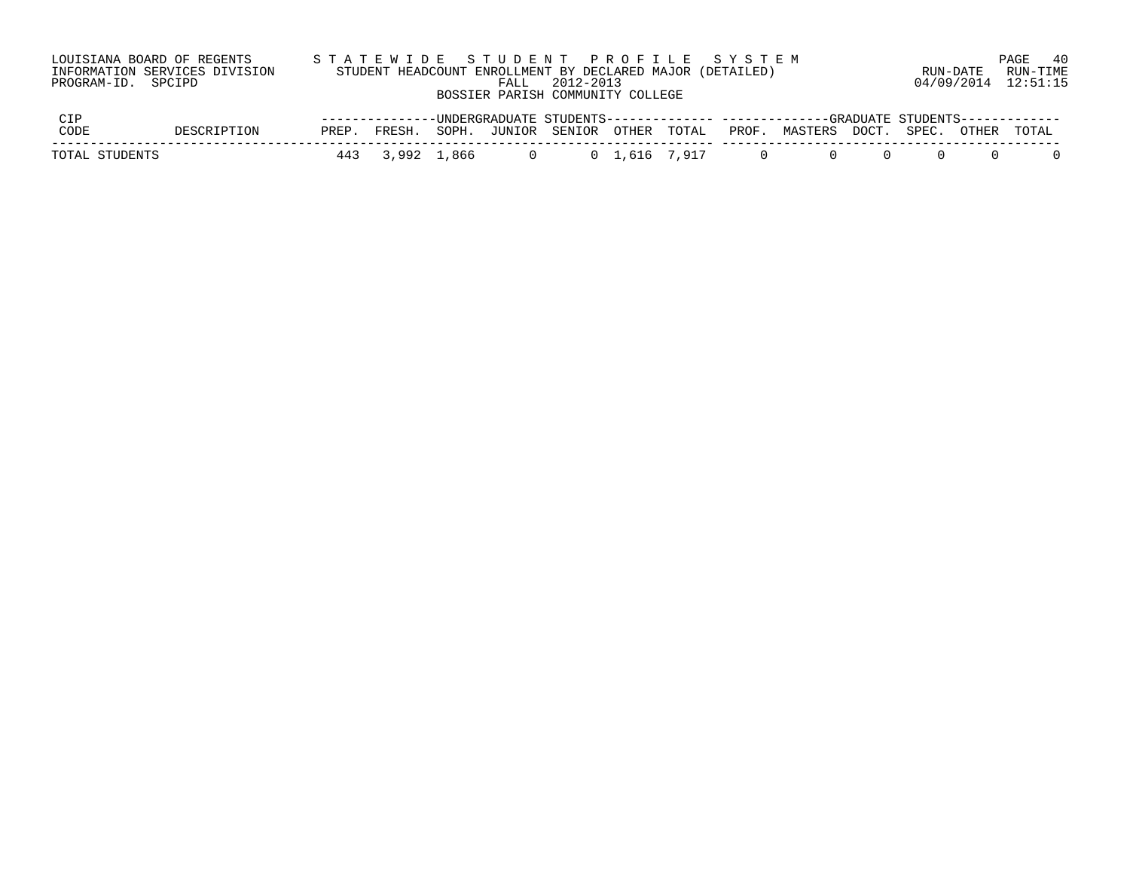| PROGRAM-ID. SPCIPD | LOUISIANA BOARD OF REGENTS<br>INFORMATION SERVICES DIVISION |       |        | FALL | 2012-2013<br>BOSSIER PARISH COMMUNITY COLLEGE |  | STATEWIDE STUDENT PROFILE SYSTEM<br>STUDENT HEADCOUNT ENROLLMENT BY DECLARED MAJOR (DETAILED)        |                |       |       | RUN-DATE | PAGE 40<br>RUN-TIME<br>04/09/2014 12:51:15 |
|--------------------|-------------------------------------------------------------|-------|--------|------|-----------------------------------------------|--|------------------------------------------------------------------------------------------------------|----------------|-------|-------|----------|--------------------------------------------|
| CIP<br>CODE        | DESCRIPTION                                                 | PREP. | FRESH. |      | SOPH. JUNIOR SENIOR OTHER TOTAL               |  | --------------UNDERGRADUATE STUDENTS------------- ------------GRADUATE STUDENTS------------<br>PROF. | MASTERS        | DOCT. | SPEC. | OTHER    | TOTAL                                      |
| TOTAL STUDENTS     |                                                             | 443   |        |      |                                               |  | 0                                                                                                    | $\overline{0}$ |       |       |          |                                            |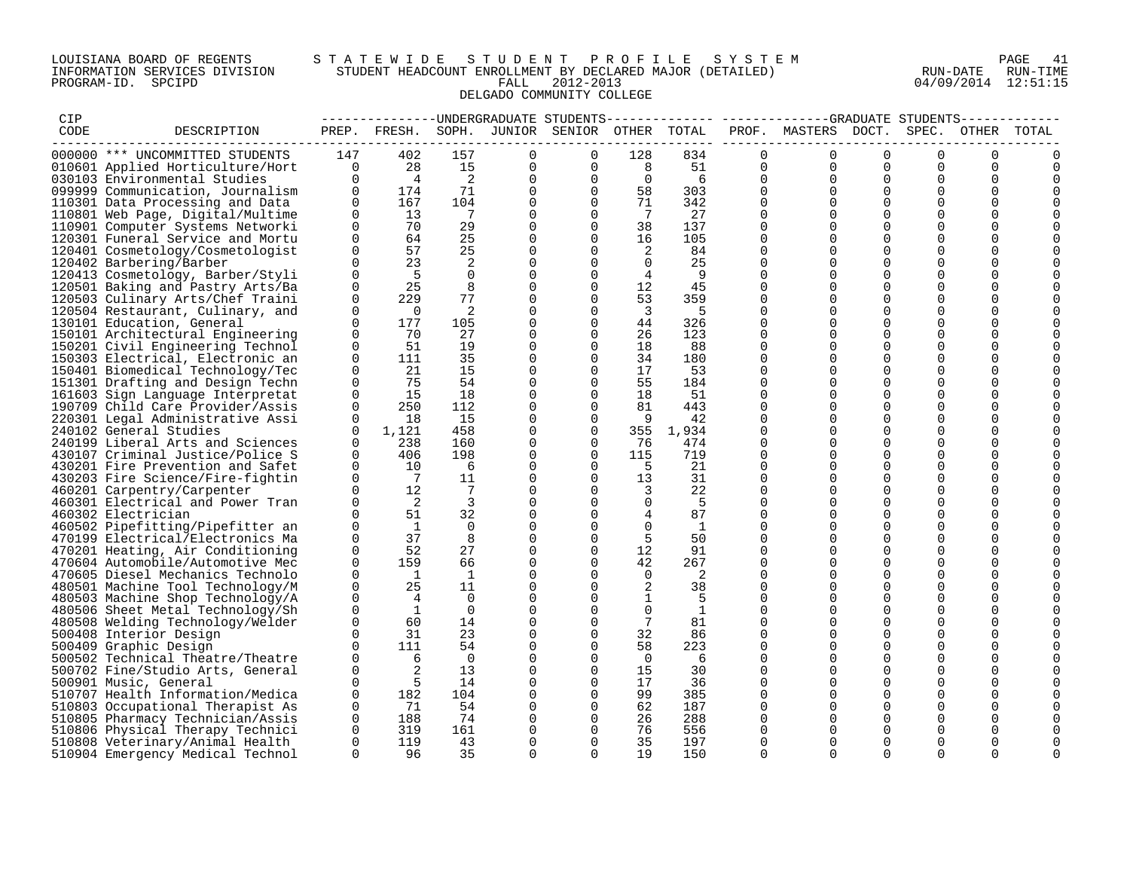### LOUISIANA BOARD OF REGENTS S T A T E W I D E S T U D E N T P R O F I L E S Y S T E M PAGE 41 INFORMATION SERVICES DIVISION STUDENT HEADCOUNT ENROLLMENT BY DECLARED MAJOR (DETAILED) RUN-DATE RUN-TIME PROGRAM-ID. SPCIPD FALL 2012-2013 04/09/2014 12:51:15 DELGADO COMMUNITY COLLEGE

| CIP  |                                  |             |                |                |             | ----------------UNDERGRADUATE STUDENTS       |                |                |             | ---------- -------------GRADUATE STUDENTS- |             |             |             |       |
|------|----------------------------------|-------------|----------------|----------------|-------------|----------------------------------------------|----------------|----------------|-------------|--------------------------------------------|-------------|-------------|-------------|-------|
| CODE | DESCRIPTION                      |             |                |                |             | PREP. FRESH. SOPH. JUNIOR SENIOR OTHER TOTAL |                |                |             | PROF. MASTERS DOCT.                        |             | SPEC.       | OTHER       | TOTAL |
|      |                                  |             |                |                |             |                                              |                |                |             |                                            |             |             |             |       |
|      | 000000 *** UNCOMMITTED STUDENTS  | 147         | 402            | 157            | $\Omega$    | $\Omega$                                     | 128            | 834            | $\Omega$    | $\Omega$                                   | $\Omega$    | $\Omega$    | $\Omega$    |       |
|      | 010601 Applied Horticulture/Hort | $\Omega$    | 28             | 15             | 0           | 0                                            | 8              | 51             | 0           | $\Omega$                                   | $\Omega$    | $\Omega$    | 0           |       |
|      | 030103 Environmental Studies     | $\Omega$    | $\overline{4}$ | 2              | 0           | 0                                            | $\Omega$       | 6              | $\Omega$    | $\Omega$                                   | $\Omega$    | $\Omega$    | $\mathbf 0$ | 0     |
|      | 099999 Communication, Journalism | $\Omega$    | 174            | 71             | $\mathbf 0$ | $\Omega$                                     | 58             | 303            | $\Omega$    | $\Omega$                                   | $\Omega$    | $\Omega$    | $\Omega$    |       |
|      | 110301 Data Processing and Data  | $\mathbf 0$ | 167            | 104            | 0           | $\overline{0}$                               | 71             | 342            | 0           | $\Omega$                                   | $\mathbf 0$ | $\mathbf 0$ | $\mathbf 0$ |       |
|      | 110801 Web Page, Digital/Multime | $\Omega$    | 13             | $\overline{7}$ | 0           | $\Omega$                                     | $\overline{7}$ | 27             | $\Omega$    | $\Omega$                                   | $\mathbf 0$ | $\mathbf 0$ | $\mathbf 0$ |       |
|      |                                  | $\Omega$    | 70             | 29             | 0           | $\Omega$                                     | 38             | 137            | $\Omega$    | $\Omega$                                   | $\Omega$    | $\Omega$    | 0           |       |
|      | 110901 Computer Systems Networki | $\Omega$    | 64             | 25             | $\Omega$    | $\Omega$                                     |                | 105            | $\Omega$    | $\Omega$                                   | $\Omega$    | $\Omega$    | $\Omega$    |       |
|      | 120301 Funeral Service and Mortu |             |                |                |             |                                              | 16             |                |             |                                            |             |             |             |       |
|      | 120401 Cosmetology/Cosmetologist | $\mathbf 0$ | 57             | 25             | $\mathbf 0$ | $\Omega$                                     | 2              | 84             | $\Omega$    | $\Omega$                                   | $\Omega$    | $\mathbf 0$ | 0           |       |
|      | 120402 Barbering/Barber          | $\Omega$    | 23             | 2              | 0           | $\mathbf{0}$                                 | $\overline{0}$ | 25             | 0           | $\Omega$                                   | 0           | $\mathbf 0$ | 0           |       |
|      | 120413 Cosmetology, Barber/Styli | $\Omega$    | $-5$           | $\Omega$       | $\mathbf 0$ | $\Omega$                                     | $\overline{4}$ | $\overline{9}$ | $\Omega$    | $\Omega$                                   | $\Omega$    | $\Omega$    | $\Omega$    |       |
|      | 120501 Baking and Pastry Arts/Ba | $\Omega$    | 25             | 8              | $\mathbf 0$ | $\Omega$                                     | 12             | 45             | $\Omega$    | $\Omega$                                   | $\Omega$    | $\Omega$    | $\Omega$    |       |
|      | 120503 Culinary Arts/Chef Traini | $\mathbf 0$ | 229            | 77             | $\mathbf 0$ | $\Omega$                                     | 53             | 359            | $\Omega$    | $\Omega$                                   | $\Omega$    | $\Omega$    | 0           |       |
|      | 120504 Restaurant, Culinary, and | 0           | $\overline{0}$ | 2              | 0           | $\Omega$                                     | $\overline{3}$ | - 5            | $\Omega$    | $\Omega$                                   | $\Omega$    | $\mathbf 0$ | 0           |       |
|      | 130101 Education, General        | $\Omega$    | 177            | 105            | 0           | $\Omega$                                     | 44             | 326            | $\Omega$    | $\Omega$                                   | $\Omega$    | $\Omega$    | 0           |       |
|      | 150101 Architectural Engineering | $\Omega$    | 70             | 27             | 0           | $\Omega$                                     | 26             | 123            | $\Omega$    | $\Omega$                                   | $\Omega$    | $\Omega$    | $\Omega$    |       |
|      | 150201 Civil Engineering Technol | $\Omega$    | 51             | 19             | $\mathbf 0$ | $\Omega$                                     | 18             | 88             | $\Omega$    | $\Omega$                                   | $\Omega$    | $\Omega$    | $\mathbf 0$ |       |
|      | 150303 Electrical, Electronic an | 0           | 111            | 35             | 0           | $\mathbf{0}$                                 | 34             | 180            | 0           | $\Omega$                                   | $\Omega$    | 0           | 0           |       |
|      | 150401 Biomedical Technology/Tec | $\Omega$    | 21             | 15             | 0           | $\Omega$                                     | 17             | 53             | $\Omega$    | $\Omega$                                   | $\Omega$    | $\mathbf 0$ | $\Omega$    |       |
|      | 151301 Drafting and Design Techn | $\Omega$    | 75             | 54             | 0           | $\Omega$                                     | 55             | 184            | $\Omega$    | $\Omega$                                   | $\Omega$    | $\Omega$    | 0           |       |
|      |                                  | $\Omega$    | 15             | 18             | 0           | $\Omega$                                     | 18             | 51             | $\Omega$    | $\Omega$                                   | $\Omega$    | $\Omega$    | 0           |       |
|      | 161603 Sign Language Interpretat | $\Omega$    | 250            | 112            |             | $\Omega$                                     | 81             | 443            | $\Omega$    | $\Omega$                                   | $\Omega$    | $\Omega$    | 0           |       |
|      | 190709 Child Care Provider/Assis |             |                | 15             | 0           | $\Omega$                                     |                |                | $\Omega$    | $\Omega$                                   | $\Omega$    | $\Omega$    |             |       |
|      | 220301 Legal Administrative Assi | $\Omega$    | 18             |                | 0           |                                              | -9             | 42             |             |                                            |             |             | 0           |       |
|      | 240102 General Studies           | $\Omega$    | 1,121          | 458            | 0           | $\Omega$                                     | 355            | 1,934          | $\Omega$    | $\Omega$                                   | $\Omega$    | $\Omega$    | $\Omega$    |       |
|      | 240199 Liberal Arts and Sciences | $\Omega$    | 238            | 160            | 0           | 0                                            | 76             | 474            | $\Omega$    | $\Omega$                                   | $\Omega$    | $\Omega$    | 0           |       |
|      | 430107 Criminal Justice/Police S | $\Omega$    | 406            | 198            | $\mathbf 0$ | $\Omega$                                     | 115            | 719            | $\Omega$    | $\Omega$                                   | $\Omega$    | $\Omega$    | $\Omega$    |       |
|      | 430201 Fire Prevention and Safet | $\Omega$    | 10             | 6              | 0           | $\Omega$                                     | - 5            | 21             | $\Omega$    | $\Omega$                                   | $\Omega$    | $\mathbf 0$ | 0           |       |
|      | 430203 Fire Science/Fire-fightin | $\Omega$    | $\overline{7}$ | 11             | 0           | $\Omega$                                     | 13             | 31             | $\Omega$    | $\Omega$                                   | $\Omega$    | $\Omega$    | $\Omega$    |       |
|      | 460201 Carpentry/Carpenter       | $\Omega$    | 12             | $7^{\circ}$    | 0           | $\Omega$                                     | 3              | 22             | $\Omega$    | $\Omega$                                   | $\Omega$    | $\Omega$    | 0           |       |
|      | 460301 Electrical and Power Tran | $\Omega$    | $\overline{2}$ | $\overline{3}$ | $\Omega$    | $\Omega$                                     | $\Omega$       | -5             | $\Omega$    | $\Omega$                                   | $\Omega$    | $\Omega$    | $\Omega$    |       |
|      | 460302 Electrician               | $\Omega$    | 51             | 32             | $\mathbf 0$ | $\Omega$                                     | $4^{\circ}$    | 87             | $\Omega$    | $\Omega$                                   | $\Omega$    | $\Omega$    | 0           |       |
|      | 460502 Pipefitting/Pipefitter an | $\Omega$    | $\overline{1}$ | $\Omega$       | 0           | $\Omega$                                     | $\Omega$       | $\overline{1}$ | $\Omega$    | $\Omega$                                   | $\Omega$    | $\Omega$    | $\Omega$    |       |
|      | 470199 Electrical/Electronics Ma | 0           | 37             | 8              | 0           | 0                                            | -5             | 50             | 0           | $\Omega$                                   | 0           | $\mathbf 0$ | 0           |       |
|      | 470201 Heating, Air Conditioning | $\Omega$    | 52             | 27             | $\mathbf 0$ | $\Omega$                                     | 12             | 91             | $\Omega$    | $\Omega$                                   | $\Omega$    | $\Omega$    | $\Omega$    |       |
|      | 470604 Automobile/Automotive Mec | $\Omega$    | 159            | 66             | $\mathbf 0$ | $\Omega$                                     | 42             | 267            | $\Omega$    | $\Omega$                                   | $\Omega$    | $\Omega$    | $\Omega$    |       |
|      | 470605 Diesel Mechanics Technolo | $\Omega$    | $\mathbf{1}$   | $\mathbf{1}$   | 0           | 0                                            | $\overline{0}$ | 2              | 0           | $\Omega$                                   | 0           | $\mathbf 0$ | 0           |       |
|      | 480501 Machine Tool Technology/M | $\Omega$    | 25             | 11             | 0           | $\Omega$                                     | 2              | 38             | $\Omega$    | $\Omega$                                   | $\Omega$    | $\mathbf 0$ | 0           |       |
|      | 480503 Machine Shop Technology/A | $\Omega$    | $\overline{4}$ | $\Omega$       | $\mathbf 0$ | $\Omega$                                     | $\mathbf{1}$   | -5             | $\Omega$    | $\Omega$                                   | $\Omega$    | $\Omega$    | $\Omega$    |       |
|      | 480506 Sheet Metal Technology/Sh | $\Omega$    | <sup>1</sup>   | $\Omega$       | $\Omega$    | $\Omega$                                     | $\Omega$       | 1              | $\Omega$    | $\Omega$                                   | $\Omega$    | $\Omega$    | $\Omega$    |       |
|      |                                  | $\Omega$    | 60             | 14             | 0           | 0                                            | 7              | 81             | $\mathbf 0$ | $\mathbf 0$                                | $\mathbf 0$ | $\mathbf 0$ | 0           |       |
|      | 480508 Welding Technology/Welder |             |                |                |             |                                              |                |                |             |                                            |             |             |             |       |
|      | 500408 Interior Design           | $\Omega$    | 31             | 23             | 0           | $\Omega$                                     | 32             | 86             | $\Omega$    | $\Omega$                                   | $\Omega$    | $\Omega$    | 0           |       |
|      | 500409 Graphic Design            | $\Omega$    | 111            | 54             | 0           | $\Omega$                                     | 58             | 223            | $\Omega$    | $\Omega$                                   | $\Omega$    | $\Omega$    | 0           |       |
|      | 500502 Technical Theatre/Theatre | $\Omega$    | 6              | $\Omega$       | $\Omega$    | $\Omega$                                     | $\Omega$       | 6              | $\Omega$    | $\Omega$                                   | $\Omega$    | $\Omega$    | $\Omega$    |       |
|      | 500702 Fine/Studio Arts, General | 0           | 2              | 13             | 0           | $\mathbf 0$                                  | 15             | 30             | $\mathbf 0$ | $\Omega$                                   | 0           | $\mathbf 0$ | 0           |       |
|      | 500901 Music, General            | $\Omega$    | 5              | 14             | 0           | $\Omega$                                     | 17             | 36             | $\Omega$    | $\Omega$                                   | $\Omega$    | $\mathbf 0$ | 0           |       |
|      | 510707 Health Information/Medica | $\mathbf 0$ | 182            | 104            | 0           | $\Omega$                                     | 99             | 385            | $\Omega$    | $\Omega$                                   | $\Omega$    | $\Omega$    | 0           |       |
|      | 510803 Occupational Therapist As | $\Omega$    | 71             | 54             | $\Omega$    | $\Omega$                                     | 62             | 187            | $\Omega$    | $\Omega$                                   | $\Omega$    | $\Omega$    | $\Omega$    |       |
|      | 510805 Pharmacy Technician/Assis | $\mathbf 0$ | 188            | 74             | 0           | $\mathbf 0$                                  | 26             | 288            | 0           | $\mathbf 0$                                | $\mathbf 0$ | $\mathbf 0$ | 0           |       |
|      | 510806 Physical Therapy Technici | $\Omega$    | 319            | 161            | 0           | $\Omega$                                     | 76             | 556            | 0           | $\Omega$                                   | $\Omega$    | 0           | 0           |       |
|      | 510808 Veterinary/Animal Health  | $\Omega$    | 119            | 43             | $\Omega$    | $\Omega$                                     | 35             | 197            | $\Omega$    | $\Omega$                                   | $\Omega$    | $\Omega$    | $\Omega$    | 0     |
|      | 510904 Emergency Medical Technol | $\Omega$    | 96             | 35             | $\Omega$    | $\Omega$                                     | 19             | 150            | $\Omega$    | $\Omega$                                   | $\Omega$    | $\Omega$    | $\Omega$    | 0     |
|      |                                  |             |                |                |             |                                              |                |                |             |                                            |             |             |             |       |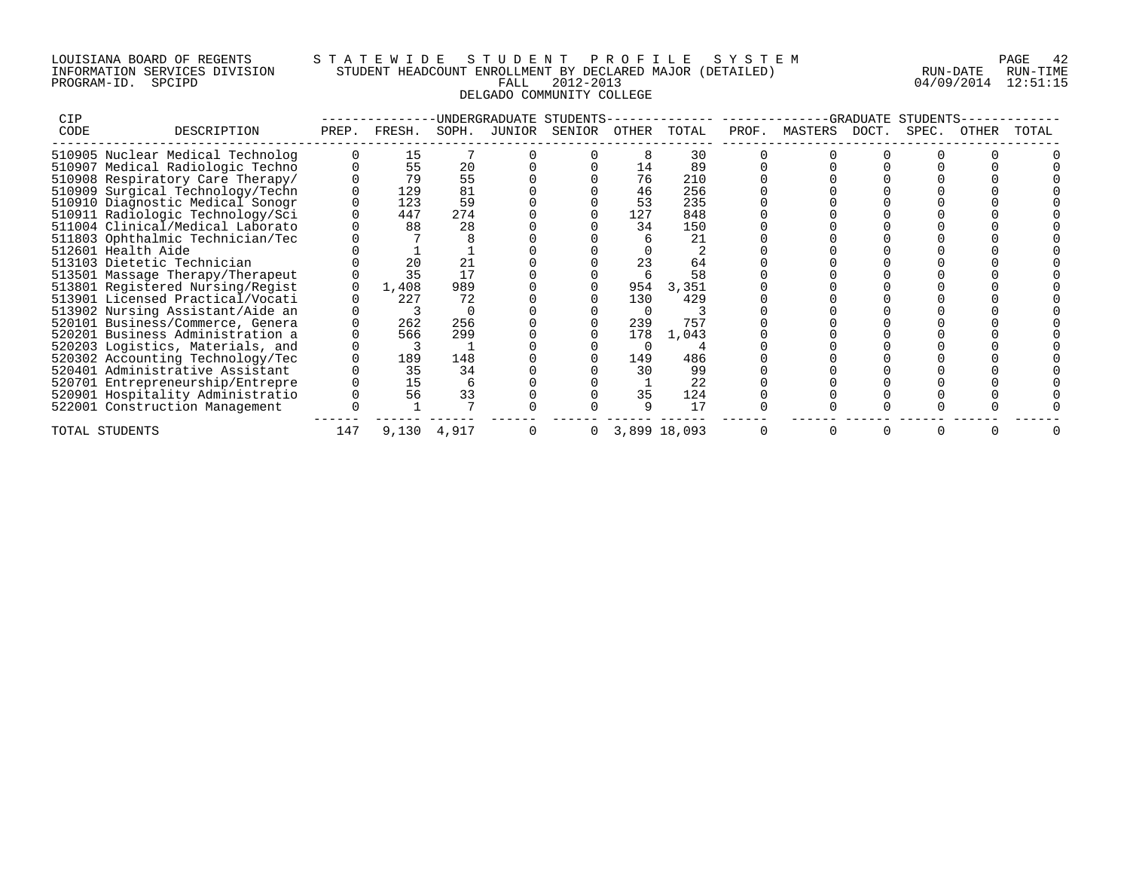## LOUISIANA BOARD OF REGENTS S T A T E W I D E S T U D E N T P R O F I L E S Y S T E M PAGE 42 INFORMATION SERVICES DIVISION STUDENT HEADCOUNT ENROLLMENT BY DECLARED MAJOR (DETAILED) RUN-DATE RUN-TIME PROGRAM-ID. SPCIPD FALL 2012-2013 04/09/2014 12:51:15 DELGADO COMMUNITY COLLEGE

| <b>CIP</b>                 |                                  |       |             |       | <b>INDERGRADUATE</b> | STUDENTS |       |              |       |               | GRADUATE | STUDENTS |       |       |
|----------------------------|----------------------------------|-------|-------------|-------|----------------------|----------|-------|--------------|-------|---------------|----------|----------|-------|-------|
| CODE                       | DESCRIPTION                      | PREP. | FRESH.      | SOPH. | JUNIOR               | SENIOR   | OTHER | TOTAL        | PROF. | MASTERS DOCT. |          | SPEC.    | OTHER | TOTAL |
|                            | 510905 Nuclear Medical Technolog |       | 15          |       |                      |          |       | 30           |       |               |          |          |       |       |
|                            | 510907 Medical Radiologic Techno |       | 55          | 20    |                      |          | 14    | 89           |       |               |          |          |       |       |
|                            | 510908 Respiratory Care Therapy/ |       | 79          | 55    |                      |          | 76    | 210          |       |               |          |          |       |       |
|                            | 510909 Surgical Technology/Techn |       | 129         | 81    |                      |          | 46    | 256          |       |               |          |          |       |       |
|                            | 510910 Diagnostic Medical Sonogr |       | 123         | 59    |                      |          | 53    | 235          |       |               |          |          |       |       |
|                            | 510911 Radiologic Technology/Sci |       | 447         | 274   |                      |          | 127   | 848          |       |               |          |          |       |       |
|                            | 511004 Clinical/Medical Laborato |       | 88          | 28    |                      |          | 34    | 150          |       |               |          |          |       |       |
|                            | 511803 Ophthalmic Technician/Tec |       |             |       |                      |          |       | 21           |       |               |          |          |       |       |
| 512601 Health Aide         |                                  |       |             |       |                      |          |       |              |       |               |          |          |       |       |
| 513103 Dietetic Technician |                                  |       | 20          | 21    |                      |          | 23    | 64           |       |               |          |          |       |       |
|                            | 513501 Massage Therapy/Therapeut |       | 35          | 17    |                      |          |       | 58           |       |               |          |          |       |       |
|                            | 513801 Registered Nursing/Regist |       | 1,408       | 989   |                      |          | 954   | 3,351        |       |               |          |          |       |       |
|                            | 513901 Licensed Practical/Vocati |       | 227         | 72    |                      |          | 130   | 429          |       |               |          |          |       |       |
|                            | 513902 Nursing Assistant/Aide an |       |             |       |                      |          |       |              |       |               |          |          |       |       |
|                            | 520101 Business/Commerce, Genera |       | 262         | 256   |                      |          | 239   | 757          |       |               |          |          |       |       |
|                            | 520201 Business Administration a |       | 566         | 299   |                      |          | 178   | 1,043        |       |               |          |          |       |       |
|                            | 520203 Logistics, Materials, and |       |             |       |                      |          |       |              |       |               |          |          |       |       |
|                            | 520302 Accounting Technology/Tec |       | 189         | 148   |                      |          | 149   | 486          |       |               |          |          |       |       |
|                            | 520401 Administrative Assistant  |       | 35          | 34    |                      |          | 30    | 99           |       |               |          |          |       |       |
|                            | 520701 Entrepreneurship/Entrepre |       | 15          |       |                      |          |       | 22           |       |               |          |          |       |       |
|                            | 520901 Hospitality Administratio |       | 56          | 33    |                      |          | 35    | 124          |       |               |          |          |       |       |
|                            | 522001 Construction Management   |       |             |       |                      |          |       | 17           |       |               |          |          |       |       |
| TOTAL STUDENTS             |                                  | 147   | 9,130 4,917 |       |                      | 0        |       | 3,899 18,093 |       |               |          |          |       |       |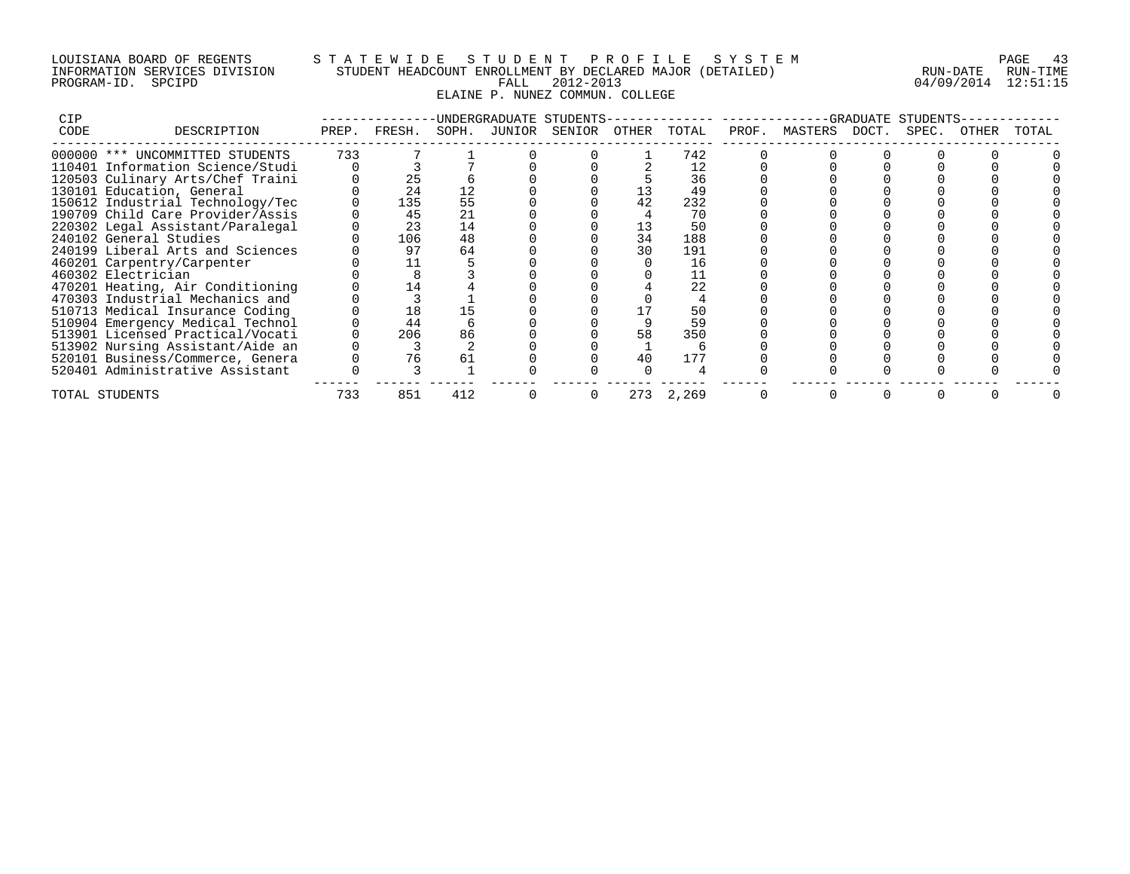## LOUISIANA BOARD OF REGENTS S T A T E W I D E S T U D E N T P R O F I L E S Y S T E M PAGE 43 INFORMATION SERVICES DIVISION STUDENT HEADCOUNT ENROLLMENT BY DECLARED MAJOR (DETAILED) RUN-DATE RUN-TIME PROGRAM-ID. SPCIPD FALL 2012-2013 04/09/2014 12:51:15 ELAINE P. NUNEZ COMMUN. COLLEGE

| <b>CIP</b> |                                  |       |        |       | -UNDERGRADUATE | STUDENTS- |       |       |       |               | -GRADUATE | STUDENTS |       |       |
|------------|----------------------------------|-------|--------|-------|----------------|-----------|-------|-------|-------|---------------|-----------|----------|-------|-------|
| CODE       | DESCRIPTION                      | PREP. | FRESH. | SOPH. | JUNIOR         | SENIOR    | OTHER | TOTAL | PROF. | MASTERS DOCT. |           | SPEC.    | OTHER | TOTAL |
|            | 000000 *** UNCOMMITTED STUDENTS  | 733   |        |       |                |           |       | 742   |       |               |           |          |       |       |
|            | 110401 Information Science/Studi |       |        |       |                |           |       |       |       |               |           |          |       |       |
|            | 120503 Culinary Arts/Chef Traini |       | 25     |       |                |           |       | 36    |       |               |           |          |       |       |
|            | 130101 Education, General        |       | 24     | 12    |                |           |       | 49    |       |               |           |          |       |       |
|            | 150612 Industrial Technology/Tec |       | 135    | 55    |                |           |       | 232   |       |               |           |          |       |       |
|            | 190709 Child Care Provider/Assis |       | 45     | 21    |                |           |       | 70    |       |               |           |          |       |       |
|            | 220302 Legal Assistant/Paralegal |       | 23     | 14    |                |           |       | 50    |       |               |           |          |       |       |
|            | 240102 General Studies           |       | 106    | 48    |                |           | 34    | 188   |       |               |           |          |       |       |
|            | 240199 Liberal Arts and Sciences |       | 97     | 64    |                |           | 30    | 191   |       |               |           |          |       |       |
|            | 460201 Carpentry/Carpenter       |       |        |       |                |           |       | 16    |       |               |           |          |       |       |
|            | 460302 Electrician               |       |        |       |                |           |       |       |       |               |           |          |       |       |
|            | 470201 Heating, Air Conditioning |       | 14     |       |                |           |       | 22    |       |               |           |          |       |       |
|            | 470303 Industrial Mechanics and  |       |        |       |                |           |       |       |       |               |           |          |       |       |
|            | 510713 Medical Insurance Coding  |       | 18     |       |                |           |       | 50    |       |               |           |          |       |       |
|            | 510904 Emergency Medical Technol |       | 44     |       |                |           |       | 59    |       |               |           |          |       |       |
|            | 513901 Licensed Practical/Vocati |       | 206    | 86    |                |           | 58    | 350   |       |               |           |          |       |       |
|            | 513902 Nursing Assistant/Aide an |       |        |       |                |           |       |       |       |               |           |          |       |       |
|            | 520101 Business/Commerce, Genera |       | 76     | 61    |                |           | 40    | 177   |       |               |           |          |       |       |
|            | 520401 Administrative Assistant  |       |        |       |                |           |       |       |       |               |           |          |       |       |
|            | TOTAL STUDENTS                   | 733   | 851    | 412   |                |           | 273   | 2,269 |       |               |           |          |       |       |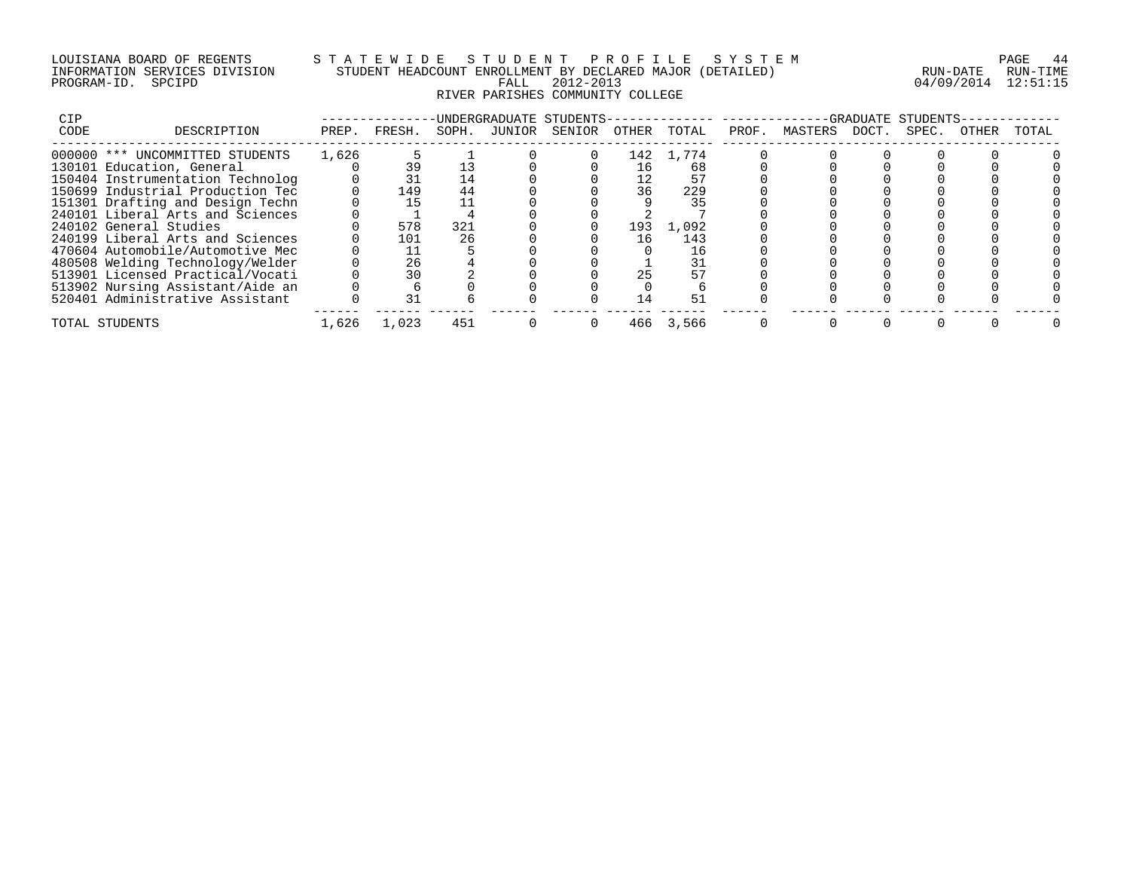### LOUISIANA BOARD OF REGENTS S T A T E W I D E S T U D E N T P R O F I L E S Y S T E M PAGE 44 INFORMATION SERVICES DIVISION STUDENT HEADCOUNT ENROLLMENT BY DECLARED MAJOR (DETAILED) RUN-DATE RUN-TIME PROGRAM-ID. SPCIPD FALL 2012-2013 04/09/2014 12:51:15 RIVER PARISHES COMMUNITY COLLEGE

| CIP<br>CODE | DESCRIPTION                      |       |        | SOPH. |        | UNDERGRADUATE STUDENTS- |       |       |       |         | GRADUATE | STUDENTS- |       | TOTAL |
|-------------|----------------------------------|-------|--------|-------|--------|-------------------------|-------|-------|-------|---------|----------|-----------|-------|-------|
|             |                                  | PREP. | FRESH. |       | JUNIOR | SENIOR                  | OTHER | TOTAL | PROF. | MASTERS | DOCT.    | SPEC.     | OTHER |       |
|             | 000000 *** UNCOMMITTED STUDENTS  | 1,626 |        |       |        |                         | 142   | 1,774 |       |         |          |           |       |       |
|             | 130101 Education, General        |       | 39     |       |        |                         | 16    | 68    |       |         |          |           |       |       |
|             | 150404 Instrumentation Technolog |       | 31     | 14    |        |                         | 12    | 57    |       |         |          |           |       |       |
|             | 150699 Industrial Production Tec |       | 149    | 44    |        |                         | 36    | 229   |       |         |          |           |       |       |
|             | 151301 Drafting and Design Techn |       | 15     |       |        |                         |       | 35    |       |         |          |           |       |       |
|             | 240101 Liberal Arts and Sciences |       |        |       |        |                         |       |       |       |         |          |           |       |       |
|             | 240102 General Studies           |       | 578    | 321   |        |                         | 193   | 1,092 |       |         |          |           |       |       |
|             | 240199 Liberal Arts and Sciences |       | 101    | 26    |        |                         | 16    | 143   |       |         |          |           |       |       |
|             | 470604 Automobile/Automotive Mec |       |        |       |        |                         |       | 16    |       |         |          |           |       |       |
|             | 480508 Welding Technology/Welder |       | 26     |       |        |                         |       |       |       |         |          |           |       |       |
|             | 513901 Licensed Practical/Vocati |       | 30     |       |        |                         | 25    |       |       |         |          |           |       |       |
|             | 513902 Nursing Assistant/Aide an |       |        |       |        |                         |       |       |       |         |          |           |       |       |
|             | 520401 Administrative Assistant  |       |        |       |        |                         | 14    |       |       |         |          |           |       |       |
|             | TOTAL STUDENTS                   | 1,626 | 1,023  | 451   |        |                         | 466   | 3,566 |       |         |          |           |       |       |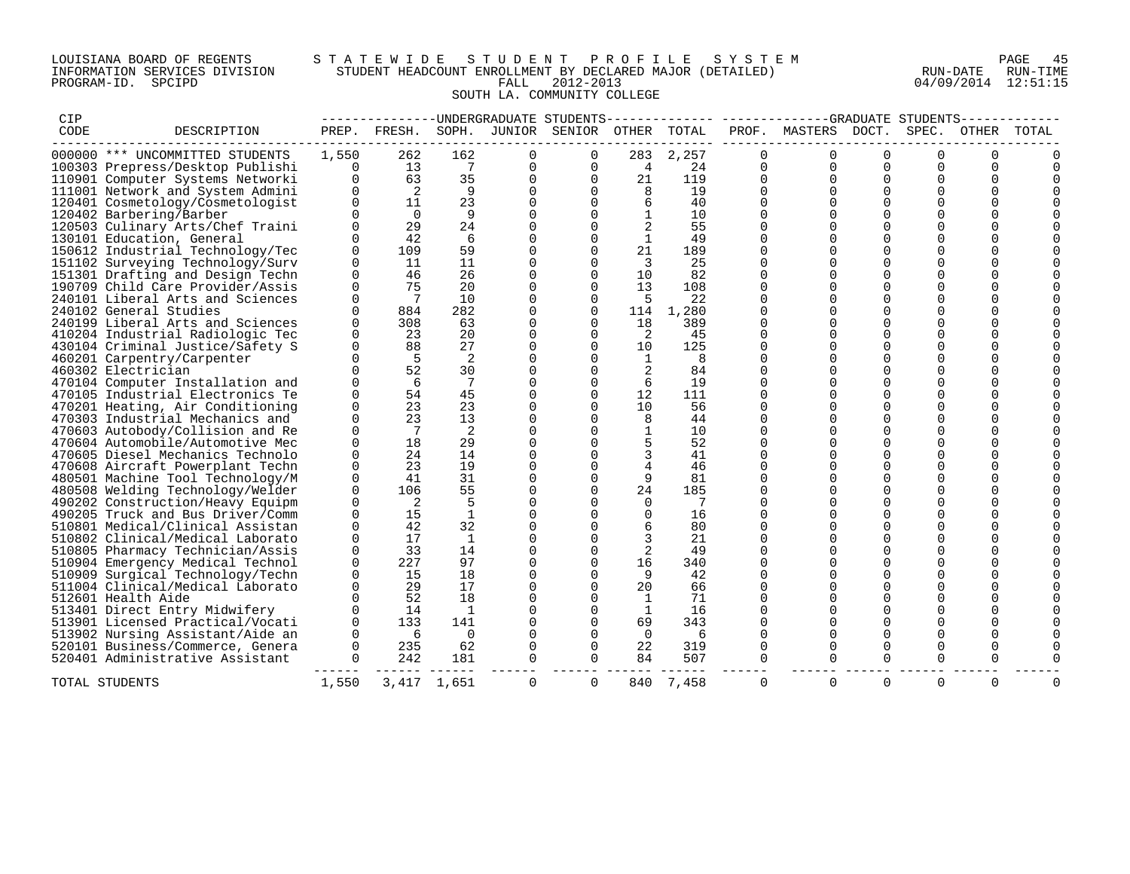### LOUISIANA BOARD OF REGENTS S T A T E W I D E S T U D E N T P R O F I L E S Y S T E M PAGE 45 INFORMATION SERVICES DIVISION STUDENT HEADCOUNT ENROLLMENT BY DECLARED MAJOR (DETAILED) RUN-DATE RUN-TIME PROGRAM-ID. SPCIPD FALL 2012-2013 04/09/2014 12:51:15 SOUTH LA. COMMUNITY COLLEGE

| CIP  |                                  |             |                              |                |             | -----------DNDERGRADUATE STUDENTS-------------- |              |       |          | -------------GRADUATE STUDENTS- |          |          |          |          |
|------|----------------------------------|-------------|------------------------------|----------------|-------------|-------------------------------------------------|--------------|-------|----------|---------------------------------|----------|----------|----------|----------|
| CODE | DESCRIPTION                      | PREP.       | FRESH.                       | SOPH.          |             | JUNIOR SENIOR OTHER                             |              | TOTAL |          | PROF. MASTERS DOCT.             |          | SPEC.    | OTHER    | TOTAL    |
|      | 000000 *** UNCOMMITTED STUDENTS  | 1,550       | 262                          | 162            | 0           | 0                                               | 283          | 2,257 |          |                                 | ∩        |          |          |          |
|      | 100303 Prepress/Desktop Publishi | 0           | 13                           | 7              | 0           | 0                                               | 4            | 24    | 0        | 0                               | 0        | 0        | 0        |          |
|      | 110901 Computer Systems Networki | $\Omega$    | 63                           | 35             | 0           | $\Omega$                                        | 21           | 119   | $\Omega$ |                                 | ∩        |          | O        |          |
|      | 111001 Network and System Admini | $\mathbf 0$ | 2                            | 9              | $\mathbf 0$ | $\Omega$                                        | 8            | 19    | $\Omega$ | $\Omega$                        | $\Omega$ | $\Omega$ | $\Omega$ |          |
|      | 120401 Cosmetology/Cosmetologist | $\Omega$    | 11                           | 23             | $\mathbf 0$ |                                                 | 6            | 40    | $\Omega$ | $\Omega$                        |          |          |          |          |
|      | 120402 Barbering/Barber          | $\Omega$    | $\overline{0}$               | 9              | $\Omega$    |                                                 |              | 10    | $\Omega$ | $\Omega$                        | ∩        | $\Omega$ |          |          |
|      | 120503 Culinary Arts/Chef Traini | $\Omega$    | 29                           | 24             | $\Omega$    | $\Omega$                                        |              | 55    | $\Omega$ | $\Omega$                        | ∩        | $\Omega$ |          |          |
|      | 130101 Education, General        | $\Omega$    | 42                           | -6             | $\Omega$    | $\Omega$                                        | $\mathbf{1}$ | 49    | 0        | ∩                               | ∩        | ∩        | $\Omega$ |          |
|      | 150612 Industrial Technology/Tec | $\mathbf 0$ | 109                          | 59             | $\mathbf 0$ | 0                                               | 21           | 189   | $\Omega$ | $\Omega$                        | $\Omega$ | $\Omega$ |          |          |
|      | 151102 Surveying Technology/Surv | $\Omega$    | 11                           | 11             | 0           | $\Omega$                                        | - 3          | 25    | 0        |                                 |          |          | $\Omega$ |          |
|      | 151301 Drafting and Design Techn | 0           | 46                           | 26             | 0           | $\mathbf 0$                                     | 10           | 82    | $\Omega$ | $\Omega$                        | $\Omega$ | $\Omega$ | $\Omega$ |          |
|      | 190709 Child Care Provider/Assis | $\Omega$    | 75                           | 20             | 0           | $\Omega$                                        | 13           | 108   | $\Omega$ |                                 | $\Omega$ | $\Omega$ | $\Omega$ |          |
|      | 240101 Liberal Arts and Sciences | 0           | $\overline{7}$               | 10             | 0           | $\Omega$                                        | -5           | 22    | 0        |                                 |          | ∩        | O        |          |
|      | 240102 General Studies           | $\Omega$    | 884                          | 282            | $\mathbf 0$ | $\Omega$                                        | 114          | 1,280 | $\Omega$ |                                 |          |          |          |          |
|      | 240199 Liberal Arts and Sciences | $\Omega$    | 308                          | 63             | $\Omega$    | $\Omega$                                        | 18           | 389   | 0        | ∩                               | ∩        | ∩        | $\Omega$ |          |
|      | 410204 Industrial Radiologic Tec | $\Omega$    | 23                           | 20             | $\mathbf 0$ | $\Omega$                                        | -2           | 45    | $\Omega$ | $\Omega$                        | $\Omega$ | $\Omega$ |          |          |
|      | 430104 Criminal Justice/Safety S | $\Omega$    | 88                           | 27             | $\mathbf 0$ | $\Omega$                                        | 10           | 125   | 0        | ∩                               | ∩        | ∩        | $\Omega$ |          |
|      | 460201 Carpentry/Carpenter       | $\Omega$    | 5                            | 2              | $\mathbf 0$ |                                                 | 1            | 8     | $\Omega$ | $\Omega$                        | $\cap$   | $\Omega$ | $\cap$   |          |
|      | 460302 Electrician               | $\Omega$    | 52                           | 30             | $\Omega$    |                                                 | 2            | 84    | 0        |                                 |          | $\Omega$ | $\Omega$ |          |
|      | 470104 Computer Installation and |             | 6                            | 7              | $\Omega$    | 0                                               | 6            | 19    | 0        | $\Omega$                        | $\Omega$ | $\Omega$ | $\Omega$ |          |
|      | 470105 Industrial Electronics Te | $\Omega$    | 54                           | 45             | $\mathbf 0$ | $\Omega$                                        | 12           | 111   |          | $\Omega$                        | ∩        | $\Omega$ | $\Omega$ |          |
|      | 470201 Heating, Air Conditioning | $\Omega$    | 23                           | 23             | 0           |                                                 | 10           | 56    | 0        |                                 |          | ∩        | U        |          |
|      | 470303 Industrial Mechanics and  | $\Omega$    | 23                           | 13             | $\mathbf 0$ |                                                 | 8            | 44    | $\Omega$ |                                 |          |          |          |          |
|      | 470603 Autobody/Collision and Re | $\Omega$    | $7\phantom{.0}\phantom{.0}7$ | 2              | $\Omega$    | $\Omega$                                        | $\mathbf{1}$ | 10    | $\Omega$ | ∩                               | ∩        | ∩        | $\Omega$ |          |
|      | 470604 Automobile/Automotive Mec | $\Omega$    | 18                           | 29             | $\mathbf 0$ |                                                 |              | 52    | $\Omega$ | $\Omega$                        |          | $\Omega$ |          |          |
|      | 470605 Diesel Mechanics Technolo | $\Omega$    | 24                           | 14             | $\Omega$    |                                                 | 3            | 41    | 0        | ∩                               | ∩        | $\Omega$ | $\Omega$ |          |
|      | 470608 Aircraft Powerplant Techn | $\Omega$    | 23                           | 19             | $\Omega$    |                                                 | 4            | 46    | 0        |                                 | ∩        | ∩        | ∩        |          |
|      | 480501 Machine Tool Technology/M | $\Omega$    | 41                           | 31             | $\mathbf 0$ | $\Omega$                                        | 9            | 81    | $\Omega$ |                                 | ∩        | ∩        | $\cap$   |          |
|      | 480508 Welding Technology/Welder | 0           | 106                          | 55             | $\mathbf 0$ | $\Omega$                                        | 24           | 185   | $\Omega$ | $\Omega$                        | $\Omega$ | $\Omega$ | $\Omega$ |          |
|      | 490202 Construction/Heavy Equipm | 0           | 2                            | 5              | $\mathbf 0$ |                                                 | $\mathbf 0$  | 7     | 0        |                                 | ∩        | $\Omega$ | $\Omega$ |          |
|      | 490205 Truck and Bus Driver/Comm | $\Omega$    | 15                           | $\overline{1}$ | $\mathbf 0$ |                                                 | $\mathbf 0$  | 16    | $\Omega$ | $\Omega$                        | ∩        | $\Omega$ | $\Omega$ |          |
|      | 510801 Medical/Clinical Assistan | $\Omega$    | 42                           | 32             | $\mathbf 0$ |                                                 |              | 80    | 0        |                                 |          |          |          |          |
|      | 510802 Clinical/Medical Laborato | 0           | 17                           | 1              | $\mathbf 0$ | $\Omega$                                        | 3            | 21    | $\Omega$ |                                 | $\Omega$ | $\Omega$ | $\Omega$ |          |
|      | 510805 Pharmacy Technician/Assis | $\Omega$    | 33                           | 14             | $\mathbf 0$ | $\Omega$                                        | 2            | 49    | $\Omega$ |                                 |          | $\Omega$ |          |          |
|      | 510904 Emergency Medical Technol | $\mathbf 0$ | 227                          | 97             | $\mathbf 0$ | $\Omega$                                        | 16           | 340   | $\Omega$ | ∩                               | ∩        | ∩        | $\Omega$ |          |
|      | 510909 Surgical Technology/Techn | $\Omega$    | 15                           | 18             | $\Omega$    | $\Omega$                                        | 9            | 42    | $\Omega$ |                                 |          |          |          |          |
|      | 511004 Clinical/Medical Laborato | $\Omega$    | 29                           | 17             | $\Omega$    | $\Omega$                                        | 20           | 66    | $\Omega$ |                                 | ∩        | $\cap$   | $\cap$   |          |
|      | 512601 Health Aide               | $\Omega$    | 52                           | 18             | $\Omega$    | $\Omega$                                        | -1           | 71    | $\Omega$ | $\Omega$                        | $\Omega$ | $\Omega$ | $\Omega$ |          |
|      | 513401 Direct Entry Midwifery    | $\Omega$    | 14                           | 1              | 0           | $\Omega$                                        | -1           | 16    | 0        |                                 |          | ∩        |          |          |
|      | 513901 Licensed Practical/Vocati | 0           | 133                          | 141            | $\mathbf 0$ | 0                                               | 69           | 343   |          | $\Omega$                        | $\Omega$ | $\Omega$ | $\Omega$ |          |
|      | 513902 Nursing Assistant/Aide an | $\Omega$    | 6                            | $\Omega$       | $\mathbf 0$ | $\Omega$                                        | $\Omega$     | 6     | 0        |                                 |          | ∩        | $\Omega$ |          |
|      | 520101 Business/Commerce, Genera | 0           | 235                          | 62             | 0           | $\Omega$                                        | 22           | 319   | 0        |                                 |          |          |          |          |
|      | 520401 Administrative Assistant  | $\Omega$    | 242                          | 181            | $\mathbf 0$ | $\Omega$                                        | 84           | 507   | $\Omega$ |                                 |          |          |          |          |
|      | TOTAL STUDENTS                   | 1,550       |                              | 3,417 1,651    | $\Omega$    | $\Omega$                                        | 840          | 7,458 | $\Omega$ | $\Omega$                        | $\Omega$ | $\Omega$ | $\Omega$ | $\Omega$ |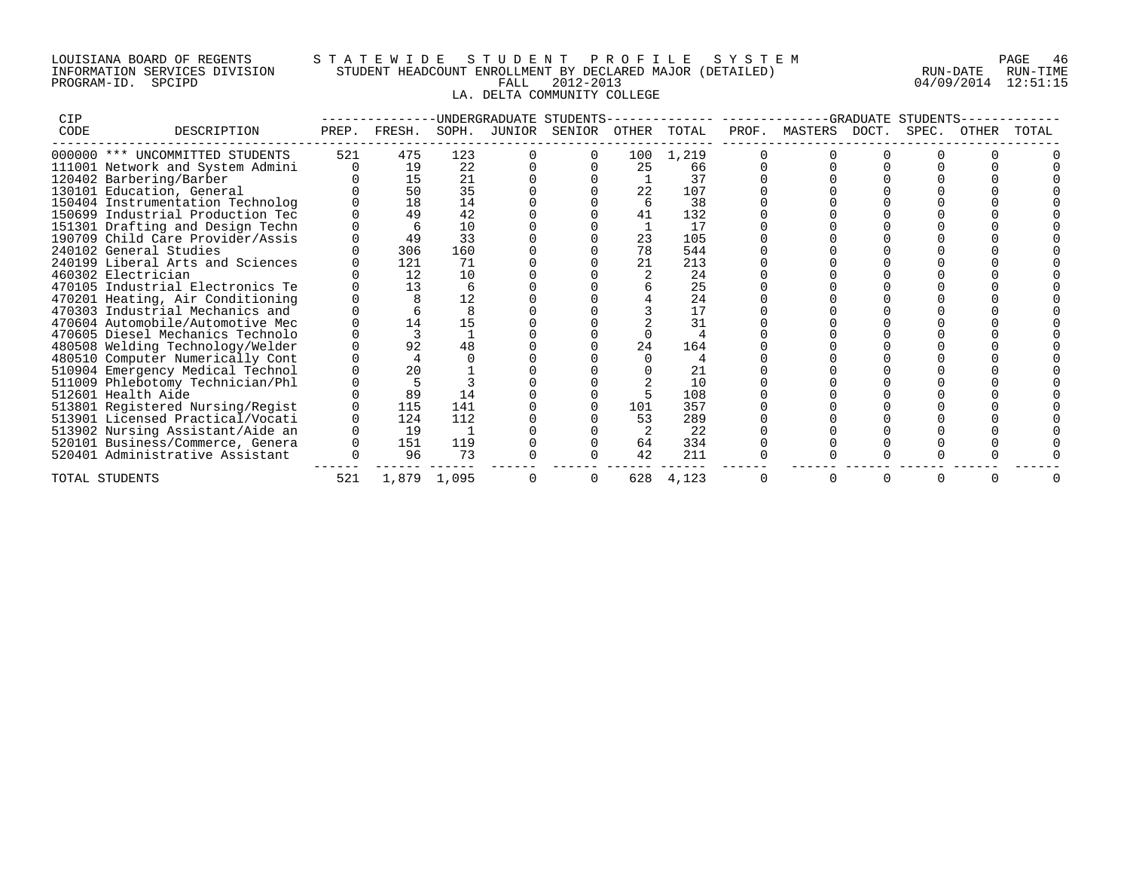## LOUISIANA BOARD OF REGENTS S T A T E W I D E S T U D E N T P R O F I L E S Y S T E M PAGE 46 INFORMATION SERVICES DIVISION STUDENT HEADCOUNT ENROLLMENT BY DECLARED MAJOR (DETAILED) RUN-DATE RUN-TIME PROGRAM-ID. SPCIPD FALL 2012-2013 04/09/2014 12:51:15 LA. DELTA COMMUNITY COLLEGE

| <b>CIP</b> | UNDERGRADUATE STUDENTS           |       |        |             |        |        |       |       | GRADUATE<br>STUDENTS |         |       |       |       |       |  |
|------------|----------------------------------|-------|--------|-------------|--------|--------|-------|-------|----------------------|---------|-------|-------|-------|-------|--|
| CODE       | DESCRIPTION                      | PREP. | FRESH. | SOPH.       | JUNIOR | SENIOR | OTHER | TOTAL | PROF.                | MASTERS | DOCT. | SPEC. | OTHER | TOTAL |  |
|            | 000000 *** UNCOMMITTED STUDENTS  | 521   | 475    | 123         |        |        | 100   | 1,219 |                      |         |       |       |       |       |  |
|            | 111001 Network and System Admini |       | 19     | 22          |        |        | 25    | 66    |                      |         |       |       |       |       |  |
|            | 120402 Barbering/Barber          |       | 15     | 21          |        |        |       | 37    |                      |         |       |       |       |       |  |
|            | 130101 Education, General        |       | 50     | 35          |        |        | 22    | 107   |                      |         |       |       |       |       |  |
|            | 150404 Instrumentation Technolog |       | 18     | 14          |        |        |       | 38    |                      |         |       |       |       |       |  |
|            | 150699 Industrial Production Tec |       | 49     | 42          |        |        | 41    | 132   |                      |         |       |       |       |       |  |
|            | 151301 Drafting and Design Techn |       |        | 10          |        |        |       | 17    |                      |         |       |       |       |       |  |
|            | 190709 Child Care Provider/Assis |       | 49     | 33          |        |        | 23    | 105   |                      |         |       |       |       |       |  |
|            | 240102 General Studies           |       | 306    | 160         |        |        | 78    | 544   |                      |         |       |       |       |       |  |
|            | 240199 Liberal Arts and Sciences |       | 121    | 71          |        |        | 21    | 213   |                      |         |       |       |       |       |  |
|            | 460302 Electrician               |       | 12     | 10          |        |        |       | 24    |                      |         |       |       |       |       |  |
|            | 470105 Industrial Electronics Te |       | 13     | 6           |        |        |       | 25    |                      |         |       |       |       |       |  |
|            | 470201 Heating, Air Conditioning |       |        | 12          |        |        |       | 24    |                      |         |       |       |       |       |  |
|            | 470303 Industrial Mechanics and  |       |        |             |        |        |       | 17    |                      |         |       |       |       |       |  |
|            | 470604 Automobile/Automotive Mec |       | 14     | 15          |        |        |       | 31    |                      |         |       |       |       |       |  |
|            | 470605 Diesel Mechanics Technolo |       |        |             |        |        |       |       |                      |         |       |       |       |       |  |
|            | 480508 Welding Technology/Welder |       | 92     | 48          |        |        | 24    | 164   |                      |         |       |       |       |       |  |
|            | 480510 Computer Numerically Cont |       |        |             |        |        |       |       |                      |         |       |       |       |       |  |
|            | 510904 Emergency Medical Technol |       | 20     |             |        |        |       | 21    |                      |         |       |       |       |       |  |
|            | 511009 Phlebotomy Technician/Phl |       |        |             |        |        |       | 10    |                      |         |       |       |       |       |  |
|            | 512601 Health Aide               |       | 89     | 14          |        |        |       | 108   |                      |         |       |       |       |       |  |
|            | 513801 Registered Nursing/Regist |       | 115    | 141         |        |        | 101   | 357   |                      |         |       |       |       |       |  |
|            | 513901 Licensed Practical/Vocati |       | 124    | 112         |        |        | 53    | 289   |                      |         |       |       |       |       |  |
|            | 513902 Nursing Assistant/Aide an |       | 19     |             |        |        |       | 22    |                      |         |       |       |       |       |  |
|            | 520101 Business/Commerce, Genera |       | 151    | 119         |        |        | 64    | 334   |                      |         |       |       |       |       |  |
|            | 520401 Administrative Assistant  |       | 96     | 73          |        |        | 42    | 211   |                      |         |       |       |       |       |  |
|            | TOTAL STUDENTS                   | 521   |        | 1,879 1,095 |        |        | 628   | 4,123 |                      |         |       |       |       |       |  |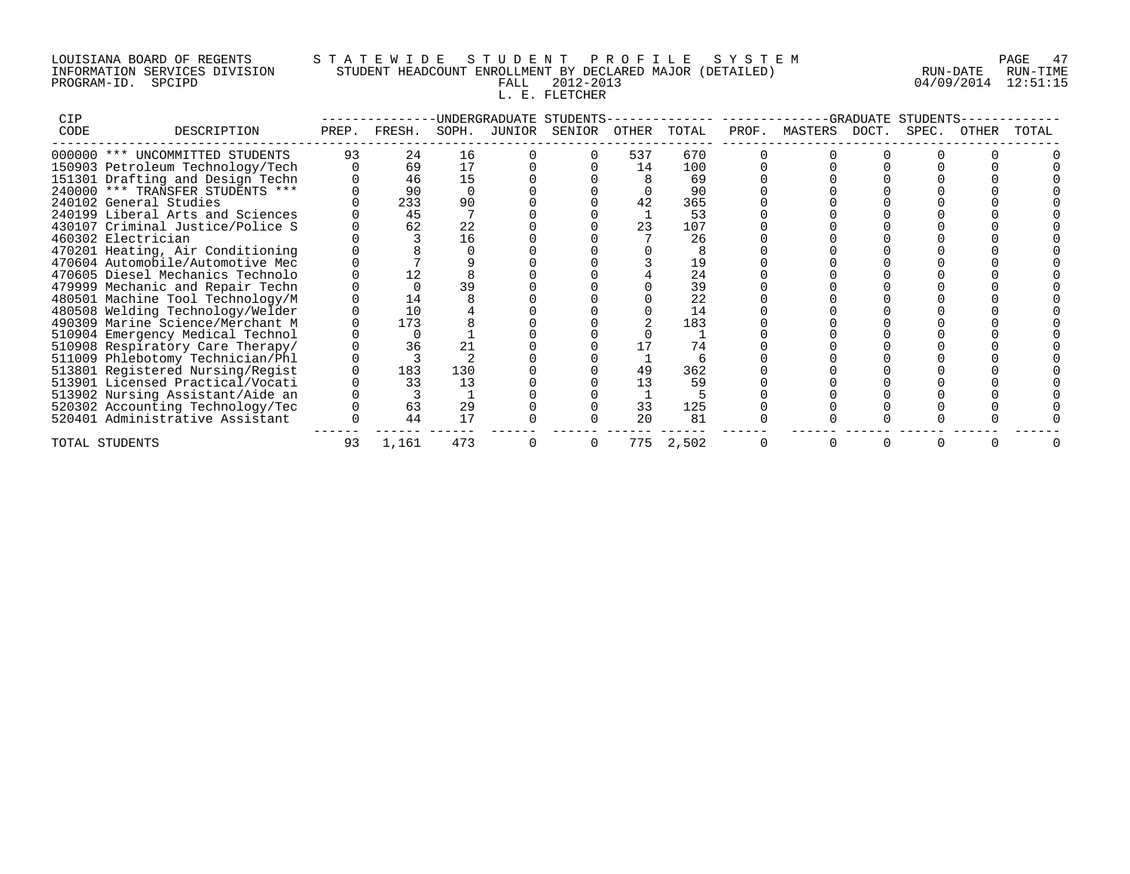## LOUISIANA BOARD OF REGENTS S T A T E W I D E S T U D E N T P R O F I L E S Y S T E M PAGE 47 INFORMATION SERVICES DIVISION STUDENT HEADCOUNT ENROLLMENT BY DECLARED MAJOR (DETAILED) RUN-DATE RUN-TIME PROGRAM-ID. SPCIPD FALL 2012-2013 04/09/2014 12:51:15 L. E. FLETCHER

| CIP  |                                  | UNDERGRADUATE STUDENTS |        |       |        |        |       |                            | GRADUATE<br>STIIDENTS |               |  |       |       |       |  |
|------|----------------------------------|------------------------|--------|-------|--------|--------|-------|----------------------------|-----------------------|---------------|--|-------|-------|-------|--|
| CODE | DESCRIPTION                      | PREP.                  | FRESH. | SOPH. | JUNIOR | SENIOR | OTHER | TOTAL                      | PROF.                 | MASTERS DOCT. |  | SPEC. | OTHER | TOTAL |  |
|      | 000000 *** UNCOMMITTED STUDENTS  | 93                     | 24     | 16    |        |        | 537   | 670                        |                       |               |  |       |       |       |  |
|      | 150903 Petroleum Technology/Tech |                        | 69     | 17    |        |        | 14    | 100                        |                       |               |  |       |       |       |  |
|      | 151301 Drafting and Design Techn |                        | 46     | 15    |        |        |       | 69                         |                       |               |  |       |       |       |  |
|      | 240000 *** TRANSFER STUDENTS *** |                        | 90     |       |        |        |       | 90                         |                       |               |  |       |       |       |  |
|      | 240102 General Studies           |                        | 233    | 90    |        |        | 42    | 365                        |                       |               |  |       |       |       |  |
|      | 240199 Liberal Arts and Sciences |                        | 45     |       |        |        |       | 53                         |                       |               |  |       |       |       |  |
|      | 430107 Criminal Justice/Police S |                        | 62     | 22    |        |        | 23    | 107                        |                       |               |  |       |       |       |  |
|      | 460302 Electrician               |                        |        | 16    |        |        |       | 26                         |                       |               |  |       |       |       |  |
|      | 470201 Heating, Air Conditioning |                        |        |       |        |        |       |                            |                       |               |  |       |       |       |  |
|      | 470604 Automobile/Automotive Mec |                        |        |       |        |        |       | 19                         |                       |               |  |       |       |       |  |
|      | 470605 Diesel Mechanics Technolo |                        |        |       |        |        |       | 24                         |                       |               |  |       |       |       |  |
|      | 479999 Mechanic and Repair Techn |                        |        | 39    |        |        |       | 39                         |                       |               |  |       |       |       |  |
|      | 480501 Machine Tool Technology/M |                        | 14     |       |        |        |       | $\overline{2}\overline{2}$ |                       |               |  |       |       |       |  |
|      | 480508 Welding Technology/Welder |                        | 10     |       |        |        |       | 14                         |                       |               |  |       |       |       |  |
|      | 490309 Marine Science/Merchant M |                        | 173    |       |        |        |       | 183                        |                       |               |  |       |       |       |  |
|      | 510904 Emergency Medical Technol |                        |        |       |        |        |       |                            |                       |               |  |       |       |       |  |
|      | 510908 Respiratory Care Therapy/ |                        | 36     | 21    |        |        |       | 74                         |                       |               |  |       |       |       |  |
|      | 511009 Phlebotomy Technician/Phl |                        |        |       |        |        |       |                            |                       |               |  |       |       |       |  |
|      | 513801 Registered Nursing/Regist |                        | 183    | 130   |        |        | 49    | 362                        |                       |               |  |       |       |       |  |
|      | 513901 Licensed Practical/Vocati |                        | 33     | 13    |        |        | 13    | 59                         |                       |               |  |       |       |       |  |
|      | 513902 Nursing Assistant/Aide an |                        |        |       |        |        |       |                            |                       |               |  |       |       |       |  |
|      | 520302 Accounting Technology/Tec |                        | 63     | 29    |        |        | 33    | 125                        |                       |               |  |       |       |       |  |
|      | 520401 Administrative Assistant  |                        | 44     | 17    |        |        | 20    | 81                         |                       |               |  |       |       |       |  |
|      | TOTAL STUDENTS                   | 93                     | 1,161  | 473   |        |        | 775   | 2,502                      |                       |               |  |       |       |       |  |